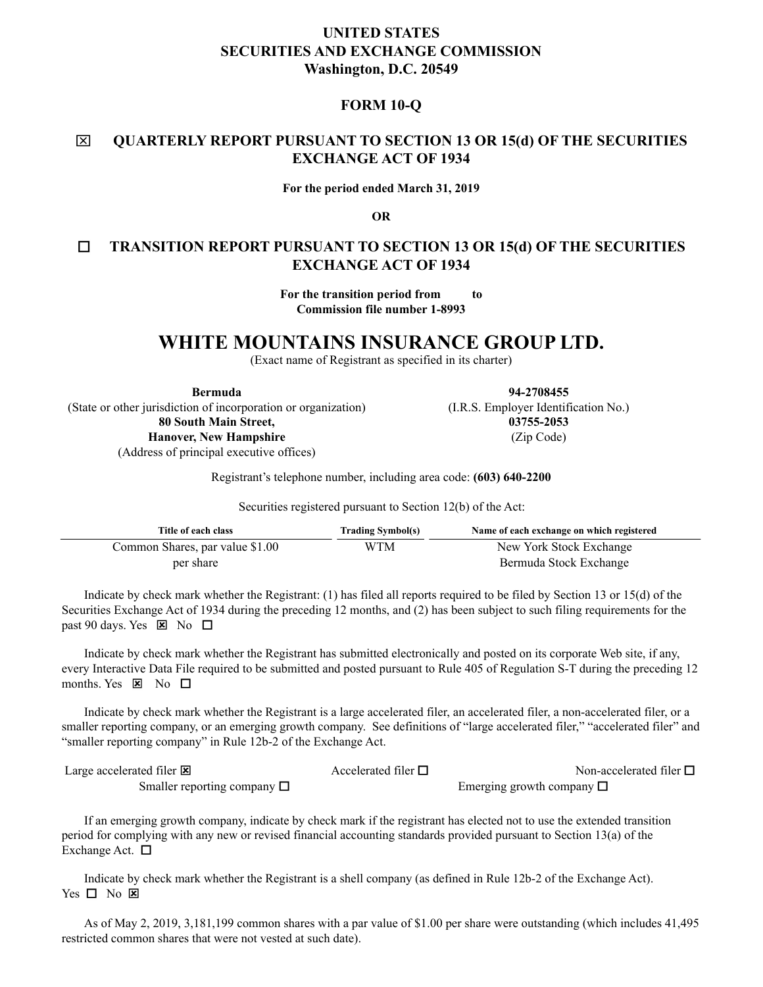# **UNITED STATES SECURITIES AND EXCHANGE COMMISSION Washington, D.C. 20549**

# **FORM 10-Q**

# **QUARTERLY REPORT PURSUANT TO SECTION 13 OR 15(d) OF THE SECURITIES EXCHANGE ACT OF 1934**

**For the period ended March 31, 2019**

**OR**

# **TRANSITION REPORT PURSUANT TO SECTION 13 OR 15(d) OF THE SECURITIES EXCHANGE ACT OF 1934**

**For the transition period from to Commission file number 1-8993**

# **WHITE MOUNTAINS INSURANCE GROUP LTD.**

(Exact name of Registrant as specified in its charter)

**Bermuda 94-2708455** (State or other jurisdiction of incorporation or organization) (I.R.S. Employer Identification No.) **80 South Main Street, 03755-2053 Hanover, New Hampshire** (Zip Code) (Address of principal executive offices)

Registrant's telephone number, including area code: **(603) 640-2200**

Securities registered pursuant to Section 12(b) of the Act:

| Title of each class             | <b>Trading Symbol(s)</b> | Name of each exchange on which registered |
|---------------------------------|--------------------------|-------------------------------------------|
| Common Shares, par value \$1.00 | WTM                      | New York Stock Exchange                   |
| per share                       |                          | Bermuda Stock Exchange                    |

Indicate by check mark whether the Registrant: (1) has filed all reports required to be filed by Section 13 or 15(d) of the Securities Exchange Act of 1934 during the preceding 12 months, and (2) has been subject to such filing requirements for the past 90 days. Yes  $\boxtimes$  No  $\square$ 

Indicate by check mark whether the Registrant has submitted electronically and posted on its corporate Web site, if any, every Interactive Data File required to be submitted and posted pursuant to Rule 405 of Regulation S-T during the preceding 12 months. Yes  $\boxtimes$  No  $\square$ 

Indicate by check mark whether the Registrant is a large accelerated filer, an accelerated filer, a non-accelerated filer, or a smaller reporting company, or an emerging growth company. See definitions of "large accelerated filer," "accelerated filer" and "smaller reporting company" in Rule 12b-2 of the Exchange Act.

| Large accelerated filer $\boxtimes$ | Accelerated filer $\square$ | Non-accelerated filer $\Box$   |
|-------------------------------------|-----------------------------|--------------------------------|
| Smaller reporting company $\Box$    |                             | Emerging growth company $\Box$ |

If an emerging growth company, indicate by check mark if the registrant has elected not to use the extended transition period for complying with any new or revised financial accounting standards provided pursuant to Section 13(a) of the Exchange Act.  $\square$ 

Indicate by check mark whether the Registrant is a shell company (as defined in Rule 12b-2 of the Exchange Act).  $Yes \Box No \boxtimes$ 

As of May 2, 2019, 3,181,199 common shares with a par value of \$1.00 per share were outstanding (which includes 41,495 restricted common shares that were not vested at such date).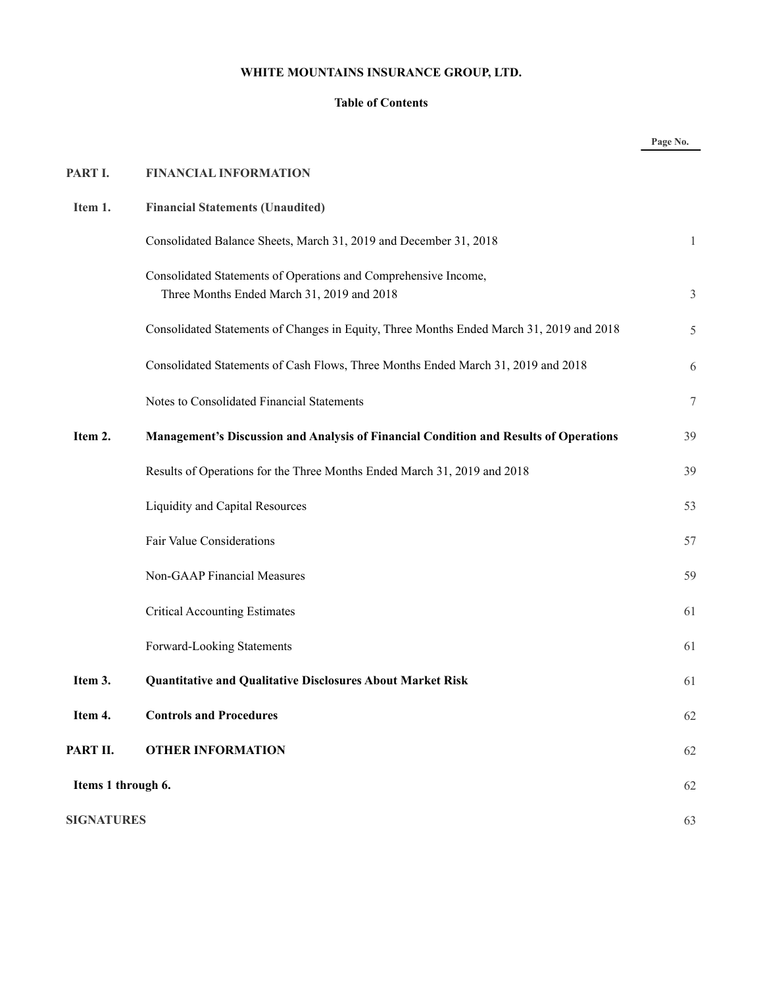# **WHITE MOUNTAINS INSURANCE GROUP, LTD.**

# **Table of Contents**

|                    |                                                                                                               | Page No. |
|--------------------|---------------------------------------------------------------------------------------------------------------|----------|
| PART I.            | <b>FINANCIAL INFORMATION</b>                                                                                  |          |
| Item 1.            | <b>Financial Statements (Unaudited)</b>                                                                       |          |
|                    | Consolidated Balance Sheets, March 31, 2019 and December 31, 2018                                             | 1        |
|                    | Consolidated Statements of Operations and Comprehensive Income,<br>Three Months Ended March 31, 2019 and 2018 | 3        |
|                    | Consolidated Statements of Changes in Equity, Three Months Ended March 31, 2019 and 2018                      | 5        |
|                    | Consolidated Statements of Cash Flows, Three Months Ended March 31, 2019 and 2018                             | 6        |
|                    | Notes to Consolidated Financial Statements                                                                    | 7        |
| Item 2.            | Management's Discussion and Analysis of Financial Condition and Results of Operations                         | 39       |
|                    | Results of Operations for the Three Months Ended March 31, 2019 and 2018                                      | 39       |
|                    | Liquidity and Capital Resources                                                                               | 53       |
|                    | Fair Value Considerations                                                                                     | 57       |
|                    | Non-GAAP Financial Measures                                                                                   | 59       |
|                    | <b>Critical Accounting Estimates</b>                                                                          | 61       |
|                    | Forward-Looking Statements                                                                                    | 61       |
| Item 3.            | <b>Quantitative and Qualitative Disclosures About Market Risk</b>                                             | 61       |
| Item 4.            | <b>Controls and Procedures</b>                                                                                | 62       |
| PART II.           | <b>OTHER INFORMATION</b>                                                                                      | 62       |
| Items 1 through 6. |                                                                                                               | 62       |
| <b>SIGNATURES</b>  |                                                                                                               | 63       |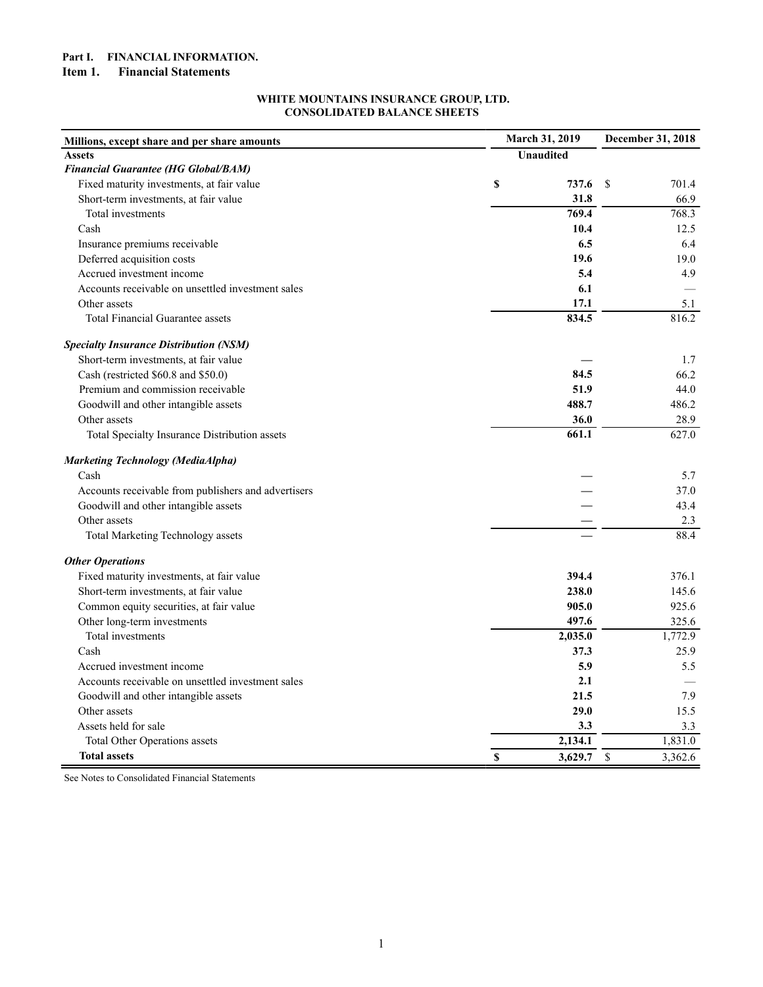# <span id="page-2-0"></span>**Part I. FINANCIAL INFORMATION.**

# <span id="page-2-2"></span><span id="page-2-1"></span>**Item 1. Financial Statements**

# **WHITE MOUNTAINS INSURANCE GROUP, LTD. CONSOLIDATED BALANCE SHEETS**

| Millions, except share and per share amounts        | March 31, 2019 | December 31, 2018    |               |         |  |
|-----------------------------------------------------|----------------|----------------------|---------------|---------|--|
| <b>Assets</b>                                       |                | <b>Unaudited</b>     |               |         |  |
| <b>Financial Guarantee (HG Global/BAM)</b>          |                |                      |               |         |  |
| Fixed maturity investments, at fair value           | \$             | 737.6                | <sup>\$</sup> | 701.4   |  |
| Short-term investments, at fair value               |                | 31.8                 |               | 66.9    |  |
| Total investments                                   |                | 769.4                |               | 768.3   |  |
| Cash                                                |                | 10.4                 |               | 12.5    |  |
| Insurance premiums receivable                       |                | 6.5                  |               | 6.4     |  |
| Deferred acquisition costs                          |                | 19.6                 |               | 19.0    |  |
| Accrued investment income                           |                | 5.4                  |               | 4.9     |  |
| Accounts receivable on unsettled investment sales   |                |                      |               |         |  |
| Other assets                                        |                | 17.1                 |               | 5.1     |  |
| <b>Total Financial Guarantee assets</b>             |                | 834.5                |               | 816.2   |  |
| <b>Specialty Insurance Distribution (NSM)</b>       |                |                      |               |         |  |
| Short-term investments, at fair value               |                |                      |               | 1.7     |  |
| Cash (restricted \$60.8 and \$50.0)                 |                | 84.5                 |               | 66.2    |  |
| Premium and commission receivable                   |                | 51.9                 |               | 44.0    |  |
| Goodwill and other intangible assets                |                | 488.7                |               | 486.2   |  |
| Other assets                                        |                | 36.0                 |               | 28.9    |  |
| Total Specialty Insurance Distribution assets       |                | 661.1                |               | 627.0   |  |
| Marketing Technology (MediaAlpha)                   |                |                      |               |         |  |
| Cash                                                |                |                      |               | 5.7     |  |
| Accounts receivable from publishers and advertisers |                |                      |               | 37.0    |  |
| Goodwill and other intangible assets                |                |                      | 43.4          |         |  |
| Other assets                                        |                |                      |               | 2.3     |  |
| <b>Total Marketing Technology assets</b>            |                |                      |               | 88.4    |  |
| <b>Other Operations</b>                             |                |                      |               |         |  |
| Fixed maturity investments, at fair value           |                | 394.4                |               | 376.1   |  |
| Short-term investments, at fair value               |                | 238.0                |               | 145.6   |  |
| Common equity securities, at fair value             |                | 905.0                |               | 925.6   |  |
| Other long-term investments                         |                | 497.6                |               | 325.6   |  |
| Total investments                                   |                | 2,035.0              |               | 1,772.9 |  |
| Cash                                                |                | 37.3                 |               | 25.9    |  |
| Accrued investment income                           |                | 5.9                  |               | 5.5     |  |
| Accounts receivable on unsettled investment sales   |                | 2.1                  |               |         |  |
| Goodwill and other intangible assets                |                | 21.5                 |               | 7.9     |  |
| Other assets                                        |                | 29.0                 |               | 15.5    |  |
| Assets held for sale                                |                | 3.3                  |               | 3.3     |  |
| <b>Total Other Operations assets</b>                |                | $2,\overline{134.1}$ |               | 1,831.0 |  |
| <b>Total assets</b>                                 | $\mathbf S$    | 3,629.7              | $\mathcal{S}$ | 3,362.6 |  |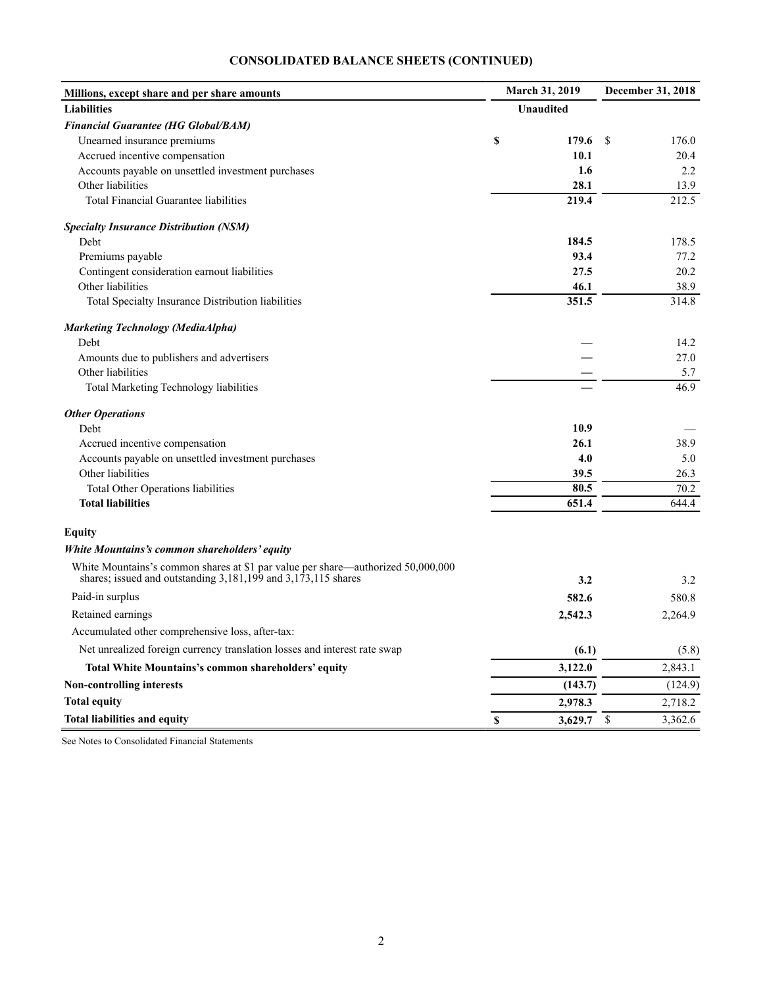# **CONSOLIDATED BALANCE SHEETS (CONTINUED)**

| Millions, except share and per share amounts                                                                                                      | <b>March 31, 2019</b> | December 31, 2018 |         |  |
|---------------------------------------------------------------------------------------------------------------------------------------------------|-----------------------|-------------------|---------|--|
| <b>Liabilities</b>                                                                                                                                | <b>Unaudited</b>      |                   |         |  |
| <b>Financial Guarantee (HG Global/BAM)</b>                                                                                                        |                       |                   |         |  |
| Unearned insurance premiums                                                                                                                       | \$<br>179.6           | -S                | 176.0   |  |
| Accrued incentive compensation                                                                                                                    | 10.1                  |                   | 20.4    |  |
| Accounts payable on unsettled investment purchases                                                                                                | 1.6                   |                   | 2.2     |  |
| Other liabilities                                                                                                                                 | 28.1                  |                   | 13.9    |  |
| Total Financial Guarantee liabilities                                                                                                             | 219.4                 |                   | 212.5   |  |
| <b>Specialty Insurance Distribution (NSM)</b>                                                                                                     |                       |                   |         |  |
| Debt                                                                                                                                              | 184.5                 |                   | 178.5   |  |
| Premiums payable                                                                                                                                  | 93.4                  |                   | 77.2    |  |
| Contingent consideration earnout liabilities                                                                                                      | 27.5                  |                   | 20.2    |  |
| Other liabilities                                                                                                                                 | 46.1                  |                   | 38.9    |  |
| <b>Total Specialty Insurance Distribution liabilities</b>                                                                                         | 351.5                 |                   | 314.8   |  |
| Marketing Technology (MediaAlpha)                                                                                                                 |                       |                   |         |  |
| Debt                                                                                                                                              |                       |                   | 14.2    |  |
| Amounts due to publishers and advertisers                                                                                                         |                       |                   | 27.0    |  |
| Other liabilities                                                                                                                                 |                       |                   | 5.7     |  |
| Total Marketing Technology liabilities                                                                                                            |                       |                   | 46.9    |  |
| <b>Other Operations</b>                                                                                                                           |                       |                   |         |  |
| Debt                                                                                                                                              | 10.9                  |                   |         |  |
| Accrued incentive compensation                                                                                                                    | 26.1                  |                   | 38.9    |  |
| Accounts payable on unsettled investment purchases                                                                                                | 4.0                   |                   | 5.0     |  |
| Other liabilities                                                                                                                                 | 39.5                  |                   | 26.3    |  |
| <b>Total Other Operations liabilities</b>                                                                                                         | 80.5                  |                   | 70.2    |  |
| <b>Total liabilities</b>                                                                                                                          | 651.4                 |                   | 644.4   |  |
| Equity                                                                                                                                            |                       |                   |         |  |
| White Mountains's common shareholders' equity                                                                                                     |                       |                   |         |  |
| White Mountains's common shares at \$1 par value per share—authorized 50,000,000<br>shares; issued and outstanding 3,181,199 and 3,173,115 shares | 3.2                   |                   | 3.2     |  |
| Paid-in surplus                                                                                                                                   | 582.6                 |                   | 580.8   |  |
| Retained earnings                                                                                                                                 | 2,542.3               |                   | 2,264.9 |  |
| Accumulated other comprehensive loss, after-tax:                                                                                                  |                       |                   |         |  |
| Net unrealized foreign currency translation losses and interest rate swap                                                                         | (6.1)                 |                   | (5.8)   |  |
| <b>Total White Mountains's common shareholders' equity</b>                                                                                        | 3,122.0               |                   | 2,843.1 |  |
| <b>Non-controlling interests</b>                                                                                                                  | (143.7)               |                   | (124.9) |  |
| <b>Total equity</b>                                                                                                                               | 2,978.3               |                   | 2,718.2 |  |
| <b>Total liabilities and equity</b>                                                                                                               | \$<br>3,629.7         | \$                | 3,362.6 |  |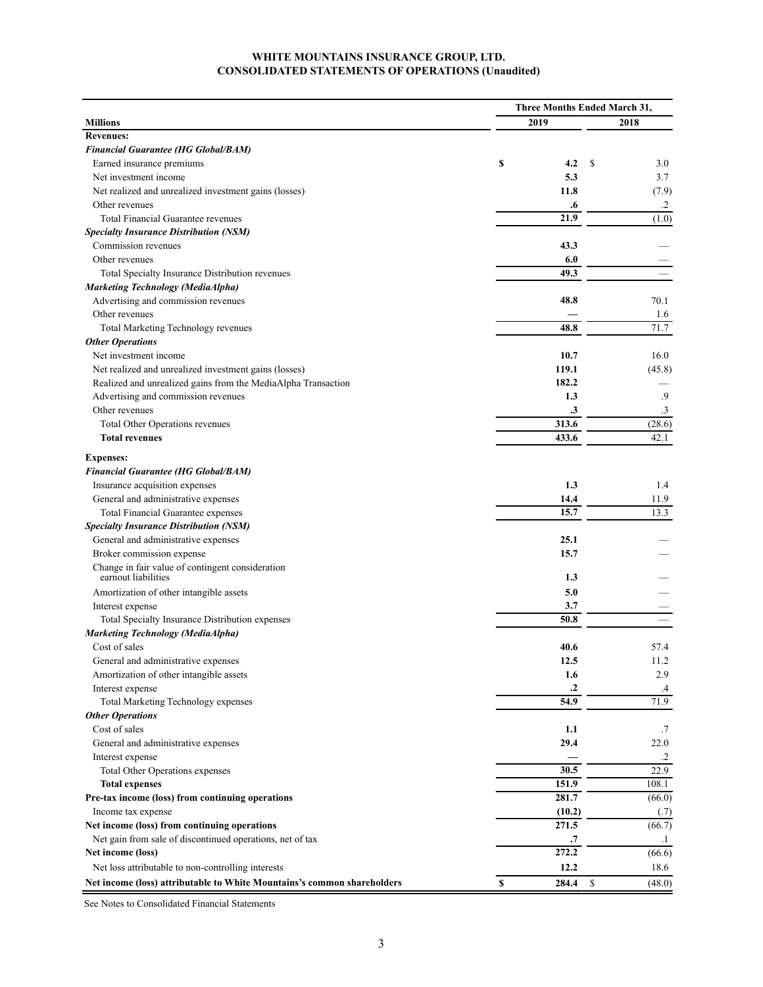### **WHITE MOUNTAINS INSURANCE GROUP, LTD. CONSOLIDATED STATEMENTS OF OPERATIONS (Unaudited)**

<span id="page-4-0"></span>

|                                                                         | Three Months Ended March 31, |                   |  |  |  |  |  |
|-------------------------------------------------------------------------|------------------------------|-------------------|--|--|--|--|--|
| <b>Millions</b>                                                         | 2019                         | 2018              |  |  |  |  |  |
| <b>Revenues:</b>                                                        |                              |                   |  |  |  |  |  |
| <b>Financial Guarantee (HG Global/BAM)</b>                              |                              |                   |  |  |  |  |  |
| Earned insurance premiums                                               | \$<br>4.2                    | \$<br>3.0         |  |  |  |  |  |
| Net investment income                                                   | 5.3                          | 3.7               |  |  |  |  |  |
| Net realized and unrealized investment gains (losses)                   | 11.8                         | (7.9)             |  |  |  |  |  |
| Other revenues                                                          | .6                           | $\cdot$           |  |  |  |  |  |
| Total Financial Guarantee revenues                                      | 21.9                         | (1.0)             |  |  |  |  |  |
| <b>Specialty Insurance Distribution (NSM)</b>                           |                              |                   |  |  |  |  |  |
| Commission revenues                                                     | 43.3                         |                   |  |  |  |  |  |
| Other revenues                                                          | 6.0                          |                   |  |  |  |  |  |
| Total Specialty Insurance Distribution revenues                         | 49.3                         |                   |  |  |  |  |  |
| Marketing Technology (MediaAlpha)                                       |                              |                   |  |  |  |  |  |
| Advertising and commission revenues                                     | 48.8                         | 70.1              |  |  |  |  |  |
| Other revenues                                                          |                              | 1.6               |  |  |  |  |  |
| <b>Total Marketing Technology revenues</b>                              | 48.8                         | 71.7              |  |  |  |  |  |
| <b>Other Operations</b>                                                 |                              |                   |  |  |  |  |  |
| Net investment income                                                   | 10.7                         | 16.0              |  |  |  |  |  |
| Net realized and unrealized investment gains (losses)                   | 119.1                        | (45.8)            |  |  |  |  |  |
|                                                                         | 182.2                        |                   |  |  |  |  |  |
| Realized and unrealized gains from the MediaAlpha Transaction           | 1.3                          | .9                |  |  |  |  |  |
| Advertising and commission revenues                                     |                              |                   |  |  |  |  |  |
| Other revenues                                                          | .3<br>313.6                  | $\cdot$ 3         |  |  |  |  |  |
| Total Other Operations revenues<br><b>Total revenues</b>                |                              | (28.6)            |  |  |  |  |  |
|                                                                         | 433.6                        | 42.1              |  |  |  |  |  |
| <b>Expenses:</b>                                                        |                              |                   |  |  |  |  |  |
| <b>Financial Guarantee (HG Global/BAM)</b>                              |                              |                   |  |  |  |  |  |
| Insurance acquisition expenses                                          | 1.3                          | 1.4               |  |  |  |  |  |
| General and administrative expenses                                     | 14.4                         | 11.9              |  |  |  |  |  |
| Total Financial Guarantee expenses                                      | 15.7                         | 13.3              |  |  |  |  |  |
| <b>Specialty Insurance Distribution (NSM)</b>                           |                              |                   |  |  |  |  |  |
| General and administrative expenses                                     | 25.1                         |                   |  |  |  |  |  |
| Broker commission expense                                               | 15.7                         |                   |  |  |  |  |  |
| Change in fair value of contingent consideration                        |                              |                   |  |  |  |  |  |
| earnout liabilities                                                     | 1.3                          |                   |  |  |  |  |  |
| Amortization of other intangible assets                                 | 5.0                          |                   |  |  |  |  |  |
| Interest expense                                                        | 3.7                          |                   |  |  |  |  |  |
| Total Specialty Insurance Distribution expenses                         | 50.8                         |                   |  |  |  |  |  |
| Marketing Technology (MediaAlpha)                                       |                              |                   |  |  |  |  |  |
| Cost of sales                                                           | 40.6                         | 57.4              |  |  |  |  |  |
| General and administrative expenses                                     | 12.5                         | 11.2              |  |  |  |  |  |
| Amortization of other intangible assets                                 | 1.6                          | 2.9               |  |  |  |  |  |
| Interest expense                                                        | $\cdot$ <sup>2</sup>         | $\cdot$           |  |  |  |  |  |
| <b>Total Marketing Technology expenses</b>                              | 54.9                         | 71.9              |  |  |  |  |  |
| <b>Other Operations</b>                                                 |                              |                   |  |  |  |  |  |
| Cost of sales                                                           | 1.1                          | .7                |  |  |  |  |  |
| General and administrative expenses                                     | 29.4                         | 22.0              |  |  |  |  |  |
| Interest expense                                                        |                              | $\cdot$           |  |  |  |  |  |
| Total Other Operations expenses                                         | 30.5                         | 22.9              |  |  |  |  |  |
| <b>Total expenses</b>                                                   | 151.9                        | 108.1             |  |  |  |  |  |
| Pre-tax income (loss) from continuing operations                        | 281.7                        | (66.0)            |  |  |  |  |  |
| Income tax expense                                                      | (10.2)                       |                   |  |  |  |  |  |
| Net income (loss) from continuing operations                            | 271.5                        | (.7)<br>(66.7)    |  |  |  |  |  |
| Net gain from sale of discontinued operations, net of tax               | $\cdot$                      |                   |  |  |  |  |  |
| Net income (loss)                                                       | 272.2                        | $\cdot$<br>(66.6) |  |  |  |  |  |
|                                                                         |                              |                   |  |  |  |  |  |
| Net loss attributable to non-controlling interests                      | 12.2                         | 18.6              |  |  |  |  |  |
| Net income (loss) attributable to White Mountains's common shareholders | \$<br>284.4                  | \$<br>(48.0)      |  |  |  |  |  |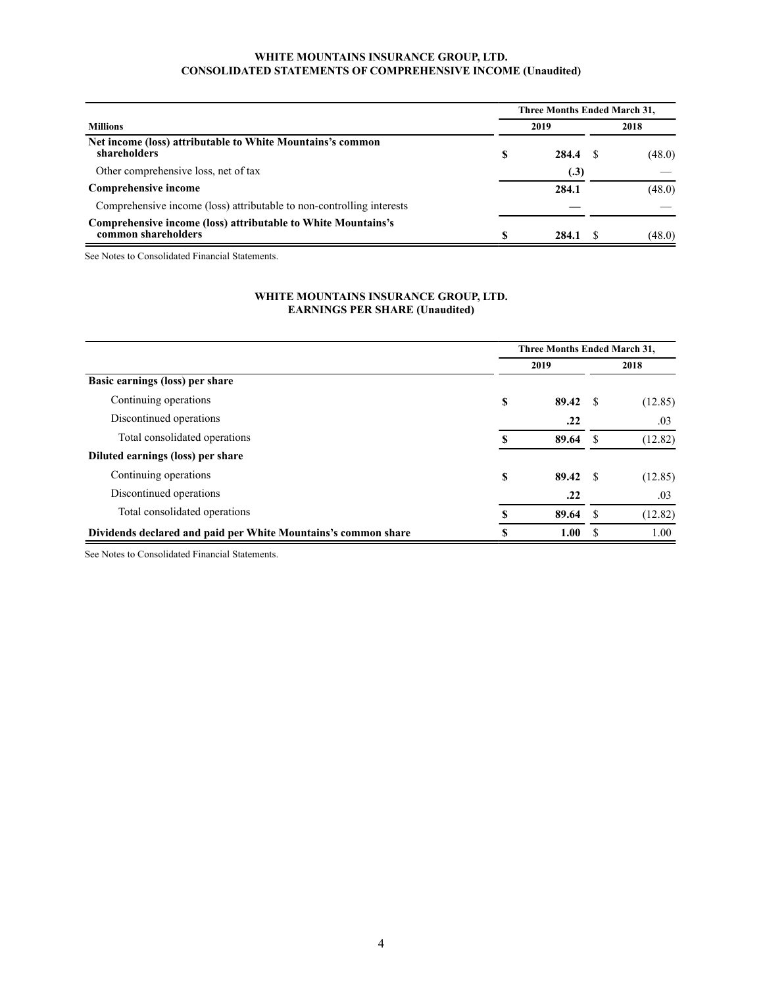# **WHITE MOUNTAINS INSURANCE GROUP, LTD. CONSOLIDATED STATEMENTS OF COMPREHENSIVE INCOME (Unaudited)**

|                                                                                      | Three Months Ended March 31, |       |  |        |  |  |  |  |  |
|--------------------------------------------------------------------------------------|------------------------------|-------|--|--------|--|--|--|--|--|
| <b>Millions</b>                                                                      |                              | 2019  |  | 2018   |  |  |  |  |  |
| Net income (loss) attributable to White Mountains's common<br>shareholders           | S                            | 284.4 |  | (48.0) |  |  |  |  |  |
| Other comprehensive loss, net of tax                                                 |                              | (.3)  |  |        |  |  |  |  |  |
| Comprehensive income                                                                 |                              | 284.1 |  | (48.0) |  |  |  |  |  |
| Comprehensive income (loss) attributable to non-controlling interests                |                              |       |  |        |  |  |  |  |  |
| Comprehensive income (loss) attributable to White Mountains's<br>common shareholders |                              | 284.1 |  | (48.0) |  |  |  |  |  |

See Notes to Consolidated Financial Statements.

# **WHITE MOUNTAINS INSURANCE GROUP, LTD. EARNINGS PER SHARE (Unaudited)**

|                                                                | Three Months Ended March 31, |       |      |         |  |  |  |  |
|----------------------------------------------------------------|------------------------------|-------|------|---------|--|--|--|--|
|                                                                |                              | 2019  |      | 2018    |  |  |  |  |
| Basic earnings (loss) per share                                |                              |       |      |         |  |  |  |  |
| Continuing operations                                          | \$                           | 89.42 | -S   | (12.85) |  |  |  |  |
| Discontinued operations                                        |                              | .22   |      | .03     |  |  |  |  |
| Total consolidated operations                                  |                              | 89.64 | -S   | (12.82) |  |  |  |  |
| Diluted earnings (loss) per share                              |                              |       |      |         |  |  |  |  |
| Continuing operations                                          | \$                           | 89.42 | - \$ | (12.85) |  |  |  |  |
| Discontinued operations                                        |                              | .22   |      | .03     |  |  |  |  |
| Total consolidated operations                                  |                              | 89.64 | S    | (12.82) |  |  |  |  |
| Dividends declared and paid per White Mountains's common share | S                            | 1.00  | -S   | 1.00    |  |  |  |  |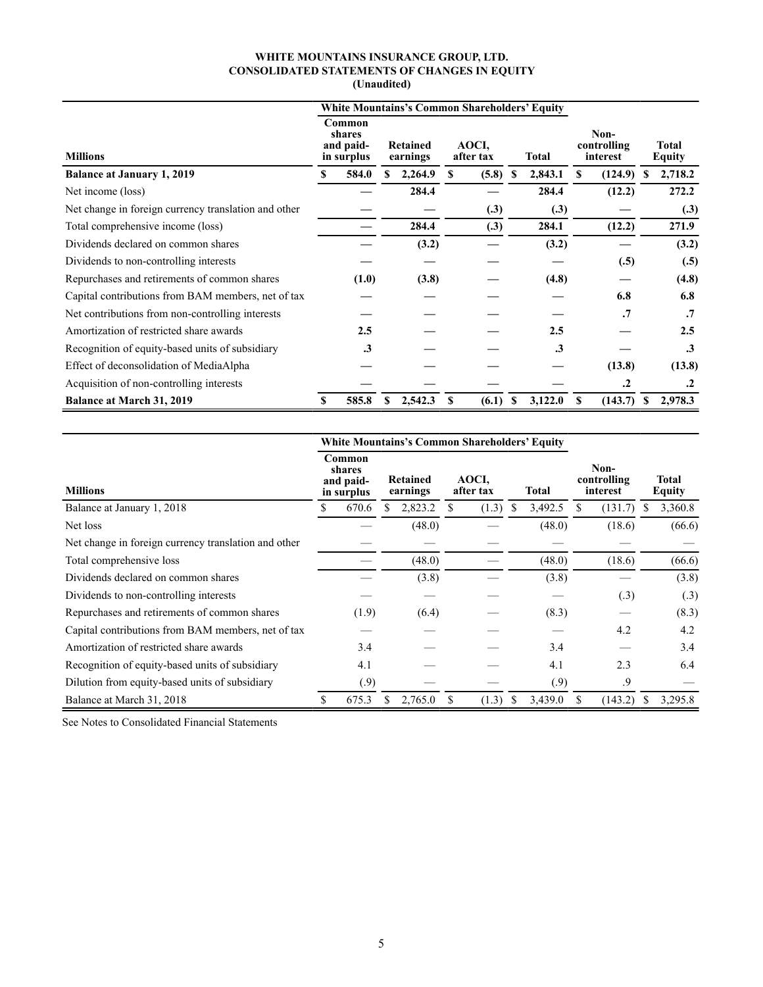# **WHITE MOUNTAINS INSURANCE GROUP, LTD. CONSOLIDATED STATEMENTS OF CHANGES IN EQUITY (Unaudited)**

<span id="page-6-0"></span>

|                                                      | <b>White Mountains's Common Shareholders' Equity</b> |                                             |                      |         |                    |       |              |           |                                 |         |    |                               |
|------------------------------------------------------|------------------------------------------------------|---------------------------------------------|----------------------|---------|--------------------|-------|--------------|-----------|---------------------------------|---------|----|-------------------------------|
| <b>Millions</b>                                      |                                                      | Common<br>shares<br>and paid-<br>in surplus | Retained<br>earnings |         | AOCI,<br>after tax |       | <b>Total</b> |           | Non-<br>controlling<br>interest |         |    | <b>Total</b><br><b>Equity</b> |
| <b>Balance at January 1, 2019</b>                    | \$                                                   | 584.0                                       | S                    | 2,264.9 | S                  | (5.8) | S            | 2,843.1   |                                 | (124.9) | -S | 2,718.2                       |
| Net income (loss)                                    |                                                      |                                             |                      | 284.4   |                    |       |              | 284.4     |                                 | (12.2)  |    | 272.2                         |
| Net change in foreign currency translation and other |                                                      |                                             |                      |         |                    | (.3)  |              | (.3)      |                                 |         |    | (.3)                          |
| Total comprehensive income (loss)                    |                                                      |                                             |                      | 284.4   |                    | (.3)  |              | 284.1     |                                 | (12.2)  |    | 271.9                         |
| Dividends declared on common shares                  |                                                      |                                             |                      | (3.2)   |                    |       |              | (3.2)     |                                 |         |    | (3.2)                         |
| Dividends to non-controlling interests               |                                                      |                                             |                      |         |                    |       |              |           |                                 | (.5)    |    | (.5)                          |
| Repurchases and retirements of common shares         |                                                      | (1.0)                                       |                      | (3.8)   |                    |       |              | (4.8)     |                                 |         |    | (4.8)                         |
| Capital contributions from BAM members, net of tax   |                                                      |                                             |                      |         |                    |       |              |           |                                 | 6.8     |    | 6.8                           |
| Net contributions from non-controlling interests     |                                                      |                                             |                      |         |                    |       |              |           |                                 | .7      |    | $\cdot$ .7                    |
| Amortization of restricted share awards              |                                                      | 2.5                                         |                      |         |                    |       |              | 2.5       |                                 |         |    | 2.5                           |
| Recognition of equity-based units of subsidiary      |                                                      | $\cdot$ 3                                   |                      |         |                    |       |              | $\cdot$ 3 |                                 |         |    | $\cdot$ 3                     |
| Effect of deconsolidation of MediaAlpha              |                                                      |                                             |                      |         |                    |       |              |           |                                 | (13.8)  |    | (13.8)                        |
| Acquisition of non-controlling interests             |                                                      |                                             |                      |         |                    |       |              |           |                                 | $\cdot$ |    | $\cdot$                       |
| <b>Balance at March 31, 2019</b>                     | S                                                    | 585.8                                       | \$                   | 2,542.3 | \$.                | (6.1) | S            | 3,122.0   | \$.                             | (143.7) | -S | 2,978.3                       |

|                                                      | <b>White Mountains's Common Shareholders' Equity</b> |       |                      |         |                    |       |       |         |                                 |         |                               |  |
|------------------------------------------------------|------------------------------------------------------|-------|----------------------|---------|--------------------|-------|-------|---------|---------------------------------|---------|-------------------------------|--|
| <b>Millions</b>                                      | Common<br>shares<br>and paid-<br>in surplus          |       | Retained<br>earnings |         | AOCI,<br>after tax |       | Total |         | Non-<br>controlling<br>interest |         | <b>Total</b><br><b>Equity</b> |  |
| Balance at January 1, 2018                           |                                                      | 670.6 | S                    | 2,823.2 |                    | (1.3) | S     | 3,492.5 |                                 | (131.7) | 3,360.8                       |  |
| Net loss                                             |                                                      |       |                      | (48.0)  |                    |       |       | (48.0)  |                                 | (18.6)  | (66.6)                        |  |
| Net change in foreign currency translation and other |                                                      |       |                      |         |                    |       |       |         |                                 |         |                               |  |
| Total comprehensive loss                             |                                                      |       |                      | (48.0)  |                    |       |       | (48.0)  |                                 | (18.6)  | (66.6)                        |  |
| Dividends declared on common shares                  |                                                      |       |                      | (3.8)   |                    |       |       | (3.8)   |                                 |         | (3.8)                         |  |
| Dividends to non-controlling interests               |                                                      |       |                      |         |                    |       |       |         |                                 | (.3)    | (.3)                          |  |
| Repurchases and retirements of common shares         |                                                      | (1.9) |                      | (6.4)   |                    |       |       | (8.3)   |                                 |         | (8.3)                         |  |
| Capital contributions from BAM members, net of tax   |                                                      |       |                      |         |                    |       |       |         |                                 | 4.2     | 4.2                           |  |
| Amortization of restricted share awards              |                                                      | 3.4   |                      |         |                    |       |       | 3.4     |                                 |         | 3.4                           |  |
| Recognition of equity-based units of subsidiary      |                                                      | 4.1   |                      |         |                    |       |       | 4.1     |                                 | 2.3     | 6.4                           |  |
| Dilution from equity-based units of subsidiary       |                                                      | (0.9) |                      |         |                    |       |       | (0.9)   |                                 | .9      |                               |  |
| Balance at March 31, 2018                            | S                                                    | 675.3 |                      | 2,765.0 | \$.                | (1.3) | S     | 3,439.0 |                                 | (143.2) | 3,295.8                       |  |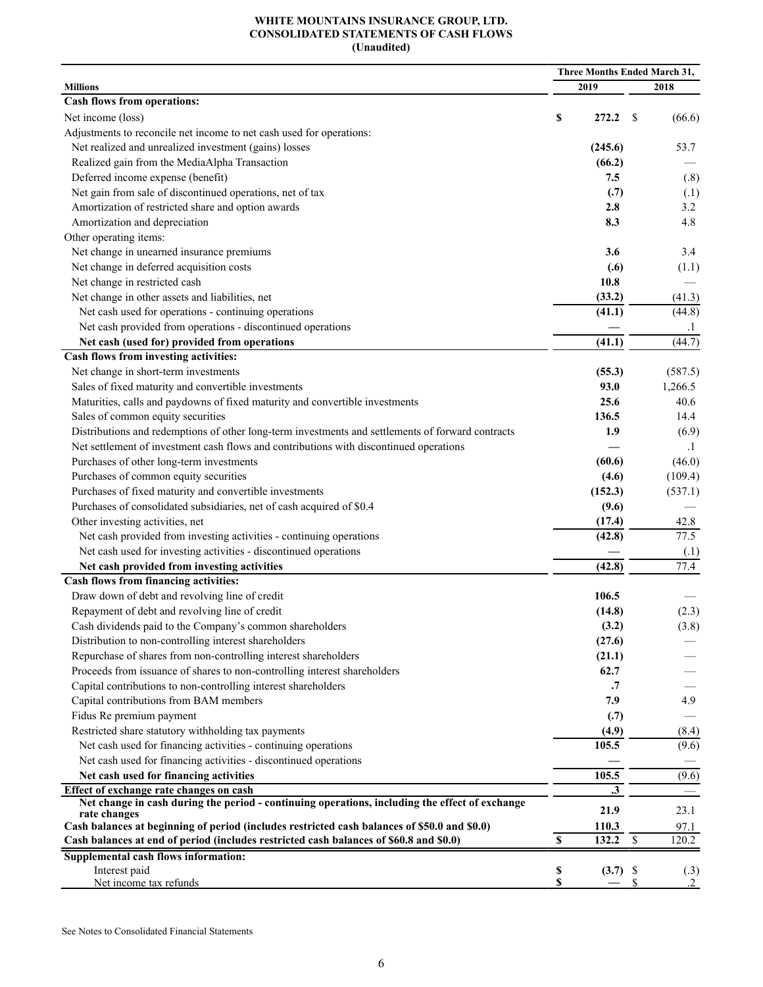#### **WHITE MOUNTAINS INSURANCE GROUP, LTD. CONSOLIDATED STATEMENTS OF CASH FLOWS (Unaudited)**

<span id="page-7-0"></span>

|                                                                                                                |             | <b>Three Months Ended March 31,</b> |                |  |  |
|----------------------------------------------------------------------------------------------------------------|-------------|-------------------------------------|----------------|--|--|
| <b>Millions</b>                                                                                                | 2019        |                                     | 2018           |  |  |
| Cash flows from operations:                                                                                    |             |                                     |                |  |  |
| Net income (loss)                                                                                              | \$<br>272.2 | S                                   | (66.6)         |  |  |
| Adjustments to reconcile net income to net cash used for operations:                                           |             |                                     |                |  |  |
| Net realized and unrealized investment (gains) losses                                                          | (245.6)     |                                     | 53.7           |  |  |
| Realized gain from the MediaAlpha Transaction                                                                  | (66.2)      |                                     |                |  |  |
| Deferred income expense (benefit)                                                                              | 7.5         |                                     | (.8)           |  |  |
| Net gain from sale of discontinued operations, net of tax                                                      | (.7)        |                                     | (.1)           |  |  |
| Amortization of restricted share and option awards                                                             | 2.8         |                                     | 3.2            |  |  |
| Amortization and depreciation                                                                                  | 8.3         |                                     | 4.8            |  |  |
| Other operating items:                                                                                         |             |                                     |                |  |  |
| Net change in unearned insurance premiums                                                                      | 3.6         |                                     | 3.4            |  |  |
| Net change in deferred acquisition costs                                                                       | (.6)        |                                     | (1.1)          |  |  |
| Net change in restricted cash                                                                                  | 10.8        |                                     |                |  |  |
| Net change in other assets and liabilities, net                                                                | (33.2)      |                                     | (41.3)         |  |  |
| Net cash used for operations - continuing operations                                                           | (41.1)      |                                     | (44.8)         |  |  |
| Net cash provided from operations - discontinued operations                                                    |             |                                     | $\cdot$        |  |  |
| Net cash (used for) provided from operations                                                                   | (41.1)      |                                     | (44.7)         |  |  |
| Cash flows from investing activities:                                                                          |             |                                     |                |  |  |
| Net change in short-term investments                                                                           | (55.3)      |                                     | (587.5)        |  |  |
| Sales of fixed maturity and convertible investments                                                            | 93.0        |                                     | 1,266.5        |  |  |
| Maturities, calls and paydowns of fixed maturity and convertible investments                                   | 25.6        |                                     | 40.6           |  |  |
| Sales of common equity securities                                                                              | 136.5       |                                     | 14.4           |  |  |
| Distributions and redemptions of other long-term investments and settlements of forward contracts              | 1.9         |                                     |                |  |  |
| Net settlement of investment cash flows and contributions with discontinued operations                         |             |                                     | (6.9)          |  |  |
| Purchases of other long-term investments                                                                       | (60.6)      |                                     | $\cdot$        |  |  |
| Purchases of common equity securities                                                                          |             |                                     | (46.0)         |  |  |
|                                                                                                                | (4.6)       |                                     | (109.4)        |  |  |
| Purchases of fixed maturity and convertible investments                                                        | (152.3)     |                                     | (537.1)        |  |  |
| Purchases of consolidated subsidiaries, net of cash acquired of \$0.4                                          | (9.6)       |                                     |                |  |  |
| Other investing activities, net                                                                                | (17.4)      |                                     | 42.8           |  |  |
| Net cash provided from investing activities - continuing operations                                            | (42.8)      |                                     | 77.5           |  |  |
| Net cash used for investing activities - discontinued operations                                               |             |                                     | (.1)           |  |  |
| Net cash provided from investing activities                                                                    | (42.8)      |                                     | 77.4           |  |  |
| Cash flows from financing activities:                                                                          |             |                                     |                |  |  |
| Draw down of debt and revolving line of credit                                                                 | 106.5       |                                     |                |  |  |
| Repayment of debt and revolving line of credit                                                                 | (14.8)      |                                     | (2.3)          |  |  |
| Cash dividends paid to the Company's common shareholders                                                       | (3.2)       |                                     | (3.8)          |  |  |
| Distribution to non-controlling interest shareholders                                                          | (27.6)      |                                     |                |  |  |
| Repurchase of shares from non-controlling interest shareholders                                                | (21.1)      |                                     |                |  |  |
| Proceeds from issuance of shares to non-controlling interest shareholders                                      | 62.7        |                                     |                |  |  |
| Capital contributions to non-controlling interest shareholders                                                 | .7          |                                     |                |  |  |
| Capital contributions from BAM members                                                                         | 7.9         |                                     | 4.9            |  |  |
| Fidus Re premium payment                                                                                       | (.7)        |                                     |                |  |  |
| Restricted share statutory withholding tax payments                                                            | (4.9)       |                                     | (8.4)          |  |  |
| Net cash used for financing activities - continuing operations                                                 | 105.5       |                                     | (9.6)          |  |  |
| Net cash used for financing activities - discontinued operations                                               |             |                                     |                |  |  |
| Net cash used for financing activities                                                                         | 105.5       |                                     | (9.6)          |  |  |
| Effect of exchange rate changes on cash                                                                        | .3          |                                     |                |  |  |
| Net change in cash during the period - continuing operations, including the effect of exchange<br>rate changes | 21.9        |                                     | 23.1           |  |  |
| Cash balances at beginning of period (includes restricted cash balances of \$50.0 and \$0.0)                   | 110.3       |                                     | 97.1           |  |  |
| Cash balances at end of period (includes restricted cash balances of \$60.8 and \$0.0)                         | \$<br>132.2 | $\overline{\mathcal{S}}$            | 120.2          |  |  |
| Supplemental cash flows information:                                                                           |             |                                     |                |  |  |
| Interest paid                                                                                                  | \$<br>(3.7) | S                                   | (.3)           |  |  |
| Net income tax refunds                                                                                         | \$          | \$                                  | $\overline{2}$ |  |  |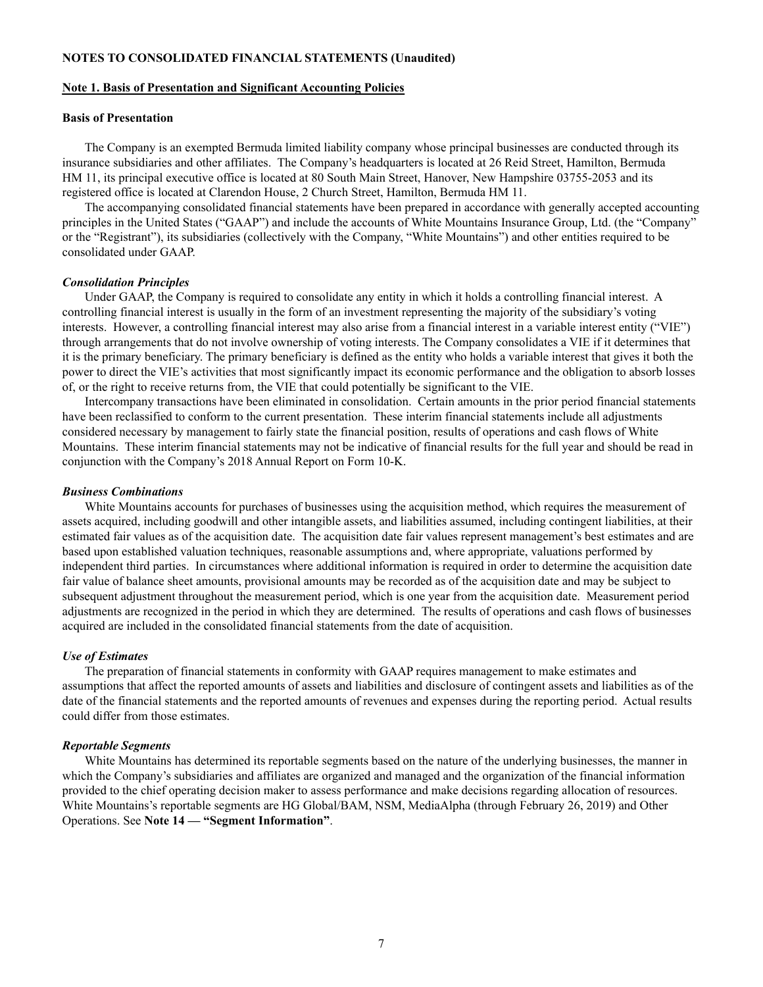# <span id="page-8-0"></span>**NOTES TO CONSOLIDATED FINANCIAL STATEMENTS (Unaudited)**

#### **Note 1. Basis of Presentation and Significant Accounting Policies**

#### **Basis of Presentation**

The Company is an exempted Bermuda limited liability company whose principal businesses are conducted through its insurance subsidiaries and other affiliates. The Company's headquarters is located at 26 Reid Street, Hamilton, Bermuda HM 11, its principal executive office is located at 80 South Main Street, Hanover, New Hampshire 03755-2053 and its registered office is located at Clarendon House, 2 Church Street, Hamilton, Bermuda HM 11.

The accompanying consolidated financial statements have been prepared in accordance with generally accepted accounting principles in the United States ("GAAP") and include the accounts of White Mountains Insurance Group, Ltd. (the "Company" or the "Registrant"), its subsidiaries (collectively with the Company, "White Mountains") and other entities required to be consolidated under GAAP.

#### *Consolidation Principles*

Under GAAP, the Company is required to consolidate any entity in which it holds a controlling financial interest. A controlling financial interest is usually in the form of an investment representing the majority of the subsidiary's voting interests. However, a controlling financial interest may also arise from a financial interest in a variable interest entity ("VIE") through arrangements that do not involve ownership of voting interests. The Company consolidates a VIE if it determines that it is the primary beneficiary. The primary beneficiary is defined as the entity who holds a variable interest that gives it both the power to direct the VIE's activities that most significantly impact its economic performance and the obligation to absorb losses of, or the right to receive returns from, the VIE that could potentially be significant to the VIE.

Intercompany transactions have been eliminated in consolidation. Certain amounts in the prior period financial statements have been reclassified to conform to the current presentation. These interim financial statements include all adjustments considered necessary by management to fairly state the financial position, results of operations and cash flows of White Mountains. These interim financial statements may not be indicative of financial results for the full year and should be read in conjunction with the Company's 2018 Annual Report on Form 10-K.

#### *Business Combinations*

White Mountains accounts for purchases of businesses using the acquisition method, which requires the measurement of assets acquired, including goodwill and other intangible assets, and liabilities assumed, including contingent liabilities, at their estimated fair values as of the acquisition date. The acquisition date fair values represent management's best estimates and are based upon established valuation techniques, reasonable assumptions and, where appropriate, valuations performed by independent third parties. In circumstances where additional information is required in order to determine the acquisition date fair value of balance sheet amounts, provisional amounts may be recorded as of the acquisition date and may be subject to subsequent adjustment throughout the measurement period, which is one year from the acquisition date. Measurement period adjustments are recognized in the period in which they are determined. The results of operations and cash flows of businesses acquired are included in the consolidated financial statements from the date of acquisition.

#### *Use of Estimates*

The preparation of financial statements in conformity with GAAP requires management to make estimates and assumptions that affect the reported amounts of assets and liabilities and disclosure of contingent assets and liabilities as of the date of the financial statements and the reported amounts of revenues and expenses during the reporting period. Actual results could differ from those estimates.

#### *Reportable Segments*

White Mountains has determined its reportable segments based on the nature of the underlying businesses, the manner in which the Company's subsidiaries and affiliates are organized and managed and the organization of the financial information provided to the chief operating decision maker to assess performance and make decisions regarding allocation of resources. White Mountains's reportable segments are HG Global/BAM, NSM, MediaAlpha (through February 26, 2019) and Other Operations. See **Note 14 — "Segment Information"**.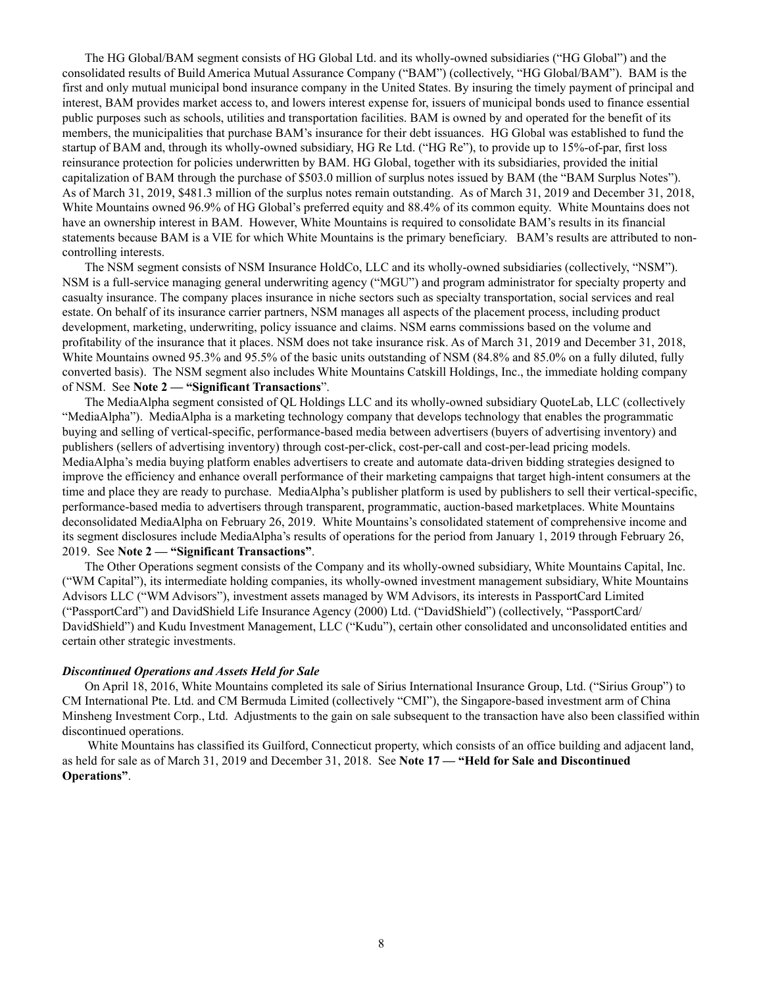The HG Global/BAM segment consists of HG Global Ltd. and its wholly-owned subsidiaries ("HG Global") and the consolidated results of Build America Mutual Assurance Company ("BAM") (collectively, "HG Global/BAM"). BAM is the first and only mutual municipal bond insurance company in the United States. By insuring the timely payment of principal and interest, BAM provides market access to, and lowers interest expense for, issuers of municipal bonds used to finance essential public purposes such as schools, utilities and transportation facilities. BAM is owned by and operated for the benefit of its members, the municipalities that purchase BAM's insurance for their debt issuances. HG Global was established to fund the startup of BAM and, through its wholly-owned subsidiary, HG Re Ltd. ("HG Re"), to provide up to 15%-of-par, first loss reinsurance protection for policies underwritten by BAM. HG Global, together with its subsidiaries, provided the initial capitalization of BAM through the purchase of \$503.0 million of surplus notes issued by BAM (the "BAM Surplus Notes"). As of March 31, 2019, \$481.3 million of the surplus notes remain outstanding. As of March 31, 2019 and December 31, 2018, White Mountains owned 96.9% of HG Global's preferred equity and 88.4% of its common equity. White Mountains does not have an ownership interest in BAM. However, White Mountains is required to consolidate BAM's results in its financial statements because BAM is a VIE for which White Mountains is the primary beneficiary. BAM's results are attributed to noncontrolling interests.

The NSM segment consists of NSM Insurance HoldCo, LLC and its wholly-owned subsidiaries (collectively, "NSM"). NSM is a full-service managing general underwriting agency ("MGU") and program administrator for specialty property and casualty insurance. The company places insurance in niche sectors such as specialty transportation, social services and real estate. On behalf of its insurance carrier partners, NSM manages all aspects of the placement process, including product development, marketing, underwriting, policy issuance and claims. NSM earns commissions based on the volume and profitability of the insurance that it places. NSM does not take insurance risk. As of March 31, 2019 and December 31, 2018, White Mountains owned 95.3% and 95.5% of the basic units outstanding of NSM (84.8% and 85.0% on a fully diluted, fully converted basis). The NSM segment also includes White Mountains Catskill Holdings, Inc., the immediate holding company of NSM. See **Note 2 — "Significant Transactions**".

The MediaAlpha segment consisted of QL Holdings LLC and its wholly-owned subsidiary QuoteLab, LLC (collectively "MediaAlpha"). MediaAlpha is a marketing technology company that develops technology that enables the programmatic buying and selling of vertical-specific, performance-based media between advertisers (buyers of advertising inventory) and publishers (sellers of advertising inventory) through cost-per-click, cost-per-call and cost-per-lead pricing models. MediaAlpha's media buying platform enables advertisers to create and automate data-driven bidding strategies designed to improve the efficiency and enhance overall performance of their marketing campaigns that target high-intent consumers at the time and place they are ready to purchase. MediaAlpha's publisher platform is used by publishers to sell their vertical-specific, performance-based media to advertisers through transparent, programmatic, auction-based marketplaces. White Mountains deconsolidated MediaAlpha on February 26, 2019. White Mountains's consolidated statement of comprehensive income and its segment disclosures include MediaAlpha's results of operations for the period from January 1, 2019 through February 26, 2019. See **Note 2 — "Significant Transactions"**.

The Other Operations segment consists of the Company and its wholly-owned subsidiary, White Mountains Capital, Inc. ("WM Capital"), its intermediate holding companies, its wholly-owned investment management subsidiary, White Mountains Advisors LLC ("WM Advisors"), investment assets managed by WM Advisors, its interests in PassportCard Limited ("PassportCard") and DavidShield Life Insurance Agency (2000) Ltd. ("DavidShield") (collectively, "PassportCard/ DavidShield") and Kudu Investment Management, LLC ("Kudu"), certain other consolidated and unconsolidated entities and certain other strategic investments.

#### *Discontinued Operations and Assets Held for Sale*

On April 18, 2016, White Mountains completed its sale of Sirius International Insurance Group, Ltd. ("Sirius Group") to CM International Pte. Ltd. and CM Bermuda Limited (collectively "CMI"), the Singapore-based investment arm of China Minsheng Investment Corp., Ltd. Adjustments to the gain on sale subsequent to the transaction have also been classified within discontinued operations.

White Mountains has classified its Guilford, Connecticut property, which consists of an office building and adjacent land, as held for sale as of March 31, 2019 and December 31, 2018. See **Note 17 — "Held for Sale and Discontinued Operations"**.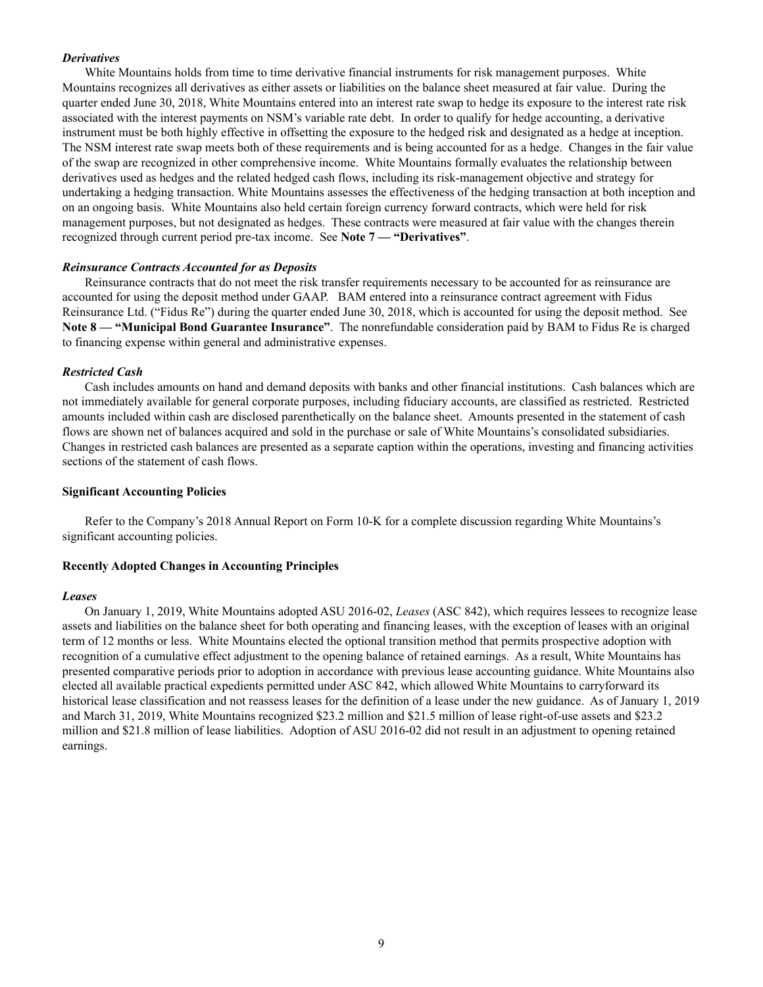# *Derivatives*

White Mountains holds from time to time derivative financial instruments for risk management purposes. White Mountains recognizes all derivatives as either assets or liabilities on the balance sheet measured at fair value. During the quarter ended June 30, 2018, White Mountains entered into an interest rate swap to hedge its exposure to the interest rate risk associated with the interest payments on NSM's variable rate debt. In order to qualify for hedge accounting, a derivative instrument must be both highly effective in offsetting the exposure to the hedged risk and designated as a hedge at inception. The NSM interest rate swap meets both of these requirements and is being accounted for as a hedge. Changes in the fair value of the swap are recognized in other comprehensive income. White Mountains formally evaluates the relationship between derivatives used as hedges and the related hedged cash flows, including its risk-management objective and strategy for undertaking a hedging transaction. White Mountains assesses the effectiveness of the hedging transaction at both inception and on an ongoing basis. White Mountains also held certain foreign currency forward contracts, which were held for risk management purposes, but not designated as hedges. These contracts were measured at fair value with the changes therein recognized through current period pre-tax income. See **Note 7 — "Derivatives"**.

# *Reinsurance Contracts Accounted for as Deposits*

Reinsurance contracts that do not meet the risk transfer requirements necessary to be accounted for as reinsurance are accounted for using the deposit method under GAAP. BAM entered into a reinsurance contract agreement with Fidus Reinsurance Ltd. ("Fidus Re") during the quarter ended June 30, 2018, which is accounted for using the deposit method. See **Note 8 — "Municipal Bond Guarantee Insurance"**. The nonrefundable consideration paid by BAM to Fidus Re is charged to financing expense within general and administrative expenses.

# *Restricted Cash*

Cash includes amounts on hand and demand deposits with banks and other financial institutions. Cash balances which are not immediately available for general corporate purposes, including fiduciary accounts, are classified as restricted. Restricted amounts included within cash are disclosed parenthetically on the balance sheet. Amounts presented in the statement of cash flows are shown net of balances acquired and sold in the purchase or sale of White Mountains's consolidated subsidiaries. Changes in restricted cash balances are presented as a separate caption within the operations, investing and financing activities sections of the statement of cash flows.

# **Significant Accounting Policies**

Refer to the Company's 2018 Annual Report on Form 10-K for a complete discussion regarding White Mountains's significant accounting policies.

# **Recently Adopted Changes in Accounting Principles**

# *Leases*

On January 1, 2019, White Mountains adopted ASU 2016-02, *Leases* (ASC 842), which requires lessees to recognize lease assets and liabilities on the balance sheet for both operating and financing leases, with the exception of leases with an original term of 12 months or less. White Mountains elected the optional transition method that permits prospective adoption with recognition of a cumulative effect adjustment to the opening balance of retained earnings. As a result, White Mountains has presented comparative periods prior to adoption in accordance with previous lease accounting guidance. White Mountains also elected all available practical expedients permitted under ASC 842, which allowed White Mountains to carryforward its historical lease classification and not reassess leases for the definition of a lease under the new guidance. As of January 1, 2019 and March 31, 2019, White Mountains recognized \$23.2 million and \$21.5 million of lease right-of-use assets and \$23.2 million and \$21.8 million of lease liabilities. Adoption of ASU 2016-02 did not result in an adjustment to opening retained earnings.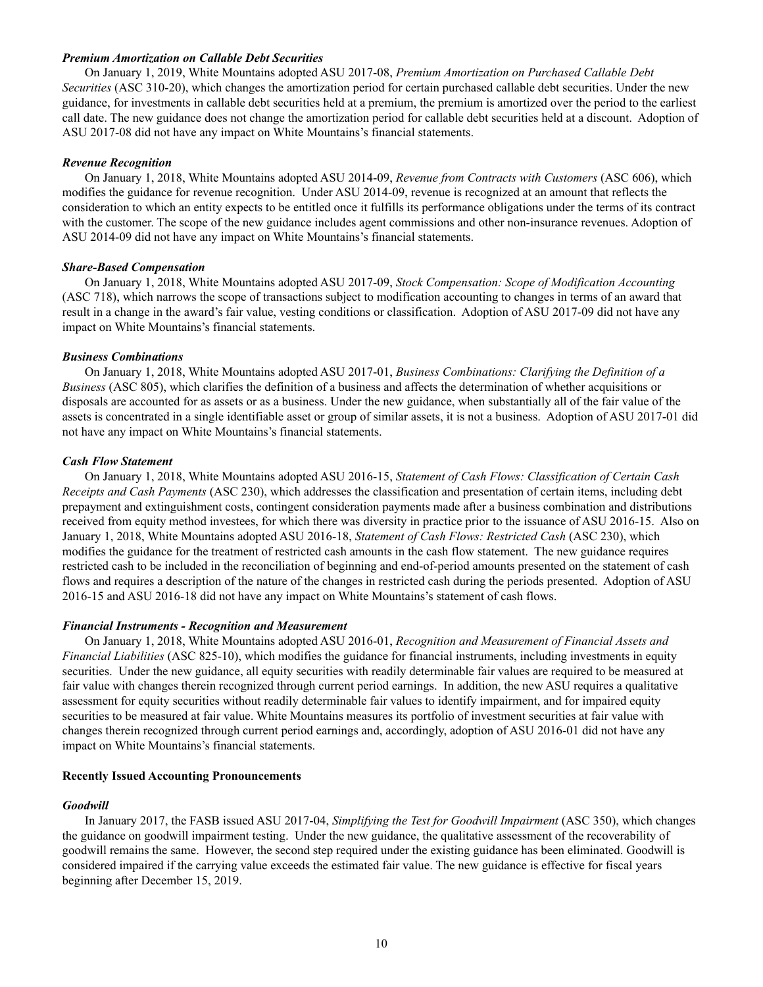### *Premium Amortization on Callable Debt Securities*

On January 1, 2019, White Mountains adopted ASU 2017-08, *Premium Amortization on Purchased Callable Debt Securities* (ASC 310-20), which changes the amortization period for certain purchased callable debt securities. Under the new guidance, for investments in callable debt securities held at a premium, the premium is amortized over the period to the earliest call date. The new guidance does not change the amortization period for callable debt securities held at a discount. Adoption of ASU 2017-08 did not have any impact on White Mountains's financial statements.

#### *Revenue Recognition*

On January 1, 2018, White Mountains adopted ASU 2014-09, *Revenue from Contracts with Customers* (ASC 606), which modifies the guidance for revenue recognition. Under ASU 2014-09, revenue is recognized at an amount that reflects the consideration to which an entity expects to be entitled once it fulfills its performance obligations under the terms of its contract with the customer. The scope of the new guidance includes agent commissions and other non-insurance revenues. Adoption of ASU 2014-09 did not have any impact on White Mountains's financial statements.

#### *Share-Based Compensation*

On January 1, 2018, White Mountains adopted ASU 2017-09, *Stock Compensation: Scope of Modification Accounting*  (ASC 718), which narrows the scope of transactions subject to modification accounting to changes in terms of an award that result in a change in the award's fair value, vesting conditions or classification. Adoption of ASU 2017-09 did not have any impact on White Mountains's financial statements.

#### *Business Combinations*

On January 1, 2018, White Mountains adopted ASU 2017-01, *Business Combinations: Clarifying the Definition of a Business* (ASC 805), which clarifies the definition of a business and affects the determination of whether acquisitions or disposals are accounted for as assets or as a business. Under the new guidance, when substantially all of the fair value of the assets is concentrated in a single identifiable asset or group of similar assets, it is not a business. Adoption of ASU 2017-01 did not have any impact on White Mountains's financial statements.

#### *Cash Flow Statement*

On January 1, 2018, White Mountains adopted ASU 2016-15, *Statement of Cash Flows: Classification of Certain Cash Receipts and Cash Payments* (ASC 230), which addresses the classification and presentation of certain items, including debt prepayment and extinguishment costs, contingent consideration payments made after a business combination and distributions received from equity method investees, for which there was diversity in practice prior to the issuance of ASU 2016-15. Also on January 1, 2018, White Mountains adopted ASU 2016-18, *Statement of Cash Flows: Restricted Cash* (ASC 230), which modifies the guidance for the treatment of restricted cash amounts in the cash flow statement. The new guidance requires restricted cash to be included in the reconciliation of beginning and end-of-period amounts presented on the statement of cash flows and requires a description of the nature of the changes in restricted cash during the periods presented. Adoption of ASU 2016-15 and ASU 2016-18 did not have any impact on White Mountains's statement of cash flows.

### *Financial Instruments - Recognition and Measurement*

On January 1, 2018, White Mountains adopted ASU 2016-01, *Recognition and Measurement of Financial Assets and Financial Liabilities* (ASC 825-10), which modifies the guidance for financial instruments, including investments in equity securities. Under the new guidance, all equity securities with readily determinable fair values are required to be measured at fair value with changes therein recognized through current period earnings. In addition, the new ASU requires a qualitative assessment for equity securities without readily determinable fair values to identify impairment, and for impaired equity securities to be measured at fair value. White Mountains measures its portfolio of investment securities at fair value with changes therein recognized through current period earnings and, accordingly, adoption of ASU 2016-01 did not have any impact on White Mountains's financial statements.

#### **Recently Issued Accounting Pronouncements**

#### *Goodwill*

In January 2017, the FASB issued ASU 2017-04, *Simplifying the Test for Goodwill Impairment* (ASC 350), which changes the guidance on goodwill impairment testing. Under the new guidance, the qualitative assessment of the recoverability of goodwill remains the same. However, the second step required under the existing guidance has been eliminated. Goodwill is considered impaired if the carrying value exceeds the estimated fair value. The new guidance is effective for fiscal years beginning after December 15, 2019.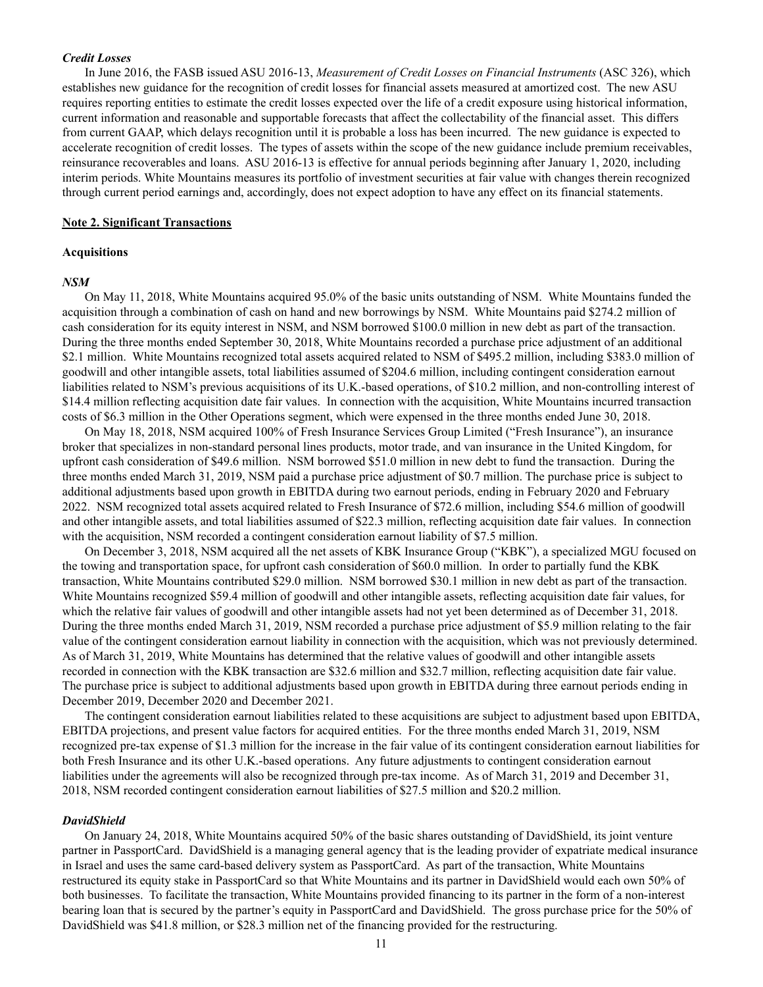#### *Credit Losses*

In June 2016, the FASB issued ASU 2016-13, *Measurement of Credit Losses on Financial Instruments* (ASC 326), which establishes new guidance for the recognition of credit losses for financial assets measured at amortized cost. The new ASU requires reporting entities to estimate the credit losses expected over the life of a credit exposure using historical information, current information and reasonable and supportable forecasts that affect the collectability of the financial asset. This differs from current GAAP, which delays recognition until it is probable a loss has been incurred. The new guidance is expected to accelerate recognition of credit losses. The types of assets within the scope of the new guidance include premium receivables, reinsurance recoverables and loans. ASU 2016-13 is effective for annual periods beginning after January 1, 2020, including interim periods. White Mountains measures its portfolio of investment securities at fair value with changes therein recognized through current period earnings and, accordingly, does not expect adoption to have any effect on its financial statements.

#### **Note 2. Significant Transactions**

#### **Acquisitions**

#### *NSM*

On May 11, 2018, White Mountains acquired 95.0% of the basic units outstanding of NSM. White Mountains funded the acquisition through a combination of cash on hand and new borrowings by NSM. White Mountains paid \$274.2 million of cash consideration for its equity interest in NSM, and NSM borrowed \$100.0 million in new debt as part of the transaction. During the three months ended September 30, 2018, White Mountains recorded a purchase price adjustment of an additional \$2.1 million. White Mountains recognized total assets acquired related to NSM of \$495.2 million, including \$383.0 million of goodwill and other intangible assets, total liabilities assumed of \$204.6 million, including contingent consideration earnout liabilities related to NSM's previous acquisitions of its U.K.-based operations, of \$10.2 million, and non-controlling interest of \$14.4 million reflecting acquisition date fair values. In connection with the acquisition, White Mountains incurred transaction costs of \$6.3 million in the Other Operations segment, which were expensed in the three months ended June 30, 2018.

On May 18, 2018, NSM acquired 100% of Fresh Insurance Services Group Limited ("Fresh Insurance"), an insurance broker that specializes in non-standard personal lines products, motor trade, and van insurance in the United Kingdom, for upfront cash consideration of \$49.6 million. NSM borrowed \$51.0 million in new debt to fund the transaction. During the three months ended March 31, 2019, NSM paid a purchase price adjustment of \$0.7 million. The purchase price is subject to additional adjustments based upon growth in EBITDA during two earnout periods, ending in February 2020 and February 2022. NSM recognized total assets acquired related to Fresh Insurance of \$72.6 million, including \$54.6 million of goodwill and other intangible assets, and total liabilities assumed of \$22.3 million, reflecting acquisition date fair values. In connection with the acquisition, NSM recorded a contingent consideration earnout liability of \$7.5 million.

On December 3, 2018, NSM acquired all the net assets of KBK Insurance Group ("KBK"), a specialized MGU focused on the towing and transportation space, for upfront cash consideration of \$60.0 million. In order to partially fund the KBK transaction, White Mountains contributed \$29.0 million. NSM borrowed \$30.1 million in new debt as part of the transaction. White Mountains recognized \$59.4 million of goodwill and other intangible assets, reflecting acquisition date fair values, for which the relative fair values of goodwill and other intangible assets had not yet been determined as of December 31, 2018. During the three months ended March 31, 2019, NSM recorded a purchase price adjustment of \$5.9 million relating to the fair value of the contingent consideration earnout liability in connection with the acquisition, which was not previously determined. As of March 31, 2019, White Mountains has determined that the relative values of goodwill and other intangible assets recorded in connection with the KBK transaction are \$32.6 million and \$32.7 million, reflecting acquisition date fair value. The purchase price is subject to additional adjustments based upon growth in EBITDA during three earnout periods ending in December 2019, December 2020 and December 2021.

The contingent consideration earnout liabilities related to these acquisitions are subject to adjustment based upon EBITDA, EBITDA projections, and present value factors for acquired entities. For the three months ended March 31, 2019, NSM recognized pre-tax expense of \$1.3 million for the increase in the fair value of its contingent consideration earnout liabilities for both Fresh Insurance and its other U.K.-based operations. Any future adjustments to contingent consideration earnout liabilities under the agreements will also be recognized through pre-tax income. As of March 31, 2019 and December 31, 2018, NSM recorded contingent consideration earnout liabilities of \$27.5 million and \$20.2 million.

#### *DavidShield*

On January 24, 2018, White Mountains acquired 50% of the basic shares outstanding of DavidShield, its joint venture partner in PassportCard. DavidShield is a managing general agency that is the leading provider of expatriate medical insurance in Israel and uses the same card-based delivery system as PassportCard. As part of the transaction, White Mountains restructured its equity stake in PassportCard so that White Mountains and its partner in DavidShield would each own 50% of both businesses. To facilitate the transaction, White Mountains provided financing to its partner in the form of a non-interest bearing loan that is secured by the partner's equity in PassportCard and DavidShield. The gross purchase price for the 50% of DavidShield was \$41.8 million, or \$28.3 million net of the financing provided for the restructuring.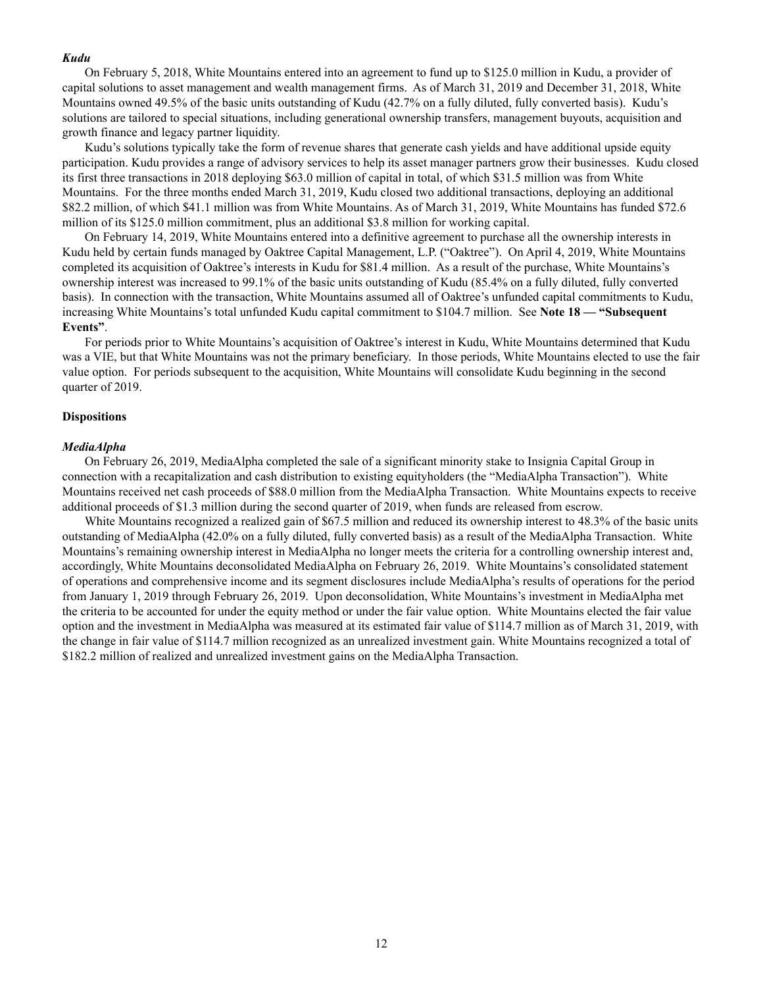#### *Kudu*

On February 5, 2018, White Mountains entered into an agreement to fund up to \$125.0 million in Kudu, a provider of capital solutions to asset management and wealth management firms. As of March 31, 2019 and December 31, 2018, White Mountains owned 49.5% of the basic units outstanding of Kudu (42.7% on a fully diluted, fully converted basis). Kudu's solutions are tailored to special situations, including generational ownership transfers, management buyouts, acquisition and growth finance and legacy partner liquidity.

Kudu's solutions typically take the form of revenue shares that generate cash yields and have additional upside equity participation. Kudu provides a range of advisory services to help its asset manager partners grow their businesses. Kudu closed its first three transactions in 2018 deploying \$63.0 million of capital in total, of which \$31.5 million was from White Mountains. For the three months ended March 31, 2019, Kudu closed two additional transactions, deploying an additional \$82.2 million, of which \$41.1 million was from White Mountains. As of March 31, 2019, White Mountains has funded \$72.6 million of its \$125.0 million commitment, plus an additional \$3.8 million for working capital.

On February 14, 2019, White Mountains entered into a definitive agreement to purchase all the ownership interests in Kudu held by certain funds managed by Oaktree Capital Management, L.P. ("Oaktree"). On April 4, 2019, White Mountains completed its acquisition of Oaktree's interests in Kudu for \$81.4 million. As a result of the purchase, White Mountains's ownership interest was increased to 99.1% of the basic units outstanding of Kudu (85.4% on a fully diluted, fully converted basis). In connection with the transaction, White Mountains assumed all of Oaktree's unfunded capital commitments to Kudu, increasing White Mountains's total unfunded Kudu capital commitment to \$104.7 million. See **Note 18 — "Subsequent Events"**.

For periods prior to White Mountains's acquisition of Oaktree's interest in Kudu, White Mountains determined that Kudu was a VIE, but that White Mountains was not the primary beneficiary. In those periods, White Mountains elected to use the fair value option. For periods subsequent to the acquisition, White Mountains will consolidate Kudu beginning in the second quarter of 2019.

#### **Dispositions**

#### *MediaAlpha*

On February 26, 2019, MediaAlpha completed the sale of a significant minority stake to Insignia Capital Group in connection with a recapitalization and cash distribution to existing equityholders (the "MediaAlpha Transaction"). White Mountains received net cash proceeds of \$88.0 million from the MediaAlpha Transaction. White Mountains expects to receive additional proceeds of \$1.3 million during the second quarter of 2019, when funds are released from escrow.

White Mountains recognized a realized gain of \$67.5 million and reduced its ownership interest to 48.3% of the basic units outstanding of MediaAlpha (42.0% on a fully diluted, fully converted basis) as a result of the MediaAlpha Transaction. White Mountains's remaining ownership interest in MediaAlpha no longer meets the criteria for a controlling ownership interest and, accordingly, White Mountains deconsolidated MediaAlpha on February 26, 2019. White Mountains's consolidated statement of operations and comprehensive income and its segment disclosures include MediaAlpha's results of operations for the period from January 1, 2019 through February 26, 2019. Upon deconsolidation, White Mountains's investment in MediaAlpha met the criteria to be accounted for under the equity method or under the fair value option. White Mountains elected the fair value option and the investment in MediaAlpha was measured at its estimated fair value of \$114.7 million as of March 31, 2019, with the change in fair value of \$114.7 million recognized as an unrealized investment gain. White Mountains recognized a total of \$182.2 million of realized and unrealized investment gains on the MediaAlpha Transaction.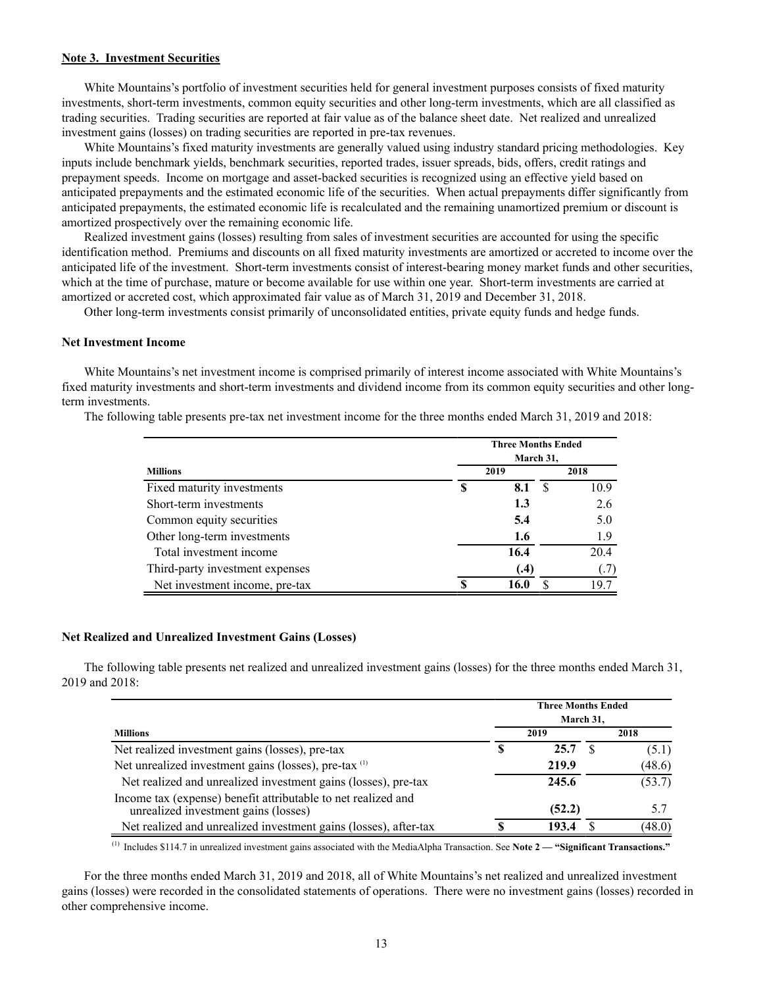#### **Note 3. Investment Securities**

White Mountains's portfolio of investment securities held for general investment purposes consists of fixed maturity investments, short-term investments, common equity securities and other long-term investments, which are all classified as trading securities. Trading securities are reported at fair value as of the balance sheet date. Net realized and unrealized investment gains (losses) on trading securities are reported in pre-tax revenues.

White Mountains's fixed maturity investments are generally valued using industry standard pricing methodologies. Key inputs include benchmark yields, benchmark securities, reported trades, issuer spreads, bids, offers, credit ratings and prepayment speeds. Income on mortgage and asset-backed securities is recognized using an effective yield based on anticipated prepayments and the estimated economic life of the securities. When actual prepayments differ significantly from anticipated prepayments, the estimated economic life is recalculated and the remaining unamortized premium or discount is amortized prospectively over the remaining economic life.

Realized investment gains (losses) resulting from sales of investment securities are accounted for using the specific identification method. Premiums and discounts on all fixed maturity investments are amortized or accreted to income over the anticipated life of the investment. Short-term investments consist of interest-bearing money market funds and other securities, which at the time of purchase, mature or become available for use within one year. Short-term investments are carried at amortized or accreted cost, which approximated fair value as of March 31, 2019 and December 31, 2018.

Other long-term investments consist primarily of unconsolidated entities, private equity funds and hedge funds.

#### **Net Investment Income**

White Mountains's net investment income is comprised primarily of interest income associated with White Mountains's fixed maturity investments and short-term investments and dividend income from its common equity securities and other longterm investments.

|  |  |  | The following table presents pre-tax net investment income for the three months ended March 31, 2019 and 2018: |  |  |  |  |  |  |
|--|--|--|----------------------------------------------------------------------------------------------------------------|--|--|--|--|--|--|
|  |  |  |                                                                                                                |  |  |  |  |  |  |

|                                 |   | <b>Three Months Ended</b> | March 31, |      |  |
|---------------------------------|---|---------------------------|-----------|------|--|
| <b>Millions</b>                 |   | 2019                      | 2018      |      |  |
| Fixed maturity investments      | S | 8.1                       | -S        | 10.9 |  |
| Short-term investments          |   | 1.3                       |           | 2.6  |  |
| Common equity securities        |   | 5.4                       |           | 5.0  |  |
| Other long-term investments     |   | 1.6                       |           | 1.9  |  |
| Total investment income         |   | 16.4                      |           | 20.4 |  |
| Third-party investment expenses |   | (.4)                      |           | (.7) |  |
| Net investment income, pre-tax  | œ | 16.0                      |           | 19.7 |  |

#### **Net Realized and Unrealized Investment Gains (Losses)**

The following table presents net realized and unrealized investment gains (losses) for the three months ended March 31, 2019 and 2018:

|                                                                                                       |   | <b>Three Months Ended</b> | March 31, |        |
|-------------------------------------------------------------------------------------------------------|---|---------------------------|-----------|--------|
| <b>Millions</b>                                                                                       |   | 2019                      |           | 2018   |
| Net realized investment gains (losses), pre-tax                                                       | S | 25.7                      |           | (5.1)  |
| Net unrealized investment gains (losses), pre-tax (1)                                                 |   | 219.9                     |           | (48.6) |
| Net realized and unrealized investment gains (losses), pre-tax                                        |   | 245.6                     |           | (53.7) |
| Income tax (expense) benefit attributable to net realized and<br>unrealized investment gains (losses) |   | (52.2)                    |           | 5.7    |
| Net realized and unrealized investment gains (losses), after-tax                                      |   | 193.4                     |           | (48.0) |

(1) Includes \$114.7 in unrealized investment gains associated with the MediaAlpha Transaction. See **Note 2 — "Significant Transactions."**

For the three months ended March 31, 2019 and 2018, all of White Mountains's net realized and unrealized investment gains (losses) were recorded in the consolidated statements of operations. There were no investment gains (losses) recorded in other comprehensive income.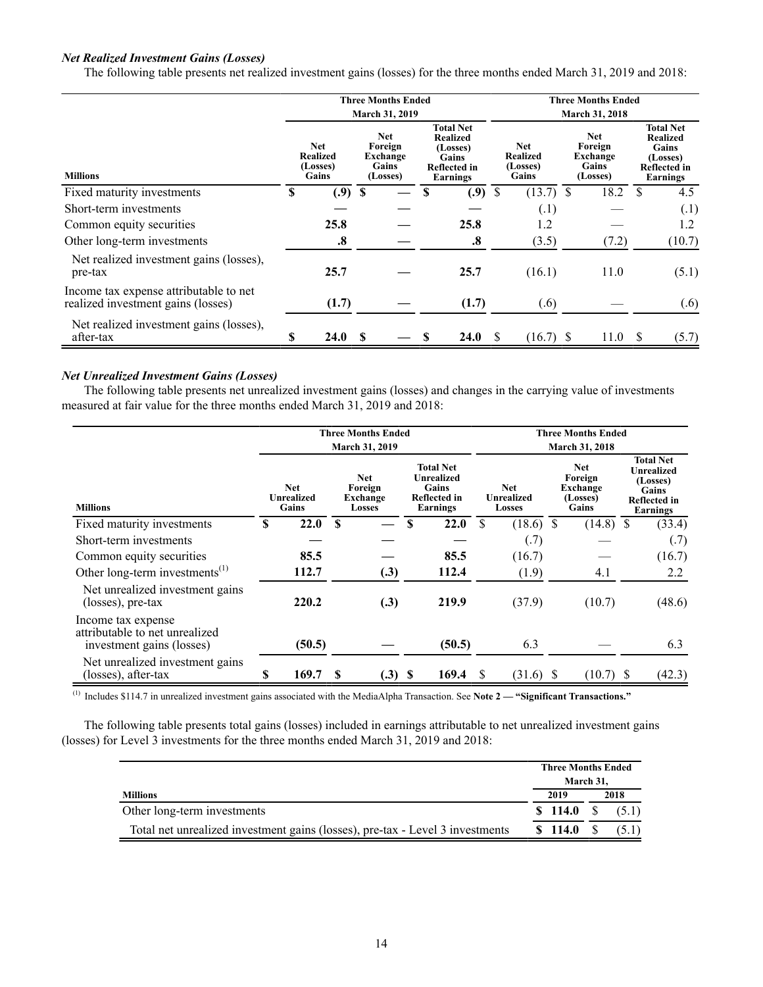# *Net Realized Investment Gains (Losses)*

The following table presents net realized investment gains (losses) for the three months ended March 31, 2019 and 2018:

|                                                                              |    |                                                                                                       | <b>Three Months Ended</b> |  |                                                                                             |                                                    |             |                                                 | <b>Three Months Ended</b> |                                                                                             |        |
|------------------------------------------------------------------------------|----|-------------------------------------------------------------------------------------------------------|---------------------------|--|---------------------------------------------------------------------------------------------|----------------------------------------------------|-------------|-------------------------------------------------|---------------------------|---------------------------------------------------------------------------------------------|--------|
|                                                                              |    |                                                                                                       | <b>March 31, 2019</b>     |  |                                                                                             |                                                    |             |                                                 |                           |                                                                                             |        |
| <b>Millions</b>                                                              |    | <b>Net</b><br>Net<br>Foreign<br><b>Realized</b><br>Exchange<br>Gains<br>(Losses)<br>Gains<br>(Losses) |                           |  | <b>Total Net</b><br><b>Realized</b><br>(Losses)<br>Gains<br><b>Reflected in</b><br>Earnings | <b>Net</b><br><b>Realized</b><br>(Losses)<br>Gains |             | Net<br>Foreign<br>Exchange<br>Gains<br>(Losses) |                           | <b>Total Net</b><br><b>Realized</b><br>Gains<br>(Losses)<br><b>Reflected in</b><br>Earnings |        |
| Fixed maturity investments                                                   | S  | (0.9)                                                                                                 | $\boldsymbol{\mathsf{S}}$ |  | (.9)                                                                                        | S                                                  | $(13.7)$ \$ |                                                 | 18.2                      | <sup>\$</sup>                                                                               | 4.5    |
| Short-term investments                                                       |    |                                                                                                       |                           |  |                                                                                             |                                                    | (.1)        |                                                 |                           |                                                                                             | (.1)   |
| Common equity securities                                                     |    | 25.8                                                                                                  |                           |  | 25.8                                                                                        |                                                    | 1.2         |                                                 |                           |                                                                                             | 1.2    |
| Other long-term investments                                                  |    | $\boldsymbol{.8}$                                                                                     |                           |  | $\boldsymbol{.8}$                                                                           |                                                    | (3.5)       |                                                 | (7.2)                     |                                                                                             | (10.7) |
| Net realized investment gains (losses),<br>pre-tax                           |    | 25.7                                                                                                  |                           |  | 25.7                                                                                        |                                                    | (16.1)      |                                                 | 11.0                      |                                                                                             | (5.1)  |
| Income tax expense attributable to net<br>realized investment gains (losses) |    | (1.7)                                                                                                 |                           |  | (1.7)                                                                                       |                                                    | (.6)        |                                                 |                           |                                                                                             | (.6)   |
| Net realized investment gains (losses),<br>after-tax                         | \$ | 24.0                                                                                                  | S                         |  | 24.0                                                                                        |                                                    | $(16.7)$ \$ |                                                 | 11.0                      | -S                                                                                          | (5.7)  |

### *Net Unrealized Investment Gains (Losses)*

The following table presents net unrealized investment gains (losses) and changes in the carrying value of investments measured at fair value for the three months ended March 31, 2019 and 2018:

|                                                                                   |                                          |                                      | <b>Three Months Ended</b><br>March 31, 2019 |           |                                                                            |        |                                                  |                                                        | <b>Three Months Ended</b> |                                                                                        |        |  |
|-----------------------------------------------------------------------------------|------------------------------------------|--------------------------------------|---------------------------------------------|-----------|----------------------------------------------------------------------------|--------|--------------------------------------------------|--------------------------------------------------------|---------------------------|----------------------------------------------------------------------------------------|--------|--|
| <b>Millions</b>                                                                   | <b>Net</b><br><b>Unrealized</b><br>Gains | Net<br>Foreign<br>Exchange<br>Losses |                                             |           | <b>Total Net</b><br>Unrealized<br>Gains<br><b>Reflected in</b><br>Earnings |        | <b>Net</b><br><b>Unrealized</b><br><b>Losses</b> | <b>Net</b><br>Foreign<br>Exchange<br>(Losses)<br>Gains |                           | <b>Total Net</b><br>Unrealized<br>(Losses)<br>Gains<br><b>Reflected in</b><br>Earnings |        |  |
| Fixed maturity investments                                                        | S                                        | 22.0                                 | $\mathbf{s}$                                |           | S                                                                          | 22.0   |                                                  | $(18.6)$ \$                                            | (14.8)                    | S                                                                                      | (33.4) |  |
| Short-term investments                                                            |                                          |                                      |                                             |           |                                                                            |        |                                                  | (.7)                                                   |                           |                                                                                        | (.7)   |  |
| Common equity securities                                                          |                                          | 85.5                                 |                                             |           |                                                                            | 85.5   |                                                  | (16.7)                                                 |                           |                                                                                        | (16.7) |  |
| Other long-term investments <sup>(1)</sup>                                        |                                          | 112.7                                |                                             | (.3)      |                                                                            | 112.4  |                                                  | (1.9)                                                  | 4.1                       |                                                                                        | 2.2    |  |
| Net unrealized investment gains<br>(losses), pre-tax                              |                                          | 220.2                                |                                             | (.3)      |                                                                            | 219.9  |                                                  | (37.9)                                                 | (10.7)                    |                                                                                        | (48.6) |  |
| Income tax expense<br>attributable to net unrealized<br>investment gains (losses) |                                          | (50.5)                               |                                             |           |                                                                            | (50.5) |                                                  | 6.3                                                    |                           |                                                                                        | 6.3    |  |
| Net unrealized investment gains<br>(losses), after-tax                            | \$                                       | 169.7                                | S                                           | $(.3)$ \$ |                                                                            | 169.4  | <b>S</b>                                         | $(31.6)$ \$                                            | $(10.7)$ \$               |                                                                                        | (42.3) |  |

(1) Includes \$114.7 in unrealized investment gains associated with the MediaAlpha Transaction. See **Note 2 — "Significant Transactions."**

The following table presents total gains (losses) included in earnings attributable to net unrealized investment gains (losses) for Level 3 investments for the three months ended March 31, 2019 and 2018:

|                                                                               | <b>Three Months Ended</b> |       |
|-------------------------------------------------------------------------------|---------------------------|-------|
|                                                                               | March 31,                 |       |
| <b>Millions</b>                                                               | 2019                      | 2018  |
| Other long-term investments                                                   | \$114.0                   | (5.1) |
| Total net unrealized investment gains (losses), pre-tax - Level 3 investments | \$114.0                   | (5.1) |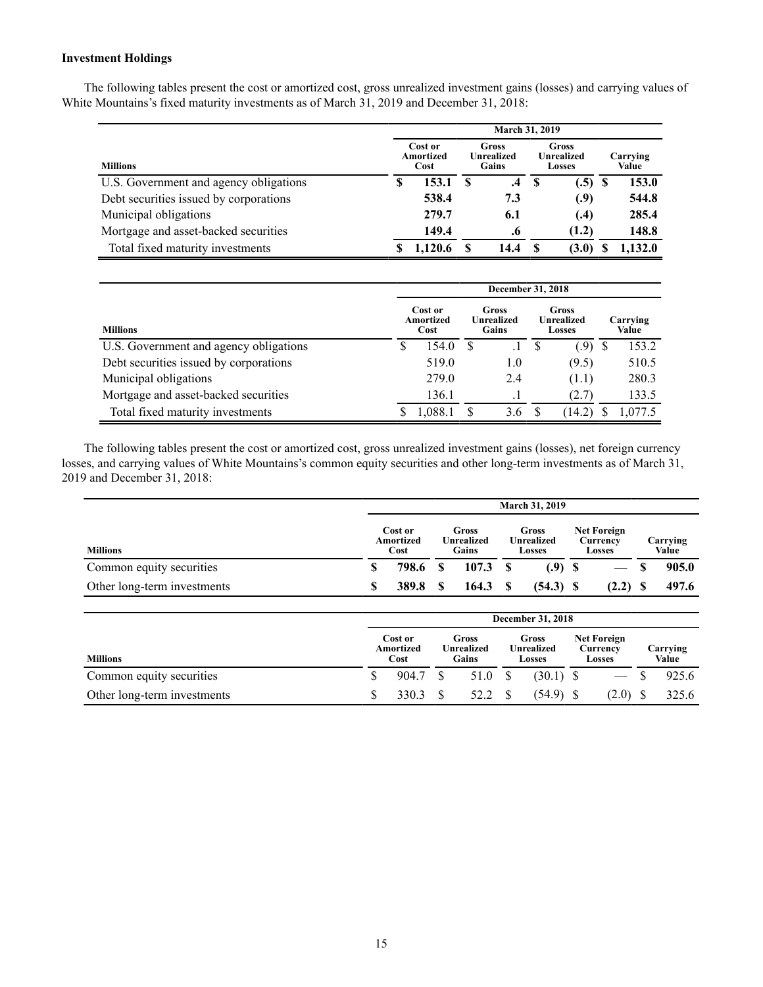# **Investment Holdings**

The following tables present the cost or amortized cost, gross unrealized investment gains (losses) and carrying values of White Mountains's fixed maturity investments as of March 31, 2019 and December 31, 2018:

|                                        | March 31, 2019 |                              |   |                              |    |                                             |     |                   |  |  |  |  |  |
|----------------------------------------|----------------|------------------------------|---|------------------------------|----|---------------------------------------------|-----|-------------------|--|--|--|--|--|
| <b>Millions</b>                        |                | Cost or<br>Amortized<br>Cost |   | Gross<br>Unrealized<br>Gains |    | <b>Gross</b><br>Unrealized<br><b>Losses</b> |     | Carrving<br>Value |  |  |  |  |  |
| U.S. Government and agency obligations | S              | 153.1                        | S | $\cdot$ 4                    | -S | (.5)                                        | - S | 153.0             |  |  |  |  |  |
| Debt securities issued by corporations |                | 538.4                        |   | 7.3                          |    | (.9)                                        |     | 544.8             |  |  |  |  |  |
| Municipal obligations                  |                | 279.7                        |   | 6.1                          |    | (.4)                                        |     | 285.4             |  |  |  |  |  |
| Mortgage and asset-backed securities   |                | 149.4                        |   | .6                           |    | (1.2)                                       |     | 148.8             |  |  |  |  |  |
| Total fixed maturity investments       |                | 1.120.6                      |   | 14.4                         | -S | (3.0)                                       | D   | 1.132.0           |  |  |  |  |  |

|                                        | December 31, 2018 |                              |    |                                     |    |                                                    |  |                   |  |  |  |  |  |  |
|----------------------------------------|-------------------|------------------------------|----|-------------------------------------|----|----------------------------------------------------|--|-------------------|--|--|--|--|--|--|
| <b>Millions</b>                        |                   | Cost or<br>Amortized<br>Cost |    | Gross<br><b>Unrealized</b><br>Gains |    | <b>Gross</b><br><b>Unrealized</b><br><b>Losses</b> |  | Carrying<br>Value |  |  |  |  |  |  |
| U.S. Government and agency obligations | D                 | 154.0                        | S. | $\cdot$ 1                           | -S | (9)                                                |  | 153.2             |  |  |  |  |  |  |
| Debt securities issued by corporations |                   | 519.0                        |    | 1.0                                 |    | (9.5)                                              |  | 510.5             |  |  |  |  |  |  |
| Municipal obligations                  |                   | 279.0                        |    | 2.4                                 |    | (1.1)                                              |  | 280.3             |  |  |  |  |  |  |
| Mortgage and asset-backed securities   |                   | 136.1                        |    |                                     |    | (2.7)                                              |  | 133.5             |  |  |  |  |  |  |
| Total fixed maturity investments       |                   | 1.088.1                      |    | 3.6                                 | -S | (14.2)                                             |  | .077.5            |  |  |  |  |  |  |

The following tables present the cost or amortized cost, gross unrealized investment gains (losses), net foreign currency losses, and carrying values of White Mountains's common equity securities and other long-term investments as of March 31, 2019 and December 31, 2018:

|                             | <b>March 31, 2019</b> |                                                                     |    |       |      |                                             |  |                                                 |                          |       |  |
|-----------------------------|-----------------------|---------------------------------------------------------------------|----|-------|------|---------------------------------------------|--|-------------------------------------------------|--------------------------|-------|--|
| <b>Millions</b>             |                       | Cost or<br>Gross<br>Amortized<br><b>Unrealized</b><br>Gains<br>Cost |    |       |      | Gross<br><b>Unrealized</b><br><b>Losses</b> |  | <b>Net Foreign</b><br>Currency<br><b>Losses</b> | Carrying<br><b>Value</b> |       |  |
| Common equity securities    |                       | 798.6                                                               | -S | 107.3 | - \$ | $(.9)$ \$                                   |  |                                                 |                          | 905.0 |  |
| Other long-term investments |                       | 389.8                                                               | S  | 164.3 | -8   | $(54.3)$ \$                                 |  | $(2.2)$ \$                                      |                          | 497.6 |  |

|                             |                              |                              |     | December 31, 2018                    |                                          |                   |
|-----------------------------|------------------------------|------------------------------|-----|--------------------------------------|------------------------------------------|-------------------|
| <b>Millions</b>             | Cost or<br>Amortized<br>Cost | Gross<br>Unrealized<br>Gains |     | <b>Gross</b><br>Unrealized<br>Losses | <b>Net Foreign</b><br>Currency<br>Losses | Carrying<br>Value |
| Common equity securities    | 904.7                        | 51.0                         | - S | $(30.1)$ \$                          | $\overbrace{\phantom{aaaaa}}$            | 925.6             |
| Other long-term investments | 330.3                        | 52.2                         |     | $(54.9)$ \$                          | (2.0)                                    | 325.6             |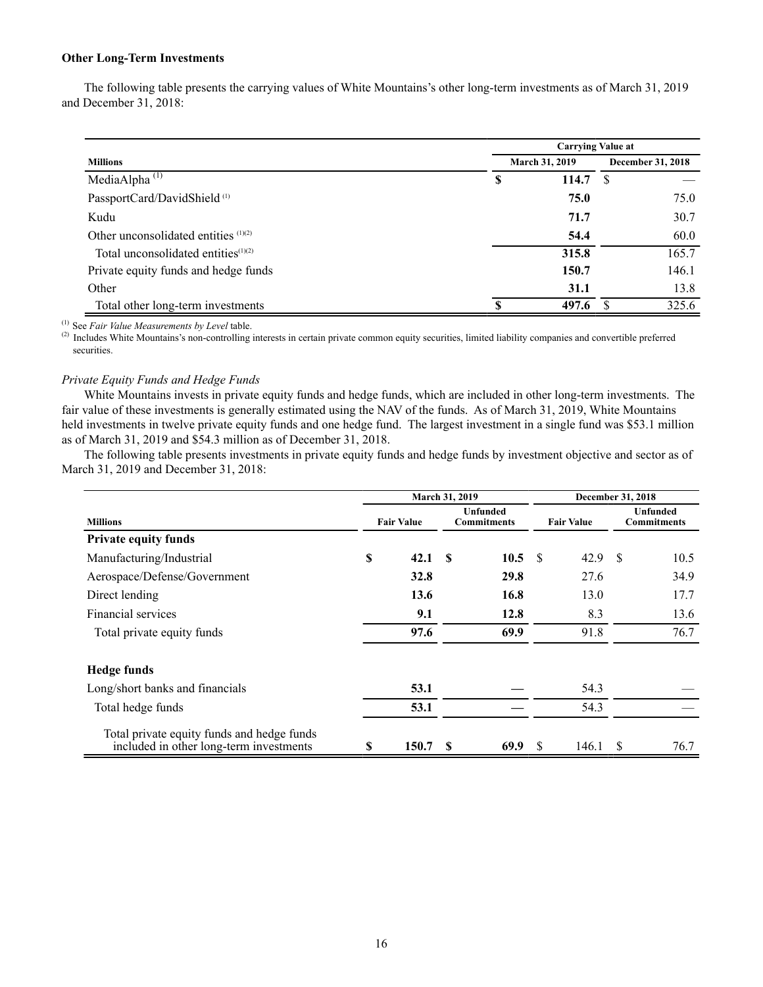# **Other Long-Term Investments**

The following table presents the carrying values of White Mountains's other long-term investments as of March 31, 2019 and December 31, 2018:

|                                         | <b>Carrying Value at</b> |          |       |  |  |
|-----------------------------------------|--------------------------|----------|-------|--|--|
| <b>Millions</b>                         | <b>March 31, 2019</b>    |          |       |  |  |
| MediaAlpha <sup>(1)</sup>               | \$<br>114.7              | <b>S</b> |       |  |  |
| PassportCard/DavidShield <sup>(1)</sup> | 75.0                     |          | 75.0  |  |  |
| Kudu                                    | 71.7                     |          | 30.7  |  |  |
| Other unconsolidated entities $(1)(2)$  | 54.4                     |          | 60.0  |  |  |
| Total unconsolidated entities $(1)(2)$  | 315.8                    |          | 165.7 |  |  |
| Private equity funds and hedge funds    | 150.7                    |          | 146.1 |  |  |
| Other                                   | 31.1                     |          | 13.8  |  |  |
| Total other long-term investments       | 497.6                    | S        | 325.6 |  |  |

(1) See *Fair Value Measurements by Level* table.

<sup>(2)</sup> Includes White Mountains's non-controlling interests in certain private common equity securities, limited liability companies and convertible preferred securities.

# *Private Equity Funds and Hedge Funds*

White Mountains invests in private equity funds and hedge funds, which are included in other long-term investments. The fair value of these investments is generally estimated using the NAV of the funds. As of March 31, 2019, White Mountains held investments in twelve private equity funds and one hedge fund. The largest investment in a single fund was \$53.1 million as of March 31, 2019 and \$54.3 million as of December 31, 2018.

The following table presents investments in private equity funds and hedge funds by investment objective and sector as of March 31, 2019 and December 31, 2018:

|                                                                                       |   |                   | March 31, 2019 | December 31, 2018                     |     |                   |                                |      |  |
|---------------------------------------------------------------------------------------|---|-------------------|----------------|---------------------------------------|-----|-------------------|--------------------------------|------|--|
| <b>Millions</b>                                                                       |   | <b>Fair Value</b> |                | <b>Unfunded</b><br><b>Commitments</b> |     | <b>Fair Value</b> | Unfunded<br><b>Commitments</b> |      |  |
| Private equity funds                                                                  |   |                   |                |                                       |     |                   |                                |      |  |
| Manufacturing/Industrial                                                              | S | 42.1              | $\mathbf{s}$   | 10.5                                  | -\$ | 42.9 <sup>5</sup> |                                | 10.5 |  |
| Aerospace/Defense/Government                                                          |   | 32.8              |                | 29.8                                  |     | 27.6              |                                | 34.9 |  |
| Direct lending                                                                        |   | 13.6              |                | 16.8                                  |     | 13.0              |                                | 17.7 |  |
| Financial services                                                                    |   | 9.1               |                | 12.8                                  |     | 8.3               |                                | 13.6 |  |
| Total private equity funds                                                            |   | 97.6              |                | 69.9                                  |     | 91.8              |                                | 76.7 |  |
| <b>Hedge funds</b>                                                                    |   |                   |                |                                       |     |                   |                                |      |  |
| Long/short banks and financials                                                       |   | 53.1              |                |                                       |     | 54.3              |                                |      |  |
| Total hedge funds                                                                     |   | 53.1              |                |                                       |     | 54.3              |                                |      |  |
| Total private equity funds and hedge funds<br>included in other long-term investments | S | 150.7             | S              | 69.9                                  | S   | 146.1             | -S                             | 76.7 |  |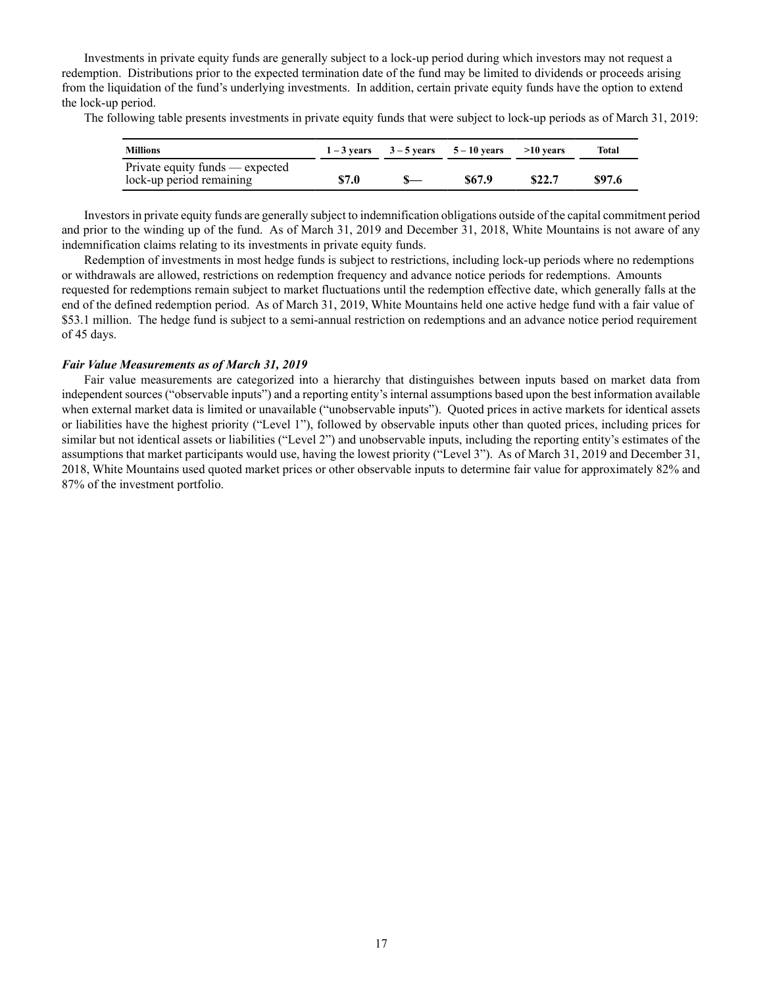Investments in private equity funds are generally subject to a lock-up period during which investors may not request a redemption. Distributions prior to the expected termination date of the fund may be limited to dividends or proceeds arising from the liquidation of the fund's underlying investments. In addition, certain private equity funds have the option to extend the lock-up period.

The following table presents investments in private equity funds that were subject to lock-up periods as of March 31, 2019:

| <b>Millions</b>                                             |       | $1-3$ vears $3-5$ vears $5-10$ vears |        | $>10$ vears | Total  |
|-------------------------------------------------------------|-------|--------------------------------------|--------|-------------|--------|
| Private equity funds — expected<br>lock-up period remaining | \$7.0 |                                      | \$67.9 | \$22.7      | \$97.6 |

Investors in private equity funds are generally subject to indemnification obligations outside of the capital commitment period and prior to the winding up of the fund. As of March 31, 2019 and December 31, 2018, White Mountains is not aware of any indemnification claims relating to its investments in private equity funds.

Redemption of investments in most hedge funds is subject to restrictions, including lock-up periods where no redemptions or withdrawals are allowed, restrictions on redemption frequency and advance notice periods for redemptions. Amounts requested for redemptions remain subject to market fluctuations until the redemption effective date, which generally falls at the end of the defined redemption period. As of March 31, 2019, White Mountains held one active hedge fund with a fair value of \$53.1 million. The hedge fund is subject to a semi-annual restriction on redemptions and an advance notice period requirement of 45 days.

### *Fair Value Measurements as of March 31, 2019*

Fair value measurements are categorized into a hierarchy that distinguishes between inputs based on market data from independent sources ("observable inputs") and a reporting entity's internal assumptions based upon the best information available when external market data is limited or unavailable ("unobservable inputs"). Quoted prices in active markets for identical assets or liabilities have the highest priority ("Level 1"), followed by observable inputs other than quoted prices, including prices for similar but not identical assets or liabilities ("Level 2") and unobservable inputs, including the reporting entity's estimates of the assumptions that market participants would use, having the lowest priority ("Level 3"). As of March 31, 2019 and December 31, 2018, White Mountains used quoted market prices or other observable inputs to determine fair value for approximately 82% and 87% of the investment portfolio.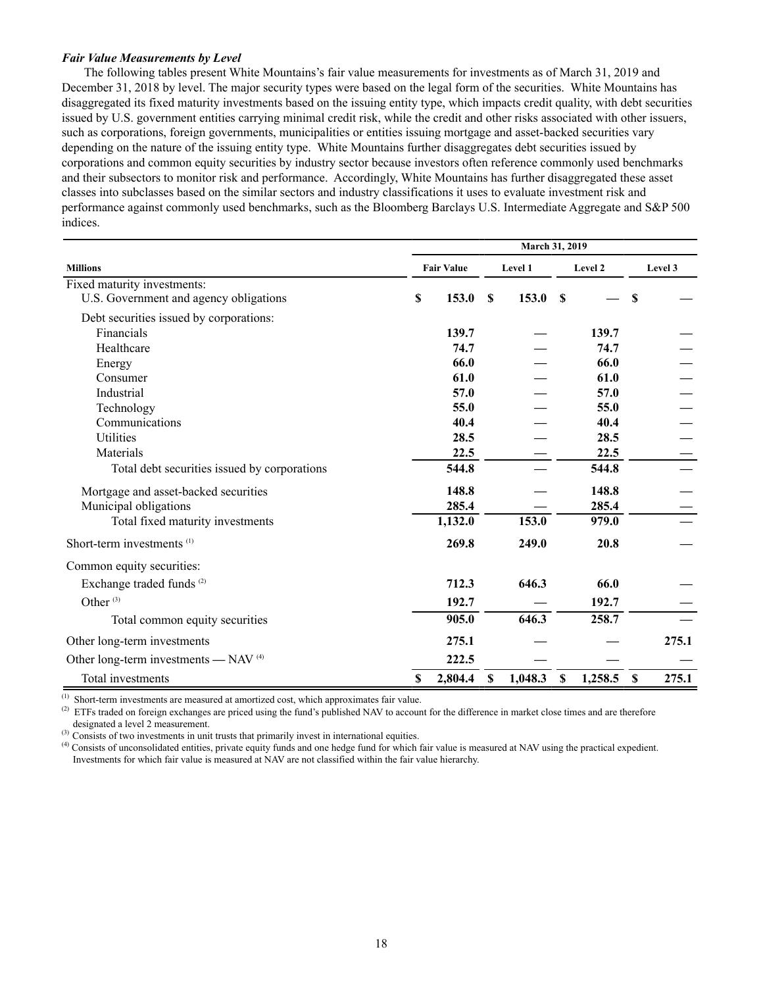# *Fair Value Measurements by Level*

The following tables present White Mountains's fair value measurements for investments as of March 31, 2019 and December 31, 2018 by level. The major security types were based on the legal form of the securities. White Mountains has disaggregated its fixed maturity investments based on the issuing entity type, which impacts credit quality, with debt securities issued by U.S. government entities carrying minimal credit risk, while the credit and other risks associated with other issuers, such as corporations, foreign governments, municipalities or entities issuing mortgage and asset-backed securities vary depending on the nature of the issuing entity type. White Mountains further disaggregates debt securities issued by corporations and common equity securities by industry sector because investors often reference commonly used benchmarks and their subsectors to monitor risk and performance. Accordingly, White Mountains has further disaggregated these asset classes into subclasses based on the similar sectors and industry classifications it uses to evaluate investment risk and performance against commonly used benchmarks, such as the Bloomberg Barclays U.S. Intermediate Aggregate and S&P 500 indices.

|                                                                       | March 31, 2019 |                   |                           |         |          |         |    |         |  |
|-----------------------------------------------------------------------|----------------|-------------------|---------------------------|---------|----------|---------|----|---------|--|
| <b>Millions</b>                                                       |                | <b>Fair Value</b> |                           | Level 1 |          | Level 2 |    | Level 3 |  |
| Fixed maturity investments:<br>U.S. Government and agency obligations | \$             | 153.0             | <b>S</b>                  | 153.0   | <b>S</b> |         | \$ |         |  |
| Debt securities issued by corporations:                               |                |                   |                           |         |          |         |    |         |  |
| Financials                                                            |                | 139.7             |                           |         |          | 139.7   |    |         |  |
| Healthcare                                                            |                | 74.7              |                           |         |          | 74.7    |    |         |  |
| Energy                                                                |                | 66.0              |                           |         |          | 66.0    |    |         |  |
| Consumer                                                              |                | 61.0              |                           |         |          | 61.0    |    |         |  |
| Industrial                                                            |                | 57.0              |                           |         |          | 57.0    |    |         |  |
| Technology                                                            |                | 55.0              |                           |         |          | 55.0    |    |         |  |
| Communications                                                        |                | 40.4              |                           |         |          | 40.4    |    |         |  |
| <b>Utilities</b>                                                      |                | 28.5              |                           |         |          | 28.5    |    |         |  |
| Materials                                                             |                | 22.5              |                           |         |          | 22.5    |    |         |  |
| Total debt securities issued by corporations                          |                | 544.8             |                           |         |          | 544.8   |    |         |  |
| Mortgage and asset-backed securities                                  |                | 148.8             |                           |         |          | 148.8   |    |         |  |
| Municipal obligations                                                 |                | 285.4             |                           |         |          | 285.4   |    |         |  |
| Total fixed maturity investments                                      |                | 1,132.0           |                           | 153.0   |          | 979.0   |    |         |  |
| Short-term investments <sup>(1)</sup>                                 |                | 269.8             |                           | 249.0   |          | 20.8    |    |         |  |
| Common equity securities:                                             |                |                   |                           |         |          |         |    |         |  |
| Exchange traded funds <sup>(2)</sup>                                  |                | 712.3             |                           | 646.3   |          | 66.0    |    |         |  |
| Other <sup>(3)</sup>                                                  |                | 192.7             |                           |         |          | 192.7   |    |         |  |
| Total common equity securities                                        |                | 905.0             |                           | 646.3   |          | 258.7   |    |         |  |
| Other long-term investments                                           |                | 275.1             |                           |         |          |         |    | 275.1   |  |
| Other long-term investments - NAV <sup>(4)</sup>                      |                | 222.5             |                           |         |          |         |    |         |  |
| Total investments                                                     | S              | 2,804.4           | $\boldsymbol{\mathsf{S}}$ | 1,048.3 | S        | 1,258.5 | \$ | 275.1   |  |

(1) Short-term investments are measured at amortized cost, which approximates fair value.

 $^{(2)}$  ETFs traded on foreign exchanges are priced using the fund's published NAV to account for the difference in market close times and are therefore designated a level 2 measurement.

 $(3)$  Consists of two investments in unit trusts that primarily invest in international equities.

<sup>(4)</sup> Consists of unconsolidated entities, private equity funds and one hedge fund for which fair value is measured at NAV using the practical expedient. Investments for which fair value is measured at NAV are not classified within the fair value hierarchy.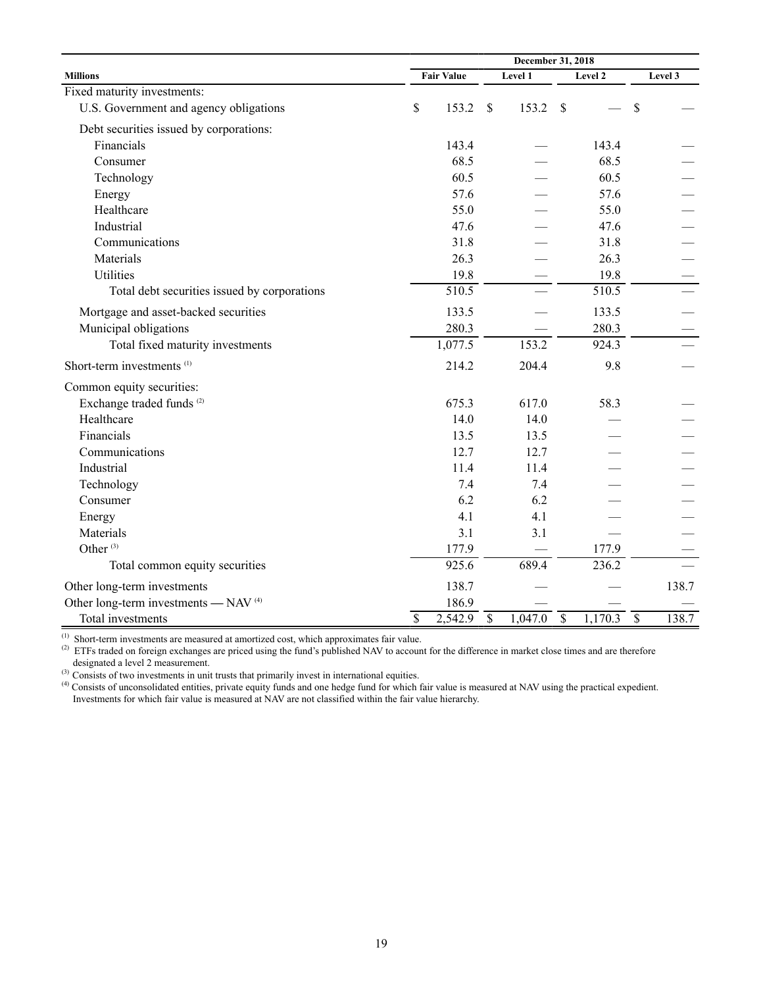|                                                  | December 31, 2018         |                   |                          |         |                          |         |                          |         |
|--------------------------------------------------|---------------------------|-------------------|--------------------------|---------|--------------------------|---------|--------------------------|---------|
| <b>Millions</b>                                  |                           | <b>Fair Value</b> |                          | Level 1 |                          | Level 2 |                          | Level 3 |
| Fixed maturity investments:                      |                           |                   |                          |         |                          |         |                          |         |
| U.S. Government and agency obligations           | $\boldsymbol{\mathsf{S}}$ | 153.2             | $\mathbf{\hat{s}}$       | 153.2   | $\mathbf{\hat{s}}$       |         | \$                       |         |
| Debt securities issued by corporations:          |                           |                   |                          |         |                          |         |                          |         |
| Financials                                       |                           | 143.4             |                          |         |                          | 143.4   |                          |         |
| Consumer                                         |                           | 68.5              |                          |         |                          | 68.5    |                          |         |
| Technology                                       |                           | 60.5              |                          |         |                          | 60.5    |                          |         |
| Energy                                           |                           | 57.6              |                          |         |                          | 57.6    |                          |         |
| Healthcare                                       |                           | 55.0              |                          |         |                          | 55.0    |                          |         |
| Industrial                                       |                           | 47.6              |                          |         |                          | 47.6    |                          |         |
| Communications                                   |                           | 31.8              |                          |         |                          | 31.8    |                          |         |
| Materials                                        |                           | 26.3              |                          |         |                          | 26.3    |                          |         |
| <b>Utilities</b>                                 |                           | 19.8              |                          |         |                          | 19.8    |                          |         |
| Total debt securities issued by corporations     |                           | 510.5             |                          |         |                          | 510.5   |                          |         |
| Mortgage and asset-backed securities             |                           | 133.5             |                          |         |                          | 133.5   |                          |         |
| Municipal obligations                            |                           | 280.3             |                          |         |                          | 280.3   |                          |         |
| Total fixed maturity investments                 |                           | 1,077.5           |                          | 153.2   |                          | 924.3   |                          |         |
| Short-term investments <sup>(1)</sup>            |                           | 214.2             |                          | 204.4   |                          | 9.8     |                          |         |
| Common equity securities:                        |                           |                   |                          |         |                          |         |                          |         |
| Exchange traded funds <sup>(2)</sup>             |                           | 675.3             |                          | 617.0   |                          | 58.3    |                          |         |
| Healthcare                                       |                           | 14.0              |                          | 14.0    |                          |         |                          |         |
| Financials                                       |                           | 13.5              |                          | 13.5    |                          |         |                          |         |
| Communications                                   |                           | 12.7              |                          | 12.7    |                          |         |                          |         |
| Industrial                                       |                           | 11.4              |                          | 11.4    |                          |         |                          |         |
| Technology                                       |                           | 7.4               |                          | 7.4     |                          |         |                          |         |
| Consumer                                         |                           | 6.2               |                          | 6.2     |                          |         |                          |         |
| Energy                                           |                           | 4.1               |                          | 4.1     |                          |         |                          |         |
| Materials                                        |                           | 3.1               |                          | 3.1     |                          |         |                          |         |
| Other <sup>(3)</sup>                             |                           | 177.9             |                          |         |                          | 177.9   |                          |         |
| Total common equity securities                   |                           | 925.6             |                          | 689.4   |                          | 236.2   |                          |         |
| Other long-term investments                      |                           | 138.7             |                          |         |                          |         |                          | 138.7   |
| Other long-term investments - NAV <sup>(4)</sup> |                           | 186.9             |                          |         |                          |         |                          |         |
| Total investments                                | $\mathcal{S}$             | 2,542.9           | $\overline{\mathcal{S}}$ | 1,047.0 | $\overline{\mathcal{S}}$ | 1,170.3 | $\overline{\mathcal{S}}$ | 138.7   |

 $<sup>(1)</sup>$  Short-term investments are measured at amortized cost, which approximates fair value.</sup>

 $^{(2)}$  ETFs traded on foreign exchanges are priced using the fund's published NAV to account for the difference in market close times and are therefore designated a level 2 measurement.

 $^{(3)}$  Consists of two investments in unit trusts that primarily invest in international equities.

 $(4)$  Consists of unconsolidated entities, private equity funds and one hedge fund for which fair value is measured at NAV using the practical expedient. Investments for which fair value is measured at NAV are not classified within the fair value hierarchy.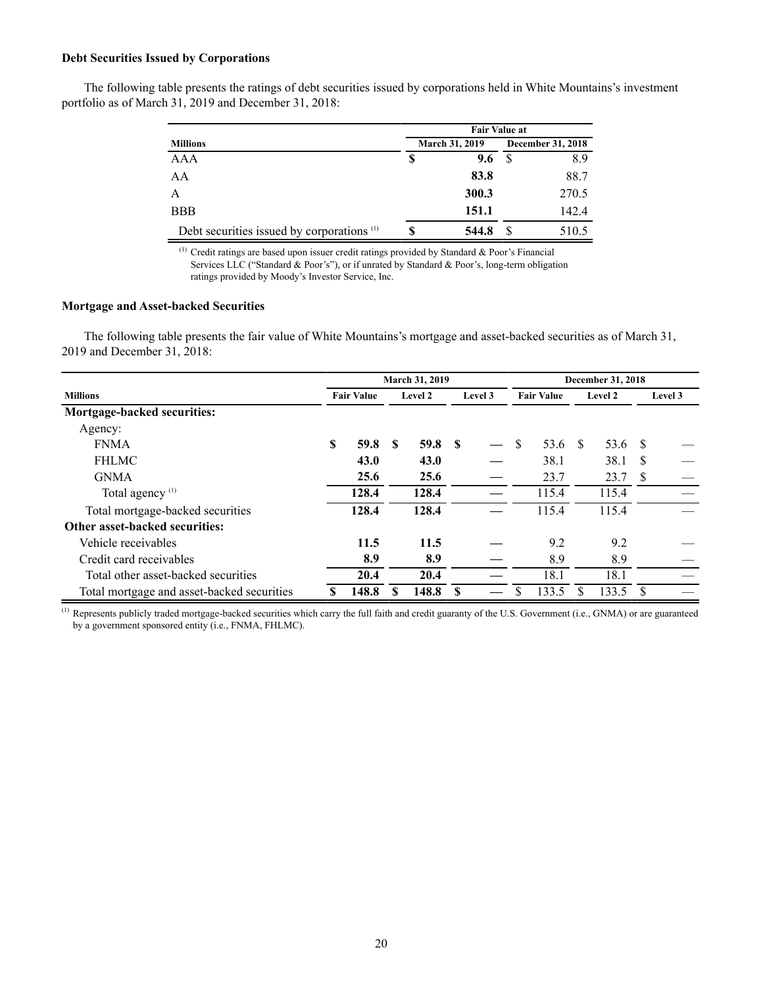# **Debt Securities Issued by Corporations**

The following table presents the ratings of debt securities issued by corporations held in White Mountains's investment portfolio as of March 31, 2019 and December 31, 2018:

|                                                       | <b>Fair Value at</b> |                       |                   |       |  |  |  |  |  |  |  |
|-------------------------------------------------------|----------------------|-----------------------|-------------------|-------|--|--|--|--|--|--|--|
| <b>Millions</b>                                       |                      | <b>March 31, 2019</b> | December 31, 2018 |       |  |  |  |  |  |  |  |
| AAA                                                   |                      | 9.6                   | S                 | 8.9   |  |  |  |  |  |  |  |
| AA                                                    |                      | 83.8                  |                   | 88.7  |  |  |  |  |  |  |  |
| A                                                     |                      | 300.3                 |                   | 270.5 |  |  |  |  |  |  |  |
| <b>BBB</b>                                            |                      | 151.1                 |                   | 142.4 |  |  |  |  |  |  |  |
| Debt securities issued by corporations <sup>(1)</sup> |                      | 544.8                 | S                 | 510.5 |  |  |  |  |  |  |  |

 $^{(1)}$  Credit ratings are based upon issuer credit ratings provided by Standard & Poor's Financial Services LLC ("Standard & Poor's"), or if unrated by Standard & Poor's, long-term obligation ratings provided by Moody's Investor Service, Inc.

### **Mortgage and Asset-backed Securities**

The following table presents the fair value of White Mountains's mortgage and asset-backed securities as of March 31, 2019 and December 31, 2018:

|                                            |    |                   |    | <b>March 31, 2019</b> |    |         | December 31, 2018 |       |         |         |         |  |
|--------------------------------------------|----|-------------------|----|-----------------------|----|---------|-------------------|-------|---------|---------|---------|--|
| <b>Millions</b>                            |    | <b>Fair Value</b> |    | Level 2               |    | Level 3 | <b>Fair Value</b> |       | Level 2 |         | Level 3 |  |
| Mortgage-backed securities:                |    |                   |    |                       |    |         |                   |       |         |         |         |  |
| Agency:                                    |    |                   |    |                       |    |         |                   |       |         |         |         |  |
| <b>FNMA</b>                                | \$ | 59.8              | \$ | 59.8 <sup>8</sup>     |    |         | \$.               | 53.6  | - \$    | 53.6 \$ |         |  |
| <b>FHLMC</b>                               |    | 43.0              |    | 43.0                  |    |         |                   | 38.1  |         | 38.1    | -S      |  |
| <b>GNMA</b>                                |    | 25.6              |    | 25.6                  |    |         |                   | 23.7  |         | 23.7    | -S      |  |
| Total agency <sup>(1)</sup>                |    | 128.4             |    | 128.4                 |    |         |                   | 115.4 |         | 115.4   |         |  |
| Total mortgage-backed securities           |    | 128.4             |    | 128.4                 |    |         |                   | 115.4 |         | 115.4   |         |  |
| <b>Other asset-backed securities:</b>      |    |                   |    |                       |    |         |                   |       |         |         |         |  |
| Vehicle receivables                        |    | 11.5              |    | 11.5                  |    |         |                   | 9.2   |         | 9.2     |         |  |
| Credit card receivables                    |    | 8.9               |    | 8.9                   |    |         |                   | 8.9   |         | 8.9     |         |  |
| Total other asset-backed securities        |    | 20.4              |    | 20.4                  |    |         |                   | 18.1  |         | 18.1    |         |  |
| Total mortgage and asset-backed securities | \$ | 148.8             |    | 148.8                 | £. |         |                   | 133.5 |         | 133.5   | -S      |  |

 $\overline{^{(1)}}$  Represents publicly traded mortgage-backed securities which carry the full faith and credit guaranty of the U.S. Government (i.e., GNMA) or are guaranteed by a government sponsored entity (i.e., FNMA, FHLMC).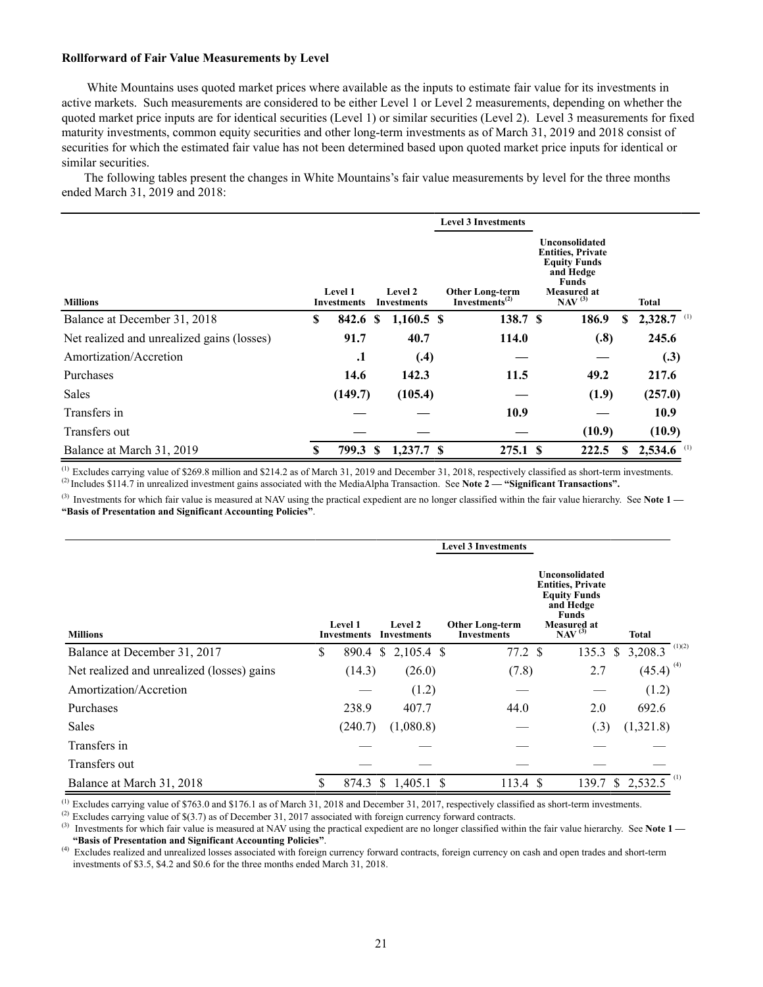# **Rollforward of Fair Value Measurements by Level**

White Mountains uses quoted market prices where available as the inputs to estimate fair value for its investments in active markets. Such measurements are considered to be either Level 1 or Level 2 measurements, depending on whether the quoted market price inputs are for identical securities (Level 1) or similar securities (Level 2). Level 3 measurements for fixed maturity investments, common equity securities and other long-term investments as of March 31, 2019 and 2018 consist of securities for which the estimated fair value has not been determined based upon quoted market price inputs for identical or similar securities.

The following tables present the changes in White Mountains's fair value measurements by level for the three months ended March 31, 2019 and 2018:

|                                            |   |                                      |   |                               | <b>Level 3 Investments</b>                           |                                                                                                                                     |    |                          |
|--------------------------------------------|---|--------------------------------------|---|-------------------------------|------------------------------------------------------|-------------------------------------------------------------------------------------------------------------------------------------|----|--------------------------|
| <b>Millions</b>                            |   | <b>Level 1</b><br><b>Investments</b> |   | Level 2<br><b>Investments</b> | <b>Other Long-term</b><br>Investments <sup>(2)</sup> | Unconsolidated<br><b>Entities, Private</b><br><b>Equity Funds</b><br>and Hedge<br><b>Funds</b><br>Measured at<br>NAV <sup>(3)</sup> |    | <b>Total</b>             |
| Balance at December 31, 2018               | S | 842.6 S                              |   | $1,160.5$ \$                  | 138.7 \$                                             | 186.9                                                                                                                               | S  | $2,328.7$ <sup>(1)</sup> |
| Net realized and unrealized gains (losses) |   | 91.7                                 |   | 40.7                          | 114.0                                                | (.8)                                                                                                                                |    | 245.6                    |
| Amortization/Accretion                     |   | $\cdot$                              |   | (.4)                          |                                                      |                                                                                                                                     |    | (.3)                     |
| Purchases                                  |   | 14.6                                 |   | 142.3                         | 11.5                                                 | 49.2                                                                                                                                |    | 217.6                    |
| <b>Sales</b>                               |   | (149.7)                              |   | (105.4)                       |                                                      | (1.9)                                                                                                                               |    | (257.0)                  |
| Transfers in                               |   |                                      |   |                               | 10.9                                                 |                                                                                                                                     |    | 10.9                     |
| Transfers out                              |   |                                      |   |                               |                                                      | (10.9)                                                                                                                              |    | (10.9)                   |
| Balance at March 31, 2019                  | S | 799.3                                | S | $1,237.7$ \$                  | 275.1 S                                              | 222.5                                                                                                                               | S. | 2,534.6                  |

 $^{(1)}$  Excludes carrying value of \$269.8 million and \$214.2 as of March 31, 2019 and December 31, 2018, respectively classified as short-term investments.

(2) Includes \$114.7 in unrealized investment gains associated with the MediaAlpha Transaction. See **Note 2 — "Significant Transactions".**

(3) Investments for which fair value is measured at NAV using the practical expedient are no longer classified within the fair value hierarchy. See **Note 1 — "Basis of Presentation and Significant Accounting Policies"**.

|                                            |                               |                        | <b>Level 3 Investments</b>                   |                                                                                                                                                   |                            |
|--------------------------------------------|-------------------------------|------------------------|----------------------------------------------|---------------------------------------------------------------------------------------------------------------------------------------------------|----------------------------|
| <b>Millions</b>                            | <b>Level 1</b><br>Investments | Level 2<br>Investments | <b>Other Long-term</b><br><b>Investments</b> | <b>Unconsolidated</b><br><b>Entities, Private</b><br><b>Equity Funds</b><br>and Hedge<br><b>Funds</b><br><b>Measured at</b><br>NAV <sup>(3)</sup> | <b>Total</b>               |
| Balance at December 31, 2017               | \$                            | 890.4 \$ 2,105.4 \$    | 77.2 \$                                      |                                                                                                                                                   | (1)(2)<br>135.3 \$ 3,208.3 |
| Net realized and unrealized (losses) gains | (14.3)                        | (26.0)                 | (7.8)                                        | 2.7                                                                                                                                               | $(45.4)^{(4)}$             |
| Amortization/Accretion                     |                               | (1.2)                  |                                              |                                                                                                                                                   | (1.2)                      |
| Purchases                                  | 238.9                         | 407.7                  | 44.0                                         | 2.0                                                                                                                                               | 692.6                      |
| <b>Sales</b>                               | (240.7)                       | (1,080.8)              |                                              | (.3)                                                                                                                                              | (1,321.8)                  |
| Transfers in                               |                               |                        |                                              |                                                                                                                                                   |                            |
| Transfers out                              |                               |                        |                                              |                                                                                                                                                   |                            |
| Balance at March 31, 2018                  | \$                            | 874.3 \$ 1,405.1 \$    | $113.4 \text{ }$ \$                          | 139.7<br><sup>S</sup>                                                                                                                             | (1)<br>2,532.5             |

 $^{(1)}$  Excludes carrying value of \$763.0 and \$176.1 as of March 31, 2018 and December 31, 2017, respectively classified as short-term investments.

<sup>(2)</sup> Excludes carrying value of  $\S(3.7)$  as of December 31, 2017 associated with foreign currency forward contracts.

(3) Investments for which fair value is measured at NAV using the practical expedient are no longer classified within the fair value hierarchy. See **Note 1 — "Basis of Presentation and Significant Accounting Policies"**.

<sup>(4)</sup> Excludes realized and unrealized losses associated with foreign currency forward contracts, foreign currency on cash and open trades and short-term investments of \$3.5, \$4.2 and \$0.6 for the three months ended March 31, 2018.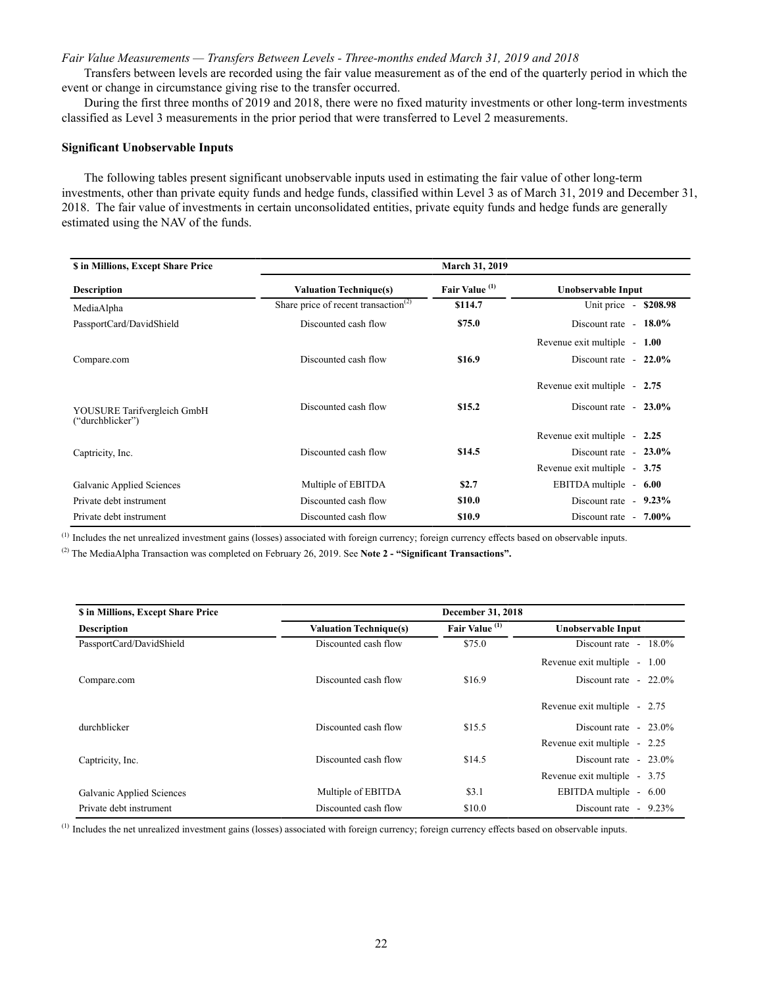*Fair Value Measurements — Transfers Between Levels - Three-months ended March 31, 2019 and 2018*

Transfers between levels are recorded using the fair value measurement as of the end of the quarterly period in which the event or change in circumstance giving rise to the transfer occurred.

During the first three months of 2019 and 2018, there were no fixed maturity investments or other long-term investments classified as Level 3 measurements in the prior period that were transferred to Level 2 measurements.

#### **Significant Unobservable Inputs**

The following tables present significant unobservable inputs used in estimating the fair value of other long-term investments, other than private equity funds and hedge funds, classified within Level 3 as of March 31, 2019 and December 31, 2018. The fair value of investments in certain unconsolidated entities, private equity funds and hedge funds are generally estimated using the NAV of the funds.

| \$ in Millions, Except Share Price              |                                                  | March 31, 2019            |                              |
|-------------------------------------------------|--------------------------------------------------|---------------------------|------------------------------|
| <b>Description</b>                              | <b>Valuation Technique(s)</b>                    | Fair Value <sup>(1)</sup> | <b>Unobservable Input</b>    |
| MediaAlpha                                      | Share price of recent transaction <sup>(2)</sup> | \$114.7                   | Unit price $-$ \$208.98      |
| PassportCard/DavidShield                        | Discounted cash flow                             | \$75.0                    | Discount rate $-18.0\%$      |
|                                                 |                                                  |                           | Revenue exit multiple - 1.00 |
| Compare.com                                     | Discounted cash flow                             | \$16.9                    | Discount rate $-22.0\%$      |
|                                                 |                                                  |                           | Revenue exit multiple - 2.75 |
| YOUSURE Tarifvergleich GmbH<br>("durchblicker") | Discounted cash flow                             | \$15.2                    | Discount rate $-23.0\%$      |
|                                                 |                                                  |                           | Revenue exit multiple - 2.25 |
| Captricity, Inc.                                | Discounted cash flow                             | \$14.5                    | Discount rate $-23.0\%$      |
|                                                 |                                                  |                           | Revenue exit multiple - 3.75 |
| Galvanic Applied Sciences                       | Multiple of EBITDA                               | \$2.7                     | EBITDA multiple - 6.00       |
| Private debt instrument                         | Discounted cash flow                             | \$10.0                    | Discount rate $-9.23\%$      |
| Private debt instrument                         | Discounted cash flow                             | \$10.9                    | Discount rate $-7.00\%$      |

(1) Includes the net unrealized investment gains (losses) associated with foreign currency; foreign currency effects based on observable inputs.

(2) The MediaAlpha Transaction was completed on February 26, 2019. See **Note 2 - "Significant Transactions".**

| \$ in Millions, Except Share Price |                               | December 31, 2018         |                              |
|------------------------------------|-------------------------------|---------------------------|------------------------------|
| <b>Description</b>                 | <b>Valuation Technique(s)</b> | Fair Value <sup>(1)</sup> | Unobservable Input           |
| PassportCard/DavidShield           | Discounted cash flow          | \$75.0                    | Discount rate $-18.0\%$      |
|                                    |                               |                           | Revenue exit multiple - 1.00 |
| Compare.com                        | Discounted cash flow          | \$16.9                    | Discount rate $-22.0\%$      |
|                                    |                               |                           | Revenue exit multiple - 2.75 |
| durchblicker                       | Discounted cash flow          | \$15.5                    | Discount rate $-23.0\%$      |
|                                    |                               |                           | Revenue exit multiple - 2.25 |
| Captricity, Inc.                   | Discounted cash flow          | \$14.5                    | Discount rate $-23.0\%$      |
|                                    |                               |                           | Revenue exit multiple - 3.75 |
| Galvanic Applied Sciences          | Multiple of EBITDA            | \$3.1                     | EBITDA multiple - 6.00       |
| Private debt instrument            | Discounted cash flow          | \$10.0                    | Discount rate $-9.23\%$      |

(1) Includes the net unrealized investment gains (losses) associated with foreign currency; foreign currency effects based on observable inputs.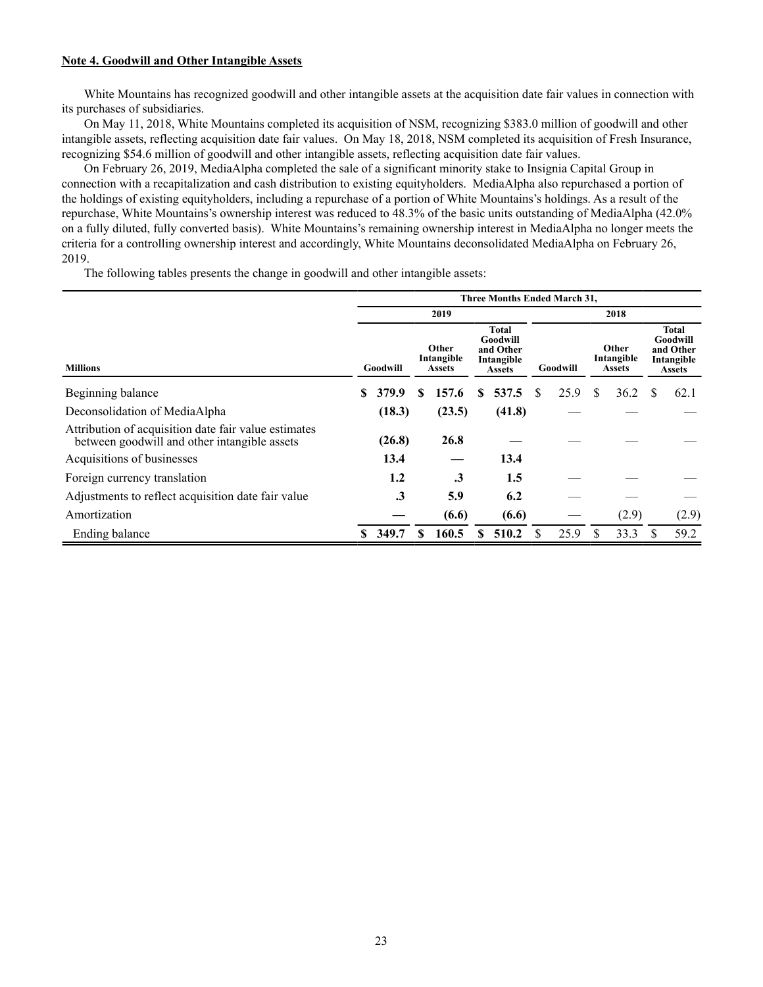# **Note 4. Goodwill and Other Intangible Assets**

White Mountains has recognized goodwill and other intangible assets at the acquisition date fair values in connection with its purchases of subsidiaries.

On May 11, 2018, White Mountains completed its acquisition of NSM, recognizing \$383.0 million of goodwill and other intangible assets, reflecting acquisition date fair values. On May 18, 2018, NSM completed its acquisition of Fresh Insurance, recognizing \$54.6 million of goodwill and other intangible assets, reflecting acquisition date fair values.

On February 26, 2019, MediaAlpha completed the sale of a significant minority stake to Insignia Capital Group in connection with a recapitalization and cash distribution to existing equityholders. MediaAlpha also repurchased a portion of the holdings of existing equityholders, including a repurchase of a portion of White Mountains's holdings. As a result of the repurchase, White Mountains's ownership interest was reduced to 48.3% of the basic units outstanding of MediaAlpha (42.0% on a fully diluted, fully converted basis). White Mountains's remaining ownership interest in MediaAlpha no longer meets the criteria for a controlling ownership interest and accordingly, White Mountains deconsolidated MediaAlpha on February 26, 2019.

The following tables presents the change in goodwill and other intangible assets:

|                                                                                                      |    |           |                                      |                                                                      | Three Months Ended March 31, |          |      |                                      |       |                                                                      |       |
|------------------------------------------------------------------------------------------------------|----|-----------|--------------------------------------|----------------------------------------------------------------------|------------------------------|----------|------|--------------------------------------|-------|----------------------------------------------------------------------|-------|
|                                                                                                      |    |           | 2019                                 |                                                                      | 2018                         |          |      |                                      |       |                                                                      |       |
| <b>Millions</b>                                                                                      |    | Goodwill  | Other<br>Intangible<br><b>Assets</b> | <b>Total</b><br>Goodwill<br>and Other<br>Intangible<br><b>Assets</b> |                              | Goodwill |      | Other<br>Intangible<br><b>Assets</b> |       | <b>Total</b><br>Goodwill<br>and Other<br>Intangible<br><b>Assets</b> |       |
| Beginning balance                                                                                    | \$ | 379.9     | 157.6                                | \$                                                                   | 537.5                        | S        | 25.9 | S                                    | 36.2  | S                                                                    | 62.1  |
| Deconsolidation of MediaAlpha                                                                        |    | (18.3)    | (23.5)                               |                                                                      | (41.8)                       |          |      |                                      |       |                                                                      |       |
| Attribution of acquisition date fair value estimates<br>between goodwill and other intangible assets |    | (26.8)    | 26.8                                 |                                                                      |                              |          |      |                                      |       |                                                                      |       |
| Acquisitions of businesses                                                                           |    | 13.4      |                                      |                                                                      | 13.4                         |          |      |                                      |       |                                                                      |       |
| Foreign currency translation                                                                         |    | 1.2       | $\cdot$ 3                            |                                                                      | $1.5\,$                      |          |      |                                      |       |                                                                      |       |
| Adjustments to reflect acquisition date fair value                                                   |    | $\cdot$ 3 | 5.9                                  |                                                                      | 6.2                          |          |      |                                      |       |                                                                      |       |
| Amortization                                                                                         |    |           | (6.6)                                |                                                                      | (6.6)                        |          |      |                                      | (2.9) |                                                                      | (2.9) |
| Ending balance                                                                                       | S. | 349.7     | 160.5                                | \$                                                                   | 510.2                        |          | 25.9 | \$                                   | 33.3  |                                                                      | 59.2  |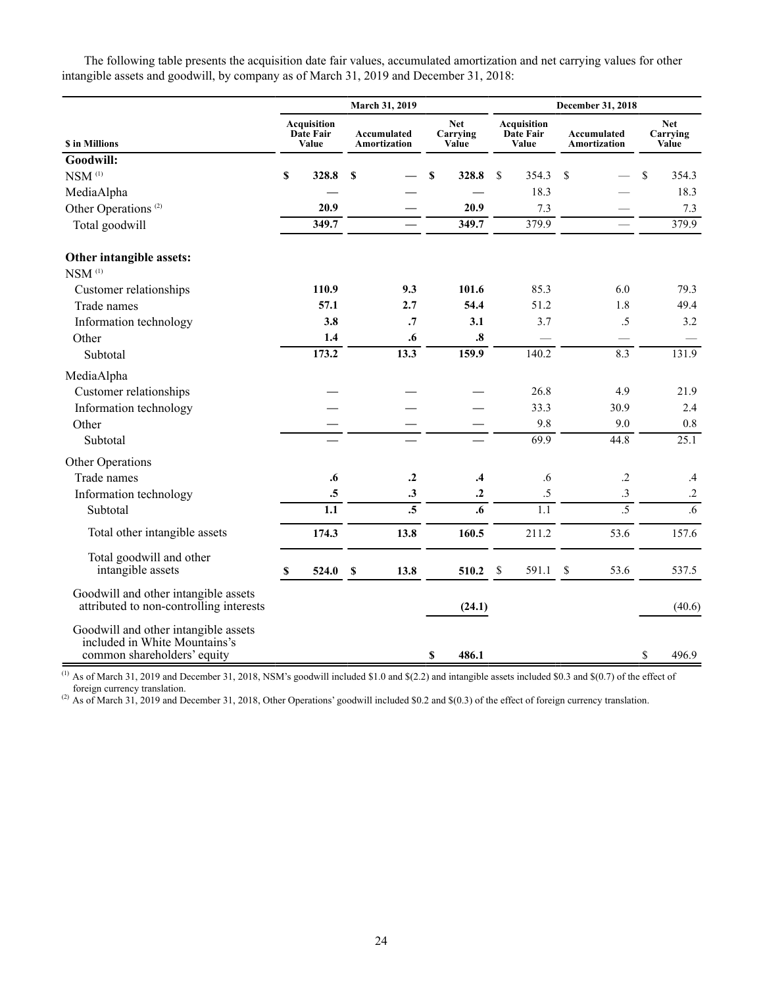The following table presents the acquisition date fair values, accumulated amortization and net carrying values for other intangible assets and goodwill, by company as of March 31, 2019 and December 31, 2018:

|                                                                                                      |                                          |             | March 31, 2019                     |    | December 31, 2018                                               |    |                                         |              |                 |    |                |                                 |
|------------------------------------------------------------------------------------------------------|------------------------------------------|-------------|------------------------------------|----|-----------------------------------------------------------------|----|-----------------------------------------|--------------|-----------------|----|----------------|---------------------------------|
| \$ in Millions                                                                                       | <b>Acquisition</b><br>Date Fair<br>Value |             | Accumulated<br><b>Amortization</b> |    | <b>Net</b><br><b>Acquisition</b><br>Date Fair<br>Value<br>Value |    | Carrying<br>Accumulated<br>Amortization |              |                 |    |                | <b>Net</b><br>Carrying<br>Value |
| Goodwill:                                                                                            |                                          |             |                                    |    |                                                                 |    |                                         |              |                 |    |                |                                 |
| $NSM$ <sup>(1)</sup>                                                                                 | \$<br>328.8                              | \$          |                                    | \$ | 328.8                                                           | \$ | 354.3                                   | \$           |                 | \$ | 354.3          |                                 |
| MediaAlpha                                                                                           |                                          |             |                                    |    |                                                                 |    | 18.3                                    |              |                 |    | 18.3           |                                 |
| Other Operations <sup>(2)</sup>                                                                      | 20.9                                     |             |                                    |    | 20.9                                                            |    | 7.3                                     |              |                 |    | 7.3            |                                 |
| Total goodwill                                                                                       | 349.7                                    |             |                                    |    | 349.7                                                           |    | 379.9                                   |              |                 |    | 379.9          |                                 |
| Other intangible assets:                                                                             |                                          |             |                                    |    |                                                                 |    |                                         |              |                 |    |                |                                 |
| $NSM$ <sup>(1)</sup>                                                                                 |                                          |             |                                    |    |                                                                 |    |                                         |              |                 |    |                |                                 |
| Customer relationships                                                                               | 110.9                                    |             | 9.3                                |    | 101.6                                                           |    | 85.3                                    |              | 6.0             |    | 79.3           |                                 |
| Trade names                                                                                          | 57.1                                     |             | 2.7                                |    | 54.4                                                            |    | 51.2                                    |              | 1.8             |    | 49.4           |                                 |
| Information technology                                                                               | 3.8                                      |             | $\cdot$ 7                          |    | 3.1                                                             |    | 3.7                                     |              | .5              |    | 3.2            |                                 |
| Other                                                                                                | 1.4                                      |             | .6                                 |    | $\boldsymbol{.8}$                                               |    |                                         |              |                 |    |                |                                 |
| Subtotal                                                                                             | 173.2                                    |             | 13.3                               |    | 159.9                                                           |    | 140.2                                   |              | 8.3             |    | 131.9          |                                 |
| MediaAlpha                                                                                           |                                          |             |                                    |    |                                                                 |    |                                         |              |                 |    |                |                                 |
| Customer relationships                                                                               |                                          |             |                                    |    |                                                                 |    | 26.8                                    |              | 4.9             |    | 21.9           |                                 |
| Information technology                                                                               |                                          |             |                                    |    |                                                                 |    | 33.3                                    |              | 30.9            |    | 2.4            |                                 |
| Other                                                                                                |                                          |             |                                    |    |                                                                 |    | 9.8                                     |              | 9.0             |    | $0.8\,$        |                                 |
| Subtotal                                                                                             |                                          |             |                                    |    |                                                                 |    | 69.9                                    |              | 44.8            |    | 25.1           |                                 |
| Other Operations                                                                                     |                                          |             |                                    |    |                                                                 |    |                                         |              |                 |    |                |                                 |
| Trade names                                                                                          | $\boldsymbol{.6}$                        |             | $\cdot$                            |    | $\cdot$ 4                                                       |    | $.6\,$                                  |              | $\cdot$         |    | .4             |                                 |
| Information technology                                                                               | .5                                       |             | $\cdot$ 3                          |    | $\cdot$                                                         |    | $.5\,$                                  |              | $\cdot$ 3       |    | $.2\,$         |                                 |
| Subtotal                                                                                             | $\overline{1.1}$                         |             | $\overline{.5}$                    |    | .6                                                              |    | 1.1                                     |              | $\overline{.5}$ |    | $\overline{6}$ |                                 |
| Total other intangible assets                                                                        | 174.3                                    |             | 13.8                               |    | 160.5                                                           |    | 211.2                                   |              | 53.6            |    | 157.6          |                                 |
| Total goodwill and other<br>intangible assets                                                        | \$<br>524.0                              | $\mathbb S$ | 13.8                               |    | 510.2                                                           | \$ | 591.1                                   | $\mathbb{S}$ | 53.6            |    | 537.5          |                                 |
| Goodwill and other intangible assets<br>attributed to non-controlling interests                      |                                          |             |                                    |    | (24.1)                                                          |    |                                         |              |                 |    | (40.6)         |                                 |
| Goodwill and other intangible assets<br>included in White Mountains's<br>common shareholders' equity |                                          |             |                                    | \$ | 486.1                                                           |    |                                         |              |                 | \$ | 496.9          |                                 |

 $^{(1)}$  As of March 31, 2019 and December 31, 2018, NSM's goodwill included \$1.0 and \$(2.2) and intangible assets included \$0.3 and \$(0.7) of the effect of foreign currency translation.

<sup>(2)</sup> As of March 31, 2019 and December 31, 2018, Other Operations' goodwill included \$0.2 and \$(0.3) of the effect of foreign currency translation.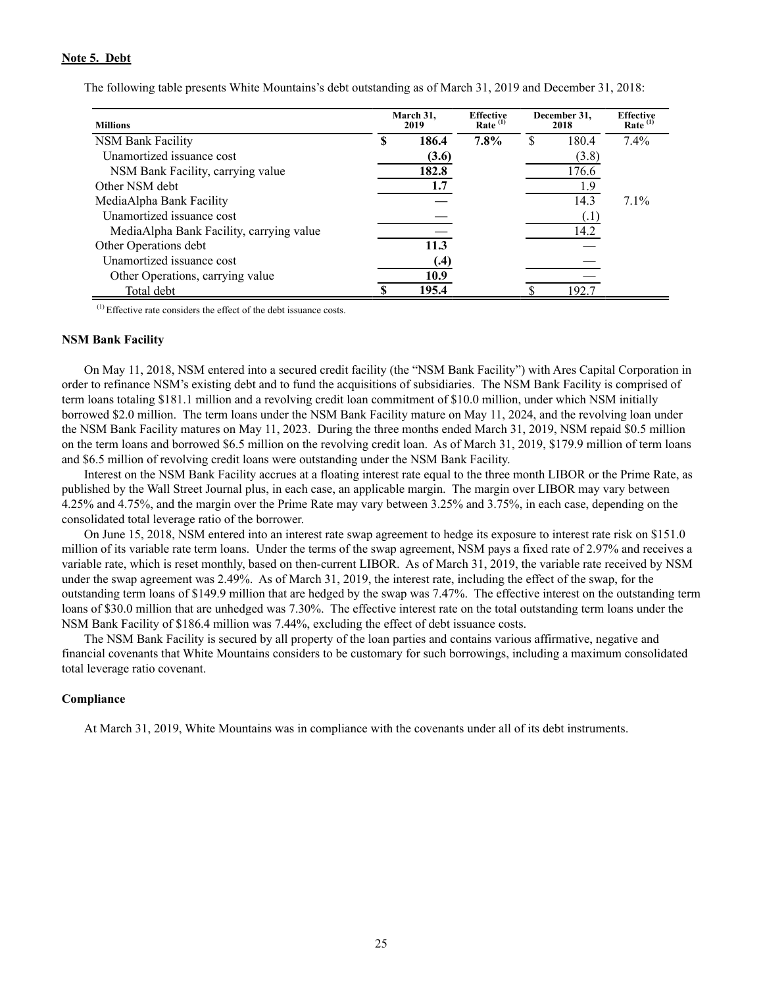# **Note 5. Debt**

| <b>Millions</b>                          | March 31,<br>2019 |       | <b>Effective</b><br>Rate $(1)$ | December 31.<br>2018 |       | <b>Effective</b><br>Rate $(1)$ |
|------------------------------------------|-------------------|-------|--------------------------------|----------------------|-------|--------------------------------|
| NSM Bank Facility                        | S                 | 186.4 | 7.8%                           | S                    | 180.4 | 7.4%                           |
| Unamortized issuance cost                |                   | (3.6) |                                |                      | (3.8) |                                |
| NSM Bank Facility, carrying value        |                   | 182.8 |                                |                      | 176.6 |                                |
| Other NSM debt                           |                   | 1.7   |                                |                      | 1.9   |                                |
| MediaAlpha Bank Facility                 |                   |       |                                |                      | 14.3  | $7.1\%$                        |
| Unamortized issuance cost                |                   |       |                                |                      | (.1)  |                                |
| MediaAlpha Bank Facility, carrying value |                   |       |                                |                      | 14.2  |                                |
| Other Operations debt                    |                   | 11.3  |                                |                      |       |                                |
| Unamortized issuance cost                |                   | (.4)  |                                |                      |       |                                |
| Other Operations, carrying value         |                   | 10.9  |                                |                      |       |                                |
| Total debt                               |                   | 195.4 |                                |                      | 192.7 |                                |

The following table presents White Mountains's debt outstanding as of March 31, 2019 and December 31, 2018:

(1) Effective rate considers the effect of the debt issuance costs.

#### **NSM Bank Facility**

On May 11, 2018, NSM entered into a secured credit facility (the "NSM Bank Facility") with Ares Capital Corporation in order to refinance NSM's existing debt and to fund the acquisitions of subsidiaries. The NSM Bank Facility is comprised of term loans totaling \$181.1 million and a revolving credit loan commitment of \$10.0 million, under which NSM initially borrowed \$2.0 million. The term loans under the NSM Bank Facility mature on May 11, 2024, and the revolving loan under the NSM Bank Facility matures on May 11, 2023. During the three months ended March 31, 2019, NSM repaid \$0.5 million on the term loans and borrowed \$6.5 million on the revolving credit loan. As of March 31, 2019, \$179.9 million of term loans and \$6.5 million of revolving credit loans were outstanding under the NSM Bank Facility.

Interest on the NSM Bank Facility accrues at a floating interest rate equal to the three month LIBOR or the Prime Rate, as published by the Wall Street Journal plus, in each case, an applicable margin. The margin over LIBOR may vary between 4.25% and 4.75%, and the margin over the Prime Rate may vary between 3.25% and 3.75%, in each case, depending on the consolidated total leverage ratio of the borrower.

On June 15, 2018, NSM entered into an interest rate swap agreement to hedge its exposure to interest rate risk on \$151.0 million of its variable rate term loans. Under the terms of the swap agreement, NSM pays a fixed rate of 2.97% and receives a variable rate, which is reset monthly, based on then-current LIBOR. As of March 31, 2019, the variable rate received by NSM under the swap agreement was 2.49%. As of March 31, 2019, the interest rate, including the effect of the swap, for the outstanding term loans of \$149.9 million that are hedged by the swap was 7.47%. The effective interest on the outstanding term loans of \$30.0 million that are unhedged was 7.30%. The effective interest rate on the total outstanding term loans under the NSM Bank Facility of \$186.4 million was 7.44%, excluding the effect of debt issuance costs.

The NSM Bank Facility is secured by all property of the loan parties and contains various affirmative, negative and financial covenants that White Mountains considers to be customary for such borrowings, including a maximum consolidated total leverage ratio covenant.

# **Compliance**

At March 31, 2019, White Mountains was in compliance with the covenants under all of its debt instruments.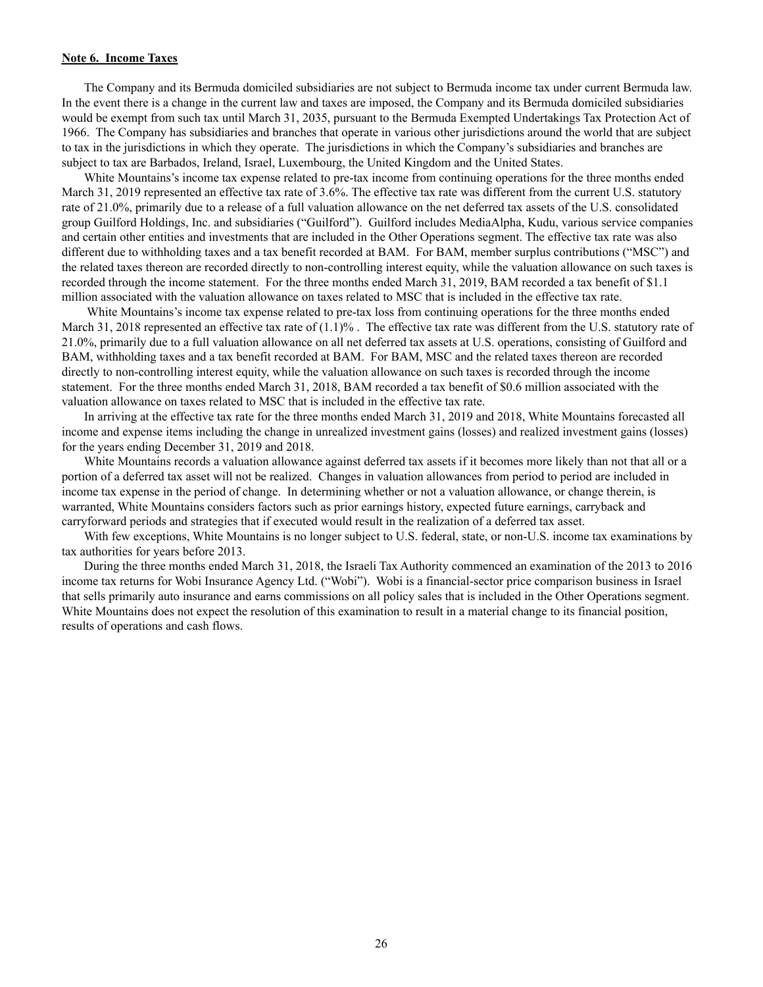# **Note 6. Income Taxes**

The Company and its Bermuda domiciled subsidiaries are not subject to Bermuda income tax under current Bermuda law. In the event there is a change in the current law and taxes are imposed, the Company and its Bermuda domiciled subsidiaries would be exempt from such tax until March 31, 2035, pursuant to the Bermuda Exempted Undertakings Tax Protection Act of 1966. The Company has subsidiaries and branches that operate in various other jurisdictions around the world that are subject to tax in the jurisdictions in which they operate. The jurisdictions in which the Company's subsidiaries and branches are subject to tax are Barbados, Ireland, Israel, Luxembourg, the United Kingdom and the United States.

White Mountains's income tax expense related to pre-tax income from continuing operations for the three months ended March 31, 2019 represented an effective tax rate of 3.6%. The effective tax rate was different from the current U.S. statutory rate of 21.0%, primarily due to a release of a full valuation allowance on the net deferred tax assets of the U.S. consolidated group Guilford Holdings, Inc. and subsidiaries ("Guilford"). Guilford includes MediaAlpha, Kudu, various service companies and certain other entities and investments that are included in the Other Operations segment. The effective tax rate was also different due to withholding taxes and a tax benefit recorded at BAM. For BAM, member surplus contributions ("MSC") and the related taxes thereon are recorded directly to non-controlling interest equity, while the valuation allowance on such taxes is recorded through the income statement. For the three months ended March 31, 2019, BAM recorded a tax benefit of \$1.1 million associated with the valuation allowance on taxes related to MSC that is included in the effective tax rate.

White Mountains's income tax expense related to pre-tax loss from continuing operations for the three months ended March 31, 2018 represented an effective tax rate of  $(1.1)$ %. The effective tax rate was different from the U.S. statutory rate of 21.0%, primarily due to a full valuation allowance on all net deferred tax assets at U.S. operations, consisting of Guilford and BAM, withholding taxes and a tax benefit recorded at BAM. For BAM, MSC and the related taxes thereon are recorded directly to non-controlling interest equity, while the valuation allowance on such taxes is recorded through the income statement. For the three months ended March 31, 2018, BAM recorded a tax benefit of \$0.6 million associated with the valuation allowance on taxes related to MSC that is included in the effective tax rate.

In arriving at the effective tax rate for the three months ended March 31, 2019 and 2018, White Mountains forecasted all income and expense items including the change in unrealized investment gains (losses) and realized investment gains (losses) for the years ending December 31, 2019 and 2018.

White Mountains records a valuation allowance against deferred tax assets if it becomes more likely than not that all or a portion of a deferred tax asset will not be realized. Changes in valuation allowances from period to period are included in income tax expense in the period of change. In determining whether or not a valuation allowance, or change therein, is warranted, White Mountains considers factors such as prior earnings history, expected future earnings, carryback and carryforward periods and strategies that if executed would result in the realization of a deferred tax asset.

With few exceptions, White Mountains is no longer subject to U.S. federal, state, or non-U.S. income tax examinations by tax authorities for years before 2013.

During the three months ended March 31, 2018, the Israeli Tax Authority commenced an examination of the 2013 to 2016 income tax returns for Wobi Insurance Agency Ltd. ("Wobi"). Wobi is a financial-sector price comparison business in Israel that sells primarily auto insurance and earns commissions on all policy sales that is included in the Other Operations segment. White Mountains does not expect the resolution of this examination to result in a material change to its financial position, results of operations and cash flows.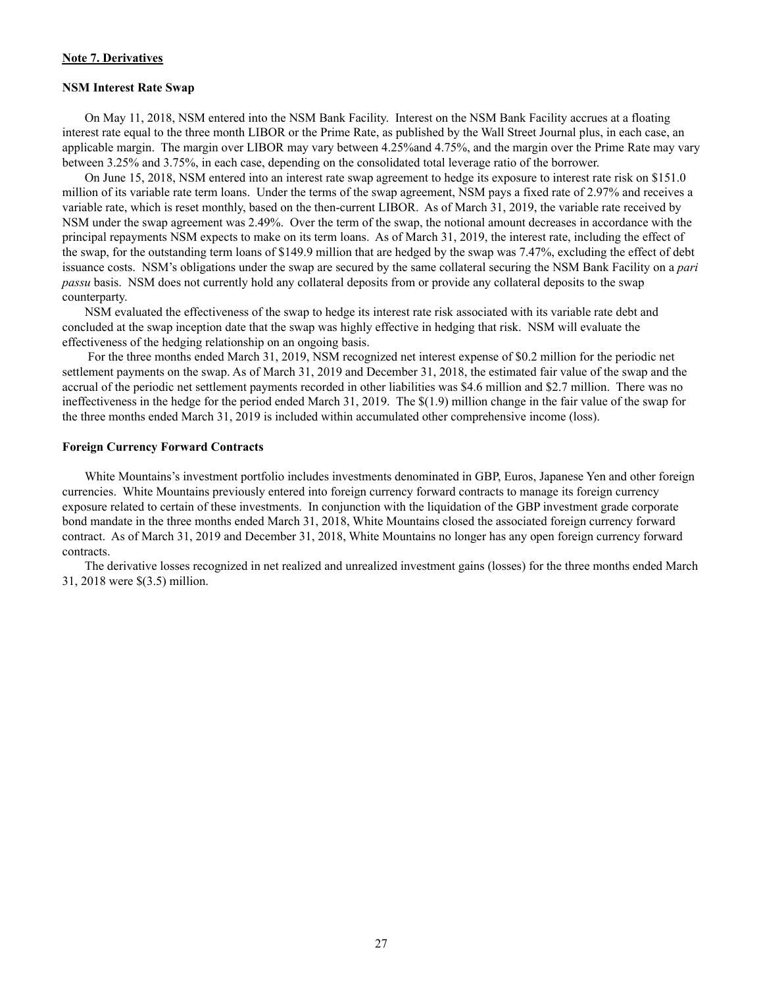#### **Note 7. Derivatives**

# **NSM Interest Rate Swap**

On May 11, 2018, NSM entered into the NSM Bank Facility. Interest on the NSM Bank Facility accrues at a floating interest rate equal to the three month LIBOR or the Prime Rate, as published by the Wall Street Journal plus, in each case, an applicable margin. The margin over LIBOR may vary between 4.25%and 4.75%, and the margin over the Prime Rate may vary between 3.25% and 3.75%, in each case, depending on the consolidated total leverage ratio of the borrower.

On June 15, 2018, NSM entered into an interest rate swap agreement to hedge its exposure to interest rate risk on \$151.0 million of its variable rate term loans. Under the terms of the swap agreement, NSM pays a fixed rate of 2.97% and receives a variable rate, which is reset monthly, based on the then-current LIBOR. As of March 31, 2019, the variable rate received by NSM under the swap agreement was 2.49%. Over the term of the swap, the notional amount decreases in accordance with the principal repayments NSM expects to make on its term loans. As of March 31, 2019, the interest rate, including the effect of the swap, for the outstanding term loans of \$149.9 million that are hedged by the swap was 7.47%, excluding the effect of debt issuance costs. NSM's obligations under the swap are secured by the same collateral securing the NSM Bank Facility on a *pari passu* basis. NSM does not currently hold any collateral deposits from or provide any collateral deposits to the swap counterparty.

NSM evaluated the effectiveness of the swap to hedge its interest rate risk associated with its variable rate debt and concluded at the swap inception date that the swap was highly effective in hedging that risk. NSM will evaluate the effectiveness of the hedging relationship on an ongoing basis.

 For the three months ended March 31, 2019, NSM recognized net interest expense of \$0.2 million for the periodic net settlement payments on the swap. As of March 31, 2019 and December 31, 2018, the estimated fair value of the swap and the accrual of the periodic net settlement payments recorded in other liabilities was \$4.6 million and \$2.7 million. There was no ineffectiveness in the hedge for the period ended March 31, 2019. The \$(1.9) million change in the fair value of the swap for the three months ended March 31, 2019 is included within accumulated other comprehensive income (loss).

### **Foreign Currency Forward Contracts**

White Mountains's investment portfolio includes investments denominated in GBP, Euros, Japanese Yen and other foreign currencies. White Mountains previously entered into foreign currency forward contracts to manage its foreign currency exposure related to certain of these investments. In conjunction with the liquidation of the GBP investment grade corporate bond mandate in the three months ended March 31, 2018, White Mountains closed the associated foreign currency forward contract. As of March 31, 2019 and December 31, 2018, White Mountains no longer has any open foreign currency forward contracts.

The derivative losses recognized in net realized and unrealized investment gains (losses) for the three months ended March 31, 2018 were \$(3.5) million.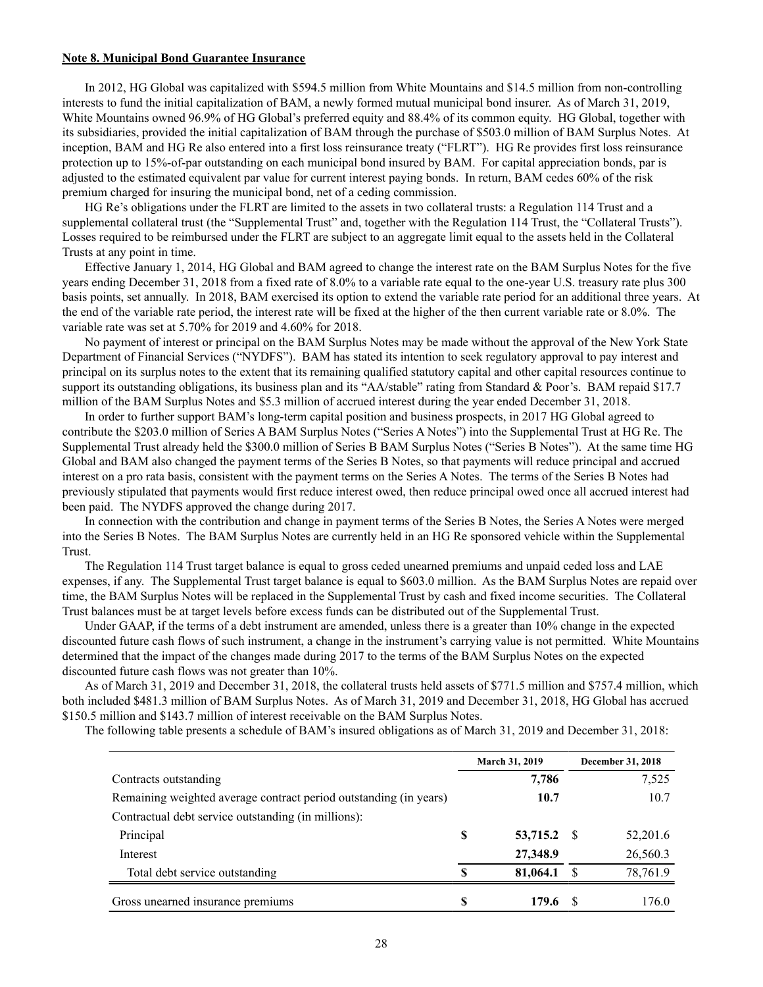#### **Note 8. Municipal Bond Guarantee Insurance**

In 2012, HG Global was capitalized with \$594.5 million from White Mountains and \$14.5 million from non-controlling interests to fund the initial capitalization of BAM, a newly formed mutual municipal bond insurer. As of March 31, 2019, White Mountains owned 96.9% of HG Global's preferred equity and 88.4% of its common equity. HG Global, together with its subsidiaries, provided the initial capitalization of BAM through the purchase of \$503.0 million of BAM Surplus Notes. At inception, BAM and HG Re also entered into a first loss reinsurance treaty ("FLRT"). HG Re provides first loss reinsurance protection up to 15%-of-par outstanding on each municipal bond insured by BAM. For capital appreciation bonds, par is adjusted to the estimated equivalent par value for current interest paying bonds. In return, BAM cedes 60% of the risk premium charged for insuring the municipal bond, net of a ceding commission.

HG Re's obligations under the FLRT are limited to the assets in two collateral trusts: a Regulation 114 Trust and a supplemental collateral trust (the "Supplemental Trust" and, together with the Regulation 114 Trust, the "Collateral Trusts"). Losses required to be reimbursed under the FLRT are subject to an aggregate limit equal to the assets held in the Collateral Trusts at any point in time.

Effective January 1, 2014, HG Global and BAM agreed to change the interest rate on the BAM Surplus Notes for the five years ending December 31, 2018 from a fixed rate of 8.0% to a variable rate equal to the one-year U.S. treasury rate plus 300 basis points, set annually. In 2018, BAM exercised its option to extend the variable rate period for an additional three years. At the end of the variable rate period, the interest rate will be fixed at the higher of the then current variable rate or 8.0%. The variable rate was set at 5.70% for 2019 and 4.60% for 2018.

No payment of interest or principal on the BAM Surplus Notes may be made without the approval of the New York State Department of Financial Services ("NYDFS"). BAM has stated its intention to seek regulatory approval to pay interest and principal on its surplus notes to the extent that its remaining qualified statutory capital and other capital resources continue to support its outstanding obligations, its business plan and its "AA/stable" rating from Standard & Poor's. BAM repaid \$17.7 million of the BAM Surplus Notes and \$5.3 million of accrued interest during the year ended December 31, 2018.

In order to further support BAM's long-term capital position and business prospects, in 2017 HG Global agreed to contribute the \$203.0 million of Series A BAM Surplus Notes ("Series A Notes") into the Supplemental Trust at HG Re. The Supplemental Trust already held the \$300.0 million of Series B BAM Surplus Notes ("Series B Notes"). At the same time HG Global and BAM also changed the payment terms of the Series B Notes, so that payments will reduce principal and accrued interest on a pro rata basis, consistent with the payment terms on the Series A Notes. The terms of the Series B Notes had previously stipulated that payments would first reduce interest owed, then reduce principal owed once all accrued interest had been paid. The NYDFS approved the change during 2017.

In connection with the contribution and change in payment terms of the Series B Notes, the Series A Notes were merged into the Series B Notes. The BAM Surplus Notes are currently held in an HG Re sponsored vehicle within the Supplemental Trust.

The Regulation 114 Trust target balance is equal to gross ceded unearned premiums and unpaid ceded loss and LAE expenses, if any. The Supplemental Trust target balance is equal to \$603.0 million. As the BAM Surplus Notes are repaid over time, the BAM Surplus Notes will be replaced in the Supplemental Trust by cash and fixed income securities. The Collateral Trust balances must be at target levels before excess funds can be distributed out of the Supplemental Trust.

Under GAAP, if the terms of a debt instrument are amended, unless there is a greater than 10% change in the expected discounted future cash flows of such instrument, a change in the instrument's carrying value is not permitted. White Mountains determined that the impact of the changes made during 2017 to the terms of the BAM Surplus Notes on the expected discounted future cash flows was not greater than 10%.

As of March 31, 2019 and December 31, 2018, the collateral trusts held assets of \$771.5 million and \$757.4 million, which both included \$481.3 million of BAM Surplus Notes. As of March 31, 2019 and December 31, 2018, HG Global has accrued \$150.5 million and \$143.7 million of interest receivable on the BAM Surplus Notes.

The following table presents a schedule of BAM's insured obligations as of March 31, 2019 and December 31, 2018:

|                                                                   |   | <b>March 31, 2019</b> | December 31, 2018 |
|-------------------------------------------------------------------|---|-----------------------|-------------------|
| Contracts outstanding                                             |   | 7,786                 | 7,525             |
| Remaining weighted average contract period outstanding (in years) |   | 10.7                  | 10.7              |
| Contractual debt service outstanding (in millions):               |   |                       |                   |
| Principal                                                         | S | 53,715.2              | 52,201.6          |
| Interest                                                          |   | 27,348.9              | 26,560.3          |
| Total debt service outstanding                                    | ⊕ | 81,064.1              | 78,761.9          |
| Gross unearned insurance premiums                                 | S | 179.6                 | 176.0             |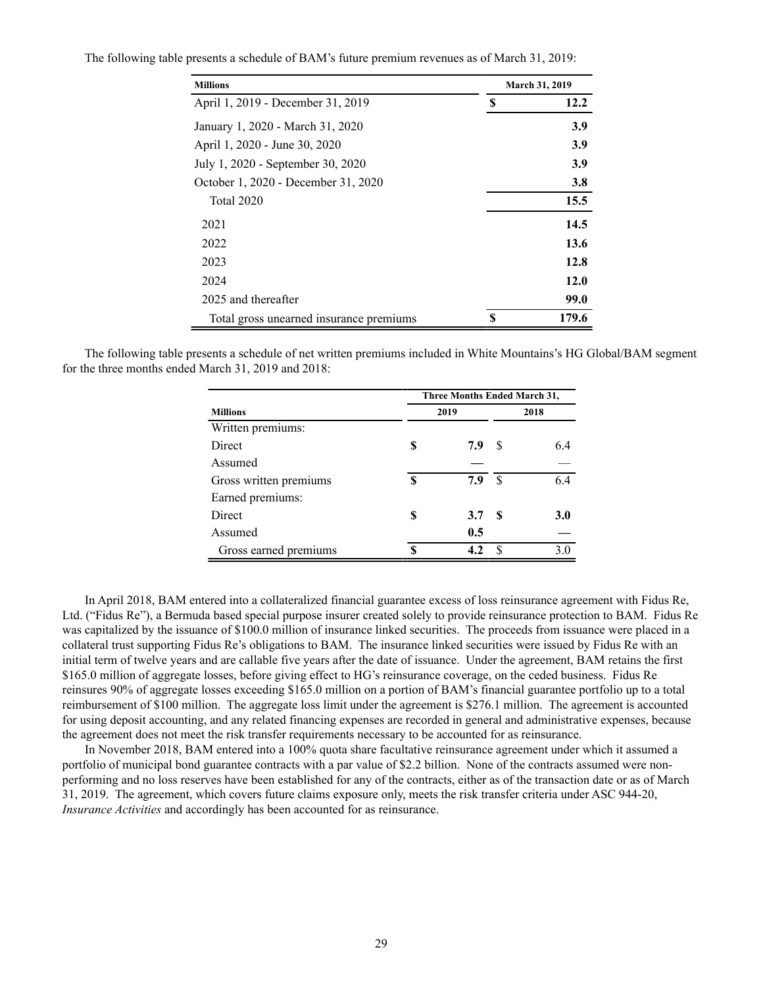The following table presents a schedule of BAM's future premium revenues as of March 31, 2019:

| <b>Millions</b>                         | March 31, 2019 |
|-----------------------------------------|----------------|
| April 1, 2019 - December 31, 2019       | \$<br>12.2     |
| January 1, 2020 - March 31, 2020        | 3.9            |
| April 1, 2020 - June 30, 2020           | 3.9            |
| July 1, 2020 - September 30, 2020       | 3.9            |
| October 1, 2020 - December 31, 2020     | 3.8            |
| <b>Total 2020</b>                       | 15.5           |
| 2021                                    | 14.5           |
| 2022                                    | 13.6           |
| 2023                                    | 12.8           |
| 2024                                    | 12.0           |
| 2025 and thereafter                     | 99.0           |
| Total gross unearned insurance premiums | \$<br>179.6    |

The following table presents a schedule of net written premiums included in White Mountains's HG Global/BAM segment for the three months ended March 31, 2019 and 2018:

|                        | Three Months Ended March 31, |                  |          |            |  |  |  |  |
|------------------------|------------------------------|------------------|----------|------------|--|--|--|--|
| <b>Millions</b>        |                              | 2019             | 2018     |            |  |  |  |  |
| Written premiums:      |                              |                  |          |            |  |  |  |  |
| Direct                 | S                            | 7.9              | <b>S</b> | 6.4        |  |  |  |  |
| Assumed                |                              |                  |          |            |  |  |  |  |
| Gross written premiums | \$                           | 7.9              | -S       | 6.4        |  |  |  |  |
| Earned premiums:       |                              |                  |          |            |  |  |  |  |
| Direct                 | S                            | 3.7 <sub>5</sub> |          | <b>3.0</b> |  |  |  |  |
| Assumed                |                              | 0.5              |          |            |  |  |  |  |
| Gross earned premiums  | \$                           | 4.2              |          | 3.0        |  |  |  |  |

In April 2018, BAM entered into a collateralized financial guarantee excess of loss reinsurance agreement with Fidus Re, Ltd. ("Fidus Re"), a Bermuda based special purpose insurer created solely to provide reinsurance protection to BAM. Fidus Re was capitalized by the issuance of \$100.0 million of insurance linked securities. The proceeds from issuance were placed in a collateral trust supporting Fidus Re's obligations to BAM. The insurance linked securities were issued by Fidus Re with an initial term of twelve years and are callable five years after the date of issuance. Under the agreement, BAM retains the first \$165.0 million of aggregate losses, before giving effect to HG's reinsurance coverage, on the ceded business. Fidus Re reinsures 90% of aggregate losses exceeding \$165.0 million on a portion of BAM's financial guarantee portfolio up to a total reimbursement of \$100 million. The aggregate loss limit under the agreement is \$276.1 million. The agreement is accounted for using deposit accounting, and any related financing expenses are recorded in general and administrative expenses, because the agreement does not meet the risk transfer requirements necessary to be accounted for as reinsurance.

In November 2018, BAM entered into a 100% quota share facultative reinsurance agreement under which it assumed a portfolio of municipal bond guarantee contracts with a par value of \$2.2 billion. None of the contracts assumed were nonperforming and no loss reserves have been established for any of the contracts, either as of the transaction date or as of March 31, 2019. The agreement, which covers future claims exposure only, meets the risk transfer criteria under ASC 944-20, *Insurance Activities* and accordingly has been accounted for as reinsurance.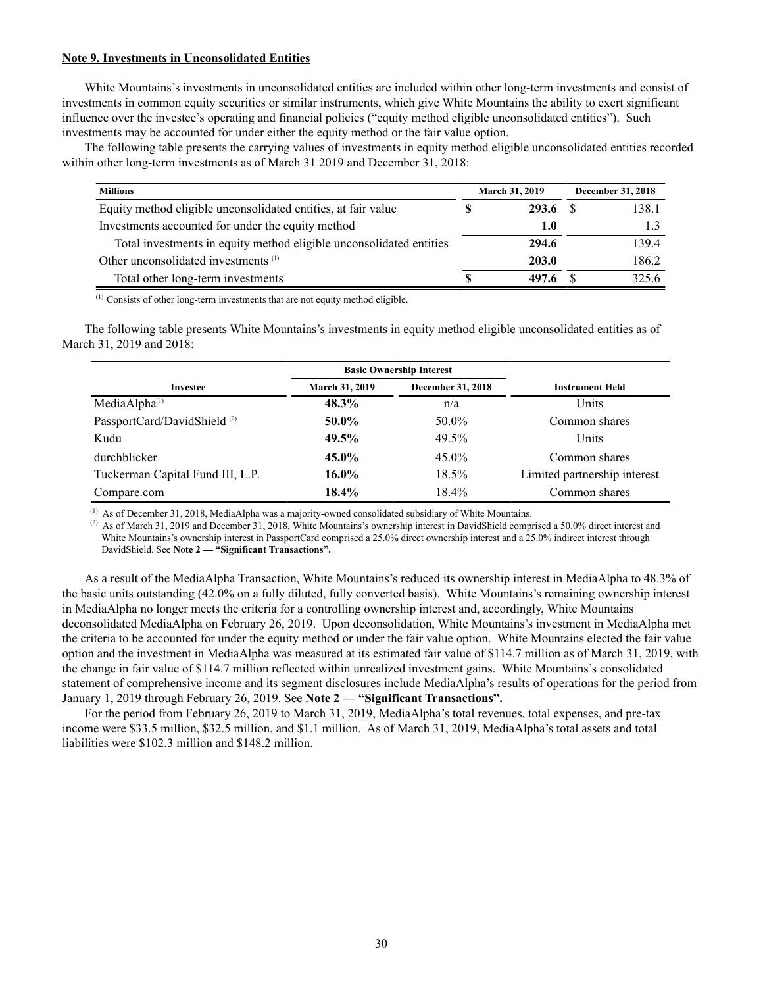### **Note 9. Investments in Unconsolidated Entities**

White Mountains's investments in unconsolidated entities are included within other long-term investments and consist of investments in common equity securities or similar instruments, which give White Mountains the ability to exert significant influence over the investee's operating and financial policies ("equity method eligible unconsolidated entities"). Such investments may be accounted for under either the equity method or the fair value option.

The following table presents the carrying values of investments in equity method eligible unconsolidated entities recorded within other long-term investments as of March 31 2019 and December 31, 2018:

| <b>Millions</b>                                                     |   | March 31, 2019 | December 31, 2018 |
|---------------------------------------------------------------------|---|----------------|-------------------|
| Equity method eligible unconsolidated entities, at fair value       |   | 293.6          | 138.1             |
| Investments accounted for under the equity method                   |   | 1.0            |                   |
| Total investments in equity method eligible unconsolidated entities |   | 294.6          | 139.4             |
| Other unconsolidated investments (1)                                |   | 203.0          | 186.2             |
| Total other long-term investments                                   | ⊕ | 497.6          | 325.6             |

 $(1)$  Consists of other long-term investments that are not equity method eligible.

The following table presents White Mountains's investments in equity method eligible unconsolidated entities as of March 31, 2019 and 2018:

|                                         |                | <b>Basic Ownership Interest</b> |                              |
|-----------------------------------------|----------------|---------------------------------|------------------------------|
| Investee                                | March 31, 2019 | December 31, 2018               | <b>Instrument Held</b>       |
| MediaAlpha <sup>(1)</sup>               | 48.3%          | n/a                             | <b>Units</b>                 |
| PassportCard/DavidShield <sup>(2)</sup> | 50.0%          | 50.0%                           | Common shares                |
| Kudu                                    | 49.5%          | 49.5%                           | Units                        |
| durchblicker                            | $45.0\%$       | $45.0\%$                        | Common shares                |
| Tuckerman Capital Fund III, L.P.        | $16.0\%$       | $18.5\%$                        | Limited partnership interest |
| Compare.com                             | 18.4%          | 18.4%                           | Common shares                |

 $<sup>(1)</sup>$  As of December 31, 2018, MediaAlpha was a majority-owned consolidated subsidiary of White Mountains.</sup>

<sup>(2)</sup> As of March 31, 2019 and December 31, 2018, White Mountains's ownership interest in DavidShield comprised a 50.0% direct interest and White Mountains's ownership interest in PassportCard comprised a 25.0% direct ownership interest and a 25.0% indirect interest through DavidShield. See **Note 2 — "Significant Transactions".**

As a result of the MediaAlpha Transaction, White Mountains's reduced its ownership interest in MediaAlpha to 48.3% of the basic units outstanding (42.0% on a fully diluted, fully converted basis). White Mountains's remaining ownership interest in MediaAlpha no longer meets the criteria for a controlling ownership interest and, accordingly, White Mountains deconsolidated MediaAlpha on February 26, 2019. Upon deconsolidation, White Mountains's investment in MediaAlpha met the criteria to be accounted for under the equity method or under the fair value option. White Mountains elected the fair value option and the investment in MediaAlpha was measured at its estimated fair value of \$114.7 million as of March 31, 2019, with the change in fair value of \$114.7 million reflected within unrealized investment gains. White Mountains's consolidated statement of comprehensive income and its segment disclosures include MediaAlpha's results of operations for the period from January 1, 2019 through February 26, 2019. See **Note 2 — "Significant Transactions".**

For the period from February 26, 2019 to March 31, 2019, MediaAlpha's total revenues, total expenses, and pre-tax income were \$33.5 million, \$32.5 million, and \$1.1 million. As of March 31, 2019, MediaAlpha's total assets and total liabilities were \$102.3 million and \$148.2 million.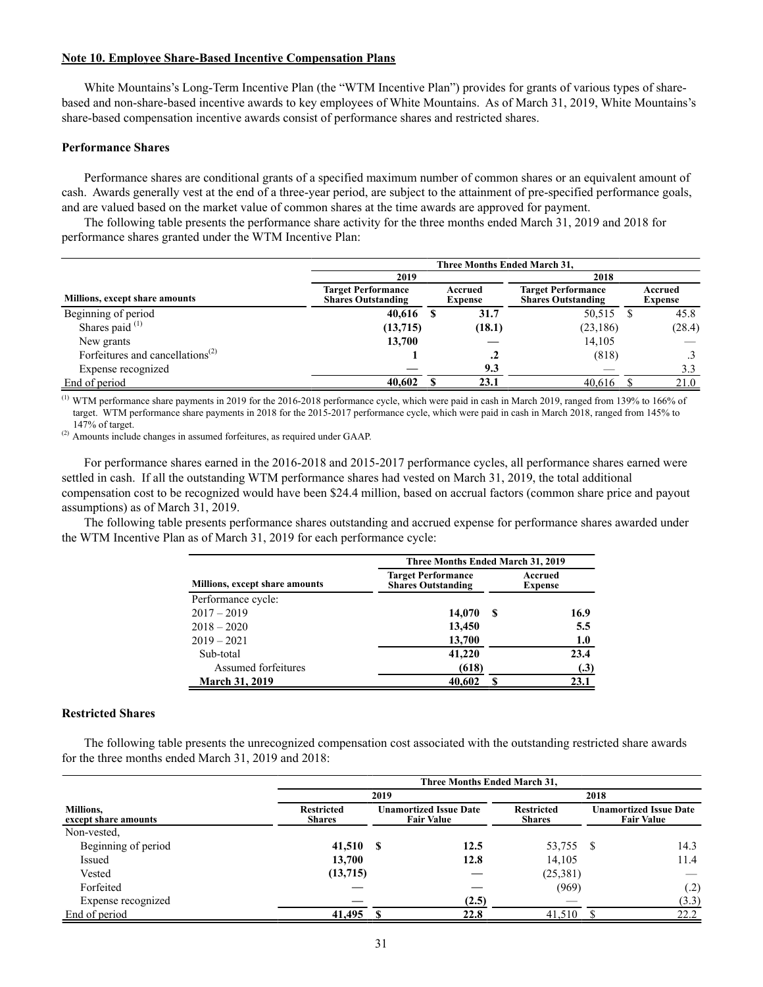### **Note 10. Employee Share-Based Incentive Compensation Plans**

White Mountains's Long-Term Incentive Plan (the "WTM Incentive Plan") provides for grants of various types of sharebased and non-share-based incentive awards to key employees of White Mountains. As of March 31, 2019, White Mountains's share-based compensation incentive awards consist of performance shares and restricted shares.

#### **Performance Shares**

Performance shares are conditional grants of a specified maximum number of common shares or an equivalent amount of cash. Awards generally vest at the end of a three-year period, are subject to the attainment of pre-specified performance goals, and are valued based on the market value of common shares at the time awards are approved for payment.

The following table presents the performance share activity for the three months ended March 31, 2019 and 2018 for performance shares granted under the WTM Incentive Plan:

|                                                           |                                                        | <b>Three Months Ended March 31,</b> |                           |                                                        |  |                           |  |  |  |  |  |
|-----------------------------------------------------------|--------------------------------------------------------|-------------------------------------|---------------------------|--------------------------------------------------------|--|---------------------------|--|--|--|--|--|
|                                                           | 2019                                                   |                                     |                           | 2018                                                   |  |                           |  |  |  |  |  |
| <b>Millions, except share amounts</b>                     | <b>Target Performance</b><br><b>Shares Outstanding</b> |                                     | Accrued<br><b>Expense</b> | <b>Target Performance</b><br><b>Shares Outstanding</b> |  | Accrued<br><b>Expense</b> |  |  |  |  |  |
| Beginning of period                                       | 40,616                                                 |                                     | 31.7                      | 50,515                                                 |  | 45.8                      |  |  |  |  |  |
| Shares paid $(1)$                                         | (13,715)                                               |                                     | (18.1)                    | (23, 186)                                              |  | (28.4)                    |  |  |  |  |  |
| New grants                                                | 13,700                                                 |                                     |                           | 14,105                                                 |  |                           |  |  |  |  |  |
| Forfeitures and cancellations <sup><math>(2)</math></sup> |                                                        |                                     | $\cdot$                   | (818)                                                  |  |                           |  |  |  |  |  |
| Expense recognized                                        |                                                        |                                     | 9.3                       |                                                        |  | 3.3                       |  |  |  |  |  |
| End of period                                             | 40,602                                                 |                                     | 23.1                      | 40.616                                                 |  | 21.0                      |  |  |  |  |  |

(1) WTM performance share payments in 2019 for the 2016-2018 performance cycle, which were paid in cash in March 2019, ranged from 139% to 166% of target. WTM performance share payments in 2018 for the 2015-2017 performance cycle, which were paid in cash in March 2018, ranged from 145% to 147% of target.

(2) Amounts include changes in assumed forfeitures, as required under GAAP.

For performance shares earned in the 2016-2018 and 2015-2017 performance cycles, all performance shares earned were settled in cash. If all the outstanding WTM performance shares had vested on March 31, 2019, the total additional compensation cost to be recognized would have been \$24.4 million, based on accrual factors (common share price and payout assumptions) as of March 31, 2019.

The following table presents performance shares outstanding and accrued expense for performance shares awarded under the WTM Incentive Plan as of March 31, 2019 for each performance cycle:

|                                | Three Months Ended March 31, 2019                      |                           |      |  |  |  |
|--------------------------------|--------------------------------------------------------|---------------------------|------|--|--|--|
| Millions, except share amounts | <b>Target Performance</b><br><b>Shares Outstanding</b> | Accrued<br><b>Expense</b> |      |  |  |  |
| Performance cycle:             |                                                        |                           |      |  |  |  |
| $2017 - 2019$                  | 14,070                                                 | -S                        | 16.9 |  |  |  |
| $2018 - 2020$                  | 13,450                                                 |                           | 5.5  |  |  |  |
| $2019 - 2021$                  | 13,700                                                 |                           | 1.0  |  |  |  |
| Sub-total                      | 41,220                                                 |                           | 23.4 |  |  |  |
| Assumed forfeitures            | (618)                                                  |                           | (.3) |  |  |  |
| <b>March 31, 2019</b>          | 40.602                                                 | S                         | 23.1 |  |  |  |

#### **Restricted Shares**

The following table presents the unrecognized compensation cost associated with the outstanding restricted share awards for the three months ended March 31, 2019 and 2018:

|                                          |                                    | <b>Three Months Ended March 31.</b>                |       |                                    |    |       |                                                    |  |  |
|------------------------------------------|------------------------------------|----------------------------------------------------|-------|------------------------------------|----|-------|----------------------------------------------------|--|--|
|                                          |                                    | 2019                                               |       | 2018                               |    |       |                                                    |  |  |
| <b>Millions.</b><br>except share amounts | <b>Restricted</b><br><b>Shares</b> | <b>Unamortized Issue Date</b><br><b>Fair Value</b> |       | <b>Restricted</b><br><b>Shares</b> |    |       | <b>Unamortized Issue Date</b><br><b>Fair Value</b> |  |  |
| Non-vested,                              |                                    |                                                    |       |                                    |    |       |                                                    |  |  |
| Beginning of period                      | 41,510                             | -S                                                 | 12.5  | 53,755                             | -S | 14.3  |                                                    |  |  |
| Issued                                   | 13,700                             |                                                    | 12.8  | 14,105                             |    | 11.4  |                                                    |  |  |
| Vested                                   | (13,715)                           |                                                    |       | (25,381)                           |    |       |                                                    |  |  |
| Forfeited                                |                                    |                                                    |       | (969)                              |    | (.2)  |                                                    |  |  |
| Expense recognized                       |                                    |                                                    | (2.5) |                                    |    | (3.3) |                                                    |  |  |
| End of period                            | 41,495                             |                                                    | 22.8  | 41,510                             |    | 22.2  |                                                    |  |  |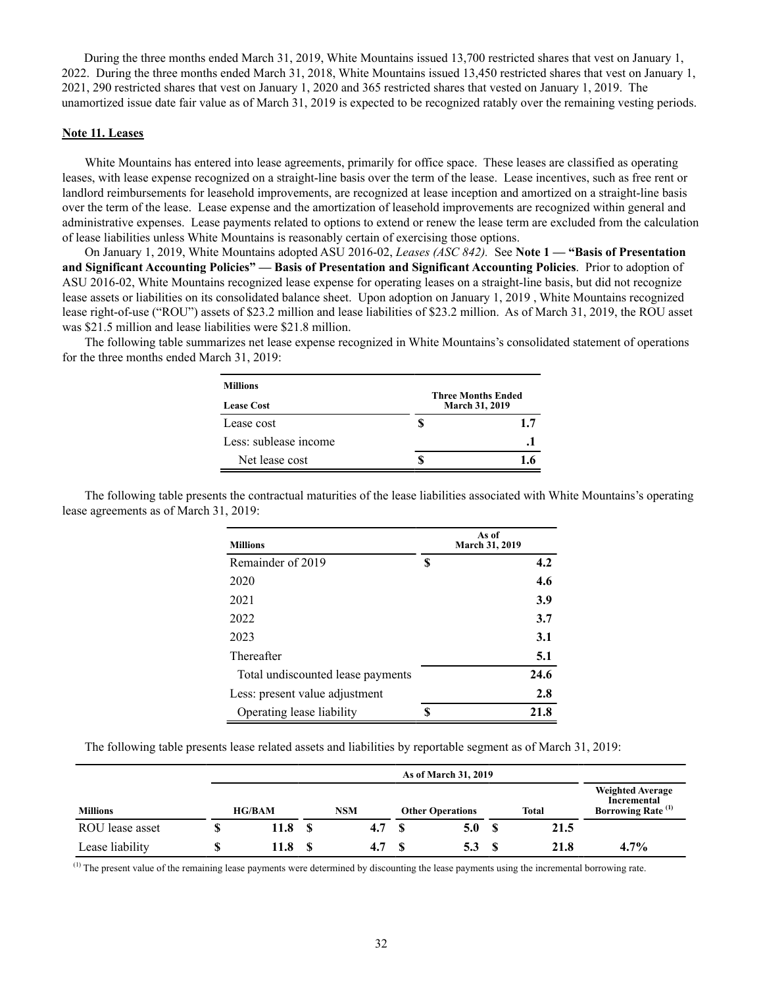During the three months ended March 31, 2019, White Mountains issued 13,700 restricted shares that vest on January 1, 2022. During the three months ended March 31, 2018, White Mountains issued 13,450 restricted shares that vest on January 1, 2021, 290 restricted shares that vest on January 1, 2020 and 365 restricted shares that vested on January 1, 2019. The unamortized issue date fair value as of March 31, 2019 is expected to be recognized ratably over the remaining vesting periods.

### **Note 11. Leases**

White Mountains has entered into lease agreements, primarily for office space. These leases are classified as operating leases, with lease expense recognized on a straight-line basis over the term of the lease. Lease incentives, such as free rent or landlord reimbursements for leasehold improvements, are recognized at lease inception and amortized on a straight-line basis over the term of the lease. Lease expense and the amortization of leasehold improvements are recognized within general and administrative expenses. Lease payments related to options to extend or renew the lease term are excluded from the calculation of lease liabilities unless White Mountains is reasonably certain of exercising those options.

On January 1, 2019, White Mountains adopted ASU 2016-02, *Leases (ASC 842).* See **Note 1 — "Basis of Presentation and Significant Accounting Policies" — Basis of Presentation and Significant Accounting Policies**. Prior to adoption of ASU 2016-02, White Mountains recognized lease expense for operating leases on a straight-line basis, but did not recognize lease assets or liabilities on its consolidated balance sheet. Upon adoption on January 1, 2019 , White Mountains recognized lease right-of-use ("ROU") assets of \$23.2 million and lease liabilities of \$23.2 million. As of March 31, 2019, the ROU asset was \$21.5 million and lease liabilities were \$21.8 million.

The following table summarizes net lease expense recognized in White Mountains's consolidated statement of operations for the three months ended March 31, 2019:

| <b>Millions</b>       |                                                    |    |  |
|-----------------------|----------------------------------------------------|----|--|
| <b>Lease Cost</b>     | <b>Three Months Ended</b><br><b>March 31, 2019</b> |    |  |
| Lease cost            |                                                    | 17 |  |
| Less: sublease income |                                                    |    |  |
| Net lease cost        |                                                    |    |  |

The following table presents the contractual maturities of the lease liabilities associated with White Mountains's operating lease agreements as of March 31, 2019:

| <b>Millions</b>                   |    | As of<br>March 31, 2019 |
|-----------------------------------|----|-------------------------|
| Remainder of 2019                 | S  | 4.2                     |
| 2020                              |    | 4.6                     |
| 2021                              |    | 3.9                     |
| 2022                              |    | 3.7                     |
| 2023                              |    | 3.1                     |
| Thereafter                        |    | 5.1                     |
| Total undiscounted lease payments |    | 24.6                    |
| Less: present value adjustment    |    | 2.8                     |
| Operating lease liability         | \$ | 21.8                    |

The following table presents lease related assets and liabilities by reportable segment as of March 31, 2019:

|                 | As of March 31, 2019 |      |            |     |                         |  |              |                                                                         |
|-----------------|----------------------|------|------------|-----|-------------------------|--|--------------|-------------------------------------------------------------------------|
| <b>Millions</b> | <b>HG/BAM</b>        |      | <b>NSM</b> |     | <b>Other Operations</b> |  | <b>Total</b> | <b>Weighted Average</b><br>Incremental<br>Borrowing Rate <sup>(1)</sup> |
| ROU lease asset | 11.8                 |      |            |     | 5.0                     |  | 21.5         |                                                                         |
| Lease liability | 11.8                 | - \$ |            | - S | 5.3                     |  | 21.8         | $4.7\%$                                                                 |

<sup>(1)</sup> The present value of the remaining lease payments were determined by discounting the lease payments using the incremental borrowing rate.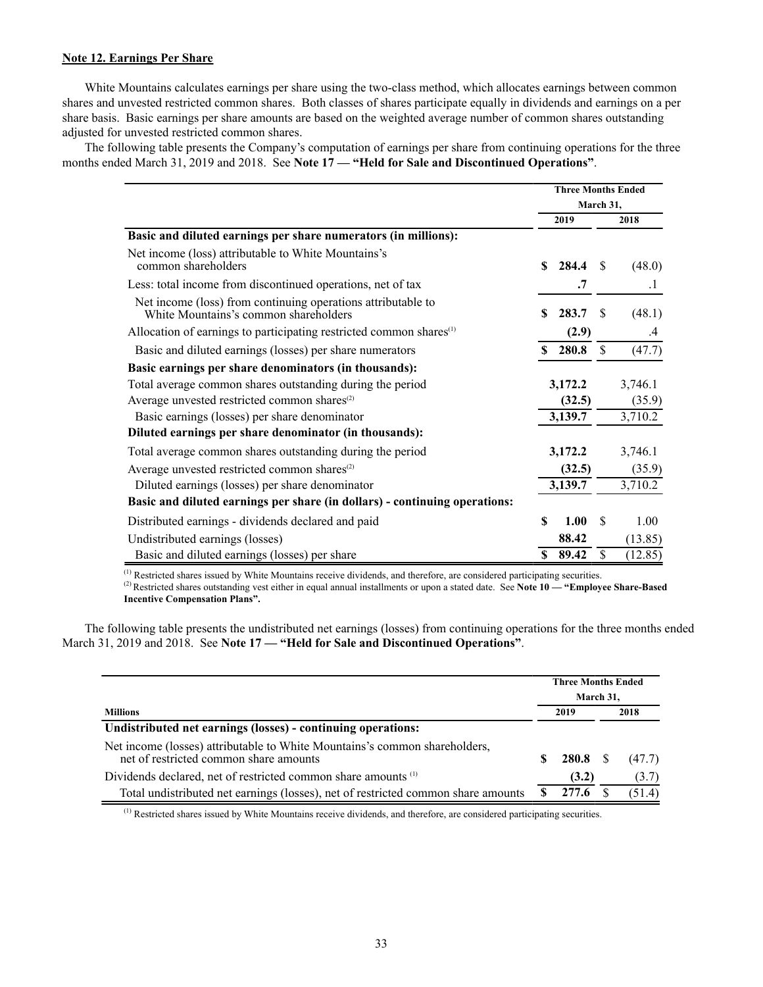# **Note 12. Earnings Per Share**

White Mountains calculates earnings per share using the two-class method, which allocates earnings between common shares and unvested restricted common shares. Both classes of shares participate equally in dividends and earnings on a per share basis. Basic earnings per share amounts are based on the weighted average number of common shares outstanding adjusted for unvested restricted common shares.

The following table presents the Company's computation of earnings per share from continuing operations for the three months ended March 31, 2019 and 2018. See **Note 17 — "Held for Sale and Discontinued Operations"**.

|                                                                                                       |    | <b>Three Months Ended</b> |           |               |
|-------------------------------------------------------------------------------------------------------|----|---------------------------|-----------|---------------|
|                                                                                                       |    |                           | March 31, |               |
|                                                                                                       |    | 2019                      |           | 2018          |
| Basic and diluted earnings per share numerators (in millions):                                        |    |                           |           |               |
| Net income (loss) attributable to White Mountains's<br>common shareholders                            | \$ | 284.4                     | \$        | (48.0)        |
| Less: total income from discontinued operations, net of tax                                           |    | .7                        |           | $\cdot$ 1     |
| Net income (loss) from continuing operations attributable to<br>White Mountains's common shareholders | \$ | 283.7                     | S         | (48.1)        |
| Allocation of earnings to participating restricted common shares <sup>(1)</sup>                       |    | (2.9)                     |           | $\mathcal{A}$ |
| Basic and diluted earnings (losses) per share numerators                                              | S  | 280.8                     | \$        | (47.7)        |
| Basic earnings per share denominators (in thousands):                                                 |    |                           |           |               |
| Total average common shares outstanding during the period                                             |    | 3,172.2                   |           | 3,746.1       |
| Average unvested restricted common shares <sup>(2)</sup>                                              |    | (32.5)                    |           | (35.9)        |
| Basic earnings (losses) per share denominator                                                         |    | 3,139.7                   |           | 3,710.2       |
| Diluted earnings per share denominator (in thousands):                                                |    |                           |           |               |
| Total average common shares outstanding during the period                                             |    | 3,172.2                   |           | 3,746.1       |
| Average unvested restricted common shares <sup>(2)</sup>                                              |    | (32.5)                    |           | (35.9)        |
| Diluted earnings (losses) per share denominator                                                       |    | 3,139.7                   |           | 3,710.2       |
| Basic and diluted earnings per share (in dollars) - continuing operations:                            |    |                           |           |               |
| Distributed earnings - dividends declared and paid                                                    | \$ | 1.00                      | \$        | 1.00          |
| Undistributed earnings (losses)                                                                       |    | 88.42                     |           | (13.85)       |
| Basic and diluted earnings (losses) per share                                                         | \$ | 89.42                     | \$        | (12.85)       |

(1) Restricted shares issued by White Mountains receive dividends, and therefore, are considered participating securities.

(2) Restricted shares outstanding vest either in equal annual installments or upon a stated date. See **Note 10 — "Employee Share-Based Incentive Compensation Plans".**

The following table presents the undistributed net earnings (losses) from continuing operations for the three months ended March 31, 2019 and 2018. See **Note 17 — "Held for Sale and Discontinued Operations"**.

|                                                                                                                      |  |                 | <b>Three Months Ended</b><br>March 31, |        |  |  |  |  |
|----------------------------------------------------------------------------------------------------------------------|--|-----------------|----------------------------------------|--------|--|--|--|--|
| <b>Millions</b>                                                                                                      |  | 2019            |                                        | 2018   |  |  |  |  |
| Undistributed net earnings (losses) - continuing operations:                                                         |  |                 |                                        |        |  |  |  |  |
| Net income (losses) attributable to White Mountains's common shareholders,<br>net of restricted common share amounts |  | <b>280.8</b> \$ |                                        | (47.7) |  |  |  |  |
| Dividends declared, net of restricted common share amounts <sup>(1)</sup>                                            |  | (3.2)           |                                        | (3.7)  |  |  |  |  |
| Total undistributed net earnings (losses), net of restricted common share amounts                                    |  | 277.6           |                                        | (51.4) |  |  |  |  |

(1) Restricted shares issued by White Mountains receive dividends, and therefore, are considered participating securities.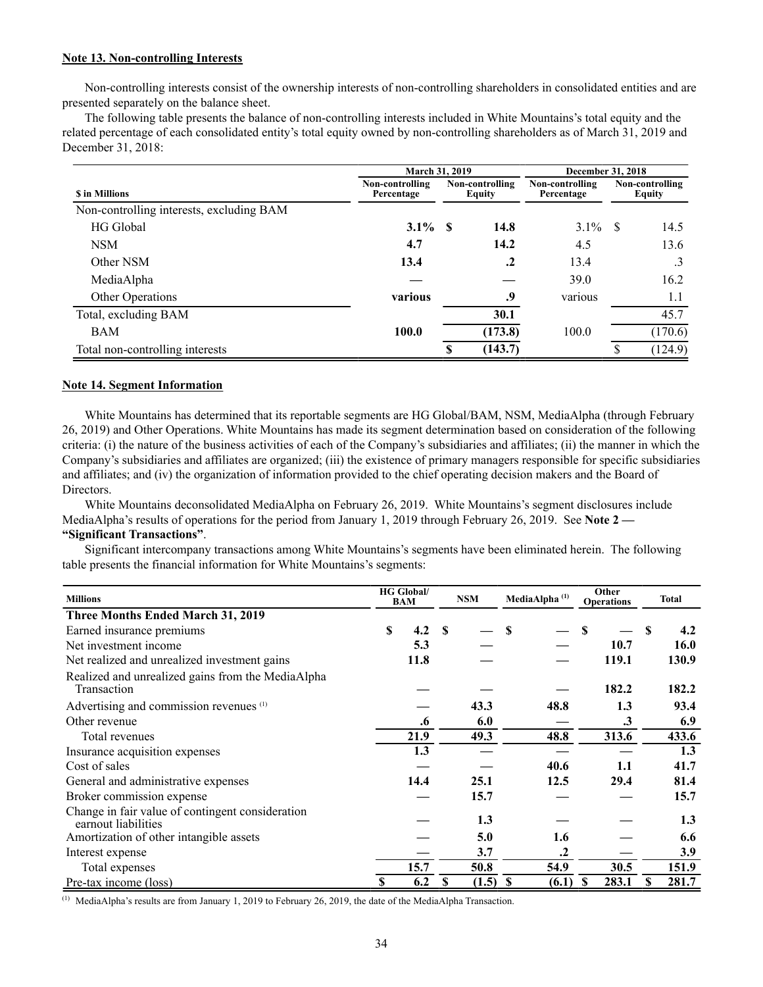# **Note 13. Non-controlling Interests**

Non-controlling interests consist of the ownership interests of non-controlling shareholders in consolidated entities and are presented separately on the balance sheet.

The following table presents the balance of non-controlling interests included in White Mountains's total equity and the related percentage of each consolidated entity's total equity owned by non-controlling shareholders as of March 31, 2019 and December 31, 2018:

|                                          | <b>March 31, 2019</b>         |                                  |         | <b>December 31, 2018</b>      |  |                                  |  |  |  |
|------------------------------------------|-------------------------------|----------------------------------|---------|-------------------------------|--|----------------------------------|--|--|--|
| <b>S</b> in Millions                     | Non-controlling<br>Percentage | Non-controlling<br><b>Equity</b> |         | Non-controlling<br>Percentage |  | Non-controlling<br><b>Equity</b> |  |  |  |
| Non-controlling interests, excluding BAM |                               |                                  |         |                               |  |                                  |  |  |  |
| <b>HG</b> Global                         | $3.1\%$ \$                    |                                  | 14.8    | $3.1\%$ \$                    |  | 14.5                             |  |  |  |
| <b>NSM</b>                               | 4.7                           |                                  | 14.2    | 4.5                           |  | 13.6                             |  |  |  |
| Other NSM                                | 13.4                          |                                  | $\cdot$ | 13.4                          |  | .3                               |  |  |  |
| MediaAlpha                               |                               |                                  |         | 39.0                          |  | 16.2                             |  |  |  |
| Other Operations                         | various                       |                                  | .9      | various                       |  | 1.1                              |  |  |  |
| Total, excluding BAM                     |                               |                                  | 30.1    |                               |  | 45.7                             |  |  |  |
| <b>BAM</b>                               | 100.0                         |                                  | (173.8) | 100.0                         |  | (170.6)                          |  |  |  |
| Total non-controlling interests          |                               |                                  | (143.7) |                               |  | (124.9)                          |  |  |  |

# **Note 14. Segment Information**

White Mountains has determined that its reportable segments are HG Global/BAM, NSM, MediaAlpha (through February 26, 2019) and Other Operations. White Mountains has made its segment determination based on consideration of the following criteria: (i) the nature of the business activities of each of the Company's subsidiaries and affiliates; (ii) the manner in which the Company's subsidiaries and affiliates are organized; (iii) the existence of primary managers responsible for specific subsidiaries and affiliates; and (iv) the organization of information provided to the chief operating decision makers and the Board of Directors.

White Mountains deconsolidated MediaAlpha on February 26, 2019. White Mountains's segment disclosures include MediaAlpha's results of operations for the period from January 1, 2019 through February 26, 2019. See **Note 2 — "Significant Transactions"**.

Significant intercompany transactions among White Mountains's segments have been eliminated herein. The following table presents the financial information for White Mountains's segments:

| <b>Millions</b>                                                         | <b>HG Global/</b><br><b>BAM</b> | <b>NSM</b> |       | MediaAlpha <sup>(1)</sup> | Other<br><b>Operations</b> |           | <b>Total</b> |       |
|-------------------------------------------------------------------------|---------------------------------|------------|-------|---------------------------|----------------------------|-----------|--------------|-------|
| <b>Three Months Ended March 31, 2019</b>                                |                                 |            |       |                           |                            |           |              |       |
| Earned insurance premiums                                               | \$<br>4.2                       | <b>S</b>   |       | S                         | <b>S</b>                   |           | S            | 4.2   |
| Net investment income                                                   | 5.3                             |            |       |                           |                            | 10.7      |              | 16.0  |
| Net realized and unrealized investment gains                            | 11.8                            |            |       |                           |                            | 119.1     |              | 130.9 |
| Realized and unrealized gains from the MediaAlpha<br>Transaction        |                                 |            |       |                           |                            | 182.2     |              | 182.2 |
| Advertising and commission revenues (1)                                 |                                 |            | 43.3  | 48.8                      |                            | 1.3       |              | 93.4  |
| Other revenue                                                           | .6                              |            | 6.0   |                           |                            | $\cdot$ 3 |              | 6.9   |
| Total revenues                                                          | 21.9                            |            | 49.3  | 48.8                      |                            | 313.6     |              | 433.6 |
| Insurance acquisition expenses                                          | 1.3                             |            |       |                           |                            |           |              | 1.3   |
| Cost of sales                                                           |                                 |            |       | 40.6                      |                            | 1.1       |              | 41.7  |
| General and administrative expenses                                     | 14.4                            |            | 25.1  | 12.5                      |                            | 29.4      |              | 81.4  |
| Broker commission expense                                               |                                 |            | 15.7  |                           |                            |           |              | 15.7  |
| Change in fair value of contingent consideration<br>earnout liabilities |                                 |            | 1.3   |                           |                            |           |              | 1.3   |
| Amortization of other intangible assets                                 |                                 |            | 5.0   | 1.6                       |                            |           |              | 6.6   |
| Interest expense                                                        |                                 |            | 3.7   | $\cdot$                   |                            |           |              | 3.9   |
| Total expenses                                                          | 15.7                            |            | 50.8  | 54.9                      |                            | 30.5      |              | 151.9 |
| Pre-tax income (loss)                                                   | 6.2                             |            | (1.5) | - \$<br>(6.1)             | S                          | 283.1     | S            | 281.7 |

(1) MediaAlpha's results are from January 1, 2019 to February 26, 2019, the date of the MediaAlpha Transaction.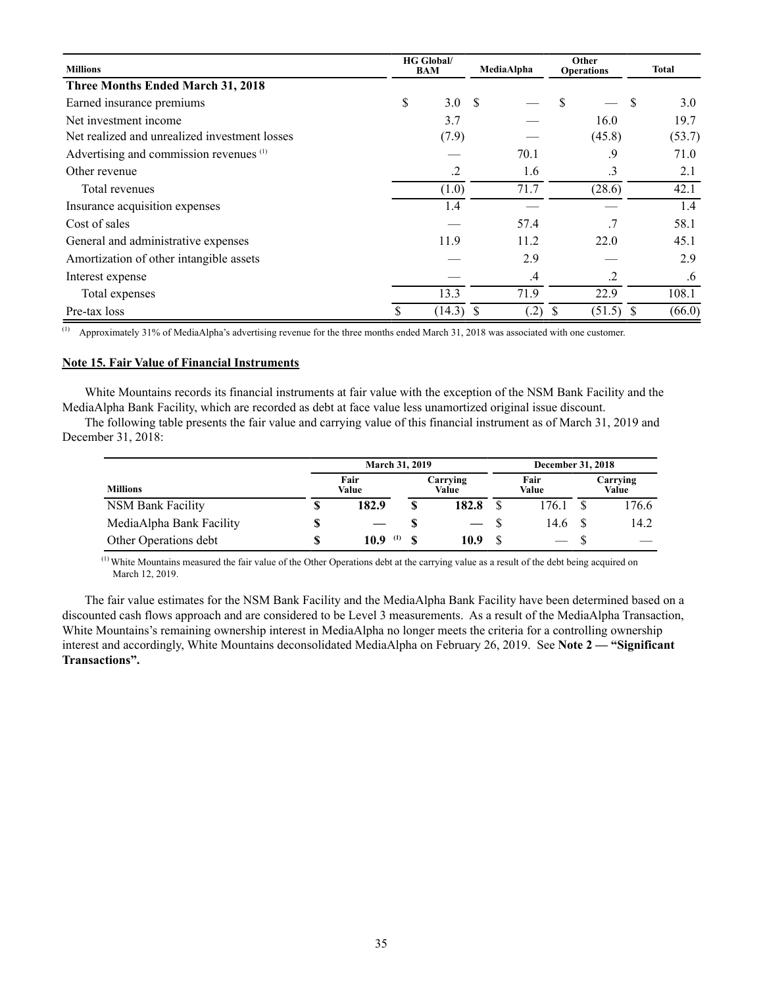| <b>Millions</b>                               | <b>HG Global</b> /<br>BAM |             |      | MediaAlpha         | Other<br><b>Operations</b> |             |   | <b>Total</b> |
|-----------------------------------------------|---------------------------|-------------|------|--------------------|----------------------------|-------------|---|--------------|
| <b>Three Months Ended March 31, 2018</b>      |                           |             |      |                    |                            |             |   |              |
| Earned insurance premiums                     | \$                        | 3.0         | - \$ |                    | S                          |             | S | 3.0          |
| Net investment income                         |                           | 3.7         |      |                    |                            | 16.0        |   | 19.7         |
| Net realized and unrealized investment losses |                           | (7.9)       |      |                    |                            | (45.8)      |   | (53.7)       |
| Advertising and commission revenues (1)       |                           |             |      | 70.1               |                            | .9          |   | 71.0         |
| Other revenue                                 |                           | $\cdot$ .2  |      | 1.6                |                            | $\cdot$ 3   |   | 2.1          |
| Total revenues                                |                           | (1.0)       |      | 71.7               |                            | (28.6)      |   | 42.1         |
| Insurance acquisition expenses                |                           | 1.4         |      |                    |                            |             |   | 1.4          |
| Cost of sales                                 |                           |             |      | 57.4               |                            |             |   | 58.1         |
| General and administrative expenses           |                           | 11.9        |      | 11.2               |                            | 22.0        |   | 45.1         |
| Amortization of other intangible assets       |                           |             |      | 2.9                |                            |             |   | 2.9          |
| Interest expense                              |                           |             |      | $\cdot$ 4          |                            | $\cdot$     |   | .6           |
| Total expenses                                |                           | 13.3        |      | 71.9               |                            | 22.9        |   | 108.1        |
| Pre-tax loss                                  | \$.                       | $(14.3)$ \$ |      | $\left( .2\right)$ | -S                         | $(51.5)$ \$ |   | (66.0)       |

 $^{(1)}$  Approximately 31% of MediaAlpha's advertising revenue for the three months ended March 31, 2018 was associated with one customer.

### **Note 15. Fair Value of Financial Instruments**

White Mountains records its financial instruments at fair value with the exception of the NSM Bank Facility and the MediaAlpha Bank Facility, which are recorded as debt at face value less unamortized original issue discount.

The following table presents the fair value and carrying value of this financial instrument as of March 31, 2019 and December 31, 2018:

|                          | <b>March 31, 2019</b>              |    |       |     |               | December 31, 2018 |                   |  |  |
|--------------------------|------------------------------------|----|-------|-----|---------------|-------------------|-------------------|--|--|
| <b>Millions</b>          | Fair<br>Carrying<br>Value<br>Value |    |       |     | Fair<br>Value |                   | Carrying<br>Value |  |  |
| NSM Bank Facility        | 182.9                              | S  | 182.8 | \$. | 176.1         |                   | 176.6             |  |  |
| MediaAlpha Bank Facility |                                    |    |       |     | 14.6          |                   | 14.2              |  |  |
| Other Operations debt    | 10.9<br>(1)                        | -S | 10.9  |     |               |                   |                   |  |  |

(1) White Mountains measured the fair value of the Other Operations debt at the carrying value as a result of the debt being acquired on March 12, 2019.

The fair value estimates for the NSM Bank Facility and the MediaAlpha Bank Facility have been determined based on a discounted cash flows approach and are considered to be Level 3 measurements. As a result of the MediaAlpha Transaction, White Mountains's remaining ownership interest in MediaAlpha no longer meets the criteria for a controlling ownership interest and accordingly, White Mountains deconsolidated MediaAlpha on February 26, 2019. See **Note 2 — "Significant Transactions".**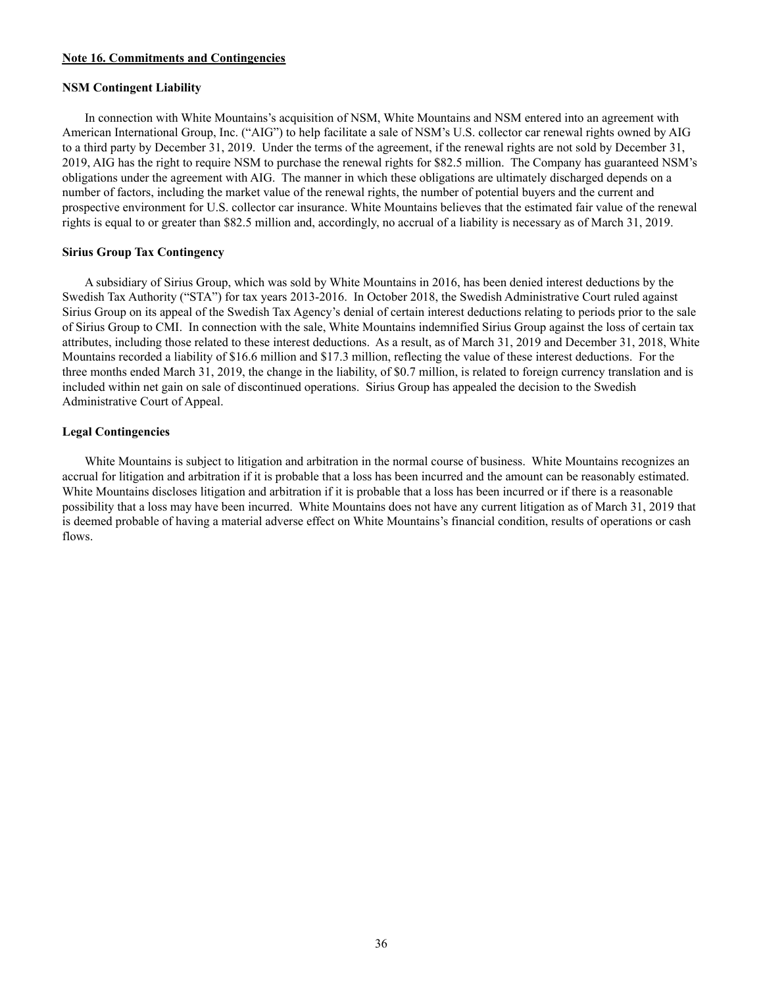# **Note 16. Commitments and Contingencies**

#### **NSM Contingent Liability**

In connection with White Mountains's acquisition of NSM, White Mountains and NSM entered into an agreement with American International Group, Inc. ("AIG") to help facilitate a sale of NSM's U.S. collector car renewal rights owned by AIG to a third party by December 31, 2019. Under the terms of the agreement, if the renewal rights are not sold by December 31, 2019, AIG has the right to require NSM to purchase the renewal rights for \$82.5 million. The Company has guaranteed NSM's obligations under the agreement with AIG. The manner in which these obligations are ultimately discharged depends on a number of factors, including the market value of the renewal rights, the number of potential buyers and the current and prospective environment for U.S. collector car insurance. White Mountains believes that the estimated fair value of the renewal rights is equal to or greater than \$82.5 million and, accordingly, no accrual of a liability is necessary as of March 31, 2019.

#### **Sirius Group Tax Contingency**

A subsidiary of Sirius Group, which was sold by White Mountains in 2016, has been denied interest deductions by the Swedish Tax Authority ("STA") for tax years 2013-2016. In October 2018, the Swedish Administrative Court ruled against Sirius Group on its appeal of the Swedish Tax Agency's denial of certain interest deductions relating to periods prior to the sale of Sirius Group to CMI. In connection with the sale, White Mountains indemnified Sirius Group against the loss of certain tax attributes, including those related to these interest deductions. As a result, as of March 31, 2019 and December 31, 2018, White Mountains recorded a liability of \$16.6 million and \$17.3 million, reflecting the value of these interest deductions. For the three months ended March 31, 2019, the change in the liability, of \$0.7 million, is related to foreign currency translation and is included within net gain on sale of discontinued operations. Sirius Group has appealed the decision to the Swedish Administrative Court of Appeal.

# **Legal Contingencies**

White Mountains is subject to litigation and arbitration in the normal course of business. White Mountains recognizes an accrual for litigation and arbitration if it is probable that a loss has been incurred and the amount can be reasonably estimated. White Mountains discloses litigation and arbitration if it is probable that a loss has been incurred or if there is a reasonable possibility that a loss may have been incurred. White Mountains does not have any current litigation as of March 31, 2019 that is deemed probable of having a material adverse effect on White Mountains's financial condition, results of operations or cash flows.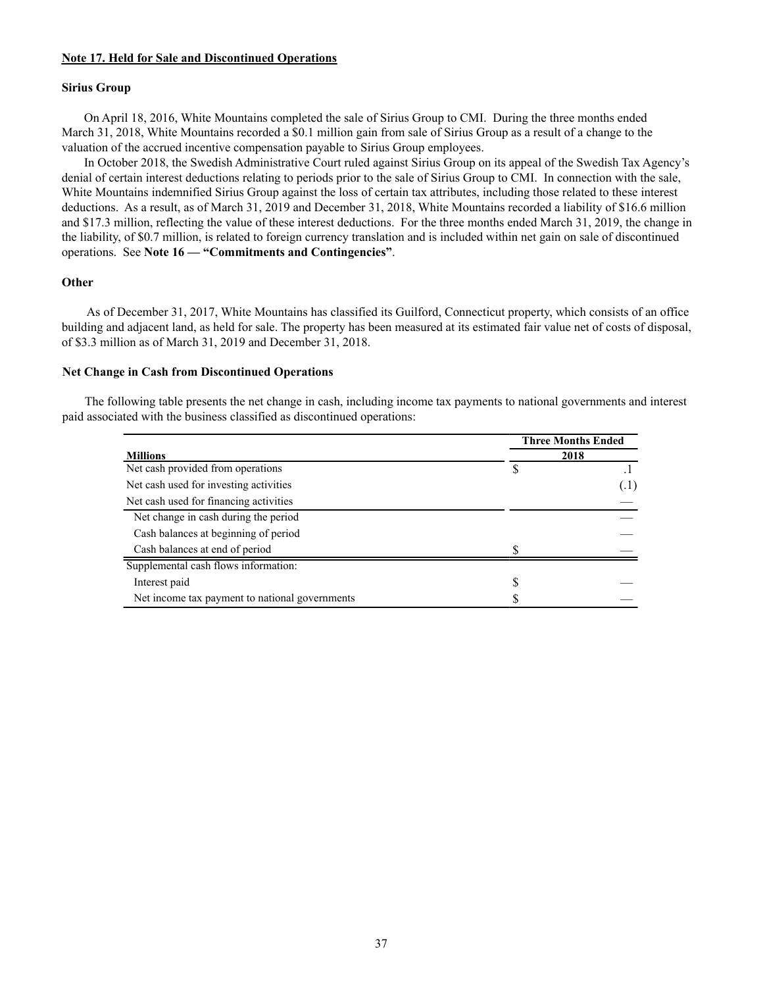# **Note 17. Held for Sale and Discontinued Operations**

### **Sirius Group**

On April 18, 2016, White Mountains completed the sale of Sirius Group to CMI. During the three months ended March 31, 2018, White Mountains recorded a \$0.1 million gain from sale of Sirius Group as a result of a change to the valuation of the accrued incentive compensation payable to Sirius Group employees.

In October 2018, the Swedish Administrative Court ruled against Sirius Group on its appeal of the Swedish Tax Agency's denial of certain interest deductions relating to periods prior to the sale of Sirius Group to CMI. In connection with the sale, White Mountains indemnified Sirius Group against the loss of certain tax attributes, including those related to these interest deductions. As a result, as of March 31, 2019 and December 31, 2018, White Mountains recorded a liability of \$16.6 million and \$17.3 million, reflecting the value of these interest deductions. For the three months ended March 31, 2019, the change in the liability, of \$0.7 million, is related to foreign currency translation and is included within net gain on sale of discontinued operations. See **Note 16 — "Commitments and Contingencies"**.

### **Other**

As of December 31, 2017, White Mountains has classified its Guilford, Connecticut property, which consists of an office building and adjacent land, as held for sale. The property has been measured at its estimated fair value net of costs of disposal, of \$3.3 million as of March 31, 2019 and December 31, 2018.

#### **Net Change in Cash from Discontinued Operations**

The following table presents the net change in cash, including income tax payments to national governments and interest paid associated with the business classified as discontinued operations:

|                                                | <b>Three Months Ended</b> |      |  |  |  |  |
|------------------------------------------------|---------------------------|------|--|--|--|--|
| <b>Millions</b>                                | 2018                      |      |  |  |  |  |
| Net cash provided from operations              |                           |      |  |  |  |  |
| Net cash used for investing activities         |                           | (.1) |  |  |  |  |
| Net cash used for financing activities         |                           |      |  |  |  |  |
| Net change in cash during the period           |                           |      |  |  |  |  |
| Cash balances at beginning of period           |                           |      |  |  |  |  |
| Cash balances at end of period                 |                           |      |  |  |  |  |
| Supplemental cash flows information:           |                           |      |  |  |  |  |
| Interest paid                                  |                           |      |  |  |  |  |
| Net income tax payment to national governments |                           |      |  |  |  |  |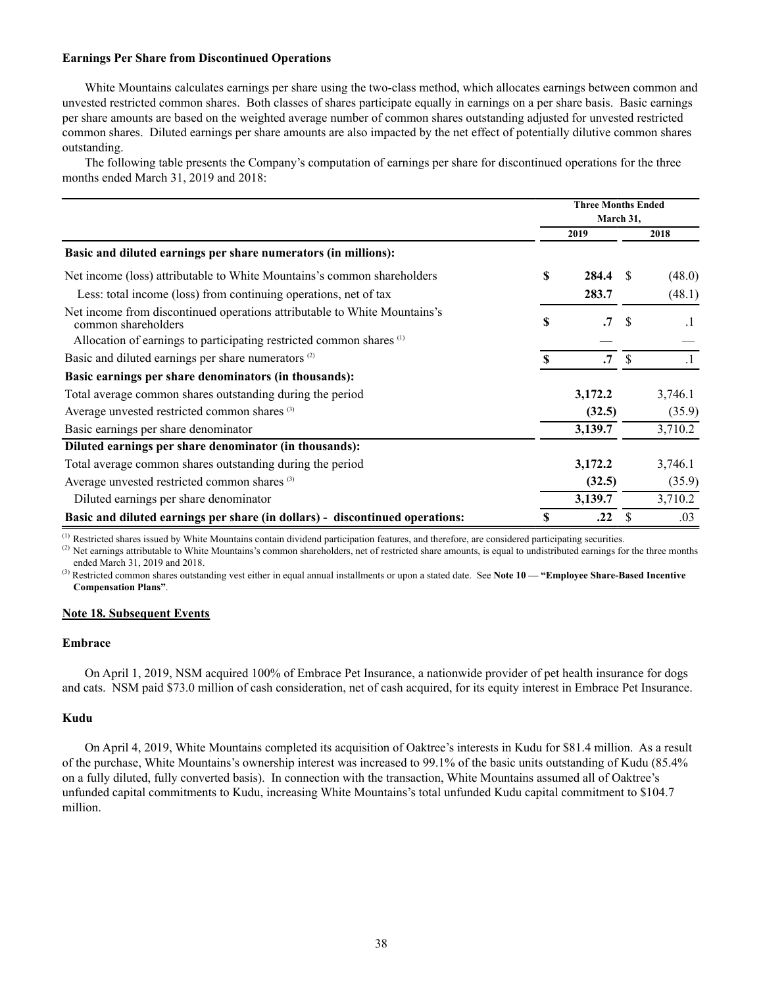### **Earnings Per Share from Discontinued Operations**

White Mountains calculates earnings per share using the two-class method, which allocates earnings between common and unvested restricted common shares. Both classes of shares participate equally in earnings on a per share basis. Basic earnings per share amounts are based on the weighted average number of common shares outstanding adjusted for unvested restricted common shares. Diluted earnings per share amounts are also impacted by the net effect of potentially dilutive common shares outstanding.

The following table presents the Company's computation of earnings per share for discontinued operations for the three months ended March 31, 2019 and 2018:

|                                                                                                  | <b>Three Months Ended</b><br>March 31, |           |               |         |
|--------------------------------------------------------------------------------------------------|----------------------------------------|-----------|---------------|---------|
|                                                                                                  | 2019                                   |           |               | 2018    |
| Basic and diluted earnings per share numerators (in millions):                                   |                                        |           |               |         |
| Net income (loss) attributable to White Mountains's common shareholders                          | \$                                     | 284.4     | -S            | (48.0)  |
| Less: total income (loss) from continuing operations, net of tax                                 |                                        | 283.7     |               | (48.1)  |
| Net income from discontinued operations attributable to White Mountains's<br>common shareholders | S                                      | $\cdot$ 7 | <sup>\$</sup> | $\cdot$ |
| Allocation of earnings to participating restricted common shares <sup>(1)</sup>                  |                                        |           |               |         |
| Basic and diluted earnings per share numerators <sup>(2)</sup>                                   |                                        | $\cdot$ 7 | <sup>\$</sup> |         |
| Basic earnings per share denominators (in thousands):                                            |                                        |           |               |         |
| Total average common shares outstanding during the period                                        |                                        | 3,172.2   |               | 3,746.1 |
| Average unvested restricted common shares <sup>(3)</sup>                                         |                                        | (32.5)    |               | (35.9)  |
| Basic earnings per share denominator                                                             |                                        | 3,139.7   |               | 3,710.2 |
| Diluted earnings per share denominator (in thousands):                                           |                                        |           |               |         |
| Total average common shares outstanding during the period                                        |                                        | 3,172.2   |               | 3,746.1 |
| Average unvested restricted common shares <sup>(3)</sup>                                         |                                        | (32.5)    |               | (35.9)  |
| Diluted earnings per share denominator                                                           |                                        | 3,139.7   |               | 3,710.2 |
| Basic and diluted earnings per share (in dollars) - discontinued operations:                     |                                        | .22       |               | .03     |

<sup>(1)</sup> Restricted shares issued by White Mountains contain dividend participation features, and therefore, are considered participating securities.

<sup>(2)</sup> Net earnings attributable to White Mountains's common shareholders, net of restricted share amounts, is equal to undistributed earnings for the three months ended March 31, 2019 and 2018.

(3) Restricted common shares outstanding vest either in equal annual installments or upon a stated date. See **Note 10 — "Employee Share-Based Incentive Compensation Plans"**.

### **Note 18. Subsequent Events**

#### **Embrace**

On April 1, 2019, NSM acquired 100% of Embrace Pet Insurance, a nationwide provider of pet health insurance for dogs and cats. NSM paid \$73.0 million of cash consideration, net of cash acquired, for its equity interest in Embrace Pet Insurance.

### **Kudu**

On April 4, 2019, White Mountains completed its acquisition of Oaktree's interests in Kudu for \$81.4 million. As a result of the purchase, White Mountains's ownership interest was increased to 99.1% of the basic units outstanding of Kudu (85.4% on a fully diluted, fully converted basis). In connection with the transaction, White Mountains assumed all of Oaktree's unfunded capital commitments to Kudu, increasing White Mountains's total unfunded Kudu capital commitment to \$104.7 million.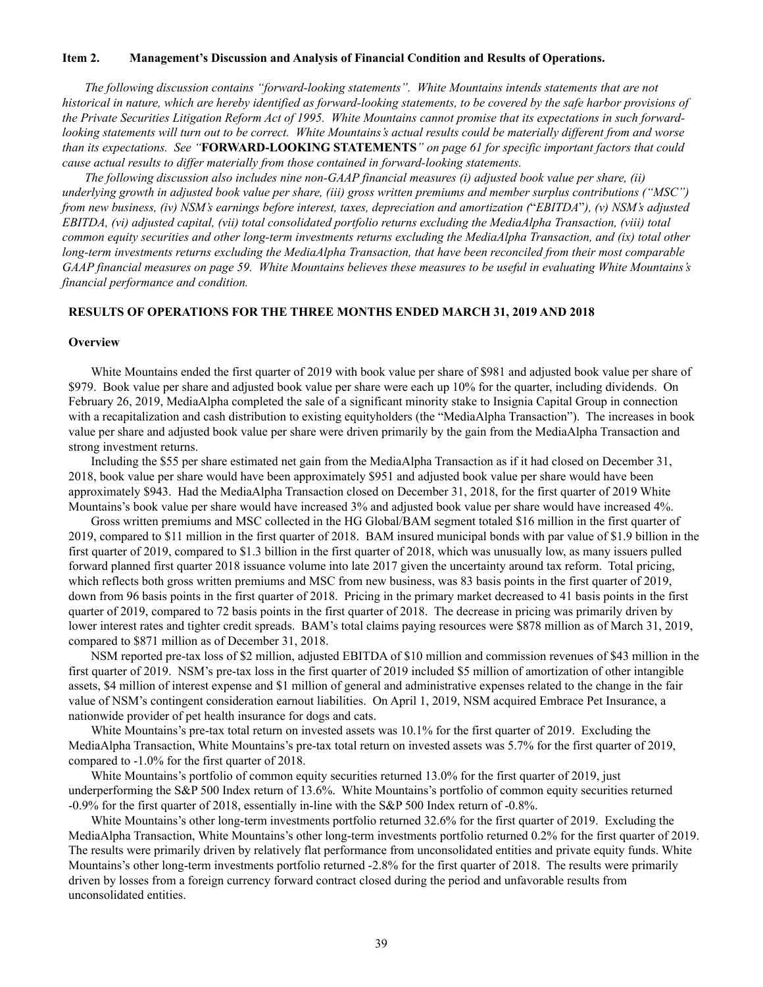#### <span id="page-40-0"></span>**Item 2. Management's Discussion and Analysis of Financial Condition and Results of Operations.**

*The following discussion contains "forward-looking statements". White Mountains intends statements that are not historical in nature, which are hereby identified as forward-looking statements, to be covered by the safe harbor provisions of the Private Securities Litigation Reform Act of 1995. White Mountains cannot promise that its expectations in such forwardlooking statements will turn out to be correct. White Mountains's actual results could be materially different from and worse than its expectations. See "***FORWARD-LOOKING STATEMENTS***" on page 61 for specific important factors that could cause actual results to differ materially from those contained in forward-looking statements.*

*The following discussion also includes nine non-GAAP financial measures (i) adjusted book value per share, (ii) underlying growth in adjusted book value per share, (iii) gross written premiums and member surplus contributions ("MSC") from new business, (iv) NSM's earnings before interest, taxes, depreciation and amortization (*"*EBITDA*"*), (v) NSM's adjusted EBITDA, (vi) adjusted capital, (vii) total consolidated portfolio returns excluding the MediaAlpha Transaction, (viii) total common equity securities and other long-term investments returns excluding the MediaAlpha Transaction, and (ix) total other long-term investments returns excluding the MediaAlpha Transaction, that have been reconciled from their most comparable GAAP financial measures on page 59. White Mountains believes these measures to be useful in evaluating White Mountains's financial performance and condition.*

#### <span id="page-40-1"></span>**RESULTS OF OPERATIONS FOR THE THREE MONTHS ENDED MARCH 31, 2019 AND 2018**

#### **Overview**

White Mountains ended the first quarter of 2019 with book value per share of \$981 and adjusted book value per share of \$979. Book value per share and adjusted book value per share were each up 10% for the quarter, including dividends. On February 26, 2019, MediaAlpha completed the sale of a significant minority stake to Insignia Capital Group in connection with a recapitalization and cash distribution to existing equityholders (the "MediaAlpha Transaction"). The increases in book value per share and adjusted book value per share were driven primarily by the gain from the MediaAlpha Transaction and strong investment returns.

Including the \$55 per share estimated net gain from the MediaAlpha Transaction as if it had closed on December 31, 2018, book value per share would have been approximately \$951 and adjusted book value per share would have been approximately \$943. Had the MediaAlpha Transaction closed on December 31, 2018, for the first quarter of 2019 White Mountains's book value per share would have increased 3% and adjusted book value per share would have increased 4%.

Gross written premiums and MSC collected in the HG Global/BAM segment totaled \$16 million in the first quarter of 2019, compared to \$11 million in the first quarter of 2018. BAM insured municipal bonds with par value of \$1.9 billion in the first quarter of 2019, compared to \$1.3 billion in the first quarter of 2018, which was unusually low, as many issuers pulled forward planned first quarter 2018 issuance volume into late 2017 given the uncertainty around tax reform. Total pricing, which reflects both gross written premiums and MSC from new business, was 83 basis points in the first quarter of 2019, down from 96 basis points in the first quarter of 2018. Pricing in the primary market decreased to 41 basis points in the first quarter of 2019, compared to 72 basis points in the first quarter of 2018. The decrease in pricing was primarily driven by lower interest rates and tighter credit spreads. BAM's total claims paying resources were \$878 million as of March 31, 2019, compared to \$871 million as of December 31, 2018.

NSM reported pre-tax loss of \$2 million, adjusted EBITDA of \$10 million and commission revenues of \$43 million in the first quarter of 2019. NSM's pre-tax loss in the first quarter of 2019 included \$5 million of amortization of other intangible assets, \$4 million of interest expense and \$1 million of general and administrative expenses related to the change in the fair value of NSM's contingent consideration earnout liabilities. On April 1, 2019, NSM acquired Embrace Pet Insurance, a nationwide provider of pet health insurance for dogs and cats.

White Mountains's pre-tax total return on invested assets was 10.1% for the first quarter of 2019. Excluding the MediaAlpha Transaction, White Mountains's pre-tax total return on invested assets was 5.7% for the first quarter of 2019, compared to -1.0% for the first quarter of 2018.

White Mountains's portfolio of common equity securities returned 13.0% for the first quarter of 2019, just underperforming the S&P 500 Index return of 13.6%. White Mountains's portfolio of common equity securities returned -0.9% for the first quarter of 2018, essentially in-line with the S&P 500 Index return of -0.8%.

White Mountains's other long-term investments portfolio returned 32.6% for the first quarter of 2019. Excluding the MediaAlpha Transaction, White Mountains's other long-term investments portfolio returned 0.2% for the first quarter of 2019. The results were primarily driven by relatively flat performance from unconsolidated entities and private equity funds. White Mountains's other long-term investments portfolio returned -2.8% for the first quarter of 2018. The results were primarily driven by losses from a foreign currency forward contract closed during the period and unfavorable results from unconsolidated entities.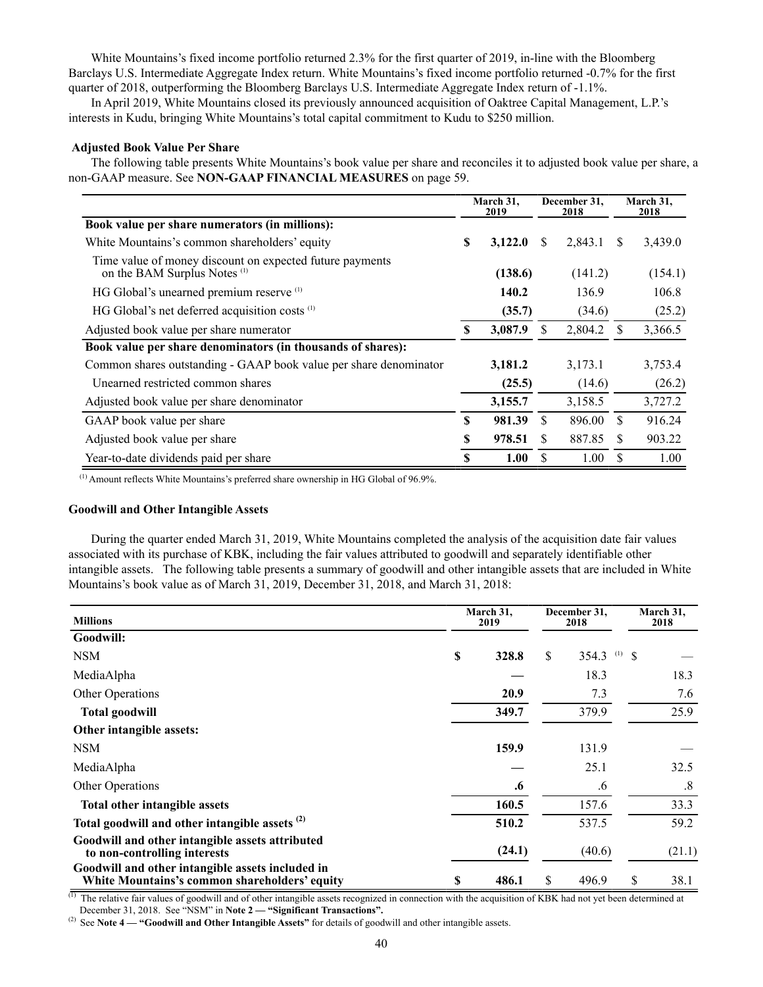White Mountains's fixed income portfolio returned 2.3% for the first quarter of 2019, in-line with the Bloomberg Barclays U.S. Intermediate Aggregate Index return. White Mountains's fixed income portfolio returned -0.7% for the first quarter of 2018, outperforming the Bloomberg Barclays U.S. Intermediate Aggregate Index return of -1.1%.

In April 2019, White Mountains closed its previously announced acquisition of Oaktree Capital Management, L.P.'s interests in Kudu, bringing White Mountains's total capital commitment to Kudu to \$250 million.

### **Adjusted Book Value Per Share**

The following table presents White Mountains's book value per share and reconciles it to adjusted book value per share, a non-GAAP measure. See **NON-GAAP FINANCIAL MEASURES** on page 59.

|                                                                                                     | March 31,<br>2019 |         | December 31,<br>2018 |         | March 31,<br>2018 |         |
|-----------------------------------------------------------------------------------------------------|-------------------|---------|----------------------|---------|-------------------|---------|
| Book value per share numerators (in millions):                                                      |                   |         |                      |         |                   |         |
| White Mountains's common shareholders' equity                                                       | \$                | 3,122.0 | S                    | 2,843.1 | <sup>S</sup>      | 3,439.0 |
| Time value of money discount on expected future payments<br>on the BAM Surplus Notes <sup>(1)</sup> |                   | (138.6) |                      | (141.2) |                   | (154.1) |
| HG Global's unearned premium reserve (1)                                                            |                   | 140.2   |                      | 136.9   |                   | 106.8   |
| HG Global's net deferred acquisition costs <sup>(1)</sup>                                           |                   | (35.7)  |                      | (34.6)  |                   | (25.2)  |
| Adjusted book value per share numerator                                                             | \$                | 3,087.9 | S                    | 2,804.2 |                   | 3,366.5 |
| Book value per share denominators (in thousands of shares):                                         |                   |         |                      |         |                   |         |
| Common shares outstanding - GAAP book value per share denominator                                   |                   | 3,181.2 |                      | 3,173.1 |                   | 3,753.4 |
| Unearned restricted common shares                                                                   |                   | (25.5)  |                      | (14.6)  |                   | (26.2)  |
| Adjusted book value per share denominator                                                           |                   | 3,155.7 |                      | 3,158.5 |                   | 3,727.2 |
| GAAP book value per share                                                                           | \$                | 981.39  | S                    | 896.00  | S.                | 916.24  |
| Adjusted book value per share                                                                       | S                 | 978.51  |                      | 887.85  | S                 | 903.22  |
| Year-to-date dividends paid per share                                                               | S                 | 1.00    |                      | 1.00    | S                 | 1.00    |

(1) Amount reflects White Mountains's preferred share ownership in HG Global of 96.9%.

#### **Goodwill and Other Intangible Assets**

During the quarter ended March 31, 2019, White Mountains completed the analysis of the acquisition date fair values associated with its purchase of KBK, including the fair values attributed to goodwill and separately identifiable other intangible assets. The following table presents a summary of goodwill and other intangible assets that are included in White Mountains's book value as of March 31, 2019, December 31, 2018, and March 31, 2018:

| <b>Millions</b>                                                                                   |    | March 31,<br>2019 |               | December 31,<br>2018 | March 31,<br>2018    |                   |
|---------------------------------------------------------------------------------------------------|----|-------------------|---------------|----------------------|----------------------|-------------------|
| Goodwill:                                                                                         |    |                   |               |                      |                      |                   |
| NSM                                                                                               | \$ | 328.8             | <sup>\$</sup> | 354.3                | (1)<br><sup>\$</sup> |                   |
| MediaAlpha                                                                                        |    |                   |               | 18.3                 |                      | 18.3              |
| Other Operations                                                                                  |    | 20.9              |               | 7.3                  |                      | 7.6               |
| <b>Total goodwill</b>                                                                             |    | 349.7             |               | 379.9                |                      | 25.9              |
| Other intangible assets:                                                                          |    |                   |               |                      |                      |                   |
| <b>NSM</b>                                                                                        |    | 159.9             |               | 131.9                |                      |                   |
| MediaAlpha                                                                                        |    |                   |               | 25.1                 |                      | 32.5              |
| Other Operations                                                                                  |    | .6                |               | .6                   |                      | $\boldsymbol{.8}$ |
| Total other intangible assets                                                                     |    | 160.5             |               | 157.6                |                      | 33.3              |
| Total goodwill and other intangible assets <sup>(2)</sup>                                         |    | 510.2             |               | 537.5                |                      | 59.2              |
| Goodwill and other intangible assets attributed<br>to non-controlling interests                   |    | (24.1)            |               | (40.6)               |                      | (21.1)            |
| Goodwill and other intangible assets included in<br>White Mountains's common shareholders' equity | S  | 486.1             | \$.           | 496.9                | \$                   | 38.1              |

 $^{(1)}$  The relative fair values of goodwill and of other intangible assets recognized in connection with the acquisition of KBK had not yet been determined at December 31, 2018. See "NSM" in **Note 2 — "Significant Transactions".**

(2) See **Note 4 — "Goodwill and Other Intangible Assets"** for details of goodwill and other intangible assets.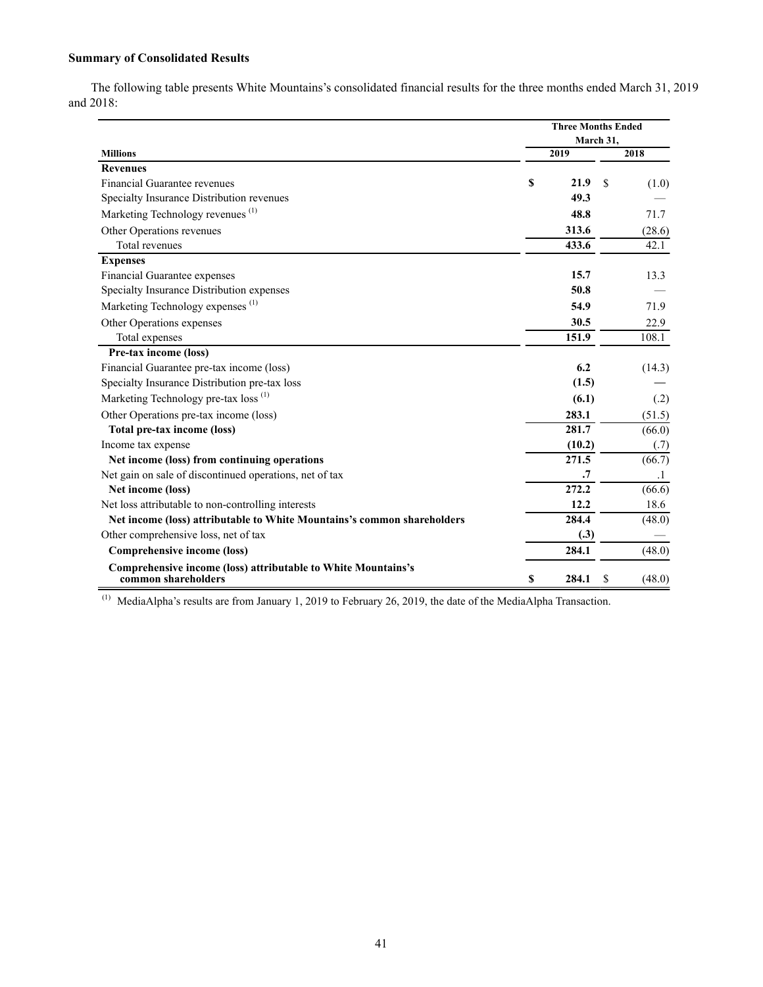# **Summary of Consolidated Results**

The following table presents White Mountains's consolidated financial results for the three months ended March 31, 2019 and 2018:

|                                                                                      | <b>Three Months Ended</b> |           |    |           |  |  |  |  |
|--------------------------------------------------------------------------------------|---------------------------|-----------|----|-----------|--|--|--|--|
|                                                                                      | March 31,                 |           |    |           |  |  |  |  |
| <b>Millions</b>                                                                      |                           | 2019      |    | 2018      |  |  |  |  |
| <b>Revenues</b>                                                                      |                           |           |    |           |  |  |  |  |
| Financial Guarantee revenues                                                         | \$                        | 21.9      | \$ | (1.0)     |  |  |  |  |
| Specialty Insurance Distribution revenues                                            |                           | 49.3      |    |           |  |  |  |  |
| Marketing Technology revenues <sup>(1)</sup>                                         |                           | 48.8      |    | 71.7      |  |  |  |  |
| Other Operations revenues                                                            |                           | 313.6     |    | (28.6)    |  |  |  |  |
| <b>Total revenues</b>                                                                |                           | 433.6     |    | 42.1      |  |  |  |  |
| <b>Expenses</b>                                                                      |                           |           |    |           |  |  |  |  |
| Financial Guarantee expenses                                                         |                           | 15.7      |    | 13.3      |  |  |  |  |
| Specialty Insurance Distribution expenses                                            |                           | 50.8      |    |           |  |  |  |  |
| Marketing Technology expenses <sup>(1)</sup>                                         |                           | 54.9      |    | 71.9      |  |  |  |  |
| Other Operations expenses                                                            |                           | 30.5      |    | 22.9      |  |  |  |  |
| Total expenses                                                                       |                           | 151.9     |    | 108.1     |  |  |  |  |
| Pre-tax income (loss)                                                                |                           |           |    |           |  |  |  |  |
| Financial Guarantee pre-tax income (loss)                                            |                           | 6.2       |    | (14.3)    |  |  |  |  |
| Specialty Insurance Distribution pre-tax loss                                        |                           | (1.5)     |    |           |  |  |  |  |
| Marketing Technology pre-tax loss <sup>(1)</sup>                                     |                           | (6.1)     |    | (.2)      |  |  |  |  |
| Other Operations pre-tax income (loss)                                               |                           | 283.1     |    | (51.5)    |  |  |  |  |
| Total pre-tax income (loss)                                                          |                           | 281.7     |    | (66.0)    |  |  |  |  |
| Income tax expense                                                                   |                           | (10.2)    |    | (.7)      |  |  |  |  |
| Net income (loss) from continuing operations                                         |                           | 271.5     |    | (66.7)    |  |  |  |  |
| Net gain on sale of discontinued operations, net of tax                              |                           | $\cdot$ 7 |    | $\cdot$ 1 |  |  |  |  |
| Net income (loss)                                                                    |                           | 272.2     |    | (66.6)    |  |  |  |  |
| Net loss attributable to non-controlling interests                                   |                           | 12.2      |    | 18.6      |  |  |  |  |
| Net income (loss) attributable to White Mountains's common shareholders              |                           | 284.4     |    | (48.0)    |  |  |  |  |
| Other comprehensive loss, net of tax                                                 |                           | (.3)      |    |           |  |  |  |  |
| Comprehensive income (loss)                                                          |                           | 284.1     |    | (48.0)    |  |  |  |  |
| Comprehensive income (loss) attributable to White Mountains's<br>common shareholders | S                         | 284.1     | \$ | (48.0)    |  |  |  |  |

(1) MediaAlpha's results are from January 1, 2019 to February 26, 2019, the date of the MediaAlpha Transaction.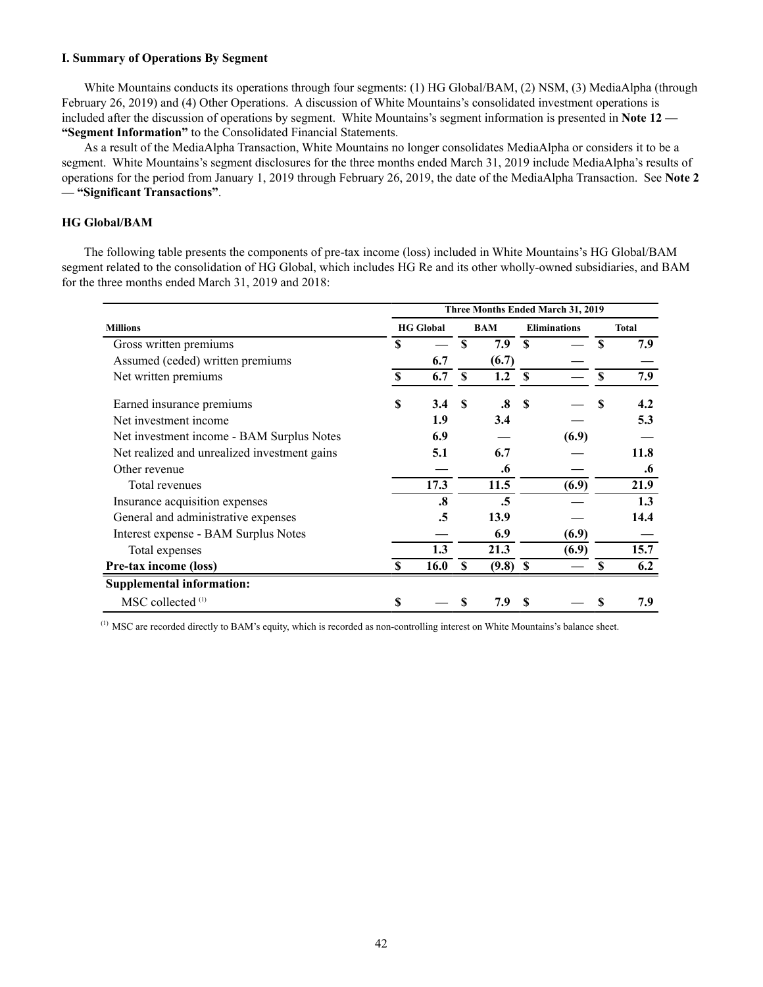# **I. Summary of Operations By Segment**

White Mountains conducts its operations through four segments: (1) HG Global/BAM, (2) NSM, (3) MediaAlpha (through February 26, 2019) and (4) Other Operations. A discussion of White Mountains's consolidated investment operations is included after the discussion of operations by segment. White Mountains's segment information is presented in **Note 12 — "Segment Information"** to the Consolidated Financial Statements.

As a result of the MediaAlpha Transaction, White Mountains no longer consolidates MediaAlpha or considers it to be a segment. White Mountains's segment disclosures for the three months ended March 31, 2019 include MediaAlpha's results of operations for the period from January 1, 2019 through February 26, 2019, the date of the MediaAlpha Transaction. See **Note 2 — "Significant Transactions"**.

# **HG Global/BAM**

The following table presents the components of pre-tax income (loss) included in White Mountains's HG Global/BAM segment related to the consolidation of HG Global, which includes HG Re and its other wholly-owned subsidiaries, and BAM for the three months ended March 31, 2019 and 2018:

|                                              | Three Months Ended March 31, 2019 |                   |          |                   |          |                     |          |           |
|----------------------------------------------|-----------------------------------|-------------------|----------|-------------------|----------|---------------------|----------|-----------|
| <b>Millions</b>                              | <b>HG</b> Global                  |                   |          | <b>BAM</b>        |          | <b>Eliminations</b> |          | Total     |
| Gross written premiums                       | S                                 |                   | \$       | 7.9               | <b>S</b> |                     | \$       | 7.9       |
| Assumed (ceded) written premiums             |                                   | 6.7               |          | (6.7)             |          |                     |          |           |
| Net written premiums                         | S                                 | 6.7               | S        | 1.2               | -S       |                     | <b>S</b> | 7.9       |
| Earned insurance premiums                    | S                                 | 3.4               | <b>S</b> | $\boldsymbol{.8}$ | -S       |                     | S        | 4.2       |
| Net investment income                        |                                   | 1.9               |          | 3.4               |          |                     |          | 5.3       |
| Net investment income - BAM Surplus Notes    |                                   | 6.9               |          |                   |          | (6.9)               |          |           |
| Net realized and unrealized investment gains |                                   | 5.1               |          | 6.7               |          |                     |          | 11.8      |
| Other revenue                                |                                   |                   |          | $\cdot$ 6         |          |                     |          | $\cdot$ 6 |
| Total revenues                               |                                   | 17.3              |          | 11.5              |          | (6.9)               |          | 21.9      |
| Insurance acquisition expenses               |                                   | $\boldsymbol{.8}$ |          | .5                |          |                     |          | 1.3       |
| General and administrative expenses          |                                   | .5                |          | 13.9              |          |                     |          | 14.4      |
| Interest expense - BAM Surplus Notes         |                                   |                   |          | 6.9               |          | (6.9)               |          |           |
| Total expenses                               |                                   | 1.3               |          | 21.3              |          | (6.9)               |          | 15.7      |
| Pre-tax income (loss)                        | S                                 | <b>16.0</b>       | S        | $(9.8)$ \$        |          |                     | \$       | 6.2       |
| <b>Supplemental information:</b>             |                                   |                   |          |                   |          |                     |          |           |
| MSC collected <sup>(1)</sup>                 | S                                 |                   | \$       | 7.9               |          |                     |          | 7.9       |

(1) MSC are recorded directly to BAM's equity, which is recorded as non-controlling interest on White Mountains's balance sheet.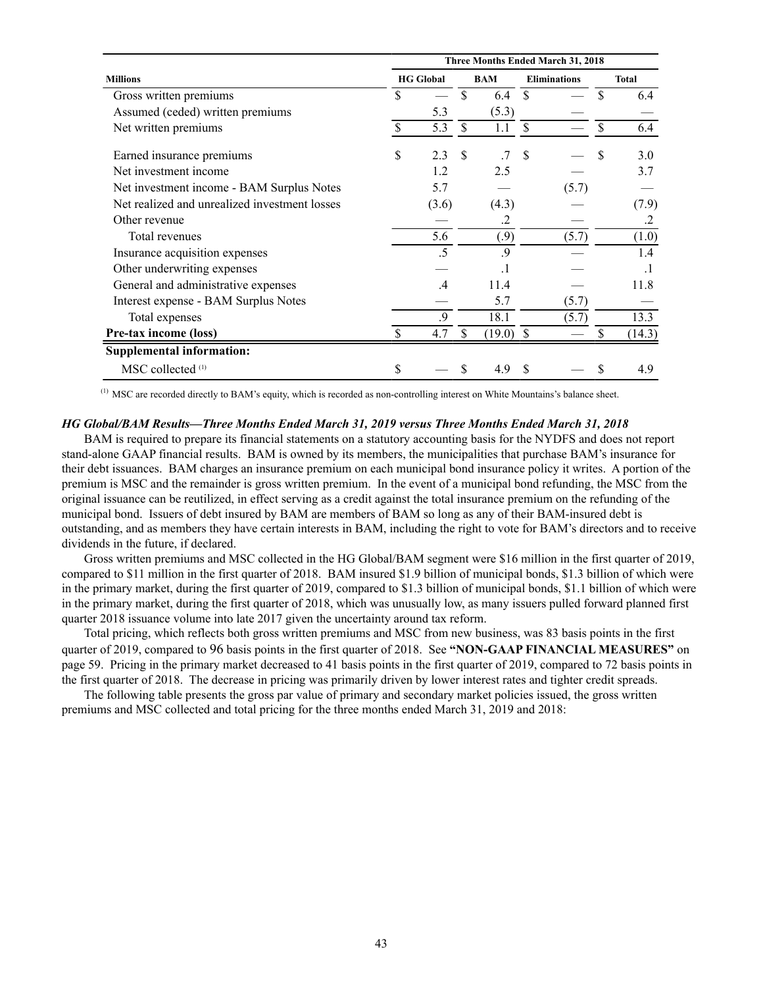|                                               | Three Months Ended March 31, 2018 |                |               |        |                     |       |    |              |
|-----------------------------------------------|-----------------------------------|----------------|---------------|--------|---------------------|-------|----|--------------|
| <b>Millions</b>                               | <b>HG</b> Global                  |                | <b>BAM</b>    |        | <b>Eliminations</b> |       |    | <b>Total</b> |
| Gross written premiums                        | \$                                |                | $\mathbf S$   | 6.4    | \$                  |       | \$ | 6.4          |
| Assumed (ceded) written premiums              |                                   | 5.3            |               | (5.3)  |                     |       |    |              |
| Net written premiums                          | $\mathcal{S}$                     | 5.3            | <sup>\$</sup> | 1.1    | <sup>\$</sup>       |       | \$ | 6.4          |
| Earned insurance premiums                     | \$                                | 2.3            | \$            | 7      | \$                  |       | \$ | 3.0          |
| Net investment income                         |                                   | 1.2            |               | 2.5    |                     |       |    | 3.7          |
| Net investment income - BAM Surplus Notes     |                                   | 5.7            |               |        |                     | (5.7) |    |              |
| Net realized and unrealized investment losses |                                   | (3.6)          |               | (4.3)  |                     |       |    | (7.9)        |
| Other revenue                                 |                                   |                |               | .2     |                     |       |    | .2           |
| Total revenues                                |                                   | 5.6            |               | (0.9)  |                     | (5.7) |    | (1.0)        |
| Insurance acquisition expenses                |                                   | .5             |               | 9.     |                     |       |    | 1.4          |
| Other underwriting expenses                   |                                   |                |               | .1     |                     |       |    | $\cdot$ 1    |
| General and administrative expenses           |                                   | $\mathcal{A}$  |               | 11.4   |                     |       |    | 11.8         |
| Interest expense - BAM Surplus Notes          |                                   |                |               | 5.7    |                     | (5.7) |    |              |
| Total expenses                                |                                   | $\overline{9}$ |               | 18.1   |                     | (5.7) |    | 13.3         |
| Pre-tax income (loss)                         |                                   | 4.7            |               | (19.0) | S                   |       |    | (14.3)       |
| <b>Supplemental information:</b>              |                                   |                |               |        |                     |       |    |              |
| $MSC$ collected $(1)$                         | \$                                |                | \$            | 4.9    | S                   |       | \$ | 4.9          |

(1) MSC are recorded directly to BAM's equity, which is recorded as non-controlling interest on White Mountains's balance sheet.

#### *HG Global/BAM Results—Three Months Ended March 31, 2019 versus Three Months Ended March 31, 2018*

BAM is required to prepare its financial statements on a statutory accounting basis for the NYDFS and does not report stand-alone GAAP financial results. BAM is owned by its members, the municipalities that purchase BAM's insurance for their debt issuances. BAM charges an insurance premium on each municipal bond insurance policy it writes. A portion of the premium is MSC and the remainder is gross written premium. In the event of a municipal bond refunding, the MSC from the original issuance can be reutilized, in effect serving as a credit against the total insurance premium on the refunding of the municipal bond. Issuers of debt insured by BAM are members of BAM so long as any of their BAM-insured debt is outstanding, and as members they have certain interests in BAM, including the right to vote for BAM's directors and to receive dividends in the future, if declared.

Gross written premiums and MSC collected in the HG Global/BAM segment were \$16 million in the first quarter of 2019, compared to \$11 million in the first quarter of 2018. BAM insured \$1.9 billion of municipal bonds, \$1.3 billion of which were in the primary market, during the first quarter of 2019, compared to \$1.3 billion of municipal bonds, \$1.1 billion of which were in the primary market, during the first quarter of 2018, which was unusually low, as many issuers pulled forward planned first quarter 2018 issuance volume into late 2017 given the uncertainty around tax reform.

Total pricing, which reflects both gross written premiums and MSC from new business, was 83 basis points in the first quarter of 2019, compared to 96 basis points in the first quarter of 2018. See **"NON-GAAP FINANCIAL MEASURES"** on page 59. Pricing in the primary market decreased to 41 basis points in the first quarter of 2019, compared to 72 basis points in the first quarter of 2018. The decrease in pricing was primarily driven by lower interest rates and tighter credit spreads.

The following table presents the gross par value of primary and secondary market policies issued, the gross written premiums and MSC collected and total pricing for the three months ended March 31, 2019 and 2018: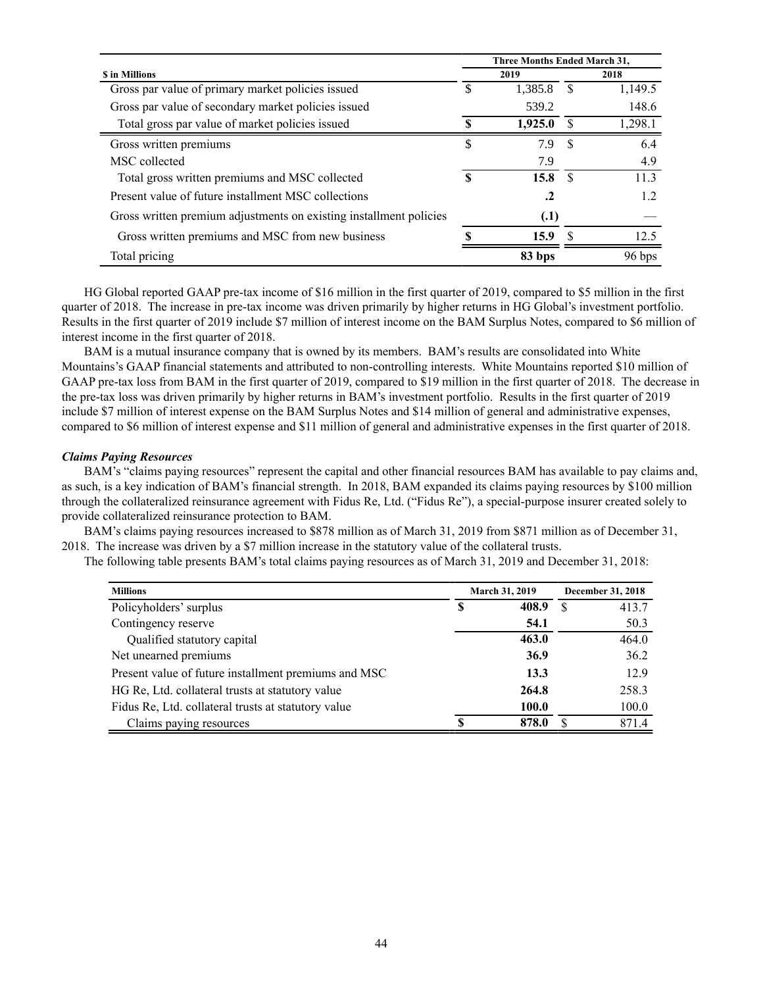|                                                                    | <b>Three Months Ended March 31,</b> |         |      |          |  |  |  |  |
|--------------------------------------------------------------------|-------------------------------------|---------|------|----------|--|--|--|--|
| <b>S</b> in Millions                                               |                                     | 2019    | 2018 |          |  |  |  |  |
| Gross par value of primary market policies issued                  |                                     | 1,385.8 |      | 1,149.5  |  |  |  |  |
| Gross par value of secondary market policies issued                |                                     | 539.2   |      | 148.6    |  |  |  |  |
| Total gross par value of market policies issued                    |                                     | 1.925.0 |      | 1,298.1  |  |  |  |  |
| Gross written premiums                                             |                                     | 7.9     | -8   | 6.4      |  |  |  |  |
| MSC collected                                                      |                                     | 7.9     |      | 4.9      |  |  |  |  |
| Total gross written premiums and MSC collected                     |                                     | 15.8    | - \$ | 11.3     |  |  |  |  |
| Present value of future installment MSC collections                |                                     | .2      |      | 1.2      |  |  |  |  |
| Gross written premium adjustments on existing installment policies |                                     | (.1)    |      |          |  |  |  |  |
| Gross written premiums and MSC from new business                   |                                     | 15.9    |      | 12.5     |  |  |  |  |
| Total pricing                                                      |                                     | 83 bps  |      | $96$ bps |  |  |  |  |

HG Global reported GAAP pre-tax income of \$16 million in the first quarter of 2019, compared to \$5 million in the first quarter of 2018. The increase in pre-tax income was driven primarily by higher returns in HG Global's investment portfolio. Results in the first quarter of 2019 include \$7 million of interest income on the BAM Surplus Notes, compared to \$6 million of interest income in the first quarter of 2018.

BAM is a mutual insurance company that is owned by its members. BAM's results are consolidated into White Mountains's GAAP financial statements and attributed to non-controlling interests. White Mountains reported \$10 million of GAAP pre-tax loss from BAM in the first quarter of 2019, compared to \$19 million in the first quarter of 2018. The decrease in the pre-tax loss was driven primarily by higher returns in BAM's investment portfolio. Results in the first quarter of 2019 include \$7 million of interest expense on the BAM Surplus Notes and \$14 million of general and administrative expenses, compared to \$6 million of interest expense and \$11 million of general and administrative expenses in the first quarter of 2018.

# *Claims Paying Resources*

BAM's "claims paying resources" represent the capital and other financial resources BAM has available to pay claims and, as such, is a key indication of BAM's financial strength. In 2018, BAM expanded its claims paying resources by \$100 million through the collateralized reinsurance agreement with Fidus Re, Ltd. ("Fidus Re"), a special-purpose insurer created solely to provide collateralized reinsurance protection to BAM.

BAM's claims paying resources increased to \$878 million as of March 31, 2019 from \$871 million as of December 31, 2018. The increase was driven by a \$7 million increase in the statutory value of the collateral trusts.

The following table presents BAM's total claims paying resources as of March 31, 2019 and December 31, 2018:

| <b>Millions</b>                                      | March 31, 2019 |       | December 31, 2018 |  |  |
|------------------------------------------------------|----------------|-------|-------------------|--|--|
| Policyholders' surplus                               | \$             | 408.9 | 413.7             |  |  |
| Contingency reserve                                  |                | 54.1  | 50.3              |  |  |
| Qualified statutory capital                          |                | 463.0 | 464.0             |  |  |
| Net unearned premiums                                |                | 36.9  | 36.2              |  |  |
| Present value of future installment premiums and MSC |                | 13.3  | 12.9              |  |  |
| HG Re, Ltd. collateral trusts at statutory value     |                | 264.8 | 258.3             |  |  |
| Fidus Re, Ltd. collateral trusts at statutory value  |                | 100.0 | 100.0             |  |  |
| Claims paying resources                              | \$.            | 878.0 | 871.4             |  |  |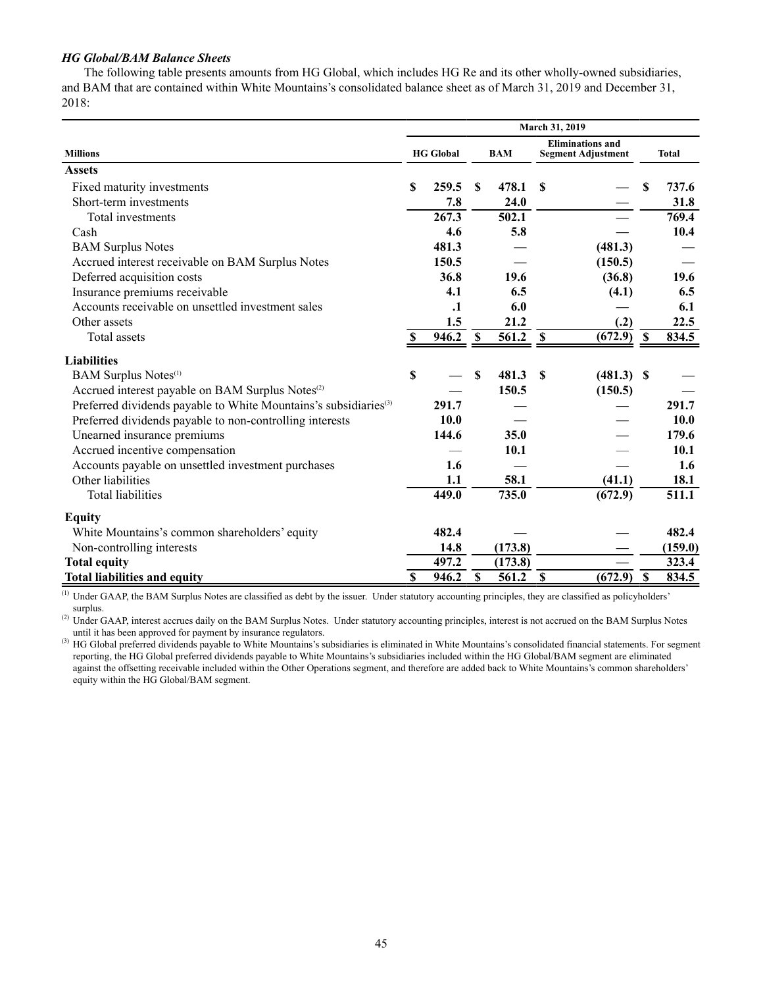# *HG Global/BAM Balance Sheets*

The following table presents amounts from HG Global, which includes HG Re and its other wholly-owned subsidiaries, and BAM that are contained within White Mountains's consolidated balance sheet as of March 31, 2019 and December 31, 2018:

|                                                                              | March 31, 2019                 |             |                         |                                                      |             |              |                           |         |
|------------------------------------------------------------------------------|--------------------------------|-------------|-------------------------|------------------------------------------------------|-------------|--------------|---------------------------|---------|
| <b>Millions</b>                                                              | <b>HG</b> Global<br><b>BAM</b> |             |                         | <b>Eliminations</b> and<br><b>Segment Adjustment</b> |             |              | <b>Total</b>              |         |
| <b>Assets</b>                                                                |                                |             |                         |                                                      |             |              |                           |         |
| Fixed maturity investments                                                   | S                              | 259.5       | S                       | 478.1                                                | S           |              | S                         | 737.6   |
| Short-term investments                                                       |                                | 7.8         |                         | 24.0                                                 |             |              |                           | 31.8    |
| Total investments                                                            |                                | 267.3       |                         | 502.1                                                |             |              |                           | 769.4   |
| Cash                                                                         |                                | 4.6         |                         | 5.8                                                  |             |              |                           | 10.4    |
| <b>BAM Surplus Notes</b>                                                     |                                | 481.3       |                         |                                                      |             | (481.3)      |                           |         |
| Accrued interest receivable on BAM Surplus Notes                             |                                | 150.5       |                         |                                                      |             | (150.5)      |                           |         |
| Deferred acquisition costs                                                   |                                | 36.8        |                         | 19.6                                                 |             | (36.8)       |                           | 19.6    |
| Insurance premiums receivable                                                |                                | 4.1         |                         | 6.5                                                  |             | (4.1)        |                           | 6.5     |
| Accounts receivable on unsettled investment sales                            |                                | $\cdot$     |                         | 6.0                                                  |             |              |                           | 6.1     |
| Other assets                                                                 |                                | 1.5         |                         | 21.2                                                 |             | (.2)         |                           | 22.5    |
| Total assets                                                                 | S                              | 946.2       | $\mathbf S$             | 561.2 \$                                             |             | (672.9)      | $\mathbf s$               | 834.5   |
| <b>Liabilities</b>                                                           |                                |             |                         |                                                      |             |              |                           |         |
| <b>BAM Surplus Notes</b> <sup>(1)</sup>                                      | \$                             |             | S                       | 481.3                                                | S           | $(481.3)$ \$ |                           |         |
| Accrued interest payable on BAM Surplus Notes <sup>(2)</sup>                 |                                |             |                         | 150.5                                                |             | (150.5)      |                           |         |
| Preferred dividends payable to White Mountains's subsidiaries <sup>(3)</sup> |                                | 291.7       |                         |                                                      |             |              |                           | 291.7   |
| Preferred dividends payable to non-controlling interests                     |                                | <b>10.0</b> |                         |                                                      |             |              |                           | 10.0    |
| Unearned insurance premiums                                                  |                                | 144.6       |                         | 35.0                                                 |             |              |                           | 179.6   |
| Accrued incentive compensation                                               |                                |             |                         | 10.1                                                 |             |              |                           | 10.1    |
| Accounts payable on unsettled investment purchases                           |                                | 1.6         |                         |                                                      |             |              |                           | 1.6     |
| Other liabilities                                                            |                                | 1.1         |                         | 58.1                                                 |             | (41.1)       |                           | 18.1    |
| Total liabilities                                                            |                                | 449.0       |                         | 735.0                                                |             | (672.9)      |                           | 511.1   |
| <b>Equity</b>                                                                |                                |             |                         |                                                      |             |              |                           |         |
| White Mountains's common shareholders' equity                                |                                | 482.4       |                         |                                                      |             |              |                           | 482.4   |
| Non-controlling interests                                                    |                                | 14.8        |                         | (173.8)                                              |             |              |                           | (159.0) |
| <b>Total equity</b>                                                          |                                | 497.2       |                         | (173.8)                                              |             |              |                           | 323.4   |
| <b>Total liabilities and equity</b>                                          | $\overline{\mathbf{s}}$        | 946.2       | $\overline{\mathbf{s}}$ | 561.2                                                | $\mathbf S$ | (672.9)      | $\boldsymbol{\mathsf{S}}$ | 834.5   |

 $\overline{^{(1)}}$  Under GAAP, the BAM Surplus Notes are classified as debt by the issuer. Under statutory accounting principles, they are classified as policyholders' surplus.

<sup>(2)</sup> Under GAAP, interest accrues daily on the BAM Surplus Notes. Under statutory accounting principles, interest is not accrued on the BAM Surplus Notes until it has been approved for payment by insurance regulators.

<sup>(3)</sup> HG Global preferred dividends payable to White Mountains's subsidiaries is eliminated in White Mountains's consolidated financial statements. For segment reporting, the HG Global preferred dividends payable to White Mountains's subsidiaries included within the HG Global/BAM segment are eliminated against the offsetting receivable included within the Other Operations segment, and therefore are added back to White Mountains's common shareholders' equity within the HG Global/BAM segment.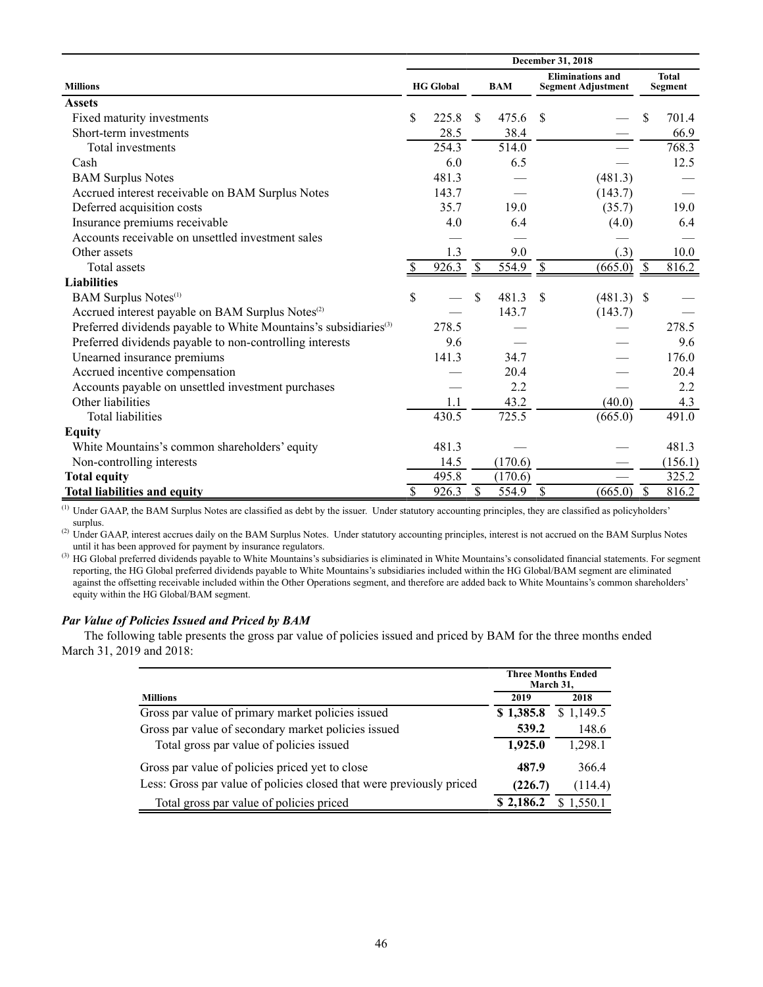|                                                                              | December 31, 2018 |                  |                                                                    |         |               |                         |               |         |
|------------------------------------------------------------------------------|-------------------|------------------|--------------------------------------------------------------------|---------|---------------|-------------------------|---------------|---------|
| <b>Millions</b>                                                              |                   | <b>HG</b> Global | <b>Eliminations and</b><br><b>BAM</b><br><b>Segment Adjustment</b> |         |               | <b>Total</b><br>Segment |               |         |
| <b>Assets</b>                                                                |                   |                  |                                                                    |         |               |                         |               |         |
| Fixed maturity investments                                                   | \$                | 225.8            | \$                                                                 | 475.6   | \$            |                         | \$            | 701.4   |
| Short-term investments                                                       |                   | 28.5             |                                                                    | 38.4    |               |                         |               | 66.9    |
| Total investments                                                            |                   | 254.3            |                                                                    | 514.0   |               |                         |               | 768.3   |
| Cash                                                                         |                   | 6.0              |                                                                    | 6.5     |               |                         |               | 12.5    |
| <b>BAM Surplus Notes</b>                                                     |                   | 481.3            |                                                                    |         |               | (481.3)                 |               |         |
| Accrued interest receivable on BAM Surplus Notes                             |                   | 143.7            |                                                                    |         |               | (143.7)                 |               |         |
| Deferred acquisition costs                                                   |                   | 35.7             |                                                                    | 19.0    |               | (35.7)                  |               | 19.0    |
| Insurance premiums receivable                                                |                   | 4.0              |                                                                    | 6.4     |               | (4.0)                   |               | 6.4     |
| Accounts receivable on unsettled investment sales                            |                   |                  |                                                                    |         |               |                         |               |         |
| Other assets                                                                 |                   | 1.3              |                                                                    | 9.0     |               | (.3)                    |               | 10.0    |
| Total assets                                                                 |                   | 926.3            | $\mathcal{S}$                                                      | 554.9   | $\mathcal{S}$ | (665.0)                 | $\mathcal{S}$ | 816.2   |
| <b>Liabilities</b>                                                           |                   |                  |                                                                    |         |               |                         |               |         |
| <b>BAM Surplus Notes</b> <sup>(1)</sup>                                      | \$                |                  | \$                                                                 | 481.3   | \$            | $(481.3)$ \$            |               |         |
| Accrued interest payable on BAM Surplus Notes <sup>(2)</sup>                 |                   |                  |                                                                    | 143.7   |               | (143.7)                 |               |         |
| Preferred dividends payable to White Mountains's subsidiaries <sup>(3)</sup> |                   | 278.5            |                                                                    |         |               |                         |               | 278.5   |
| Preferred dividends payable to non-controlling interests                     |                   | 9.6              |                                                                    |         |               |                         |               | 9.6     |
| Unearned insurance premiums                                                  |                   | 141.3            |                                                                    | 34.7    |               |                         |               | 176.0   |
| Accrued incentive compensation                                               |                   |                  |                                                                    | 20.4    |               |                         |               | 20.4    |
| Accounts payable on unsettled investment purchases                           |                   |                  |                                                                    | 2.2     |               |                         |               | 2.2     |
| Other liabilities                                                            |                   | 1.1              |                                                                    | 43.2    |               | (40.0)                  |               | 4.3     |
| Total liabilities                                                            |                   | 430.5            |                                                                    | 725.5   |               | (665.0)                 |               | 491.0   |
| <b>Equity</b>                                                                |                   |                  |                                                                    |         |               |                         |               |         |
| White Mountains's common shareholders' equity                                |                   | 481.3            |                                                                    |         |               |                         |               | 481.3   |
| Non-controlling interests                                                    |                   | 14.5             |                                                                    | (170.6) |               |                         |               | (156.1) |
| <b>Total equity</b>                                                          |                   | 495.8            |                                                                    | (170.6) |               |                         |               | 325.2   |
| <b>Total liabilities and equity</b>                                          | \$                | 926.3            | $\mathbb{S}$                                                       | 554.9   | \$            | (665.0)                 | \$            | 816.2   |

 $\frac{(1)}{(1)}$  Under GAAP, the BAM Surplus Notes are classified as debt by the issuer. Under statutory accounting principles, they are classified as policyholders' surplus.

<sup>(2)</sup> Under GAAP, interest accrues daily on the BAM Surplus Notes. Under statutory accounting principles, interest is not accrued on the BAM Surplus Notes until it has been approved for payment by insurance regulators.

(3) HG Global preferred dividends payable to White Mountains's subsidiaries is eliminated in White Mountains's consolidated financial statements. For segment reporting, the HG Global preferred dividends payable to White Mountains's subsidiaries included within the HG Global/BAM segment are eliminated against the offsetting receivable included within the Other Operations segment, and therefore are added back to White Mountains's common shareholders' equity within the HG Global/BAM segment.

# *Par Value of Policies Issued and Priced by BAM*

The following table presents the gross par value of policies issued and priced by BAM for the three months ended March 31, 2019 and 2018:

|                                                                      | <b>Three Months Ended</b><br>March 31, |           |  |  |  |
|----------------------------------------------------------------------|----------------------------------------|-----------|--|--|--|
| <b>Millions</b>                                                      | 2019                                   | 2018      |  |  |  |
| Gross par value of primary market policies issued                    | \$1,385.8                              | \$1,149.5 |  |  |  |
| Gross par value of secondary market policies issued                  | 539.2                                  | 148.6     |  |  |  |
| Total gross par value of policies issued                             | 1,925.0                                | 1,298.1   |  |  |  |
| Gross par value of policies priced yet to close                      | 487.9                                  | 366.4     |  |  |  |
| Less: Gross par value of policies closed that were previously priced | (226.7)                                | (114.4)   |  |  |  |
| Total gross par value of policies priced                             | \$2.186.2                              | 1,550.1   |  |  |  |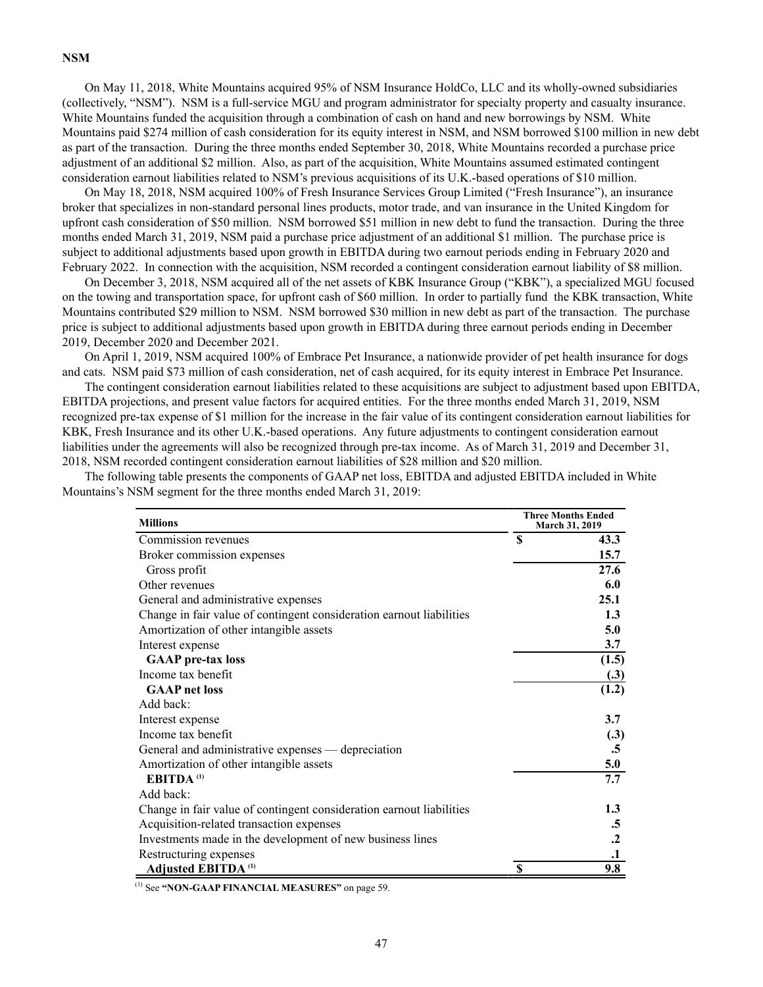### **NSM**

On May 11, 2018, White Mountains acquired 95% of NSM Insurance HoldCo, LLC and its wholly-owned subsidiaries (collectively, "NSM"). NSM is a full-service MGU and program administrator for specialty property and casualty insurance. White Mountains funded the acquisition through a combination of cash on hand and new borrowings by NSM. White Mountains paid \$274 million of cash consideration for its equity interest in NSM, and NSM borrowed \$100 million in new debt as part of the transaction. During the three months ended September 30, 2018, White Mountains recorded a purchase price adjustment of an additional \$2 million. Also, as part of the acquisition, White Mountains assumed estimated contingent consideration earnout liabilities related to NSM's previous acquisitions of its U.K.-based operations of \$10 million.

On May 18, 2018, NSM acquired 100% of Fresh Insurance Services Group Limited ("Fresh Insurance"), an insurance broker that specializes in non-standard personal lines products, motor trade, and van insurance in the United Kingdom for upfront cash consideration of \$50 million. NSM borrowed \$51 million in new debt to fund the transaction. During the three months ended March 31, 2019, NSM paid a purchase price adjustment of an additional \$1 million. The purchase price is subject to additional adjustments based upon growth in EBITDA during two earnout periods ending in February 2020 and February 2022. In connection with the acquisition, NSM recorded a contingent consideration earnout liability of \$8 million.

On December 3, 2018, NSM acquired all of the net assets of KBK Insurance Group ("KBK"), a specialized MGU focused on the towing and transportation space, for upfront cash of \$60 million. In order to partially fund the KBK transaction, White Mountains contributed \$29 million to NSM. NSM borrowed \$30 million in new debt as part of the transaction. The purchase price is subject to additional adjustments based upon growth in EBITDA during three earnout periods ending in December 2019, December 2020 and December 2021.

On April 1, 2019, NSM acquired 100% of Embrace Pet Insurance, a nationwide provider of pet health insurance for dogs and cats. NSM paid \$73 million of cash consideration, net of cash acquired, for its equity interest in Embrace Pet Insurance.

The contingent consideration earnout liabilities related to these acquisitions are subject to adjustment based upon EBITDA, EBITDA projections, and present value factors for acquired entities. For the three months ended March 31, 2019, NSM recognized pre-tax expense of \$1 million for the increase in the fair value of its contingent consideration earnout liabilities for KBK, Fresh Insurance and its other U.K.-based operations. Any future adjustments to contingent consideration earnout liabilities under the agreements will also be recognized through pre-tax income. As of March 31, 2019 and December 31, 2018, NSM recorded contingent consideration earnout liabilities of \$28 million and \$20 million.

| <b>Millions</b>                                                      |          | <b>Three Months Ended</b><br>March 31, 2019 |
|----------------------------------------------------------------------|----------|---------------------------------------------|
| Commission revenues                                                  | <b>S</b> | 43.3                                        |
| Broker commission expenses                                           |          | 15.7                                        |
| Gross profit                                                         |          | 27.6                                        |
| Other revenues                                                       |          | 6.0                                         |
| General and administrative expenses                                  |          | 25.1                                        |
| Change in fair value of contingent consideration earnout liabilities |          | 1.3                                         |
| Amortization of other intangible assets                              |          | 5.0                                         |
| Interest expense                                                     |          | 3.7                                         |
| <b>GAAP</b> pre-tax loss                                             |          | (1.5)                                       |
| Income tax benefit                                                   |          | (.3)                                        |
| <b>GAAP</b> net loss                                                 |          | (1.2)                                       |
| Add back:                                                            |          |                                             |
| Interest expense                                                     |          | 3.7                                         |
| Income tax benefit                                                   |          | (.3)                                        |
| General and administrative expenses — depreciation                   |          | $.5\,$                                      |
| Amortization of other intangible assets                              |          | 5.0                                         |
| EBITDA <sup>(1)</sup>                                                |          | 7.7                                         |
| Add back:                                                            |          |                                             |
| Change in fair value of contingent consideration earnout liabilities |          | 1.3                                         |
| Acquisition-related transaction expenses                             |          | $\cdot$ 5                                   |
| Investments made in the development of new business lines            |          | $\cdot$                                     |
| Restructuring expenses                                               |          | $\cdot$                                     |
| Adjusted EBITDA <sup>(1)</sup>                                       | \$       | 9.8                                         |

The following table presents the components of GAAP net loss, EBITDA and adjusted EBITDA included in White Mountains's NSM segment for the three months ended March 31, 2019:

(1) See **"NON-GAAP FINANCIAL MEASURES"** on page 59.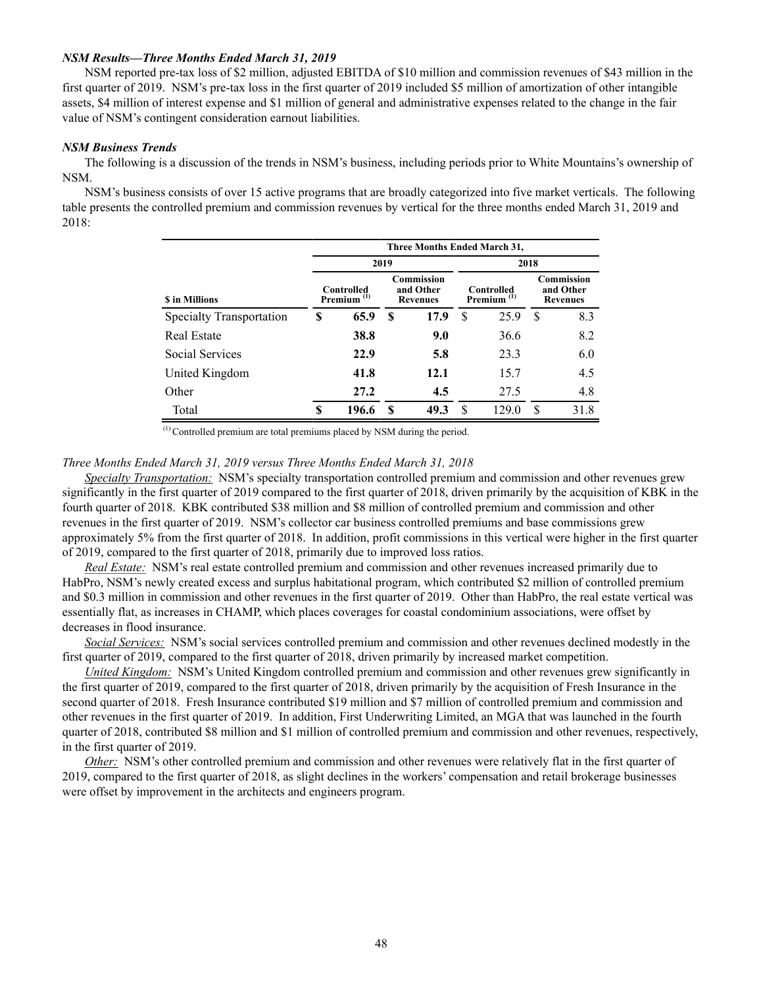### *NSM Results—Three Months Ended March 31, 2019*

NSM reported pre-tax loss of \$2 million, adjusted EBITDA of \$10 million and commission revenues of \$43 million in the first quarter of 2019. NSM's pre-tax loss in the first quarter of 2019 included \$5 million of amortization of other intangible assets, \$4 million of interest expense and \$1 million of general and administrative expenses related to the change in the fair value of NSM's contingent consideration earnout liabilities.

#### *NSM Business Trends*

The following is a discussion of the trends in NSM's business, including periods prior to White Mountains's ownership of NSM.

NSM's business consists of over 15 active programs that are broadly categorized into five market verticals. The following table presents the controlled premium and commission revenues by vertical for the three months ended March 31, 2019 and 2018:

|                          | Three Months Ended March 31, |                                                                                  |      |      |      |                                      |          |                                            |  |  |  |
|--------------------------|------------------------------|----------------------------------------------------------------------------------|------|------|------|--------------------------------------|----------|--------------------------------------------|--|--|--|
|                          |                              |                                                                                  | 2019 |      | 2018 |                                      |          |                                            |  |  |  |
| <b>S</b> in Millions     |                              | <b>Commission</b><br>and Other<br>Controlled<br>Premium $(1)$<br><b>Revenues</b> |      |      |      | Controlled<br>Premium <sup>(1)</sup> |          | Commission<br>and Other<br><b>Revenues</b> |  |  |  |
| Specialty Transportation | S                            | 65.9                                                                             | S    | 17.9 | S    | 25.9                                 | S        | 8.3                                        |  |  |  |
| <b>Real Estate</b>       |                              | 38.8                                                                             |      | 9.0  |      | 36.6                                 |          | 8.2                                        |  |  |  |
| Social Services          |                              | 22.9                                                                             |      | 5.8  |      | 23.3                                 |          | 6.0                                        |  |  |  |
| United Kingdom           |                              | 41.8                                                                             |      | 12.1 |      | 15.7                                 |          | 4.5                                        |  |  |  |
| Other                    |                              | 27.2                                                                             |      | 4.5  |      | 27.5                                 |          | 4.8                                        |  |  |  |
| Total                    | \$                           | 196.6                                                                            | S    | 49.3 | S    | 129.0                                | <b>S</b> | 31.8                                       |  |  |  |

(1) Controlled premium are total premiums placed by NSM during the period.

#### *Three Months Ended March 31, 2019 versus Three Months Ended March 31, 2018*

*Specialty Transportation:* NSM's specialty transportation controlled premium and commission and other revenues grew significantly in the first quarter of 2019 compared to the first quarter of 2018, driven primarily by the acquisition of KBK in the fourth quarter of 2018. KBK contributed \$38 million and \$8 million of controlled premium and commission and other revenues in the first quarter of 2019. NSM's collector car business controlled premiums and base commissions grew approximately 5% from the first quarter of 2018. In addition, profit commissions in this vertical were higher in the first quarter of 2019, compared to the first quarter of 2018, primarily due to improved loss ratios.

*Real Estate:* NSM's real estate controlled premium and commission and other revenues increased primarily due to HabPro, NSM's newly created excess and surplus habitational program, which contributed \$2 million of controlled premium and \$0.3 million in commission and other revenues in the first quarter of 2019. Other than HabPro, the real estate vertical was essentially flat, as increases in CHAMP, which places coverages for coastal condominium associations, were offset by decreases in flood insurance.

*Social Services:* NSM's social services controlled premium and commission and other revenues declined modestly in the first quarter of 2019, compared to the first quarter of 2018, driven primarily by increased market competition.

*United Kingdom:* NSM's United Kingdom controlled premium and commission and other revenues grew significantly in the first quarter of 2019, compared to the first quarter of 2018, driven primarily by the acquisition of Fresh Insurance in the second quarter of 2018. Fresh Insurance contributed \$19 million and \$7 million of controlled premium and commission and other revenues in the first quarter of 2019. In addition, First Underwriting Limited, an MGA that was launched in the fourth quarter of 2018, contributed \$8 million and \$1 million of controlled premium and commission and other revenues, respectively, in the first quarter of 2019.

*Other:* NSM's other controlled premium and commission and other revenues were relatively flat in the first quarter of 2019, compared to the first quarter of 2018, as slight declines in the workers' compensation and retail brokerage businesses were offset by improvement in the architects and engineers program.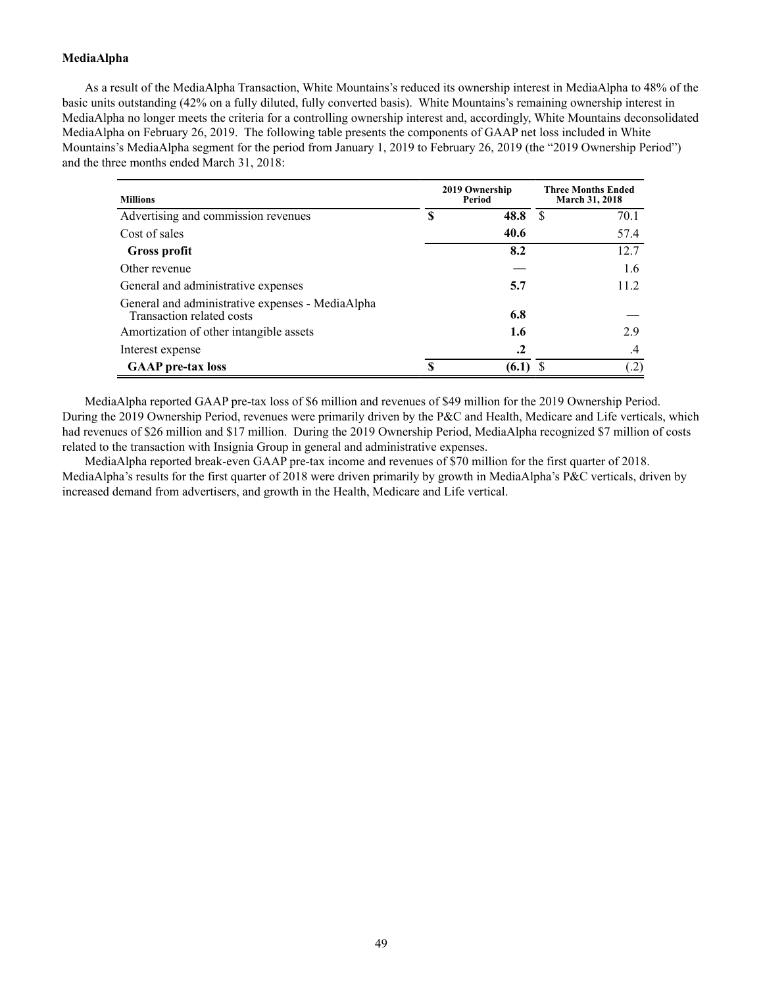# **MediaAlpha**

As a result of the MediaAlpha Transaction, White Mountains's reduced its ownership interest in MediaAlpha to 48% of the basic units outstanding (42% on a fully diluted, fully converted basis). White Mountains's remaining ownership interest in MediaAlpha no longer meets the criteria for a controlling ownership interest and, accordingly, White Mountains deconsolidated MediaAlpha on February 26, 2019. The following table presents the components of GAAP net loss included in White Mountains's MediaAlpha segment for the period from January 1, 2019 to February 26, 2019 (the "2019 Ownership Period") and the three months ended March 31, 2018:

| <b>Millions</b>                                                               |   | 2019 Ownership<br>Period | <b>Three Months Ended</b><br><b>March 31, 2018</b> |  |  |
|-------------------------------------------------------------------------------|---|--------------------------|----------------------------------------------------|--|--|
| Advertising and commission revenues                                           | S | 48.8                     | 70.1<br>- \$                                       |  |  |
| Cost of sales                                                                 |   | 40.6                     | 57.4                                               |  |  |
| Gross profit                                                                  |   | 8.2                      | 12.7                                               |  |  |
| Other revenue                                                                 |   |                          | 1.6                                                |  |  |
| General and administrative expenses                                           |   | 5.7                      | 11.2                                               |  |  |
| General and administrative expenses - MediaAlpha<br>Transaction related costs |   | 6.8                      |                                                    |  |  |
| Amortization of other intangible assets                                       |   | 1.6                      | 29                                                 |  |  |
| Interest expense                                                              |   | .2                       | $\cdot$                                            |  |  |
| <b>GAAP</b> pre-tax loss                                                      | S | (6.1)                    | .2)                                                |  |  |

MediaAlpha reported GAAP pre-tax loss of \$6 million and revenues of \$49 million for the 2019 Ownership Period. During the 2019 Ownership Period, revenues were primarily driven by the P&C and Health, Medicare and Life verticals, which had revenues of \$26 million and \$17 million. During the 2019 Ownership Period, MediaAlpha recognized \$7 million of costs related to the transaction with Insignia Group in general and administrative expenses.

MediaAlpha reported break-even GAAP pre-tax income and revenues of \$70 million for the first quarter of 2018. MediaAlpha's results for the first quarter of 2018 were driven primarily by growth in MediaAlpha's P&C verticals, driven by increased demand from advertisers, and growth in the Health, Medicare and Life vertical.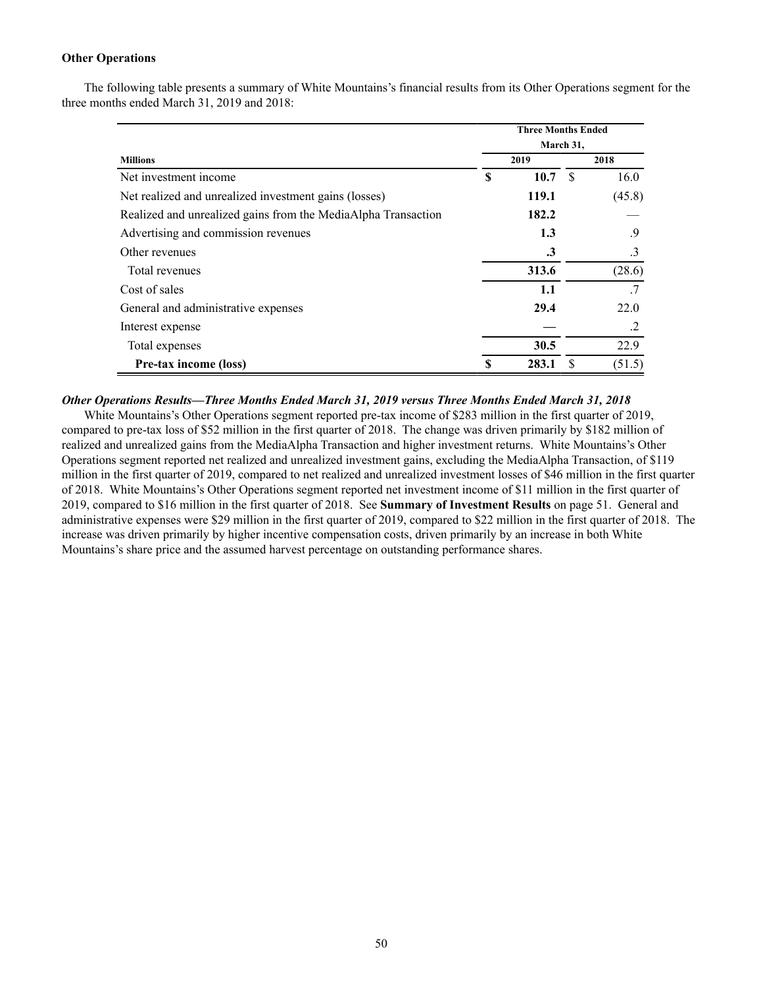# **Other Operations**

The following table presents a summary of White Mountains's financial results from its Other Operations segment for the three months ended March 31, 2019 and 2018:

|                                                               | <b>Three Months Ended</b> |           |  |        |  |  |  |  |
|---------------------------------------------------------------|---------------------------|-----------|--|--------|--|--|--|--|
|                                                               | March 31,                 |           |  |        |  |  |  |  |
| <b>Millions</b>                                               |                           | 2019      |  | 2018   |  |  |  |  |
| Net investment income                                         | S                         | 10.7 S    |  | 16.0   |  |  |  |  |
| Net realized and unrealized investment gains (losses)         |                           | 119.1     |  | (45.8) |  |  |  |  |
| Realized and unrealized gains from the MediaAlpha Transaction |                           | 182.2     |  |        |  |  |  |  |
| Advertising and commission revenues                           |                           | 1.3       |  | .9     |  |  |  |  |
| Other revenues                                                |                           | $\cdot$ 3 |  | .3     |  |  |  |  |
| Total revenues                                                |                           | 313.6     |  | (28.6) |  |  |  |  |
| Cost of sales                                                 |                           | 1.1       |  | .7     |  |  |  |  |
| General and administrative expenses                           |                           | 29.4      |  | 22.0   |  |  |  |  |
| Interest expense                                              |                           |           |  | .2     |  |  |  |  |
| Total expenses                                                |                           | 30.5      |  | 22.9   |  |  |  |  |
| Pre-tax income (loss)                                         |                           | 283.1     |  | (51.5) |  |  |  |  |

# *Other Operations Results—Three Months Ended March 31, 2019 versus Three Months Ended March 31, 2018*

White Mountains's Other Operations segment reported pre-tax income of \$283 million in the first quarter of 2019, compared to pre-tax loss of \$52 million in the first quarter of 2018. The change was driven primarily by \$182 million of realized and unrealized gains from the MediaAlpha Transaction and higher investment returns. White Mountains's Other Operations segment reported net realized and unrealized investment gains, excluding the MediaAlpha Transaction, of \$119 million in the first quarter of 2019, compared to net realized and unrealized investment losses of \$46 million in the first quarter of 2018. White Mountains's Other Operations segment reported net investment income of \$11 million in the first quarter of 2019, compared to \$16 million in the first quarter of 2018. See **Summary of Investment Results** on page 51. General and administrative expenses were \$29 million in the first quarter of 2019, compared to \$22 million in the first quarter of 2018. The increase was driven primarily by higher incentive compensation costs, driven primarily by an increase in both White Mountains's share price and the assumed harvest percentage on outstanding performance shares.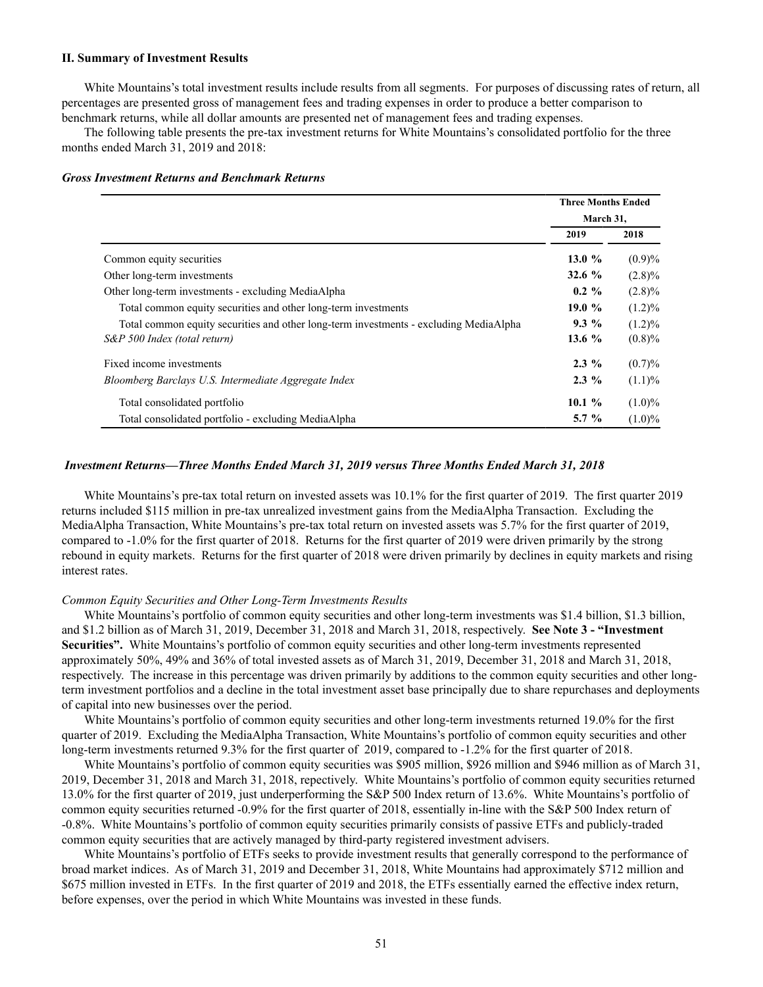#### **II. Summary of Investment Results**

White Mountains's total investment results include results from all segments. For purposes of discussing rates of return, all percentages are presented gross of management fees and trading expenses in order to produce a better comparison to benchmark returns, while all dollar amounts are presented net of management fees and trading expenses.

The following table presents the pre-tax investment returns for White Mountains's consolidated portfolio for the three months ended March 31, 2019 and 2018:

| <b>Gross Investment Returns and Benchmark Returns</b> |  |
|-------------------------------------------------------|--|
|-------------------------------------------------------|--|

|                                                                                       | <b>Three Months Ended</b> |            |
|---------------------------------------------------------------------------------------|---------------------------|------------|
|                                                                                       | March 31,                 |            |
|                                                                                       | 2019                      | 2018       |
| Common equity securities                                                              | 13.0 $%$                  | (0.9)%     |
| Other long-term investments                                                           | 32.6 $%$                  | $(2.8)\%$  |
| Other long-term investments - excluding MediaAlpha                                    | $0.2 \%$                  | $(2.8)\%$  |
| Total common equity securities and other long-term investments                        | 19.0 $%$                  | $(1.2)\%$  |
| Total common equity securities and other long-term investments - excluding MediaAlpha | $9.3\%$                   | $(1.2)\%$  |
| S&P 500 Index (total return)                                                          | 13.6 $%$                  | (0.8)%     |
| Fixed income investments                                                              | $2.3\%$                   | $(0.7) \%$ |
| Bloomberg Barclays U.S. Intermediate Aggregate Index                                  | $2.3\%$                   | (1.1)%     |
| Total consolidated portfolio                                                          | 10.1%                     | $(1.0)\%$  |
| Total consolidated portfolio - excluding MediaAlpha                                   | $5.7 \%$                  | $(1.0)\%$  |

### *Investment Returns—Three Months Ended March 31, 2019 versus Three Months Ended March 31, 2018*

White Mountains's pre-tax total return on invested assets was 10.1% for the first quarter of 2019. The first quarter 2019 returns included \$115 million in pre-tax unrealized investment gains from the MediaAlpha Transaction. Excluding the MediaAlpha Transaction, White Mountains's pre-tax total return on invested assets was 5.7% for the first quarter of 2019, compared to -1.0% for the first quarter of 2018. Returns for the first quarter of 2019 were driven primarily by the strong rebound in equity markets. Returns for the first quarter of 2018 were driven primarily by declines in equity markets and rising interest rates.

#### *Common Equity Securities and Other Long-Term Investments Results*

White Mountains's portfolio of common equity securities and other long-term investments was \$1.4 billion, \$1.3 billion, and \$1.2 billion as of March 31, 2019, December 31, 2018 and March 31, 2018, respectively. **See Note 3 - "Investment Securities".** White Mountains's portfolio of common equity securities and other long-term investments represented approximately 50%, 49% and 36% of total invested assets as of March 31, 2019, December 31, 2018 and March 31, 2018, respectively. The increase in this percentage was driven primarily by additions to the common equity securities and other longterm investment portfolios and a decline in the total investment asset base principally due to share repurchases and deployments of capital into new businesses over the period.

White Mountains's portfolio of common equity securities and other long-term investments returned 19.0% for the first quarter of 2019. Excluding the MediaAlpha Transaction, White Mountains's portfolio of common equity securities and other long-term investments returned 9.3% for the first quarter of 2019, compared to -1.2% for the first quarter of 2018.

White Mountains's portfolio of common equity securities was \$905 million, \$926 million and \$946 million as of March 31, 2019, December 31, 2018 and March 31, 2018, repectively. White Mountains's portfolio of common equity securities returned 13.0% for the first quarter of 2019, just underperforming the S&P 500 Index return of 13.6%. White Mountains's portfolio of common equity securities returned -0.9% for the first quarter of 2018, essentially in-line with the S&P 500 Index return of -0.8%. White Mountains's portfolio of common equity securities primarily consists of passive ETFs and publicly-traded common equity securities that are actively managed by third-party registered investment advisers.

White Mountains's portfolio of ETFs seeks to provide investment results that generally correspond to the performance of broad market indices. As of March 31, 2019 and December 31, 2018, White Mountains had approximately \$712 million and \$675 million invested in ETFs. In the first quarter of 2019 and 2018, the ETFs essentially earned the effective index return, before expenses, over the period in which White Mountains was invested in these funds.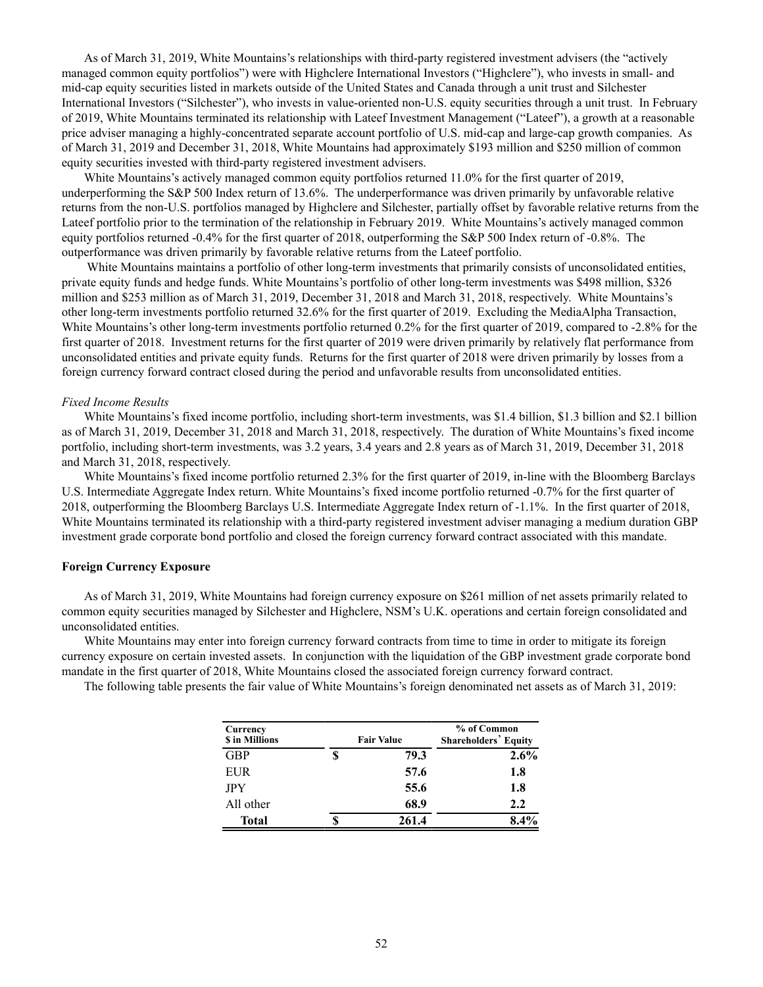As of March 31, 2019, White Mountains's relationships with third-party registered investment advisers (the "actively managed common equity portfolios") were with Highclere International Investors ("Highclere"), who invests in small- and mid-cap equity securities listed in markets outside of the United States and Canada through a unit trust and Silchester International Investors ("Silchester"), who invests in value-oriented non-U.S. equity securities through a unit trust. In February of 2019, White Mountains terminated its relationship with Lateef Investment Management ("Lateef"), a growth at a reasonable price adviser managing a highly-concentrated separate account portfolio of U.S. mid-cap and large-cap growth companies. As of March 31, 2019 and December 31, 2018, White Mountains had approximately \$193 million and \$250 million of common equity securities invested with third-party registered investment advisers.

White Mountains's actively managed common equity portfolios returned 11.0% for the first quarter of 2019, underperforming the S&P 500 Index return of 13.6%. The underperformance was driven primarily by unfavorable relative returns from the non-U.S. portfolios managed by Highclere and Silchester, partially offset by favorable relative returns from the Lateef portfolio prior to the termination of the relationship in February 2019. White Mountains's actively managed common equity portfolios returned -0.4% for the first quarter of 2018, outperforming the S&P 500 Index return of -0.8%. The outperformance was driven primarily by favorable relative returns from the Lateef portfolio.

White Mountains maintains a portfolio of other long-term investments that primarily consists of unconsolidated entities, private equity funds and hedge funds. White Mountains's portfolio of other long-term investments was \$498 million, \$326 million and \$253 million as of March 31, 2019, December 31, 2018 and March 31, 2018, respectively. White Mountains's other long-term investments portfolio returned 32.6% for the first quarter of 2019. Excluding the MediaAlpha Transaction, White Mountains's other long-term investments portfolio returned 0.2% for the first quarter of 2019, compared to -2.8% for the first quarter of 2018. Investment returns for the first quarter of 2019 were driven primarily by relatively flat performance from unconsolidated entities and private equity funds. Returns for the first quarter of 2018 were driven primarily by losses from a foreign currency forward contract closed during the period and unfavorable results from unconsolidated entities.

#### *Fixed Income Results*

White Mountains's fixed income portfolio, including short-term investments, was \$1.4 billion, \$1.3 billion and \$2.1 billion as of March 31, 2019, December 31, 2018 and March 31, 2018, respectively. The duration of White Mountains's fixed income portfolio, including short-term investments, was 3.2 years, 3.4 years and 2.8 years as of March 31, 2019, December 31, 2018 and March 31, 2018, respectively.

White Mountains's fixed income portfolio returned 2.3% for the first quarter of 2019, in-line with the Bloomberg Barclays U.S. Intermediate Aggregate Index return. White Mountains's fixed income portfolio returned -0.7% for the first quarter of 2018, outperforming the Bloomberg Barclays U.S. Intermediate Aggregate Index return of -1.1%. In the first quarter of 2018, White Mountains terminated its relationship with a third-party registered investment adviser managing a medium duration GBP investment grade corporate bond portfolio and closed the foreign currency forward contract associated with this mandate.

### **Foreign Currency Exposure**

As of March 31, 2019, White Mountains had foreign currency exposure on \$261 million of net assets primarily related to common equity securities managed by Silchester and Highclere, NSM's U.K. operations and certain foreign consolidated and unconsolidated entities.

White Mountains may enter into foreign currency forward contracts from time to time in order to mitigate its foreign currency exposure on certain invested assets. In conjunction with the liquidation of the GBP investment grade corporate bond mandate in the first quarter of 2018, White Mountains closed the associated foreign currency forward contract.

The following table presents the fair value of White Mountains's foreign denominated net assets as of March 31, 2019:

| Currency<br><b>S</b> in Millions |   | <b>Fair Value</b> | % of Common<br><b>Shareholders' Equity</b> |
|----------------------------------|---|-------------------|--------------------------------------------|
| <b>GBP</b>                       | S | 79.3              | 2.6%                                       |
| <b>EUR</b>                       |   | 57.6              | 1.8                                        |
| JPY                              |   | 55.6              | 1.8                                        |
| All other                        |   | 68.9              | 2.2                                        |
| <b>Total</b>                     |   | 261.4             | 8.4%                                       |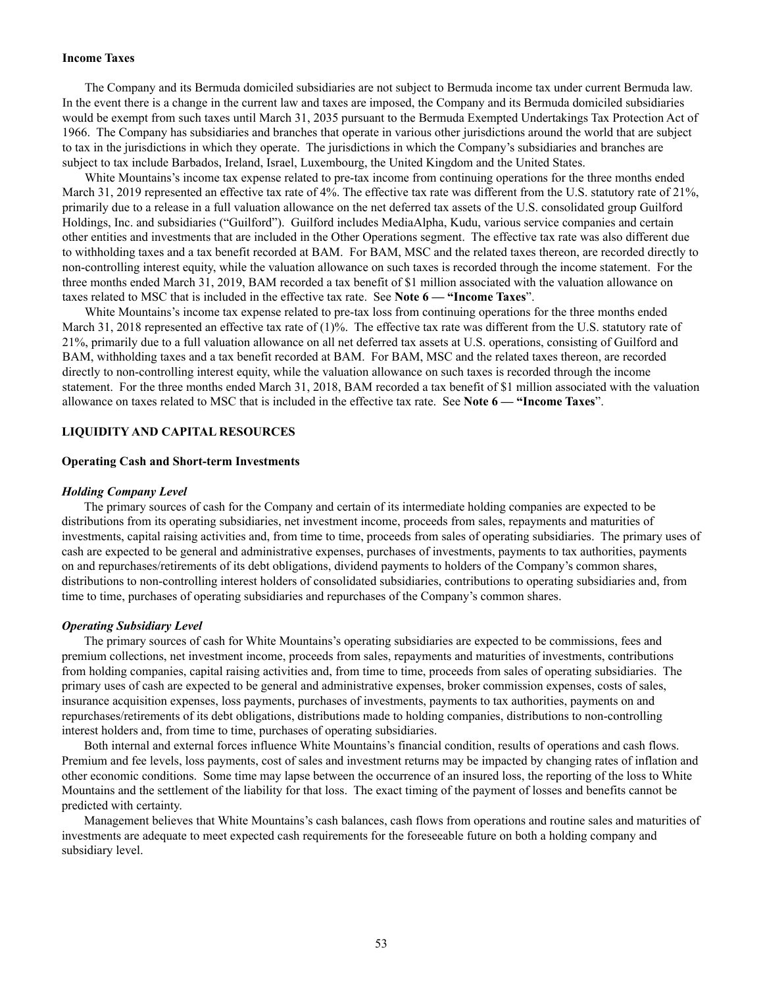#### **Income Taxes**

The Company and its Bermuda domiciled subsidiaries are not subject to Bermuda income tax under current Bermuda law. In the event there is a change in the current law and taxes are imposed, the Company and its Bermuda domiciled subsidiaries would be exempt from such taxes until March 31, 2035 pursuant to the Bermuda Exempted Undertakings Tax Protection Act of 1966. The Company has subsidiaries and branches that operate in various other jurisdictions around the world that are subject to tax in the jurisdictions in which they operate. The jurisdictions in which the Company's subsidiaries and branches are subject to tax include Barbados, Ireland, Israel, Luxembourg, the United Kingdom and the United States.

White Mountains's income tax expense related to pre-tax income from continuing operations for the three months ended March 31, 2019 represented an effective tax rate of 4%. The effective tax rate was different from the U.S. statutory rate of 21%, primarily due to a release in a full valuation allowance on the net deferred tax assets of the U.S. consolidated group Guilford Holdings, Inc. and subsidiaries ("Guilford"). Guilford includes MediaAlpha, Kudu, various service companies and certain other entities and investments that are included in the Other Operations segment. The effective tax rate was also different due to withholding taxes and a tax benefit recorded at BAM. For BAM, MSC and the related taxes thereon, are recorded directly to non-controlling interest equity, while the valuation allowance on such taxes is recorded through the income statement. For the three months ended March 31, 2019, BAM recorded a tax benefit of \$1 million associated with the valuation allowance on taxes related to MSC that is included in the effective tax rate. See **Note 6 — "Income Taxes**".

White Mountains's income tax expense related to pre-tax loss from continuing operations for the three months ended March 31, 2018 represented an effective tax rate of (1)%. The effective tax rate was different from the U.S. statutory rate of 21%, primarily due to a full valuation allowance on all net deferred tax assets at U.S. operations, consisting of Guilford and BAM, withholding taxes and a tax benefit recorded at BAM. For BAM, MSC and the related taxes thereon, are recorded directly to non-controlling interest equity, while the valuation allowance on such taxes is recorded through the income statement. For the three months ended March 31, 2018, BAM recorded a tax benefit of \$1 million associated with the valuation allowance on taxes related to MSC that is included in the effective tax rate. See **Note 6 — "Income Taxes**".

# <span id="page-54-0"></span>**LIQUIDITY AND CAPITAL RESOURCES**

#### **Operating Cash and Short-term Investments**

#### *Holding Company Level*

The primary sources of cash for the Company and certain of its intermediate holding companies are expected to be distributions from its operating subsidiaries, net investment income, proceeds from sales, repayments and maturities of investments, capital raising activities and, from time to time, proceeds from sales of operating subsidiaries. The primary uses of cash are expected to be general and administrative expenses, purchases of investments, payments to tax authorities, payments on and repurchases/retirements of its debt obligations, dividend payments to holders of the Company's common shares, distributions to non-controlling interest holders of consolidated subsidiaries, contributions to operating subsidiaries and, from time to time, purchases of operating subsidiaries and repurchases of the Company's common shares.

#### *Operating Subsidiary Level*

The primary sources of cash for White Mountains's operating subsidiaries are expected to be commissions, fees and premium collections, net investment income, proceeds from sales, repayments and maturities of investments, contributions from holding companies, capital raising activities and, from time to time, proceeds from sales of operating subsidiaries. The primary uses of cash are expected to be general and administrative expenses, broker commission expenses, costs of sales, insurance acquisition expenses, loss payments, purchases of investments, payments to tax authorities, payments on and repurchases/retirements of its debt obligations, distributions made to holding companies, distributions to non-controlling interest holders and, from time to time, purchases of operating subsidiaries.

Both internal and external forces influence White Mountains's financial condition, results of operations and cash flows. Premium and fee levels, loss payments, cost of sales and investment returns may be impacted by changing rates of inflation and other economic conditions. Some time may lapse between the occurrence of an insured loss, the reporting of the loss to White Mountains and the settlement of the liability for that loss. The exact timing of the payment of losses and benefits cannot be predicted with certainty.

Management believes that White Mountains's cash balances, cash flows from operations and routine sales and maturities of investments are adequate to meet expected cash requirements for the foreseeable future on both a holding company and subsidiary level.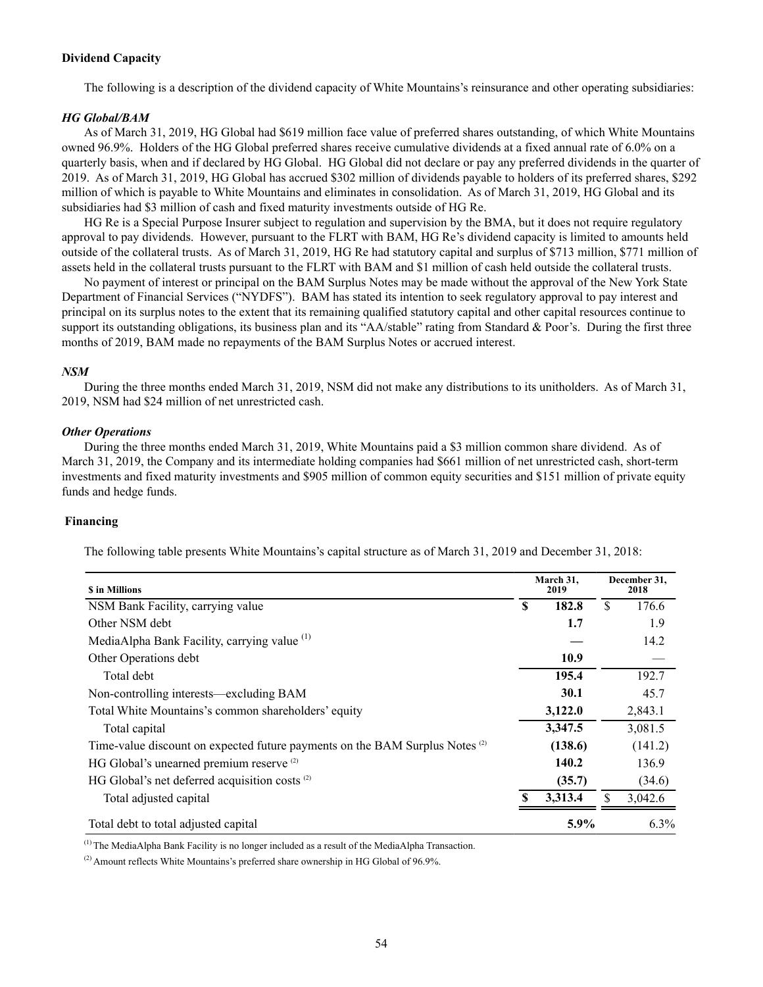# **Dividend Capacity**

The following is a description of the dividend capacity of White Mountains's reinsurance and other operating subsidiaries:

# *HG Global/BAM*

As of March 31, 2019, HG Global had \$619 million face value of preferred shares outstanding, of which White Mountains owned 96.9%. Holders of the HG Global preferred shares receive cumulative dividends at a fixed annual rate of 6.0% on a quarterly basis, when and if declared by HG Global. HG Global did not declare or pay any preferred dividends in the quarter of 2019. As of March 31, 2019, HG Global has accrued \$302 million of dividends payable to holders of its preferred shares, \$292 million of which is payable to White Mountains and eliminates in consolidation. As of March 31, 2019, HG Global and its subsidiaries had \$3 million of cash and fixed maturity investments outside of HG Re.

HG Re is a Special Purpose Insurer subject to regulation and supervision by the BMA, but it does not require regulatory approval to pay dividends. However, pursuant to the FLRT with BAM, HG Re's dividend capacity is limited to amounts held outside of the collateral trusts. As of March 31, 2019, HG Re had statutory capital and surplus of \$713 million, \$771 million of assets held in the collateral trusts pursuant to the FLRT with BAM and \$1 million of cash held outside the collateral trusts.

No payment of interest or principal on the BAM Surplus Notes may be made without the approval of the New York State Department of Financial Services ("NYDFS"). BAM has stated its intention to seek regulatory approval to pay interest and principal on its surplus notes to the extent that its remaining qualified statutory capital and other capital resources continue to support its outstanding obligations, its business plan and its "AA/stable" rating from Standard & Poor's. During the first three months of 2019, BAM made no repayments of the BAM Surplus Notes or accrued interest.

# *NSM*

During the three months ended March 31, 2019, NSM did not make any distributions to its unitholders. As of March 31, 2019, NSM had \$24 million of net unrestricted cash.

# *Other Operations*

During the three months ended March 31, 2019, White Mountains paid a \$3 million common share dividend. As of March 31, 2019, the Company and its intermediate holding companies had \$661 million of net unrestricted cash, short-term investments and fixed maturity investments and \$905 million of common equity securities and \$151 million of private equity funds and hedge funds.

### **Financing**

The following table presents White Mountains's capital structure as of March 31, 2019 and December 31, 2018:

| <b>S</b> in Millions                                                                    | March 31,<br>2019 | December 31,<br>2018 |
|-----------------------------------------------------------------------------------------|-------------------|----------------------|
| NSM Bank Facility, carrying value                                                       | \$<br>182.8       | \$<br>176.6          |
| Other NSM debt                                                                          | 1.7               | 1.9                  |
| MediaAlpha Bank Facility, carrying value <sup>(1)</sup>                                 |                   | 14.2                 |
| Other Operations debt                                                                   | 10.9              |                      |
| Total debt                                                                              | 195.4             | 192.7                |
| Non-controlling interests—excluding BAM                                                 | 30.1              | 45.7                 |
| Total White Mountains's common shareholders' equity                                     | 3,122.0           | 2,843.1              |
| Total capital                                                                           | 3,347.5           | 3,081.5              |
| Time-value discount on expected future payments on the BAM Surplus Notes <sup>(2)</sup> | (138.6)           | (141.2)              |
| HG Global's unearned premium reserve <sup>(2)</sup>                                     | 140.2             | 136.9                |
| HG Global's net deferred acquisition costs <sup>(2)</sup>                               | (35.7)            | (34.6)               |
| Total adjusted capital                                                                  | 3,313.4           | 3,042.6              |
| Total debt to total adjusted capital                                                    | 5.9%              | 6.3%                 |

(1) The MediaAlpha Bank Facility is no longer included as a result of the MediaAlpha Transaction.

 $^{(2)}$  Amount reflects White Mountains's preferred share ownership in HG Global of 96.9%.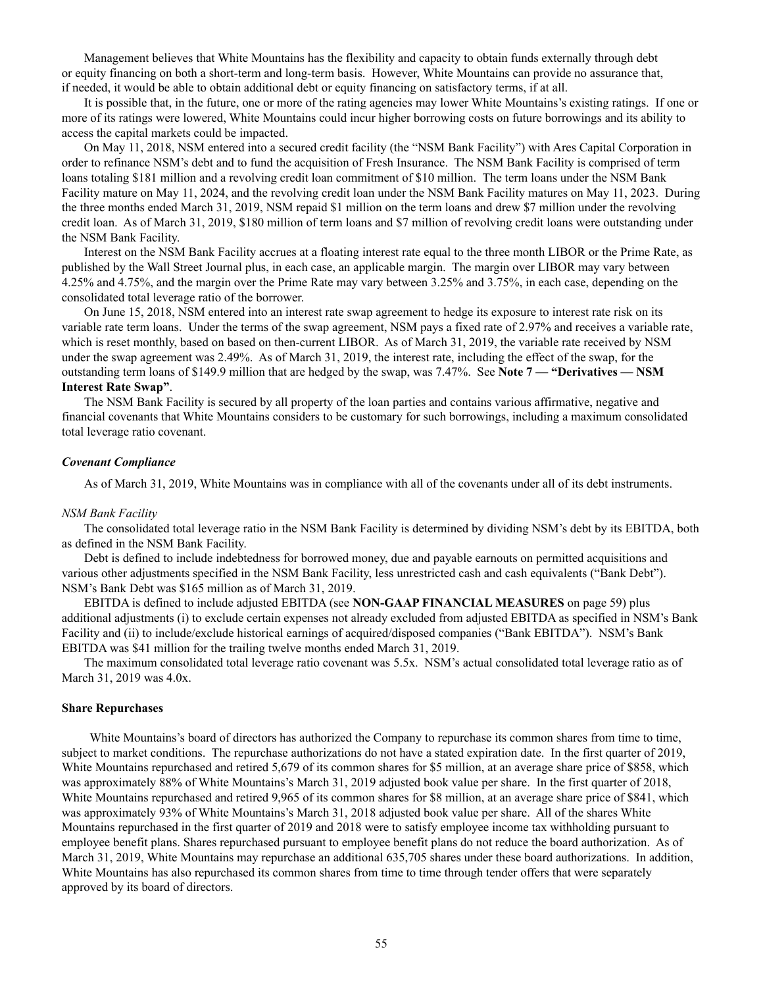Management believes that White Mountains has the flexibility and capacity to obtain funds externally through debt or equity financing on both a short-term and long-term basis. However, White Mountains can provide no assurance that, if needed, it would be able to obtain additional debt or equity financing on satisfactory terms, if at all.

It is possible that, in the future, one or more of the rating agencies may lower White Mountains's existing ratings. If one or more of its ratings were lowered, White Mountains could incur higher borrowing costs on future borrowings and its ability to access the capital markets could be impacted.

On May 11, 2018, NSM entered into a secured credit facility (the "NSM Bank Facility") with Ares Capital Corporation in order to refinance NSM's debt and to fund the acquisition of Fresh Insurance. The NSM Bank Facility is comprised of term loans totaling \$181 million and a revolving credit loan commitment of \$10 million. The term loans under the NSM Bank Facility mature on May 11, 2024, and the revolving credit loan under the NSM Bank Facility matures on May 11, 2023. During the three months ended March 31, 2019, NSM repaid \$1 million on the term loans and drew \$7 million under the revolving credit loan. As of March 31, 2019, \$180 million of term loans and \$7 million of revolving credit loans were outstanding under the NSM Bank Facility.

Interest on the NSM Bank Facility accrues at a floating interest rate equal to the three month LIBOR or the Prime Rate, as published by the Wall Street Journal plus, in each case, an applicable margin. The margin over LIBOR may vary between 4.25% and 4.75%, and the margin over the Prime Rate may vary between 3.25% and 3.75%, in each case, depending on the consolidated total leverage ratio of the borrower.

On June 15, 2018, NSM entered into an interest rate swap agreement to hedge its exposure to interest rate risk on its variable rate term loans. Under the terms of the swap agreement, NSM pays a fixed rate of 2.97% and receives a variable rate, which is reset monthly, based on based on then-current LIBOR. As of March 31, 2019, the variable rate received by NSM under the swap agreement was 2.49%. As of March 31, 2019, the interest rate, including the effect of the swap, for the outstanding term loans of \$149.9 million that are hedged by the swap, was 7.47%. See **Note 7 — "Derivatives — NSM Interest Rate Swap"**.

The NSM Bank Facility is secured by all property of the loan parties and contains various affirmative, negative and financial covenants that White Mountains considers to be customary for such borrowings, including a maximum consolidated total leverage ratio covenant.

#### *Covenant Compliance*

As of March 31, 2019, White Mountains was in compliance with all of the covenants under all of its debt instruments.

#### *NSM Bank Facility*

The consolidated total leverage ratio in the NSM Bank Facility is determined by dividing NSM's debt by its EBITDA, both as defined in the NSM Bank Facility.

Debt is defined to include indebtedness for borrowed money, due and payable earnouts on permitted acquisitions and various other adjustments specified in the NSM Bank Facility, less unrestricted cash and cash equivalents ("Bank Debt"). NSM's Bank Debt was \$165 million as of March 31, 2019.

EBITDA is defined to include adjusted EBITDA (see **NON-GAAP FINANCIAL MEASURES** on page 59) plus additional adjustments (i) to exclude certain expenses not already excluded from adjusted EBITDA as specified in NSM's Bank Facility and (ii) to include/exclude historical earnings of acquired/disposed companies ("Bank EBITDA"). NSM's Bank EBITDA was \$41 million for the trailing twelve months ended March 31, 2019.

The maximum consolidated total leverage ratio covenant was 5.5x. NSM's actual consolidated total leverage ratio as of March 31, 2019 was 4.0x.

#### **Share Repurchases**

White Mountains's board of directors has authorized the Company to repurchase its common shares from time to time, subject to market conditions. The repurchase authorizations do not have a stated expiration date. In the first quarter of 2019, White Mountains repurchased and retired 5,679 of its common shares for \$5 million, at an average share price of \$858, which was approximately 88% of White Mountains's March 31, 2019 adjusted book value per share. In the first quarter of 2018, White Mountains repurchased and retired 9,965 of its common shares for \$8 million, at an average share price of \$841, which was approximately 93% of White Mountains's March 31, 2018 adjusted book value per share. All of the shares White Mountains repurchased in the first quarter of 2019 and 2018 were to satisfy employee income tax withholding pursuant to employee benefit plans. Shares repurchased pursuant to employee benefit plans do not reduce the board authorization. As of March 31, 2019, White Mountains may repurchase an additional 635,705 shares under these board authorizations. In addition, White Mountains has also repurchased its common shares from time to time through tender offers that were separately approved by its board of directors.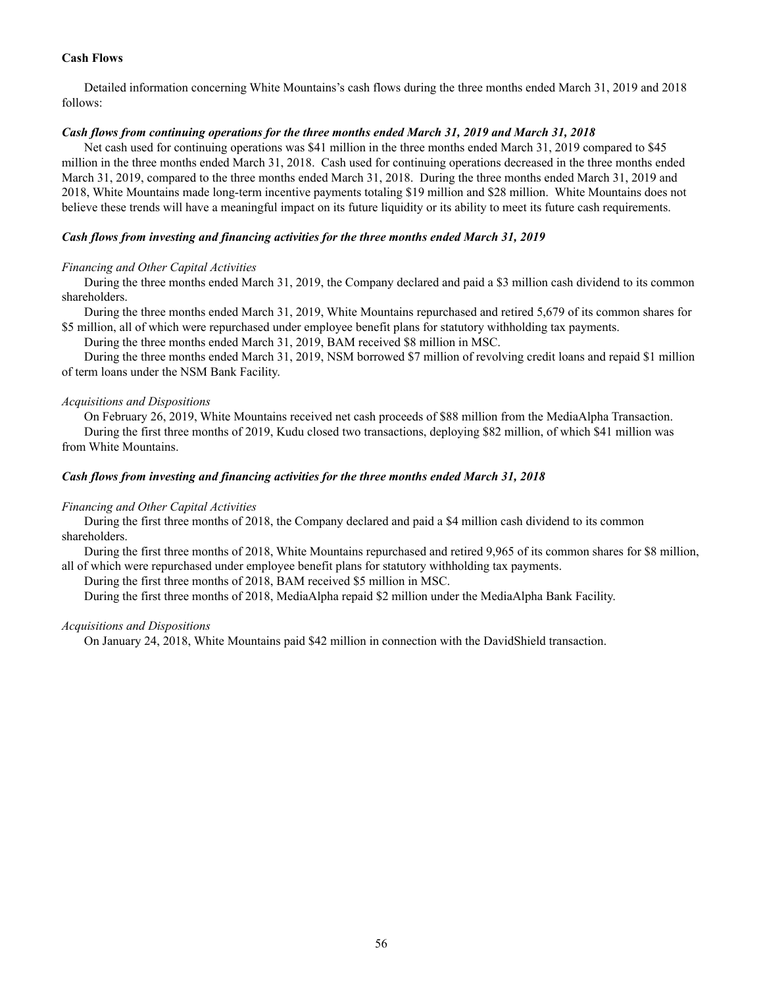# **Cash Flows**

Detailed information concerning White Mountains's cash flows during the three months ended March 31, 2019 and 2018 follows:

# *Cash flows from continuing operations for the three months ended March 31, 2019 and March 31, 2018*

Net cash used for continuing operations was \$41 million in the three months ended March 31, 2019 compared to \$45 million in the three months ended March 31, 2018. Cash used for continuing operations decreased in the three months ended March 31, 2019, compared to the three months ended March 31, 2018. During the three months ended March 31, 2019 and 2018, White Mountains made long-term incentive payments totaling \$19 million and \$28 million. White Mountains does not believe these trends will have a meaningful impact on its future liquidity or its ability to meet its future cash requirements.

# *Cash flows from investing and financing activities for the three months ended March 31, 2019*

# *Financing and Other Capital Activities*

During the three months ended March 31, 2019, the Company declared and paid a \$3 million cash dividend to its common shareholders.

During the three months ended March 31, 2019, White Mountains repurchased and retired 5,679 of its common shares for \$5 million, all of which were repurchased under employee benefit plans for statutory withholding tax payments.

During the three months ended March 31, 2019, BAM received \$8 million in MSC.

During the three months ended March 31, 2019, NSM borrowed \$7 million of revolving credit loans and repaid \$1 million of term loans under the NSM Bank Facility.

# *Acquisitions and Dispositions*

On February 26, 2019, White Mountains received net cash proceeds of \$88 million from the MediaAlpha Transaction. During the first three months of 2019, Kudu closed two transactions, deploying \$82 million, of which \$41 million was

from White Mountains.

# *Cash flows from investing and financing activities for the three months ended March 31, 2018*

# *Financing and Other Capital Activities*

During the first three months of 2018, the Company declared and paid a \$4 million cash dividend to its common shareholders.

During the first three months of 2018, White Mountains repurchased and retired 9,965 of its common shares for \$8 million, all of which were repurchased under employee benefit plans for statutory withholding tax payments.

During the first three months of 2018, BAM received \$5 million in MSC.

During the first three months of 2018, MediaAlpha repaid \$2 million under the MediaAlpha Bank Facility.

# *Acquisitions and Dispositions*

On January 24, 2018, White Mountains paid \$42 million in connection with the DavidShield transaction.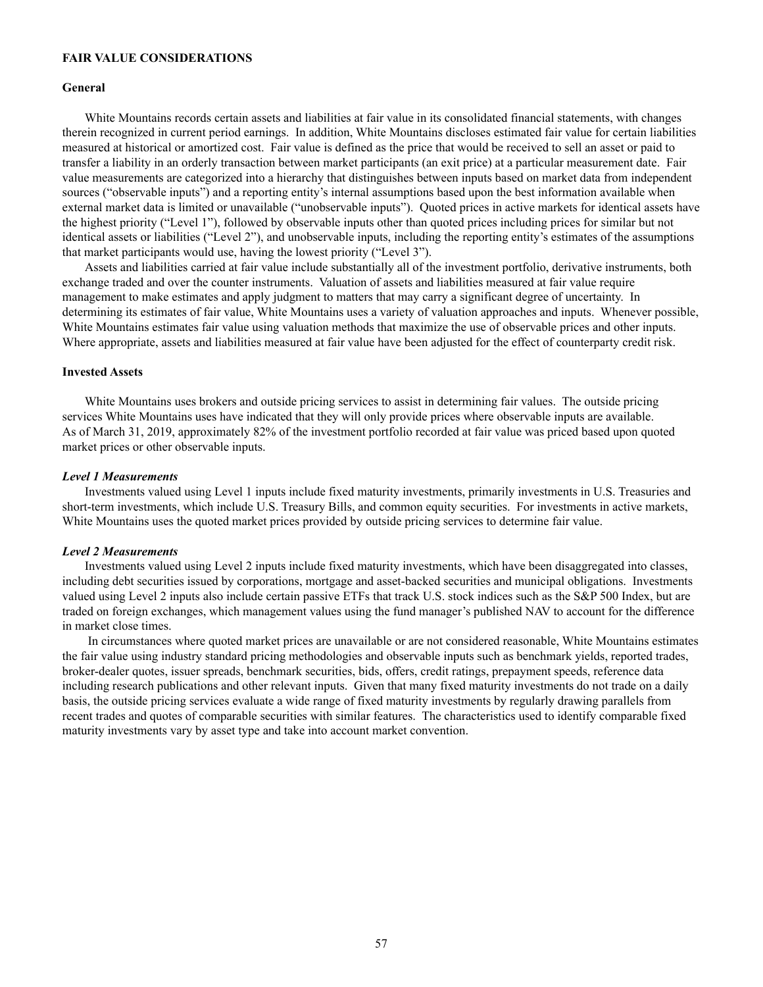# <span id="page-58-0"></span>**FAIR VALUE CONSIDERATIONS**

#### **General**

White Mountains records certain assets and liabilities at fair value in its consolidated financial statements, with changes therein recognized in current period earnings. In addition, White Mountains discloses estimated fair value for certain liabilities measured at historical or amortized cost. Fair value is defined as the price that would be received to sell an asset or paid to transfer a liability in an orderly transaction between market participants (an exit price) at a particular measurement date. Fair value measurements are categorized into a hierarchy that distinguishes between inputs based on market data from independent sources ("observable inputs") and a reporting entity's internal assumptions based upon the best information available when external market data is limited or unavailable ("unobservable inputs"). Quoted prices in active markets for identical assets have the highest priority ("Level 1"), followed by observable inputs other than quoted prices including prices for similar but not identical assets or liabilities ("Level 2"), and unobservable inputs, including the reporting entity's estimates of the assumptions that market participants would use, having the lowest priority ("Level 3").

Assets and liabilities carried at fair value include substantially all of the investment portfolio, derivative instruments, both exchange traded and over the counter instruments. Valuation of assets and liabilities measured at fair value require management to make estimates and apply judgment to matters that may carry a significant degree of uncertainty. In determining its estimates of fair value, White Mountains uses a variety of valuation approaches and inputs. Whenever possible, White Mountains estimates fair value using valuation methods that maximize the use of observable prices and other inputs. Where appropriate, assets and liabilities measured at fair value have been adjusted for the effect of counterparty credit risk.

#### **Invested Assets**

White Mountains uses brokers and outside pricing services to assist in determining fair values. The outside pricing services White Mountains uses have indicated that they will only provide prices where observable inputs are available. As of March 31, 2019, approximately 82% of the investment portfolio recorded at fair value was priced based upon quoted market prices or other observable inputs.

#### *Level 1 Measurements*

Investments valued using Level 1 inputs include fixed maturity investments, primarily investments in U.S. Treasuries and short-term investments, which include U.S. Treasury Bills, and common equity securities. For investments in active markets, White Mountains uses the quoted market prices provided by outside pricing services to determine fair value.

#### *Level 2 Measurements*

Investments valued using Level 2 inputs include fixed maturity investments, which have been disaggregated into classes, including debt securities issued by corporations, mortgage and asset-backed securities and municipal obligations. Investments valued using Level 2 inputs also include certain passive ETFs that track U.S. stock indices such as the S&P 500 Index, but are traded on foreign exchanges, which management values using the fund manager's published NAV to account for the difference in market close times.

 In circumstances where quoted market prices are unavailable or are not considered reasonable, White Mountains estimates the fair value using industry standard pricing methodologies and observable inputs such as benchmark yields, reported trades, broker-dealer quotes, issuer spreads, benchmark securities, bids, offers, credit ratings, prepayment speeds, reference data including research publications and other relevant inputs. Given that many fixed maturity investments do not trade on a daily basis, the outside pricing services evaluate a wide range of fixed maturity investments by regularly drawing parallels from recent trades and quotes of comparable securities with similar features. The characteristics used to identify comparable fixed maturity investments vary by asset type and take into account market convention.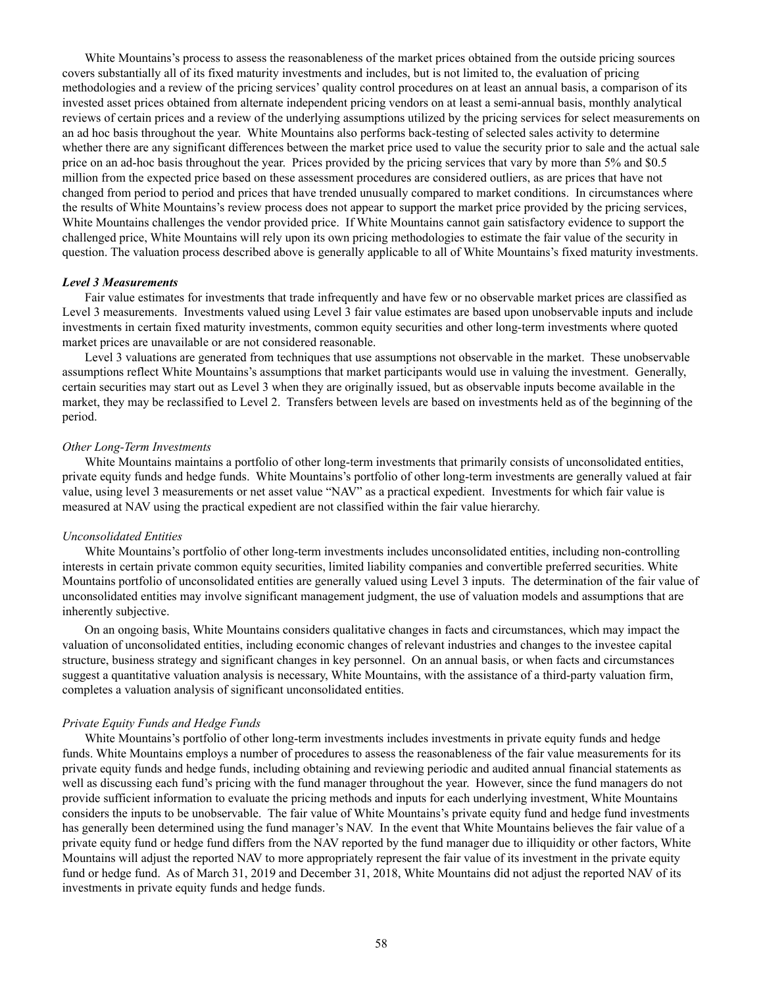White Mountains's process to assess the reasonableness of the market prices obtained from the outside pricing sources covers substantially all of its fixed maturity investments and includes, but is not limited to, the evaluation of pricing methodologies and a review of the pricing services' quality control procedures on at least an annual basis, a comparison of its invested asset prices obtained from alternate independent pricing vendors on at least a semi-annual basis, monthly analytical reviews of certain prices and a review of the underlying assumptions utilized by the pricing services for select measurements on an ad hoc basis throughout the year. White Mountains also performs back-testing of selected sales activity to determine whether there are any significant differences between the market price used to value the security prior to sale and the actual sale price on an ad-hoc basis throughout the year. Prices provided by the pricing services that vary by more than 5% and \$0.5 million from the expected price based on these assessment procedures are considered outliers, as are prices that have not changed from period to period and prices that have trended unusually compared to market conditions. In circumstances where the results of White Mountains's review process does not appear to support the market price provided by the pricing services, White Mountains challenges the vendor provided price. If White Mountains cannot gain satisfactory evidence to support the challenged price, White Mountains will rely upon its own pricing methodologies to estimate the fair value of the security in question. The valuation process described above is generally applicable to all of White Mountains's fixed maturity investments.

#### *Level 3 Measurements*

Fair value estimates for investments that trade infrequently and have few or no observable market prices are classified as Level 3 measurements. Investments valued using Level 3 fair value estimates are based upon unobservable inputs and include investments in certain fixed maturity investments, common equity securities and other long-term investments where quoted market prices are unavailable or are not considered reasonable.

Level 3 valuations are generated from techniques that use assumptions not observable in the market. These unobservable assumptions reflect White Mountains's assumptions that market participants would use in valuing the investment. Generally, certain securities may start out as Level 3 when they are originally issued, but as observable inputs become available in the market, they may be reclassified to Level 2. Transfers between levels are based on investments held as of the beginning of the period.

#### *Other Long-Term Investments*

White Mountains maintains a portfolio of other long-term investments that primarily consists of unconsolidated entities, private equity funds and hedge funds. White Mountains's portfolio of other long-term investments are generally valued at fair value, using level 3 measurements or net asset value "NAV" as a practical expedient. Investments for which fair value is measured at NAV using the practical expedient are not classified within the fair value hierarchy.

#### *Unconsolidated Entities*

White Mountains's portfolio of other long-term investments includes unconsolidated entities, including non-controlling interests in certain private common equity securities, limited liability companies and convertible preferred securities. White Mountains portfolio of unconsolidated entities are generally valued using Level 3 inputs. The determination of the fair value of unconsolidated entities may involve significant management judgment, the use of valuation models and assumptions that are inherently subjective.

On an ongoing basis, White Mountains considers qualitative changes in facts and circumstances, which may impact the valuation of unconsolidated entities, including economic changes of relevant industries and changes to the investee capital structure, business strategy and significant changes in key personnel. On an annual basis, or when facts and circumstances suggest a quantitative valuation analysis is necessary, White Mountains, with the assistance of a third-party valuation firm, completes a valuation analysis of significant unconsolidated entities.

#### *Private Equity Funds and Hedge Funds*

White Mountains's portfolio of other long-term investments includes investments in private equity funds and hedge funds. White Mountains employs a number of procedures to assess the reasonableness of the fair value measurements for its private equity funds and hedge funds, including obtaining and reviewing periodic and audited annual financial statements as well as discussing each fund's pricing with the fund manager throughout the year. However, since the fund managers do not provide sufficient information to evaluate the pricing methods and inputs for each underlying investment, White Mountains considers the inputs to be unobservable. The fair value of White Mountains's private equity fund and hedge fund investments has generally been determined using the fund manager's NAV. In the event that White Mountains believes the fair value of a private equity fund or hedge fund differs from the NAV reported by the fund manager due to illiquidity or other factors, White Mountains will adjust the reported NAV to more appropriately represent the fair value of its investment in the private equity fund or hedge fund. As of March 31, 2019 and December 31, 2018, White Mountains did not adjust the reported NAV of its investments in private equity funds and hedge funds.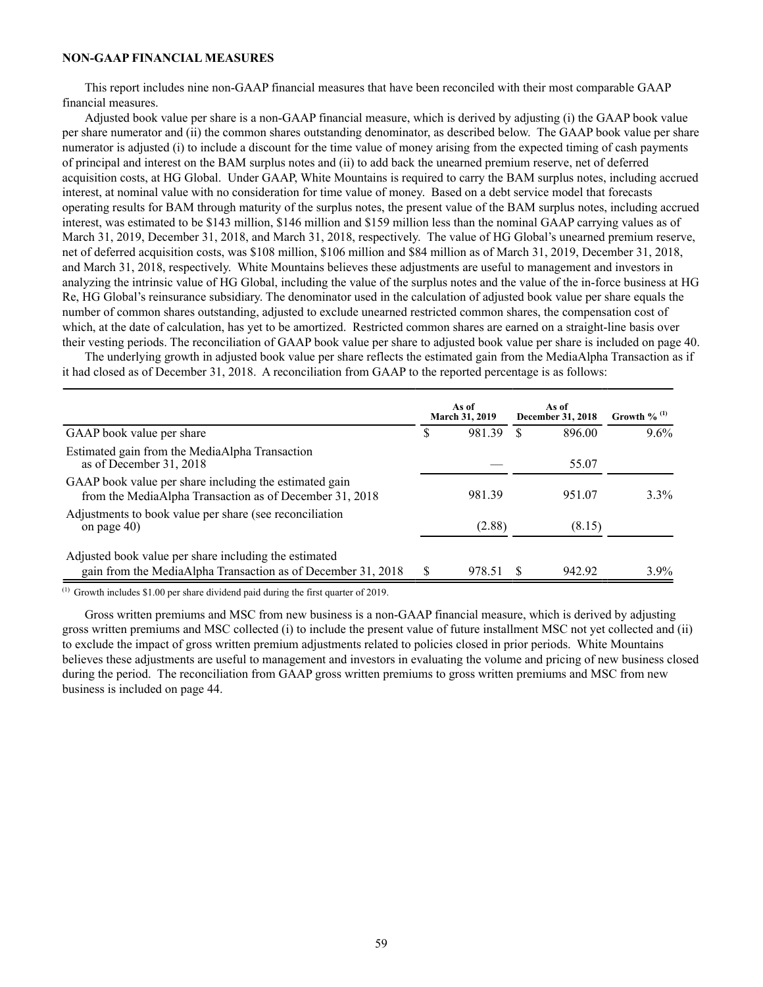# <span id="page-60-0"></span>**NON-GAAP FINANCIAL MEASURES**

This report includes nine non-GAAP financial measures that have been reconciled with their most comparable GAAP financial measures.

Adjusted book value per share is a non-GAAP financial measure, which is derived by adjusting (i) the GAAP book value per share numerator and (ii) the common shares outstanding denominator, as described below. The GAAP book value per share numerator is adjusted (i) to include a discount for the time value of money arising from the expected timing of cash payments of principal and interest on the BAM surplus notes and (ii) to add back the unearned premium reserve, net of deferred acquisition costs, at HG Global. Under GAAP, White Mountains is required to carry the BAM surplus notes, including accrued interest, at nominal value with no consideration for time value of money. Based on a debt service model that forecasts operating results for BAM through maturity of the surplus notes, the present value of the BAM surplus notes, including accrued interest, was estimated to be \$143 million, \$146 million and \$159 million less than the nominal GAAP carrying values as of March 31, 2019, December 31, 2018, and March 31, 2018, respectively. The value of HG Global's unearned premium reserve, net of deferred acquisition costs, was \$108 million, \$106 million and \$84 million as of March 31, 2019, December 31, 2018, and March 31, 2018, respectively. White Mountains believes these adjustments are useful to management and investors in analyzing the intrinsic value of HG Global, including the value of the surplus notes and the value of the in-force business at HG Re, HG Global's reinsurance subsidiary. The denominator used in the calculation of adjusted book value per share equals the number of common shares outstanding, adjusted to exclude unearned restricted common shares, the compensation cost of which, at the date of calculation, has yet to be amortized. Restricted common shares are earned on a straight-line basis over their vesting periods. The reconciliation of GAAP book value per share to adjusted book value per share is included on page 40.

The underlying growth in adjusted book value per share reflects the estimated gain from the MediaAlpha Transaction as if it had closed as of December 31, 2018. A reconciliation from GAAP to the reported percentage is as follows:

|                                                                                                                       |    | As of<br><b>March 31, 2019</b> |  | As of<br>December 31, 2018 | Growth % $(1)$ |  |
|-----------------------------------------------------------------------------------------------------------------------|----|--------------------------------|--|----------------------------|----------------|--|
| GAAP book value per share                                                                                             | S  | 981.39                         |  | 896.00                     | 9.6%           |  |
| Estimated gain from the MediaAlpha Transaction<br>as of December 31, 2018                                             |    |                                |  | 55.07                      |                |  |
| GAAP book value per share including the estimated gain<br>from the MediaAlpha Transaction as of December 31, 2018     |    | 98139                          |  | 951.07                     | $3.3\%$        |  |
| Adjustments to book value per share (see reconciliation<br>on page 40)                                                |    | (2.88)                         |  | (8.15)                     |                |  |
| Adjusted book value per share including the estimated<br>gain from the MediaAlpha Transaction as of December 31, 2018 | \$ | 978.51                         |  | 942.92                     | $3.9\%$        |  |

(1) Growth includes \$1.00 per share dividend paid during the first quarter of 2019.

Gross written premiums and MSC from new business is a non-GAAP financial measure, which is derived by adjusting gross written premiums and MSC collected (i) to include the present value of future installment MSC not yet collected and (ii) to exclude the impact of gross written premium adjustments related to policies closed in prior periods. White Mountains believes these adjustments are useful to management and investors in evaluating the volume and pricing of new business closed during the period. The reconciliation from GAAP gross written premiums to gross written premiums and MSC from new business is included on page 44.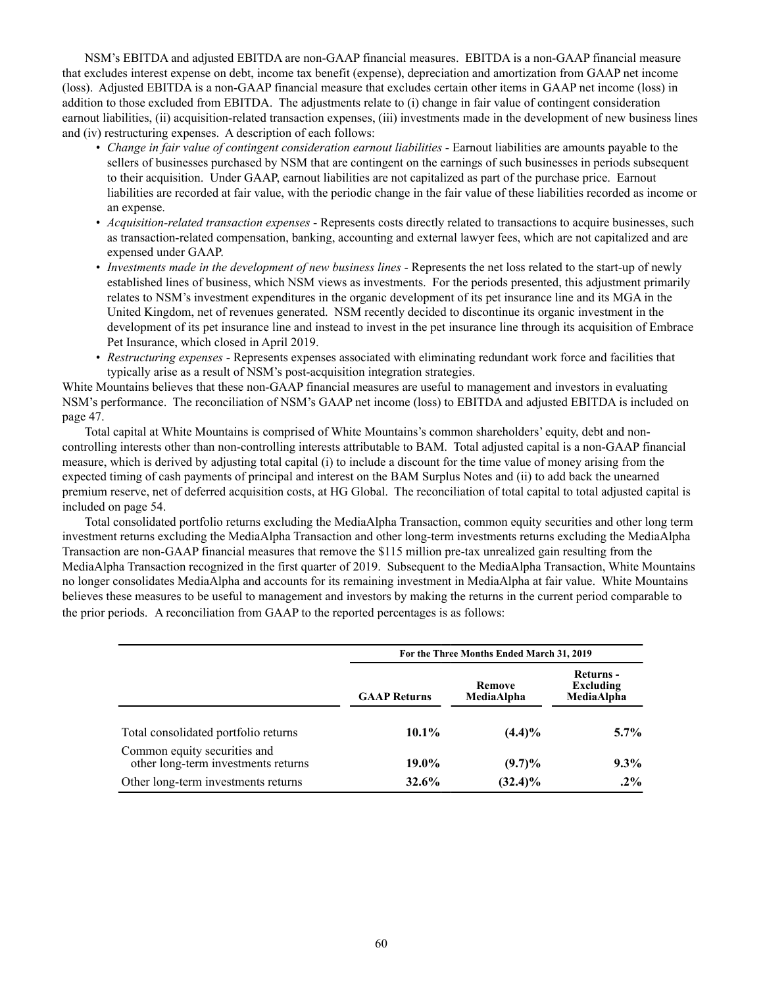NSM's EBITDA and adjusted EBITDA are non-GAAP financial measures. EBITDA is a non-GAAP financial measure that excludes interest expense on debt, income tax benefit (expense), depreciation and amortization from GAAP net income (loss). Adjusted EBITDA is a non-GAAP financial measure that excludes certain other items in GAAP net income (loss) in addition to those excluded from EBITDA. The adjustments relate to (i) change in fair value of contingent consideration earnout liabilities, (ii) acquisition-related transaction expenses, (iii) investments made in the development of new business lines and (iv) restructuring expenses. A description of each follows:

- *Change in fair value of contingent consideration earnout liabilities* Earnout liabilities are amounts payable to the sellers of businesses purchased by NSM that are contingent on the earnings of such businesses in periods subsequent to their acquisition. Under GAAP, earnout liabilities are not capitalized as part of the purchase price. Earnout liabilities are recorded at fair value, with the periodic change in the fair value of these liabilities recorded as income or an expense.
- *Acquisition-related transaction expenses* Represents costs directly related to transactions to acquire businesses, such as transaction-related compensation, banking, accounting and external lawyer fees, which are not capitalized and are expensed under GAAP.
- *Investments made in the development of new business lines* Represents the net loss related to the start-up of newly established lines of business, which NSM views as investments. For the periods presented, this adjustment primarily relates to NSM's investment expenditures in the organic development of its pet insurance line and its MGA in the United Kingdom, net of revenues generated. NSM recently decided to discontinue its organic investment in the development of its pet insurance line and instead to invest in the pet insurance line through its acquisition of Embrace Pet Insurance, which closed in April 2019.
- *Restructuring expenses* Represents expenses associated with eliminating redundant work force and facilities that typically arise as a result of NSM's post-acquisition integration strategies.

White Mountains believes that these non-GAAP financial measures are useful to management and investors in evaluating NSM's performance. The reconciliation of NSM's GAAP net income (loss) to EBITDA and adjusted EBITDA is included on page 47.

Total capital at White Mountains is comprised of White Mountains's common shareholders' equity, debt and noncontrolling interests other than non-controlling interests attributable to BAM. Total adjusted capital is a non-GAAP financial measure, which is derived by adjusting total capital (i) to include a discount for the time value of money arising from the expected timing of cash payments of principal and interest on the BAM Surplus Notes and (ii) to add back the unearned premium reserve, net of deferred acquisition costs, at HG Global. The reconciliation of total capital to total adjusted capital is included on page 54.

Total consolidated portfolio returns excluding the MediaAlpha Transaction, common equity securities and other long term investment returns excluding the MediaAlpha Transaction and other long-term investments returns excluding the MediaAlpha Transaction are non-GAAP financial measures that remove the \$115 million pre-tax unrealized gain resulting from the MediaAlpha Transaction recognized in the first quarter of 2019. Subsequent to the MediaAlpha Transaction, White Mountains no longer consolidates MediaAlpha and accounts for its remaining investment in MediaAlpha at fair value. White Mountains believes these measures to be useful to management and investors by making the returns in the current period comparable to the prior periods. A reconciliation from GAAP to the reported percentages is as follows:

|                                                                     |                     | For the Three Months Ended March 31, 2019 |                                             |  |  |
|---------------------------------------------------------------------|---------------------|-------------------------------------------|---------------------------------------------|--|--|
|                                                                     | <b>GAAP Returns</b> | <b>Remove</b><br>MediaAlpha               | Returns -<br><b>Excluding</b><br>MediaAlpha |  |  |
| Total consolidated portfolio returns                                | $10.1\%$            | $(4.4)\%$                                 | $5.7\%$                                     |  |  |
| Common equity securities and<br>other long-term investments returns | 19.0%               | $(9.7)\%$                                 | $9.3\%$                                     |  |  |
| Other long-term investments returns                                 | 32.6%               | $(32.4)\%$                                | $.2\%$                                      |  |  |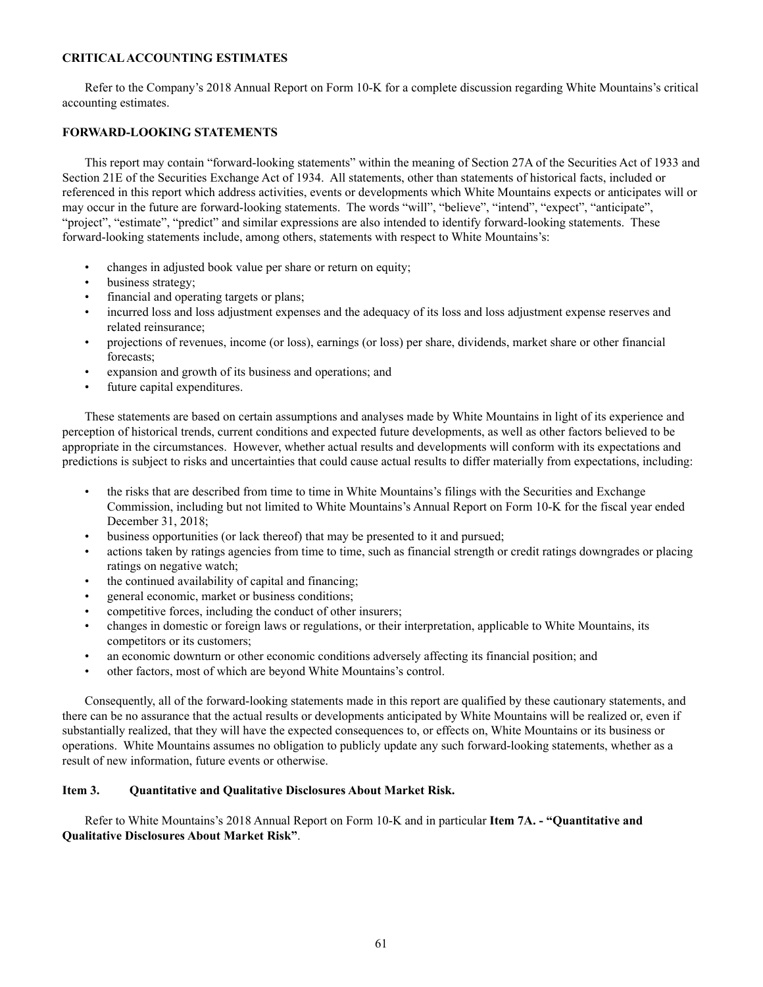# <span id="page-62-0"></span>**CRITICALACCOUNTING ESTIMATES**

Refer to the Company's 2018 Annual Report on Form 10-K for a complete discussion regarding White Mountains's critical accounting estimates.

# <span id="page-62-1"></span>**FORWARD-LOOKING STATEMENTS**

This report may contain "forward-looking statements" within the meaning of Section 27A of the Securities Act of 1933 and Section 21E of the Securities Exchange Act of 1934. All statements, other than statements of historical facts, included or referenced in this report which address activities, events or developments which White Mountains expects or anticipates will or may occur in the future are forward-looking statements. The words "will", "believe", "intend", "expect", "anticipate", "project", "estimate", "predict" and similar expressions are also intended to identify forward-looking statements. These forward-looking statements include, among others, statements with respect to White Mountains's:

- changes in adjusted book value per share or return on equity;
- business strategy;
- financial and operating targets or plans;
- incurred loss and loss adjustment expenses and the adequacy of its loss and loss adjustment expense reserves and related reinsurance;
- projections of revenues, income (or loss), earnings (or loss) per share, dividends, market share or other financial forecasts;
- expansion and growth of its business and operations; and
- future capital expenditures.

These statements are based on certain assumptions and analyses made by White Mountains in light of its experience and perception of historical trends, current conditions and expected future developments, as well as other factors believed to be appropriate in the circumstances. However, whether actual results and developments will conform with its expectations and predictions is subject to risks and uncertainties that could cause actual results to differ materially from expectations, including:

- the risks that are described from time to time in White Mountains's filings with the Securities and Exchange Commission, including but not limited to White Mountains's Annual Report on Form 10-K for the fiscal year ended December 31, 2018;
- business opportunities (or lack thereof) that may be presented to it and pursued;
- actions taken by ratings agencies from time to time, such as financial strength or credit ratings downgrades or placing ratings on negative watch;
- the continued availability of capital and financing;
- general economic, market or business conditions;
- competitive forces, including the conduct of other insurers;
- changes in domestic or foreign laws or regulations, or their interpretation, applicable to White Mountains, its competitors or its customers;
- an economic downturn or other economic conditions adversely affecting its financial position; and
- other factors, most of which are beyond White Mountains's control.

Consequently, all of the forward-looking statements made in this report are qualified by these cautionary statements, and there can be no assurance that the actual results or developments anticipated by White Mountains will be realized or, even if substantially realized, that they will have the expected consequences to, or effects on, White Mountains or its business or operations. White Mountains assumes no obligation to publicly update any such forward-looking statements, whether as a result of new information, future events or otherwise.

# <span id="page-62-2"></span>**Item 3. Quantitative and Qualitative Disclosures About Market Risk.**

Refer to White Mountains's 2018 Annual Report on Form 10-K and in particular **Item 7A. - "Quantitative and Qualitative Disclosures About Market Risk"**.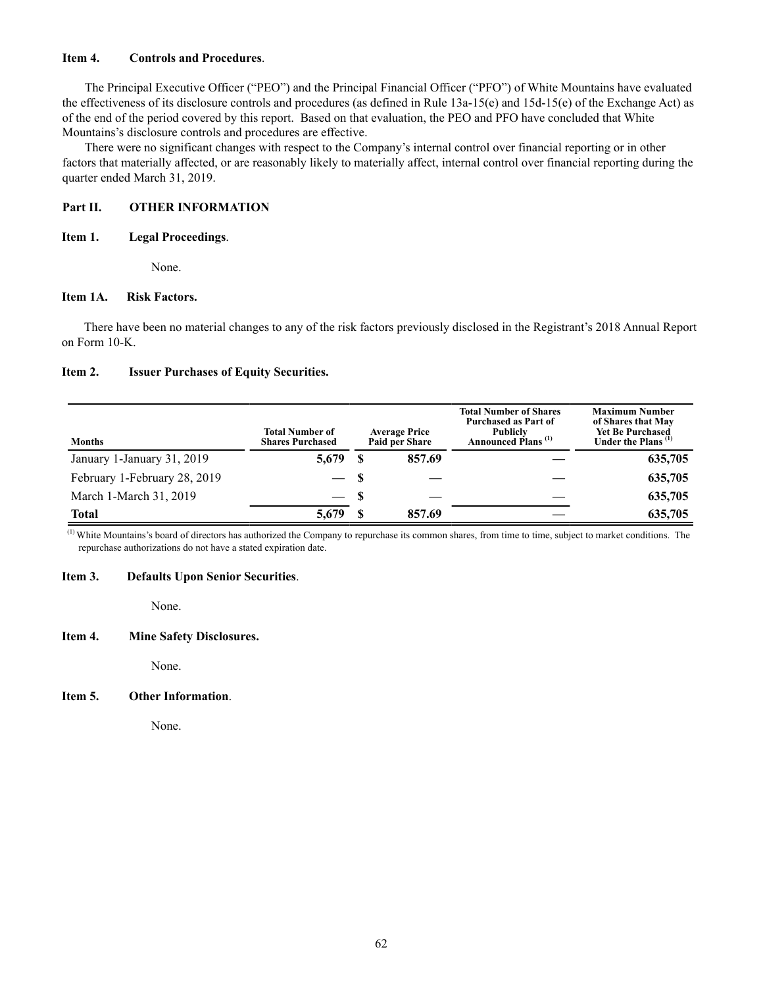# <span id="page-63-0"></span>**Item 4. Controls and Procedures**.

The Principal Executive Officer ("PEO") and the Principal Financial Officer ("PFO") of White Mountains have evaluated the effectiveness of its disclosure controls and procedures (as defined in Rule 13a-15(e) and 15d-15(e) of the Exchange Act) as of the end of the period covered by this report. Based on that evaluation, the PEO and PFO have concluded that White Mountains's disclosure controls and procedures are effective.

There were no significant changes with respect to the Company's internal control over financial reporting or in other factors that materially affected, or are reasonably likely to materially affect, internal control over financial reporting during the quarter ended March 31, 2019.

# <span id="page-63-1"></span>**Part II. OTHER INFORMATION**

# <span id="page-63-2"></span>**Item 1. Legal Proceedings**.

None.

# **Item 1A. Risk Factors.**

There have been no material changes to any of the risk factors previously disclosed in the Registrant's 2018 Annual Report on Form 10-K.

# **Item 2. Issuer Purchases of Equity Securities.**

| Months                       | <b>Total Number of</b><br><b>Shares Purchased</b> | <b>Average Price</b><br>Paid per Share | <b>Total Number of Shares</b><br><b>Purchased as Part of</b><br><b>Publicly</b><br>Announced Plans <sup>(1)</sup> | <b>Maximum Number</b><br>of Shares that May<br><b>Yet Be Purchased</b><br>Under the Plans <sup>(1)</sup> |  |
|------------------------------|---------------------------------------------------|----------------------------------------|-------------------------------------------------------------------------------------------------------------------|----------------------------------------------------------------------------------------------------------|--|
| January 1-January 31, 2019   | 5,679                                             | 857.69                                 |                                                                                                                   | 635,705                                                                                                  |  |
| February 1-February 28, 2019 | $-$ S                                             |                                        |                                                                                                                   | 635,705                                                                                                  |  |
| March 1-March 31, 2019       | $-$ S                                             |                                        |                                                                                                                   | 635,705                                                                                                  |  |
| <b>Total</b>                 | 5,679                                             | 857.69                                 |                                                                                                                   | 635,705                                                                                                  |  |

(1) White Mountains's board of directors has authorized the Company to repurchase its common shares, from time to time, subject to market conditions. The repurchase authorizations do not have a stated expiration date.

# **Item 3. Defaults Upon Senior Securities**.

None.

# **Item 4. Mine Safety Disclosures.**

None.

# **Item 5. Other Information**.

None.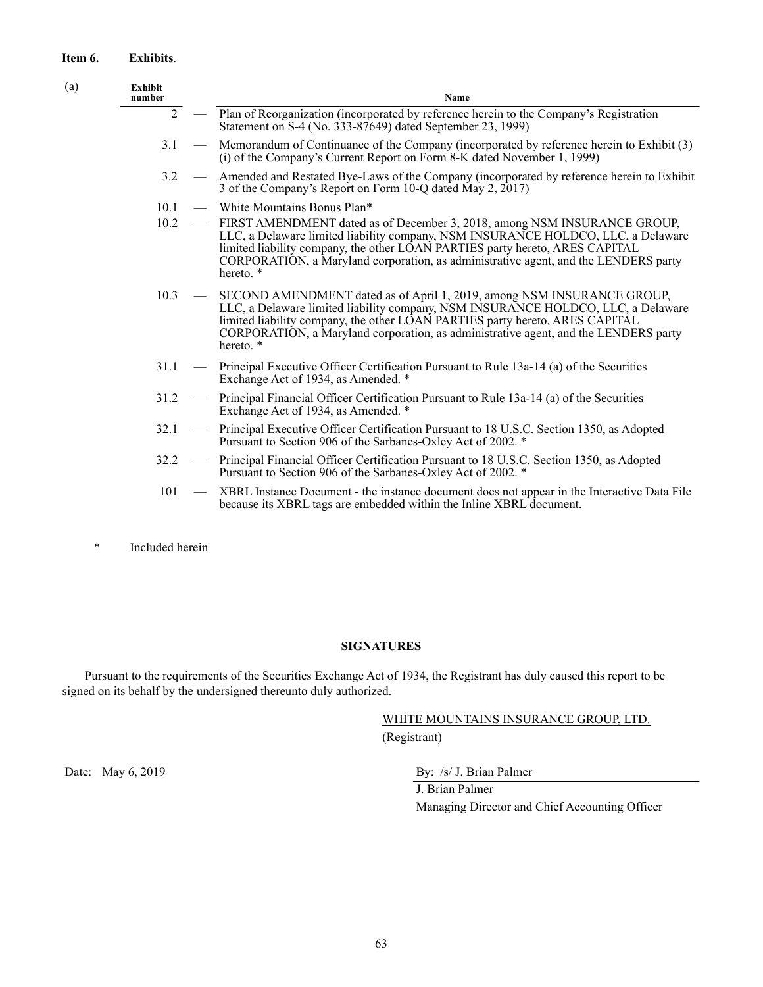# **Item 6. Exhibits**.

| (a) | <b>Exhibit</b><br>number |                          | <b>Name</b>                                                                                                                                                                                                                                                                                                                                      |
|-----|--------------------------|--------------------------|--------------------------------------------------------------------------------------------------------------------------------------------------------------------------------------------------------------------------------------------------------------------------------------------------------------------------------------------------|
|     | $\overline{2}$           |                          | - Plan of Reorganization (incorporated by reference herein to the Company's Registration<br>Statement on S-4 (No. 333-87649) dated September 23, 1999)                                                                                                                                                                                           |
|     | 3.1                      |                          | Memorandum of Continuance of the Company (incorporated by reference herein to Exhibit (3)<br>(i) of the Company's Current Report on Form 8-K dated November 1, 1999)                                                                                                                                                                             |
|     | 3.2                      | $\overline{\phantom{a}}$ | Amended and Restated Bye-Laws of the Company (incorporated by reference herein to Exhibit<br>3 of the Company's Report on Form 10-Q dated May 2, 2017)                                                                                                                                                                                           |
|     | 10.1                     |                          | - White Mountains Bonus Plan*                                                                                                                                                                                                                                                                                                                    |
|     | 10.2                     | $\overline{\phantom{a}}$ | FIRST AMENDMENT dated as of December 3, 2018, among NSM INSURANCE GROUP,<br>LLC, a Delaware limited liability company, NSM INSURANCE HOLDCO, LLC, a Delaware<br>limited liability company, the other LOAN PARTIES party hereto, ARES CAPITAL<br>CORPORATION, a Maryland corporation, as administrative agent, and the LENDERS party<br>hereto. * |
|     | 10.3                     |                          | SECOND AMENDMENT dated as of April 1, 2019, among NSM INSURANCE GROUP,<br>LLC, a Delaware limited liability company, NSM INSURANCE HOLDCO, LLC, a Delaware<br>limited liability company, the other LOAN PARTIES party hereto, ARES CAPITAL<br>CORPORATION, a Maryland corporation, as administrative agent, and the LENDERS party<br>hereto. *   |
|     | 31.1                     | $\overline{\phantom{0}}$ | Principal Executive Officer Certification Pursuant to Rule 13a-14 (a) of the Securities<br>Exchange Act of 1934, as Amended. *                                                                                                                                                                                                                   |
|     | 31.2                     | $\overline{\phantom{m}}$ | Principal Financial Officer Certification Pursuant to Rule 13a-14 (a) of the Securities<br>Exchange Act of 1934, as Amended. *                                                                                                                                                                                                                   |
|     | 32.1                     | $\overline{\phantom{m}}$ | Principal Executive Officer Certification Pursuant to 18 U.S.C. Section 1350, as Adopted<br>Pursuant to Section 906 of the Sarbanes-Oxley Act of 2002. *                                                                                                                                                                                         |
|     | 32.2                     | $\overline{\phantom{m}}$ | Principal Financial Officer Certification Pursuant to 18 U.S.C. Section 1350, as Adopted<br>Pursuant to Section 906 of the Sarbanes-Oxley Act of 2002. *                                                                                                                                                                                         |
|     | 101                      | $\overline{\phantom{m}}$ | XBRL Instance Document - the instance document does not appear in the Interactive Data File<br>because its XBRL tags are embedded within the Inline XBRL document.                                                                                                                                                                               |
|     |                          |                          |                                                                                                                                                                                                                                                                                                                                                  |

\* Included herein

# **SIGNATURES**

<span id="page-64-0"></span>Pursuant to the requirements of the Securities Exchange Act of 1934, the Registrant has duly caused this report to be signed on its behalf by the undersigned thereunto duly authorized.

> WHITE MOUNTAINS INSURANCE GROUP, LTD. (Registrant)

Date: May 6, 2019 By: /s/ J. Brian Palmer

J. Brian Palmer Managing Director and Chief Accounting Officer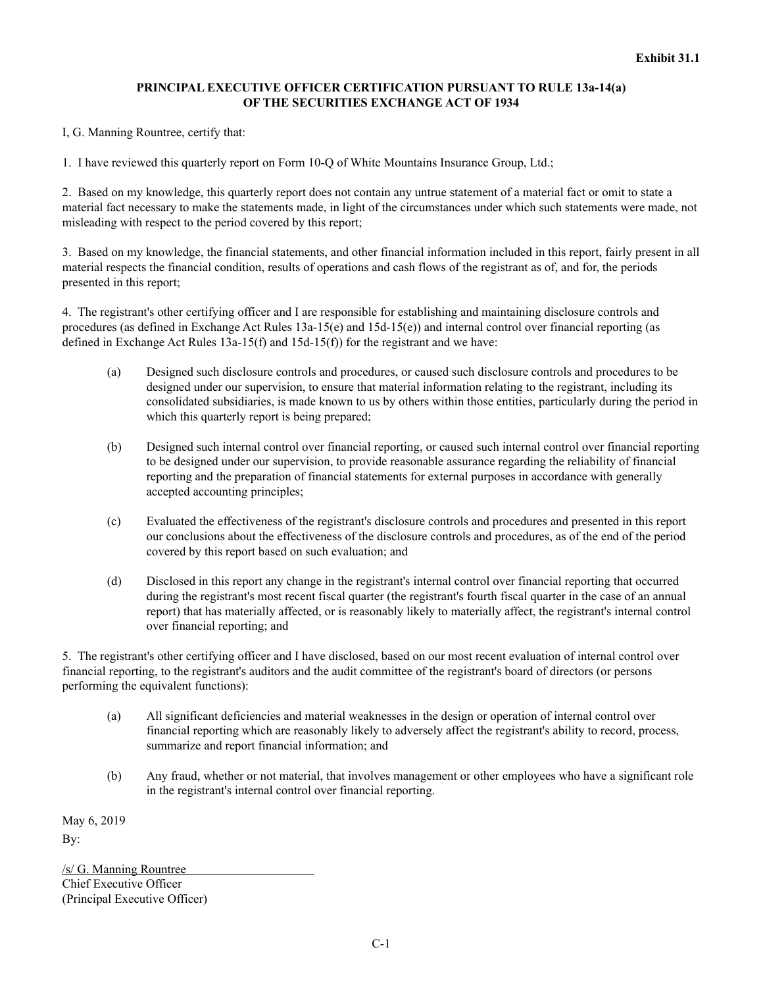# **PRINCIPAL EXECUTIVE OFFICER CERTIFICATION PURSUANT TO RULE 13a-14(a) OF THE SECURITIES EXCHANGE ACT OF 1934**

I, G. Manning Rountree, certify that:

1. I have reviewed this quarterly report on Form 10-Q of White Mountains Insurance Group, Ltd.;

2. Based on my knowledge, this quarterly report does not contain any untrue statement of a material fact or omit to state a material fact necessary to make the statements made, in light of the circumstances under which such statements were made, not misleading with respect to the period covered by this report;

3. Based on my knowledge, the financial statements, and other financial information included in this report, fairly present in all material respects the financial condition, results of operations and cash flows of the registrant as of, and for, the periods presented in this report;

4. The registrant's other certifying officer and I are responsible for establishing and maintaining disclosure controls and procedures (as defined in Exchange Act Rules 13a-15(e) and 15d-15(e)) and internal control over financial reporting (as defined in Exchange Act Rules  $13a-15(f)$  and  $15d-15(f)$  for the registrant and we have:

- (a) Designed such disclosure controls and procedures, or caused such disclosure controls and procedures to be designed under our supervision, to ensure that material information relating to the registrant, including its consolidated subsidiaries, is made known to us by others within those entities, particularly during the period in which this quarterly report is being prepared;
- (b) Designed such internal control over financial reporting, or caused such internal control over financial reporting to be designed under our supervision, to provide reasonable assurance regarding the reliability of financial reporting and the preparation of financial statements for external purposes in accordance with generally accepted accounting principles;
- (c) Evaluated the effectiveness of the registrant's disclosure controls and procedures and presented in this report our conclusions about the effectiveness of the disclosure controls and procedures, as of the end of the period covered by this report based on such evaluation; and
- (d) Disclosed in this report any change in the registrant's internal control over financial reporting that occurred during the registrant's most recent fiscal quarter (the registrant's fourth fiscal quarter in the case of an annual report) that has materially affected, or is reasonably likely to materially affect, the registrant's internal control over financial reporting; and

5. The registrant's other certifying officer and I have disclosed, based on our most recent evaluation of internal control over financial reporting, to the registrant's auditors and the audit committee of the registrant's board of directors (or persons performing the equivalent functions):

- (a) All significant deficiencies and material weaknesses in the design or operation of internal control over financial reporting which are reasonably likely to adversely affect the registrant's ability to record, process, summarize and report financial information; and
- (b) Any fraud, whether or not material, that involves management or other employees who have a significant role in the registrant's internal control over financial reporting.

May 6, 2019 By:

/s/ G. Manning Rountree Chief Executive Officer (Principal Executive Officer)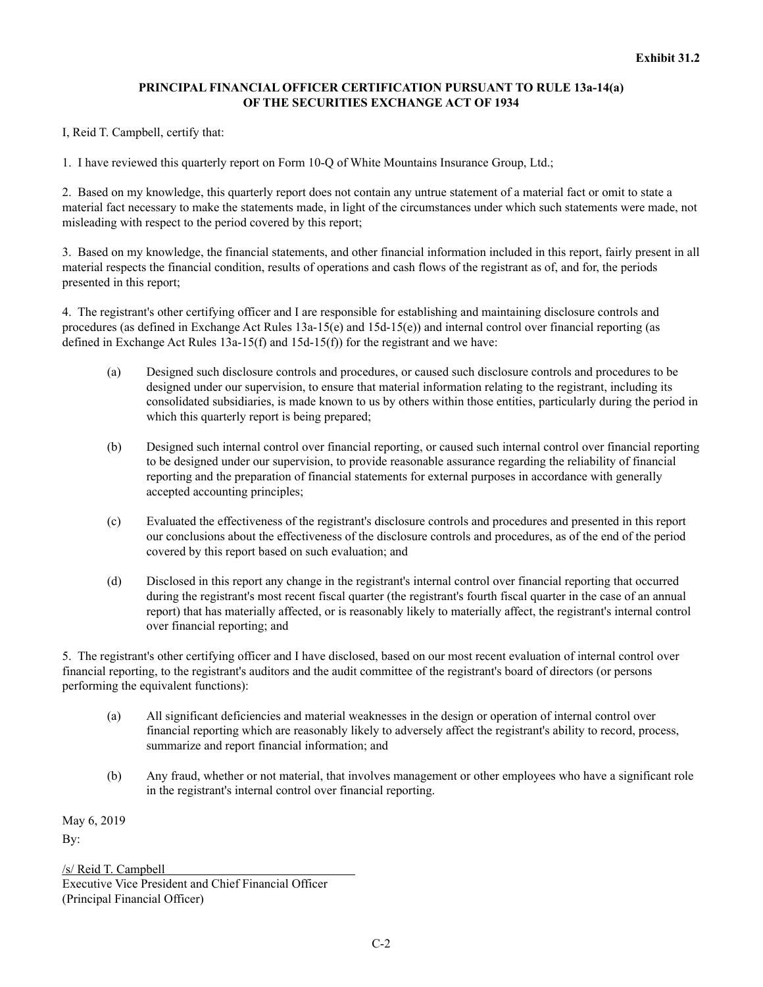# **PRINCIPAL FINANCIAL OFFICER CERTIFICATION PURSUANT TO RULE 13a-14(a) OF THE SECURITIES EXCHANGE ACT OF 1934**

I, Reid T. Campbell, certify that:

1. I have reviewed this quarterly report on Form 10-Q of White Mountains Insurance Group, Ltd.;

2. Based on my knowledge, this quarterly report does not contain any untrue statement of a material fact or omit to state a material fact necessary to make the statements made, in light of the circumstances under which such statements were made, not misleading with respect to the period covered by this report;

3. Based on my knowledge, the financial statements, and other financial information included in this report, fairly present in all material respects the financial condition, results of operations and cash flows of the registrant as of, and for, the periods presented in this report;

4. The registrant's other certifying officer and I are responsible for establishing and maintaining disclosure controls and procedures (as defined in Exchange Act Rules 13a-15(e) and 15d-15(e)) and internal control over financial reporting (as defined in Exchange Act Rules  $13a-15(f)$  and  $15d-15(f)$  for the registrant and we have:

- (a) Designed such disclosure controls and procedures, or caused such disclosure controls and procedures to be designed under our supervision, to ensure that material information relating to the registrant, including its consolidated subsidiaries, is made known to us by others within those entities, particularly during the period in which this quarterly report is being prepared;
- (b) Designed such internal control over financial reporting, or caused such internal control over financial reporting to be designed under our supervision, to provide reasonable assurance regarding the reliability of financial reporting and the preparation of financial statements for external purposes in accordance with generally accepted accounting principles;
- (c) Evaluated the effectiveness of the registrant's disclosure controls and procedures and presented in this report our conclusions about the effectiveness of the disclosure controls and procedures, as of the end of the period covered by this report based on such evaluation; and
- (d) Disclosed in this report any change in the registrant's internal control over financial reporting that occurred during the registrant's most recent fiscal quarter (the registrant's fourth fiscal quarter in the case of an annual report) that has materially affected, or is reasonably likely to materially affect, the registrant's internal control over financial reporting; and

5. The registrant's other certifying officer and I have disclosed, based on our most recent evaluation of internal control over financial reporting, to the registrant's auditors and the audit committee of the registrant's board of directors (or persons performing the equivalent functions):

- (a) All significant deficiencies and material weaknesses in the design or operation of internal control over financial reporting which are reasonably likely to adversely affect the registrant's ability to record, process, summarize and report financial information; and
- (b) Any fraud, whether or not material, that involves management or other employees who have a significant role in the registrant's internal control over financial reporting.

May 6, 2019 By:

/s/ Reid T. Campbell

Executive Vice President and Chief Financial Officer (Principal Financial Officer)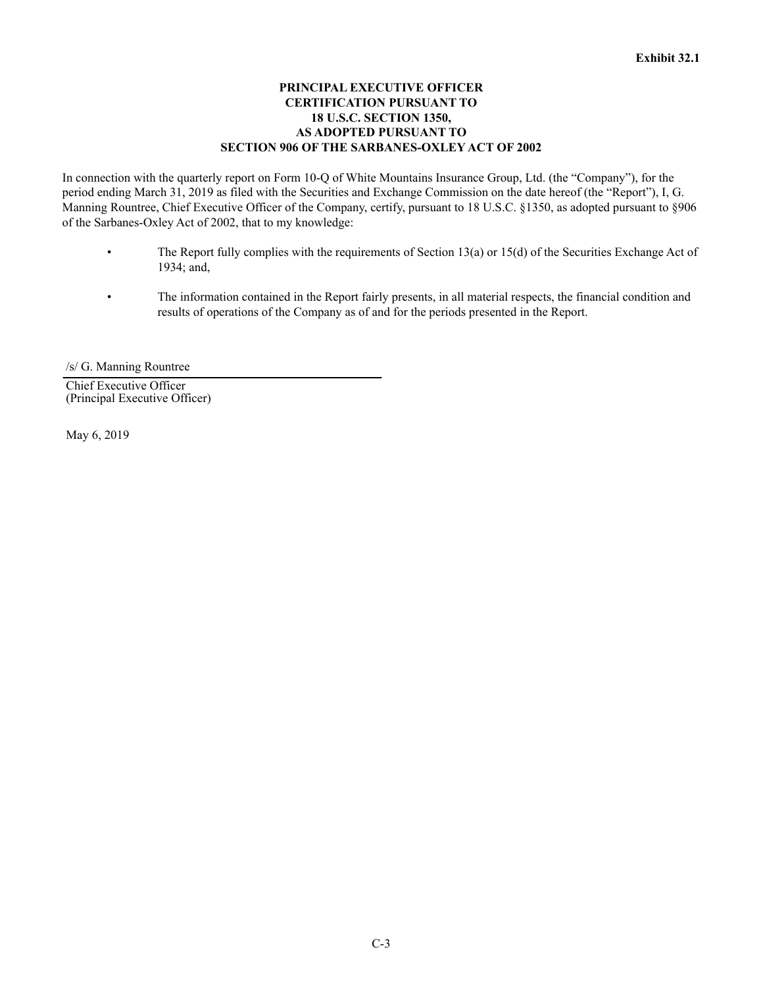# **PRINCIPAL EXECUTIVE OFFICER CERTIFICATION PURSUANT TO 18 U.S.C. SECTION 1350, AS ADOPTED PURSUANT TO SECTION 906 OF THE SARBANES-OXLEY ACT OF 2002**

In connection with the quarterly report on Form 10-Q of White Mountains Insurance Group, Ltd. (the "Company"), for the period ending March 31, 2019 as filed with the Securities and Exchange Commission on the date hereof (the "Report"), I, G. Manning Rountree, Chief Executive Officer of the Company, certify, pursuant to 18 U.S.C. §1350, as adopted pursuant to §906 of the Sarbanes-Oxley Act of 2002, that to my knowledge:

- The Report fully complies with the requirements of Section 13(a) or 15(d) of the Securities Exchange Act of 1934; and,
- The information contained in the Report fairly presents, in all material respects, the financial condition and results of operations of the Company as of and for the periods presented in the Report.

/s/ G. Manning Rountree

Chief Executive Officer (Principal Executive Officer)

May 6, 2019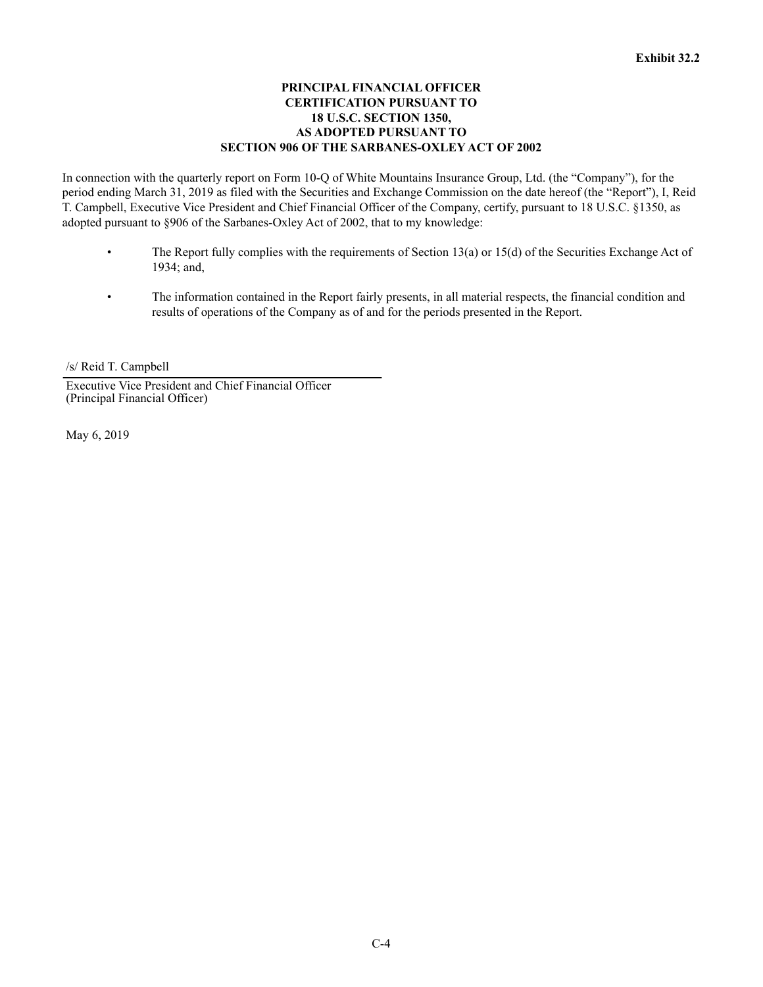# **PRINCIPAL FINANCIAL OFFICER CERTIFICATION PURSUANT TO 18 U.S.C. SECTION 1350, AS ADOPTED PURSUANT TO SECTION 906 OF THE SARBANES-OXLEY ACT OF 2002**

In connection with the quarterly report on Form 10-Q of White Mountains Insurance Group, Ltd. (the "Company"), for the period ending March 31, 2019 as filed with the Securities and Exchange Commission on the date hereof (the "Report"), I, Reid T. Campbell, Executive Vice President and Chief Financial Officer of the Company, certify, pursuant to 18 U.S.C. §1350, as adopted pursuant to §906 of the Sarbanes-Oxley Act of 2002, that to my knowledge:

- The Report fully complies with the requirements of Section 13(a) or 15(d) of the Securities Exchange Act of 1934; and,
- The information contained in the Report fairly presents, in all material respects, the financial condition and results of operations of the Company as of and for the periods presented in the Report.

/s/ Reid T. Campbell

Executive Vice President and Chief Financial Officer (Principal Financial Officer)

May 6, 2019